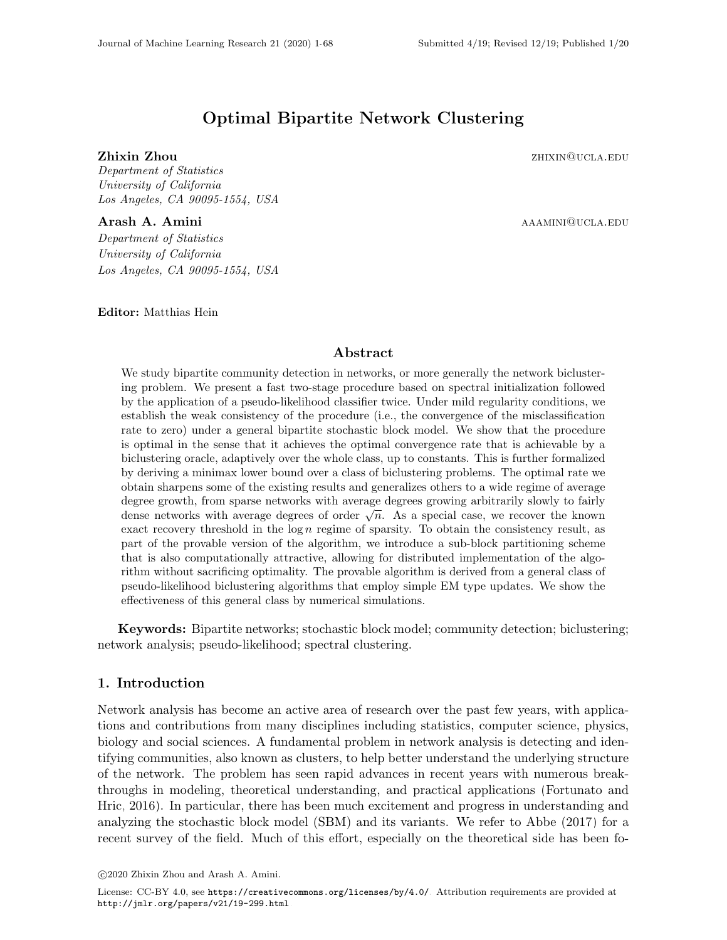# Optimal Bipartite Network Clustering

**Zhixin Zhou** zhuxing zhixing zhou zhixing zhixing zhixing zhixing zhixing zhixing zhixing zhixing zhixing zhixing zhixing zhixing zhixing zhixing zhixing zhixing zhixing zhixing zhixing zhixing zhixing zhixing zhixing zhi

Department of Statistics University of California Los Angeles, CA 90095-1554, USA

Arash A. Amini aaamini@ucla.edu

Department of Statistics University of California Los Angeles, CA 90095-1554, USA

Editor: Matthias Hein

## Abstract

We study bipartite community detection in networks, or more generally the network biclustering problem. We present a fast two-stage procedure based on spectral initialization followed by the application of a pseudo-likelihood classifier twice. Under mild regularity conditions, we establish the weak consistency of the procedure (i.e., the convergence of the misclassification rate to zero) under a general bipartite stochastic block model. We show that the procedure is optimal in the sense that it achieves the optimal convergence rate that is achievable by a biclustering oracle, adaptively over the whole class, up to constants. This is further formalized by deriving a minimax lower bound over a class of biclustering problems. The optimal rate we obtain sharpens some of the existing results and generalizes others to a wide regime of average degree growth, from sparse networks with average degrees growing arbitrarily slowly to fairly dense networks with average degrees of order  $\sqrt{n}$ . As a special case, we recover the known exact recovery threshold in the  $log n$  regime of sparsity. To obtain the consistency result, as part of the provable version of the algorithm, we introduce a sub-block partitioning scheme that is also computationally attractive, allowing for distributed implementation of the algorithm without sacrificing optimality. The provable algorithm is derived from a general class of pseudo-likelihood biclustering algorithms that employ simple EM type updates. We show the effectiveness of this general class by numerical simulations.

Keywords: Bipartite networks; stochastic block model; community detection; biclustering; network analysis; pseudo-likelihood; spectral clustering.

## 1. Introduction

Network analysis has become an active area of research over the past few years, with applications and contributions from many disciplines including statistics, computer science, physics, biology and social sciences. A fundamental problem in network analysis is detecting and identifying communities, also known as clusters, to help better understand the underlying structure of the network. The problem has seen rapid advances in recent years with numerous breakthroughs in modeling, theoretical understanding, and practical applications [\(Fortunato and](#page-64-0) [Hric, 2016\)](#page-64-0). In particular, there has been much excitement and progress in understanding and analyzing the stochastic block model (SBM) and its variants. We refer to [Abbe \(2017\)](#page-63-0) for a recent survey of the field. Much of this effort, especially on the theoretical side has been fo-

c 2020 Zhixin Zhou and Arash A. Amini.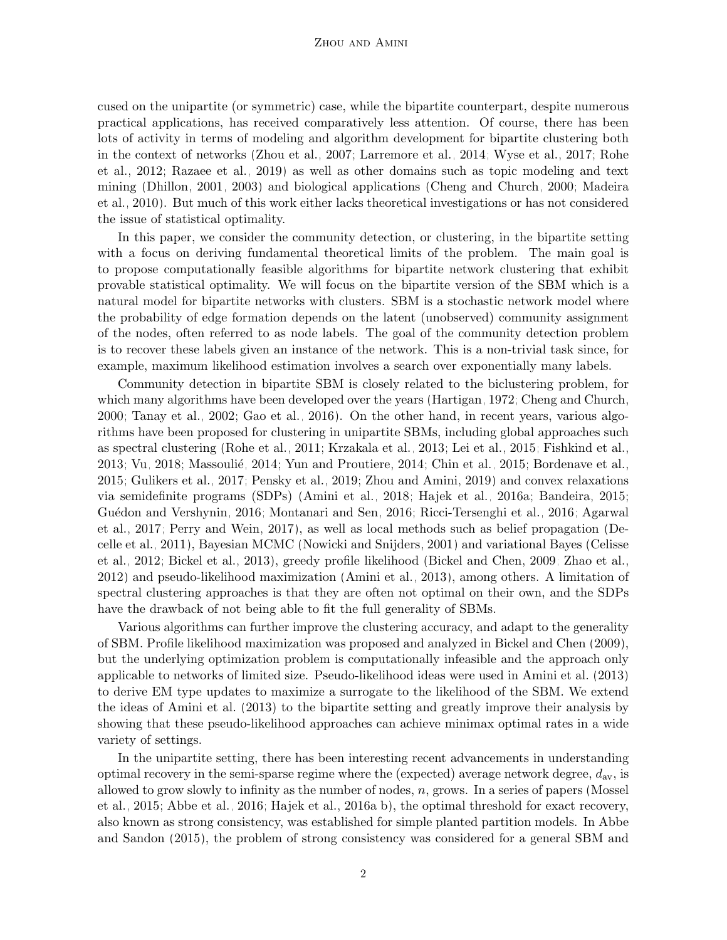cused on the unipartite (or symmetric) case, while the bipartite counterpart, despite numerous practical applications, has received comparatively less attention. Of course, there has been lots of activity in terms of modeling and algorithm development for bipartite clustering both in the context of networks [\(Zhou et al., 2007;](#page-67-1) [Larremore et al., 2014;](#page-65-0) [Wyse et al., 2017;](#page-66-0) [Rohe](#page-66-1) [et al., 2012;](#page-66-1) [Razaee et al., 2019\)](#page-66-2) as well as other domains such as topic modeling and text mining [\(Dhillon, 2001,](#page-64-1) [2003\)](#page-64-2) and biological applications [\(Cheng and Church, 2000;](#page-64-3) [Madeira](#page-65-1) [et al., 2010\)](#page-65-1). But much of this work either lacks theoretical investigations or has not considered the issue of statistical optimality.

In this paper, we consider the community detection, or clustering, in the bipartite setting with a focus on deriving fundamental theoretical limits of the problem. The main goal is to propose computationally feasible algorithms for bipartite network clustering that exhibit provable statistical optimality. We will focus on the bipartite version of the SBM which is a natural model for bipartite networks with clusters. SBM is a stochastic network model where the probability of edge formation depends on the latent (unobserved) community assignment of the nodes, often referred to as node labels. The goal of the community detection problem is to recover these labels given an instance of the network. This is a non-trivial task since, for example, maximum likelihood estimation involves a search over exponentially many labels.

Community detection in bipartite SBM is closely related to the biclustering problem, for which many algorithms have been developed over the years [\(Hartigan, 1972;](#page-65-2) [Cheng and Church,](#page-64-3) [2000;](#page-64-3) [Tanay et al., 2002;](#page-66-3) [Gao et al., 2016\)](#page-64-4). On the other hand, in recent years, various algorithms have been proposed for clustering in unipartite SBMs, including global approaches such as spectral clustering [\(Rohe et al., 2011;](#page-66-4) [Krzakala et al., 2013;](#page-65-3) [Lei et al., 2015;](#page-65-4) [Fishkind et al.,](#page-64-5)  $2013$ ; Vu,  $2018$ ; Massoulié,  $2014$ ; Yun and Proutiere,  $2014$ ; Chin et al.,  $2015$ ; [Bordenave et al.,](#page-64-7) [2015;](#page-64-7) [Gulikers et al., 2017;](#page-65-6) [Pensky et al., 2019;](#page-66-7) [Zhou and Amini, 2019\)](#page-67-2) and convex relaxations via semidefinite programs (SDPs) [\(Amini et al., 2018;](#page-63-1) [Hajek et al., 2016a;](#page-65-7) [Bandeira, 2015;](#page-63-2) Guédon and Vershynin, 2016; [Montanari and Sen, 2016;](#page-66-8) [Ricci-Tersenghi et al., 2016;](#page-66-9) [Agarwal](#page-63-3) [et al., 2017;](#page-63-3) [Perry and Wein, 2017\)](#page-66-10), as well as local methods such as belief propagation [\(De](#page-64-8)[celle et al., 2011\)](#page-64-8), Bayesian MCMC [\(Nowicki and Snijders, 2001\)](#page-66-11) and variational Bayes [\(Celisse](#page-64-9) [et al., 2012;](#page-64-9) [Bickel et al., 2013\)](#page-63-4), greedy profile likelihood [\(Bickel and Chen, 2009;](#page-63-5) [Zhao et al.,](#page-67-3) [2012\)](#page-67-3) and pseudo-likelihood maximization [\(Amini et al., 2013\)](#page-63-6), among others. A limitation of spectral clustering approaches is that they are often not optimal on their own, and the SDPs have the drawback of not being able to fit the full generality of SBMs.

Various algorithms can further improve the clustering accuracy, and adapt to the generality of SBM. Profile likelihood maximization was proposed and analyzed in [Bickel and Chen \(2009\)](#page-63-5), but the underlying optimization problem is computationally infeasible and the approach only applicable to networks of limited size. Pseudo-likelihood ideas were used in [Amini et al. \(2013\)](#page-63-6) to derive EM type updates to maximize a surrogate to the likelihood of the SBM. We extend the ideas of [Amini et al. \(2013\)](#page-63-6) to the bipartite setting and greatly improve their analysis by showing that these pseudo-likelihood approaches can achieve minimax optimal rates in a wide variety of settings.

In the unipartite setting, there has been interesting recent advancements in understanding optimal recovery in the semi-sparse regime where the (expected) average network degree,  $d_{\text{av}}$ , is allowed to grow slowly to infinity as the number of nodes,  $n$ , grows. In a series of papers [\(Mossel](#page-66-12) [et al., 2015;](#page-66-12) [Abbe et al., 2016;](#page-63-7) [Hajek et al., 2016a,](#page-65-7)[b\)](#page-65-9), the optimal threshold for exact recovery, also known as strong consistency, was established for simple planted partition models. In [Abbe](#page-63-8) [and Sandon \(2015\)](#page-63-8), the problem of strong consistency was considered for a general SBM and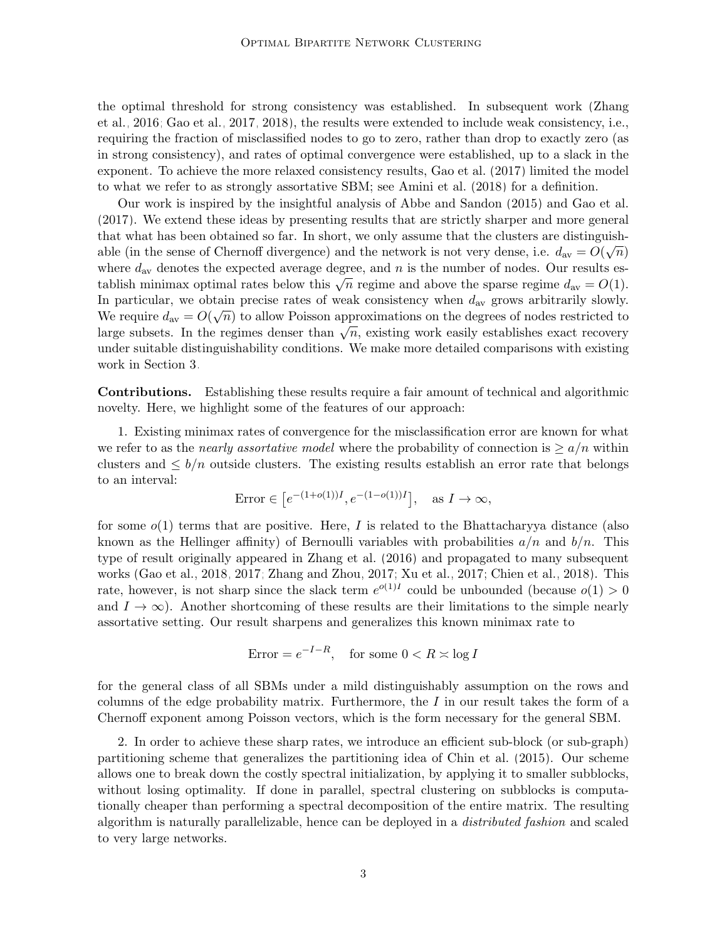the optimal threshold for strong consistency was established. In subsequent work [\(Zhang](#page-67-4) [et al., 2016;](#page-67-4) [Gao et al., 2017,](#page-65-10) [2018\)](#page-65-11), the results were extended to include weak consistency, i.e., requiring the fraction of misclassified nodes to go to zero, rather than drop to exactly zero (as in strong consistency), and rates of optimal convergence were established, up to a slack in the exponent. To achieve the more relaxed consistency results, [Gao et al. \(2017\)](#page-65-10) limited the model to what we refer to as strongly assortative SBM; see [Amini et al. \(2018\)](#page-63-1) for a definition.

Our work is inspired by the insightful analysis of [Abbe and Sandon \(2015\)](#page-63-8) and [Gao et al.](#page-65-10) [\(2017\)](#page-65-10). We extend these ideas by presenting results that are strictly sharper and more general that what has been obtained so far. In short, we only assume that the clusters are distinguishable (in the sense of Chernoff divergence) and the network is not very dense, i.e.  $d_{av} = \tilde{O}(\sqrt{n})$ where  $d_{\text{av}}$  denotes the expected average degree, and n is the number of nodes. Our results establish minimax optimal rates below this  $\overline{\sqrt{n}}$  regime and above the sparse regime  $d_{\text{av}} = O(1)$ . In particular, we obtain precise rates of weak consistency when  $d_{\text{av}}$  grows arbitrarily slowly. We require  $d_{\text{av}} = O(\sqrt{n})$  to allow Poisson approximations on the degrees of nodes restricted to large subsets. In the regimes denser than  $\sqrt{n}$ , existing work easily establishes exact recovery under suitable distinguishability conditions. We make more detailed comparisons with existing work in Section [3.](#page-6-0)

Contributions. Establishing these results require a fair amount of technical and algorithmic novelty. Here, we highlight some of the features of our approach:

1. Existing minimax rates of convergence for the misclassification error are known for what we refer to as the *nearly assortative model* where the probability of connection is  $\geq a/n$  within clusters and  $\leq b/n$  outside clusters. The existing results establish an error rate that belongs to an interval:

$$
Error \in [e^{-(1+o(1))I}, e^{-(1-o(1))I}], \text{ as } I \to \infty,
$$

for some  $o(1)$  terms that are positive. Here, I is related to the Bhattachary va distance (also known as the Hellinger affinity) of Bernoulli variables with probabilities  $a/n$  and  $b/n$ . This type of result originally appeared in [Zhang et al. \(2016\)](#page-67-4) and propagated to many subsequent works [\(Gao et al., 2018,](#page-65-11) [2017;](#page-65-10) [Zhang and Zhou, 2017;](#page-66-13) [Xu et al., 2017;](#page-66-14) [Chien et al., 2018\)](#page-64-10). This rate, however, is not sharp since the slack term  $e^{o(1)I}$  could be unbounded (because  $o(1) > 0$ and  $I \to \infty$ ). Another shortcoming of these results are their limitations to the simple nearly assortative setting. Our result sharpens and generalizes this known minimax rate to

$$
Error = e^{-I - R}, \quad \text{for some } 0 < R \asymp \log I
$$

for the general class of all SBMs under a mild distinguishably assumption on the rows and columns of the edge probability matrix. Furthermore, the  $I$  in our result takes the form of a Chernoff exponent among Poisson vectors, which is the form necessary for the general SBM.

2. In order to achieve these sharp rates, we introduce an efficient sub-block (or sub-graph) partitioning scheme that generalizes the partitioning idea of [Chin et al. \(2015\)](#page-64-6). Our scheme allows one to break down the costly spectral initialization, by applying it to smaller subblocks, without losing optimality. If done in parallel, spectral clustering on subblocks is computationally cheaper than performing a spectral decomposition of the entire matrix. The resulting algorithm is naturally parallelizable, hence can be deployed in a distributed fashion and scaled to very large networks.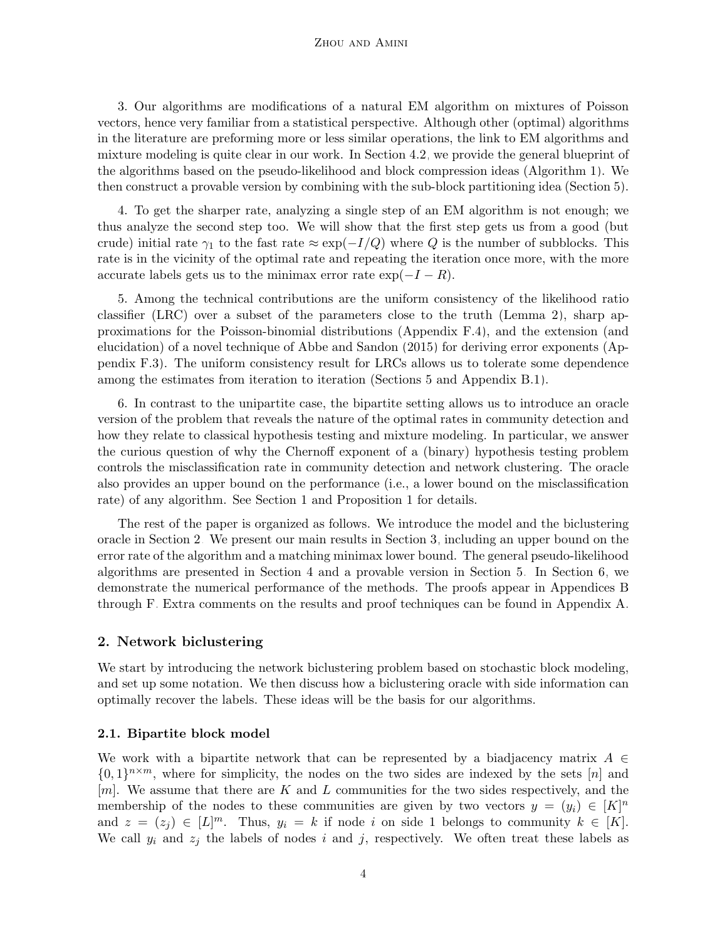#### Zhou and Amini

3. Our algorithms are modifications of a natural EM algorithm on mixtures of Poisson vectors, hence very familiar from a statistical perspective. Although other (optimal) algorithms in the literature are preforming more or less similar operations, the link to EM algorithms and mixture modeling is quite clear in our work. In Section [4.2,](#page-13-0) we provide the general blueprint of the algorithms based on the pseudo-likelihood and block compression ideas (Algorithm [1\)](#page-14-0). We then construct a provable version by combining with the sub-block partitioning idea (Section [5\)](#page-15-0).

4. To get the sharper rate, analyzing a single step of an EM algorithm is not enough; we thus analyze the second step too. We will show that the first step gets us from a good (but crude) initial rate  $\gamma_1$  to the fast rate  $\approx \exp(-I/Q)$  where Q is the number of subblocks. This rate is in the vicinity of the optimal rate and repeating the iteration once more, with the more accurate labels gets us to the minimax error rate  $\exp(-I - R)$ .

5. Among the technical contributions are the uniform consistency of the likelihood ratio classifier (LRC) over a subset of the parameters close to the truth (Lemma [2\)](#page-25-0), sharp approximations for the Poisson-binomial distributions (Appendix [F.4\)](#page-47-0), and the extension (and elucidation) of a novel technique of [Abbe and Sandon \(2015\)](#page-63-8) for deriving error exponents (Appendix [F.3\)](#page-44-0). The uniform consistency result for LRCs allows us to tolerate some dependence among the estimates from iteration to iteration (Sections [5](#page-15-0) and Appendix [B.1\)](#page-24-0).

6. In contrast to the unipartite case, the bipartite setting allows us to introduce an oracle version of the problem that reveals the nature of the optimal rates in community detection and how they relate to classical hypothesis testing and mixture modeling. In particular, we answer the curious question of why the Chernoff exponent of a (binary) hypothesis testing problem controls the misclassification rate in community detection and network clustering. The oracle also provides an upper bound on the performance (i.e., a lower bound on the misclassification rate) of any algorithm. See Section [1](#page-7-0) and Proposition [1](#page-7-0) for details.

The rest of the paper is organized as follows. We introduce the model and the biclustering oracle in Section [2.](#page-3-0) We present our main results in Section [3,](#page-6-0) including an upper bound on the error rate of the algorithm and a matching minimax lower bound. The general pseudo-likelihood algorithms are presented in Section [4](#page-11-0) and a provable version in Section [5.](#page-15-0) In Section [6,](#page-21-0) we demonstrate the numerical performance of the methods. The proofs appear in Appendices [B](#page-24-1) through [F.](#page-40-0) Extra comments on the results and proof techniques can be found in Appendix [A.](#page-22-0)

### <span id="page-3-0"></span>2. Network biclustering

We start by introducing the network biclustering problem based on stochastic block modeling, and set up some notation. We then discuss how a biclustering oracle with side information can optimally recover the labels. These ideas will be the basis for our algorithms.

#### <span id="page-3-1"></span>2.1. Bipartite block model

We work with a bipartite network that can be represented by a biadjacency matrix  $A \in$  $\{0,1\}^{n \times m}$ , where for simplicity, the nodes on the two sides are indexed by the sets [n] and  $[m]$ . We assume that there are K and L communities for the two sides respectively, and the membership of the nodes to these communities are given by two vectors  $y = (y_i) \in [K]^n$ and  $z = (z_j) \in [L]^m$ . Thus,  $y_i = k$  if node i on side 1 belongs to community  $k \in [K]$ . We call  $y_i$  and  $z_j$  the labels of nodes i and j, respectively. We often treat these labels as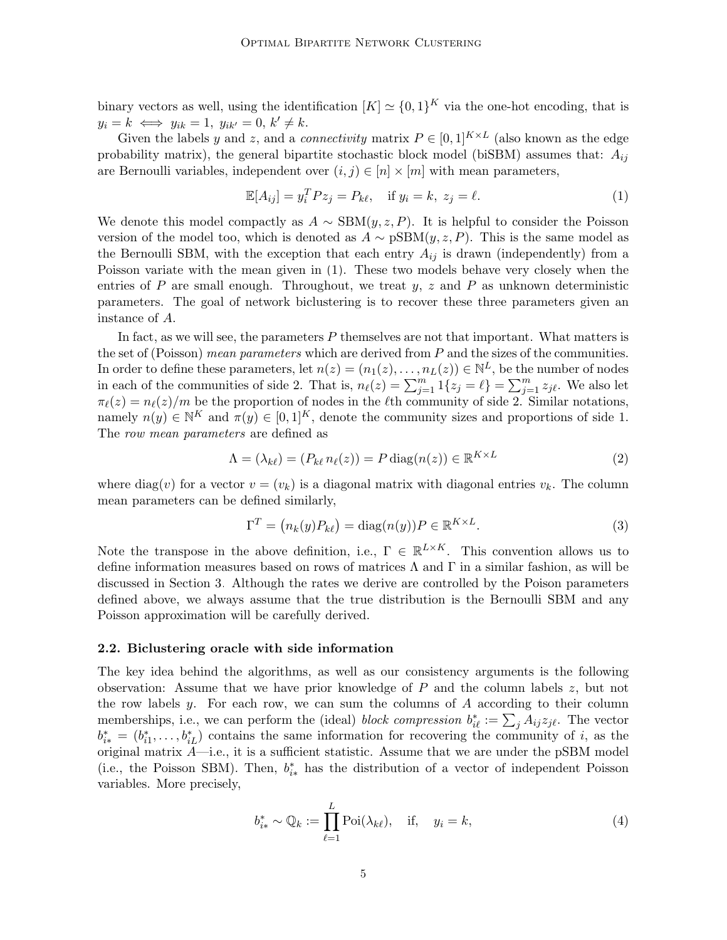binary vectors as well, using the identification  $[K] \simeq \{0,1\}^K$  via the one-hot encoding, that is  $y_i = k \iff y_{ik} = 1, y_{ik'} = 0, k' \neq k.$ 

Given the labels y and z, and a *connectivity* matrix  $P \in [0,1]^{K \times L}$  (also known as the edge probability matrix), the general bipartite stochastic block model (biSBM) assumes that:  $A_{ij}$ are Bernoulli variables, independent over  $(i, j) \in [n] \times [m]$  with mean parameters,

<span id="page-4-0"></span>
$$
\mathbb{E}[A_{ij}] = y_i^T P z_j = P_{k\ell}, \quad \text{if } y_i = k, \ z_j = \ell.
$$
 (1)

We denote this model compactly as  $A \sim \text{SBM}(y, z, P)$ . It is helpful to consider the Poisson version of the model too, which is denoted as  $A \sim pSBM(y, z, P)$ . This is the same model as the Bernoulli SBM, with the exception that each entry  $A_{ij}$  is drawn (independently) from a Poisson variate with the mean given in [\(1\)](#page-4-0). These two models behave very closely when the entries of P are small enough. Throughout, we treat  $y, z$  and P as unknown deterministic parameters. The goal of network biclustering is to recover these three parameters given an instance of A.

In fact, as we will see, the parameters  $P$  themselves are not that important. What matters is the set of (Poisson) mean parameters which are derived from  $P$  and the sizes of the communities. In order to define these parameters, let  $n(z) = (n_1(z), \ldots, n_L(z)) \in \mathbb{N}^L$ , be the number of nodes in each of the communities of side 2. That is,  $n_{\ell}(z) = \sum_{j=1}^{m} 1\{z_j = \ell\} = \sum_{j=1}^{m} z_{j\ell}$ . We also let  $\pi_{\ell}(z) = n_{\ell}(z)/m$  be the proportion of nodes in the  $\ell$ th community of side 2. Similar notations, namely  $n(y) \in \mathbb{N}^K$  and  $\pi(y) \in [0, 1]^K$ , denote the community sizes and proportions of side 1. The row mean parameters are defined as

$$
\Lambda = (\lambda_{k\ell}) = (P_{k\ell} n_{\ell}(z)) = P \operatorname{diag}(n(z)) \in \mathbb{R}^{K \times L}
$$
\n(2)

where diag(v) for a vector  $v = (v_k)$  is a diagonal matrix with diagonal entries  $v_k$ . The column mean parameters can be defined similarly,

<span id="page-4-2"></span><span id="page-4-1"></span>
$$
\Gamma^{T} = (n_{k}(y)P_{k\ell}) = \text{diag}(n(y))P \in \mathbb{R}^{K \times L}.
$$
\n(3)

Note the transpose in the above definition, i.e.,  $\Gamma \in \mathbb{R}^{L \times K}$ . This convention allows us to define information measures based on rows of matrices  $\Lambda$  and  $\Gamma$  in a similar fashion, as will be discussed in Section [3.](#page-6-0) Although the rates we derive are controlled by the Poison parameters defined above, we always assume that the true distribution is the Bernoulli SBM and any Poisson approximation will be carefully derived.

#### <span id="page-4-3"></span>2.2. Biclustering oracle with side information

The key idea behind the algorithms, as well as our consistency arguments is the following observation: Assume that we have prior knowledge of  $P$  and the column labels  $z$ , but not the row labels  $y$ . For each row, we can sum the columns of  $A$  according to their column memberships, i.e., we can perform the (ideal) *block compression*  $b_{i\ell}^* := \sum_j A_{ij} z_{j\ell}$ . The vector  $b_{i*}^* = (b_{i1}^*, \ldots, b_{iL}^*)$  contains the same information for recovering the community of i, as the original matrix  $A$ —i.e., it is a sufficient statistic. Assume that we are under the pSBM model (i.e., the Poisson SBM). Then,  $b_{i*}^*$  has the distribution of a vector of independent Poisson variables. More precisely,

$$
b_{i*}^* \sim \mathbb{Q}_k := \prod_{\ell=1}^L \text{Poi}(\lambda_{k\ell}), \quad \text{if,} \quad y_i = k,
$$
 (4)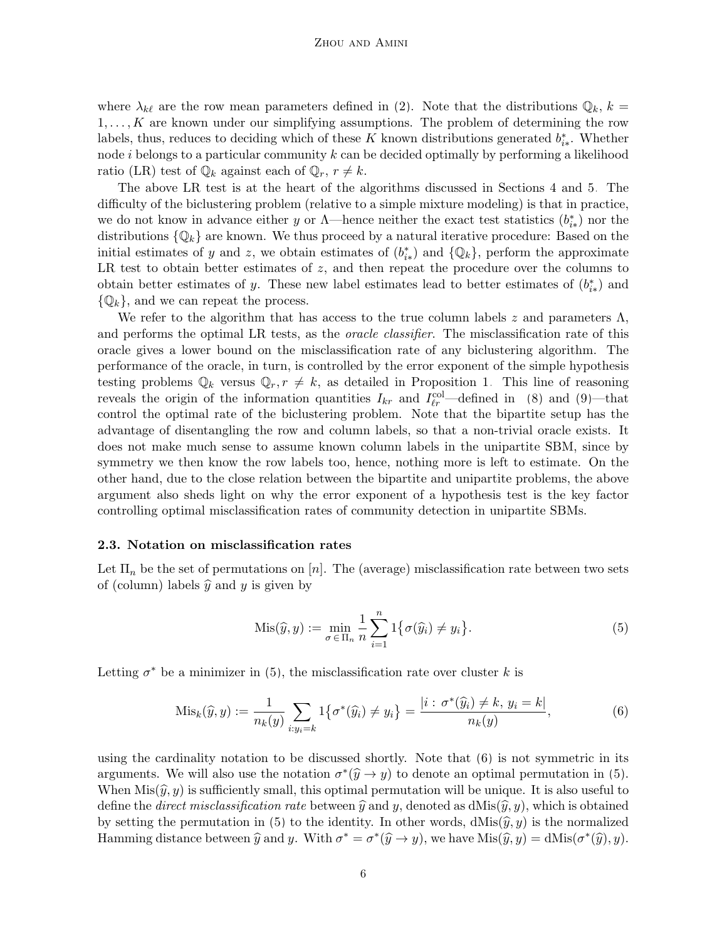where  $\lambda_{k\ell}$  are the row mean parameters defined in [\(2\)](#page-4-1). Note that the distributions  $\mathbb{Q}_k$ ,  $k =$  $1, \ldots, K$  are known under our simplifying assumptions. The problem of determining the row labels, thus, reduces to deciding which of these K known distributions generated  $b_{i*}^*$ . Whether node  $i$  belongs to a particular community  $k$  can be decided optimally by performing a likelihood ratio (LR) test of  $\mathbb{Q}_k$  against each of  $\mathbb{Q}_r$ ,  $r \neq k$ .

The above LR test is at the heart of the algorithms discussed in Sections [4](#page-11-0) and [5.](#page-15-0) The difficulty of the biclustering problem (relative to a simple mixture modeling) is that in practice, we do not know in advance either y or  $\Lambda$ —hence neither the exact test statistics  $(b^*_{i*})$  nor the distributions  $\{\mathbb{Q}_k\}$  are known. We thus proceed by a natural iterative procedure: Based on the initial estimates of y and z, we obtain estimates of  $(b^*_{i*})$  and  $\{\mathbb{Q}_k\}$ , perform the approximate LR test to obtain better estimates of  $z$ , and then repeat the procedure over the columns to obtain better estimates of y. These new label estimates lead to better estimates of  $(b^*_{i*})$  and  $\{\mathbb{Q}_k\}$ , and we can repeat the process.

We refer to the algorithm that has access to the true column labels z and parameters  $\Lambda$ , and performs the optimal LR tests, as the *oracle classifier*. The misclassification rate of this oracle gives a lower bound on the misclassification rate of any biclustering algorithm. The performance of the oracle, in turn, is controlled by the error exponent of the simple hypothesis testing problems  $\mathbb{Q}_k$  versus  $\mathbb{Q}_r$ ,  $r \neq k$ , as detailed in Proposition [1.](#page-7-0) This line of reasoning reveals the origin of the information quantities  $I_{kr}$  and  $I_{\ell r}^{\text{col}}$ —defined in [\(8\)](#page-6-1) and [\(9\)](#page-7-1)—that control the optimal rate of the biclustering problem. Note that the bipartite setup has the advantage of disentangling the row and column labels, so that a non-trivial oracle exists. It does not make much sense to assume known column labels in the unipartite SBM, since by symmetry we then know the row labels too, hence, nothing more is left to estimate. On the other hand, due to the close relation between the bipartite and unipartite problems, the above argument also sheds light on why the error exponent of a hypothesis test is the key factor controlling optimal misclassification rates of community detection in unipartite SBMs.

#### <span id="page-5-2"></span>2.3. Notation on misclassification rates

Let  $\Pi_n$  be the set of permutations on [n]. The (average) misclassification rate between two sets of (column) labels  $\hat{y}$  and y is given by

<span id="page-5-1"></span><span id="page-5-0"></span>
$$
Mis(\widehat{y}, y) := \min_{\sigma \in \Pi_n} \frac{1}{n} \sum_{i=1}^n 1\big\{\sigma(\widehat{y}_i) \neq y_i\big\}.
$$
 (5)

Letting  $\sigma^*$  be a minimizer in [\(5\)](#page-5-0), the misclassification rate over cluster k is

$$
\text{Mis}_k(\hat{y}, y) := \frac{1}{n_k(y)} \sum_{i: y_i = k} 1\big\{\sigma^*(\hat{y}_i) \neq y_i\big\} = \frac{|i : \sigma^*(\hat{y}_i) \neq k, y_i = k|}{n_k(y)},\tag{6}
$$

using the cardinality notation to be discussed shortly. Note that [\(6\)](#page-5-1) is not symmetric in its arguments. We will also use the notation  $\sigma^*(\hat{y} \to y)$  to denote an optimal permutation in [\(5\)](#page-5-0). When  $Mis(\hat{y}, y)$  is sufficiently small, this optimal permutation will be unique. It is also useful to define the *direct misclassification rate* between  $\hat{y}$  and y, denoted as dMis $(\hat{y}, y)$ , which is obtained by setting the permutation in [\(5\)](#page-5-0) to the identity. In other words,  $dMis(\hat{y}, y)$  is the normalized Hamming distance between  $\hat{y}$  and y. With  $\sigma^* = \sigma^*(\hat{y} \to y)$ , we have  $\text{Mis}(\hat{y}, y) = \text{dMis}(\sigma^*(\hat{y}), y)$ .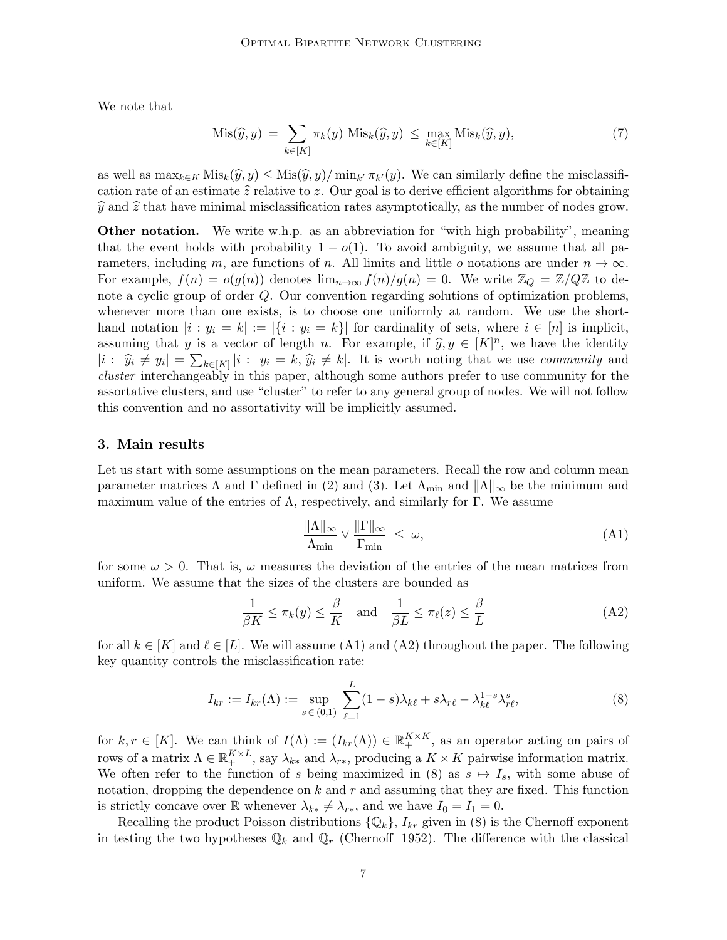We note that

<span id="page-6-2"></span>
$$
Mis(\hat{y}, y) = \sum_{k \in [K]} \pi_k(y) Mis_k(\hat{y}, y) \le \max_{k \in [K]} Mis_k(\hat{y}, y),
$$
\n(7)

as well as  $\max_{k \in K} \text{Mix}_k(\hat{y}, y) \leq \text{Mix}(\hat{y}, y) / \min_{k'} \pi_{k'}(y)$ . We can similarly define the misclassification rate of an estimate  $\hat{z}$  relative to z. Our goal is to derive efficient algorithms for obtaining  $\hat{y}$  and  $\hat{z}$  that have minimal misclassification rates asymptotically, as the number of nodes grow.

**Other notation.** We write w.h.p. as an abbreviation for "with high probability", meaning that the event holds with probability  $1 - o(1)$ . To avoid ambiguity, we assume that all parameters, including m, are functions of n. All limits and little o notations are under  $n \to \infty$ . For example,  $f(n) = o(g(n))$  denotes  $\lim_{n\to\infty} f(n)/g(n) = 0$ . We write  $\mathbb{Z}_Q = \mathbb{Z}/Q\mathbb{Z}$  to denote a cyclic group of order Q. Our convention regarding solutions of optimization problems, whenever more than one exists, is to choose one uniformly at random. We use the shorthand notation  $|i : y_i = k| := |\{i : y_i = k\}|$  for cardinality of sets, where  $i \in [n]$  is implicit, assuming that y is a vector of length n. For example, if  $\widehat{y}, y \in [K]^n$ , we have the identity  $|i: \hat{y}_i \neq y_i| = \sum_{k \in [K]} |i: y_i = k, \hat{y}_i \neq k|.$  It is worth noting that we use *community* and cluster interchangeably in this paper, although some authors prefer to use community for the assortative clusters, and use "cluster" to refer to any general group of nodes. We will not follow this convention and no assortativity will be implicitly assumed.

#### <span id="page-6-0"></span>3. Main results

Let us start with some assumptions on the mean parameters. Recall the row and column mean parameter matrices  $\Lambda$  and  $\Gamma$  defined in [\(2\)](#page-4-1) and [\(3\)](#page-4-2). Let  $\Lambda_{\text{min}}$  and  $||\Lambda||_{\infty}$  be the minimum and maximum value of the entries of  $\Lambda$ , respectively, and similarly for Γ. We assume

<span id="page-6-1"></span>
$$
\frac{\|\Lambda\|_{\infty}}{\Lambda_{\min}} \vee \frac{\|\Gamma\|_{\infty}}{\Gamma_{\min}} \le \omega,
$$
\n(A1)

for some  $\omega > 0$ . That is,  $\omega$  measures the deviation of the entries of the mean matrices from uniform. We assume that the sizes of the clusters are bounded as

$$
\frac{1}{\beta K} \le \pi_k(y) \le \frac{\beta}{K} \quad \text{and} \quad \frac{1}{\beta L} \le \pi_\ell(z) \le \frac{\beta}{L} \tag{A2}
$$

for all  $k \in [K]$  and  $\ell \in [L]$ . We will assume [\(A1\)](#page-6-0) and [\(A2\)](#page-6-0) throughout the paper. The following key quantity controls the misclassification rate:

$$
I_{kr} := I_{kr}(\Lambda) := \sup_{s \in (0,1)} \sum_{\ell=1}^{L} (1-s)\lambda_{k\ell} + s\lambda_{r\ell} - \lambda_{k\ell}^{1-s}\lambda_{r\ell}^s,
$$
\n(8)

for  $k, r \in [K]$ . We can think of  $I(\Lambda) := (I_{kr}(\Lambda)) \in \mathbb{R}^{K \times K}_{+}$ , as an operator acting on pairs of rows of a matrix  $\Lambda \in \mathbb{R}_+^{K \times L}$ , say  $\lambda_{k*}$  and  $\lambda_{r*}$ , producing a  $K \times K$  pairwise information matrix. We often refer to the function of s being maximized in [\(8\)](#page-6-1) as  $s \mapsto I_s$ , with some abuse of notation, dropping the dependence on  $k$  and  $r$  and assuming that they are fixed. This function is strictly concave over R whenever  $\lambda_{k*} \neq \lambda_{r*}$ , and we have  $I_0 = I_1 = 0$ .

Recalling the product Poisson distributions  $\{\mathbb{Q}_k\}$ ,  $I_{kr}$  given in [\(8\)](#page-6-1) is the Chernoff exponent in testing the two hypotheses  $\mathbb{Q}_k$  and  $\mathbb{Q}_r$  [\(Chernoff, 1952\)](#page-64-11). The difference with the classical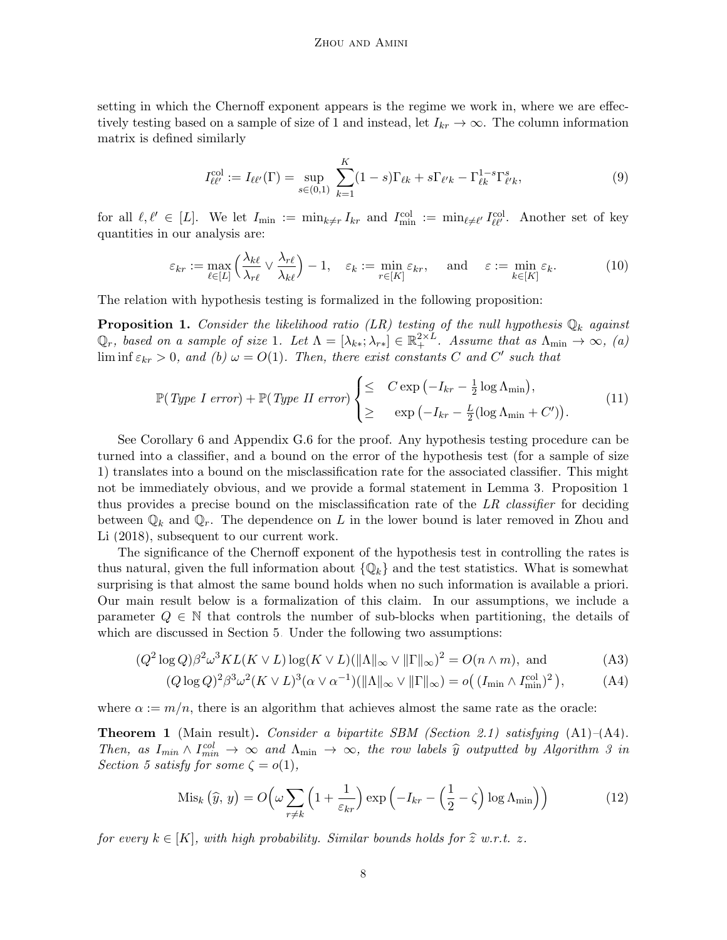setting in which the Chernoff exponent appears is the regime we work in, where we are effectively testing based on a sample of size of 1 and instead, let  $I_{kr} \to \infty$ . The column information matrix is defined similarly

<span id="page-7-5"></span><span id="page-7-1"></span>
$$
I_{\ell\ell'}^{\text{col}} := I_{\ell\ell'}(\Gamma) = \sup_{s \in (0,1)} \sum_{k=1}^{K} (1-s)\Gamma_{\ell k} + s\Gamma_{\ell' k} - \Gamma_{\ell k}^{1-s} \Gamma_{\ell' k}^{s},\tag{9}
$$

for all  $\ell, \ell' \in [L]$ . We let  $I_{\min} := \min_{k \neq r} I_{kr}$  and  $I_{\min}^{\text{col}} := \min_{\ell \neq \ell'} I_{\ell\ell'}^{\text{col}}$ . Another set of key quantities in our analysis are:

$$
\varepsilon_{kr} := \max_{\ell \in [L]} \left( \frac{\lambda_{k\ell}}{\lambda_{r\ell}} \vee \frac{\lambda_{r\ell}}{\lambda_{k\ell}} \right) - 1, \quad \varepsilon_k := \min_{r \in [K]} \varepsilon_{kr}, \quad \text{and} \quad \varepsilon := \min_{k \in [K]} \varepsilon_k. \tag{10}
$$

The relation with hypothesis testing is formalized in the following proposition:

<span id="page-7-0"></span>**Proposition 1.** Consider the likelihood ratio (LR) testing of the null hypothesis  $\mathbb{Q}_k$  against  $\mathbb{Q}_r$ , based on a sample of size 1. Let  $\Lambda = [\lambda_{k*}; \lambda_{r*}] \in \mathbb{R}_+^{2 \times L}$ . Assume that as  $\Lambda_{\min} \to \infty$ , (a)  $\liminf \varepsilon_{kr} > 0$ , and (b)  $\omega = O(1)$ . Then, there exist constants C and C' such that

<span id="page-7-2"></span>
$$
\mathbb{P}(Type\ I\ error) + \mathbb{P}(Type\ II\ error) \begin{cases} \leq & C \exp\left(-I_{kr} - \frac{1}{2}\log\Lambda_{\min}\right), \\ \geq & \exp\left(-I_{kr} - \frac{L}{2}(\log\Lambda_{\min} + C')\right). \end{cases} \tag{11}
$$

See Corollary [6](#page-46-0) and Appendix [G.6](#page-59-0) for the proof. Any hypothesis testing procedure can be turned into a classifier, and a bound on the error of the hypothesis test (for a sample of size 1) translates into a bound on the misclassification rate for the associated classifier. This might not be immediately obvious, and we provide a formal statement in Lemma [3.](#page-26-0) Proposition [1](#page-7-0) thus provides a precise bound on the misclassification rate of the LR classifier for deciding between  $\mathbb{Q}_k$  and  $\mathbb{Q}_r$ . The dependence on L in the lower bound is later removed in [Zhou and](#page-67-5) [Li \(2018\)](#page-67-5), subsequent to our current work.

The significance of the Chernoff exponent of the hypothesis test in controlling the rates is thus natural, given the full information about  $\{\mathbb{Q}_k\}$  and the test statistics. What is somewhat surprising is that almost the same bound holds when no such information is available a priori. Our main result below is a formalization of this claim. In our assumptions, we include a parameter  $Q \in \mathbb{N}$  that controls the number of sub-blocks when partitioning, the details of which are discussed in Section [5.](#page-15-0) Under the following two assumptions:

$$
(Q2 log Q)\beta2 \omega3 KL(K \vee L) log(K \vee L) (||\Lambda||_{\infty} \vee ||\Gamma||_{\infty})2 = O(n \wedge m), and
$$
 (A3)

$$
(Q \log Q)^2 \beta^3 \omega^2 (K \vee L)^3 (\alpha \vee \alpha^{-1}) (\|\Lambda\|_{\infty} \vee \|\Gamma\|_{\infty}) = o((I_{\min} \wedge I_{\min}^{\text{col}})^2), \tag{A4}
$$

where  $\alpha := m/n$ , there is an algorithm that achieves almost the same rate as the oracle:

<span id="page-7-4"></span>**Theorem 1** (Main result). Consider a bipartite SBM (Section [2.1\)](#page-3-1) satisfying  $(A1)$ – $(A4)$ . Then, as  $I_{min} \wedge I_{min}^{col} \rightarrow \infty$  and  $\Lambda_{min} \rightarrow \infty$ , the row labels  $\hat{y}$  outputted by Algorithm [3](#page-16-0) in Section [5](#page-15-0) satisfy for some  $\zeta = o(1)$ ,

<span id="page-7-3"></span>
$$
\text{Mis}_k\left(\widehat{y},\,y\right) = O\!\left(\omega \sum_{r \neq k} \left(1 + \frac{1}{\varepsilon_{kr}}\right) \exp\left(-I_{kr} - \left(\frac{1}{2} - \zeta\right) \log \Lambda_{\min}\right)\right) \tag{12}
$$

for every  $k \in [K]$ , with high probability. Similar bounds holds for  $\hat{z}$  w.r.t. z.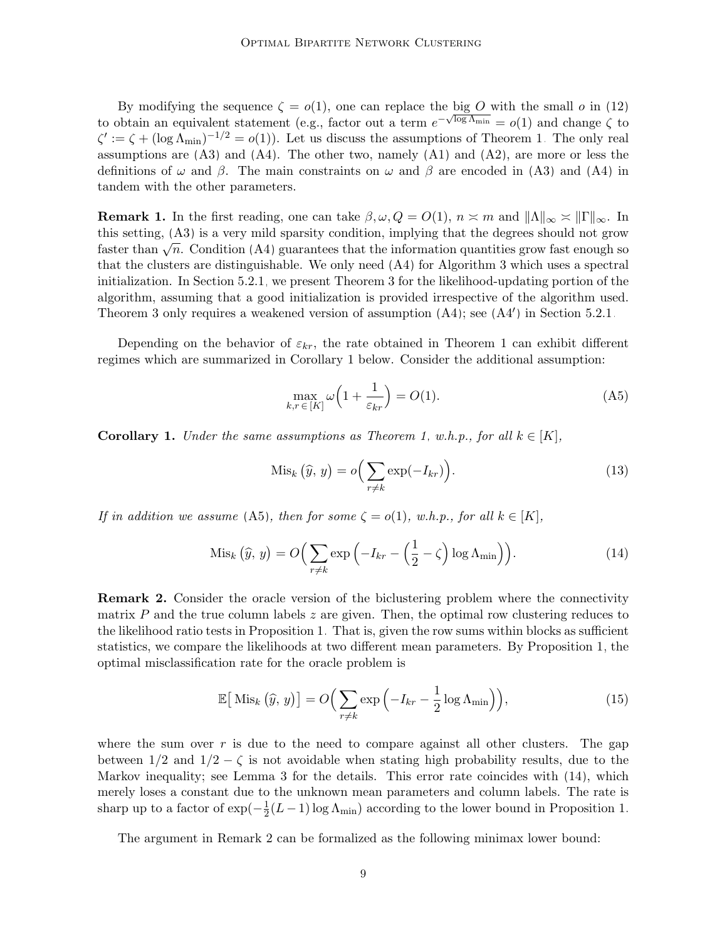By modifying the sequence  $\zeta = o(1)$ , one can replace the big O with the small o in [\(12\)](#page-7-3) to obtain an equivalent statement (e.g., factor out a term  $e^{-\sqrt{\log \Lambda_{\min}}}=o(1)$  and change  $\zeta$  to  $\zeta' := \zeta + (\log \Lambda_{\min})^{-1/2} = o(1)$ . Let us discuss the assumptions of Theorem [1.](#page-7-4) The only real assumptions are  $(A3)$  and  $(A4)$ . The other two, namely  $(A1)$  and  $(A2)$ , are more or less the definitions of  $\omega$  and  $\beta$ . The main constraints on  $\omega$  and  $\beta$  are encoded in [\(A3\)](#page-7-2) and [\(A4\)](#page-7-2) in tandem with the other parameters.

<span id="page-8-1"></span>**Remark 1.** In the first reading, one can take  $\beta, \omega, Q = O(1)$ ,  $n \approx m$  and  $||\Lambda||_{\infty} \approx ||\Gamma||_{\infty}$ . In this setting, [\(A3\)](#page-7-2) is a very mild sparsity condition, implying that the degrees should not grow faster than  $\sqrt{n}$ . Condition [\(A4\)](#page-7-2) guarantees that the information quantities grow fast enough so that the clusters are distinguishable. We only need [\(A4\)](#page-7-2) for Algorithm [3](#page-16-0) which uses a spectral initialization. In Section [5.2.1,](#page-20-0) we present Theorem [3](#page-20-1) for the likelihood-updating portion of the algorithm, assuming that a good initialization is provided irrespective of the algorithm used. Theorem [3](#page-20-1) only requires a weakened version of assumption  $(A4)$ ; see  $(A4')$  in Section [5.2.1.](#page-20-0)

Depending on the behavior of  $\varepsilon_{kr}$ , the rate obtained in Theorem [1](#page-7-4) can exhibit different regimes which are summarized in Corollary [1](#page-8-0) below. Consider the additional assumption:

<span id="page-8-4"></span>
$$
\max_{k,r \in [K]} \omega \left( 1 + \frac{1}{\varepsilon_{kr}} \right) = O(1). \tag{A5}
$$

<span id="page-8-0"></span>**Corollary 1.** Under the same assumptions as Theorem [1,](#page-7-4) w.h.p., for all  $k \in [K]$ ,

<span id="page-8-2"></span>
$$
\text{Mis}_k\left(\widehat{y},\,y\right) = o\Big(\sum_{r \neq k} \exp(-I_{kr})\Big). \tag{13}
$$

If in addition we assume [\(A5\)](#page-8-1), then for some  $\zeta = o(1)$ , w.h.p., for all  $k \in [K]$ ,

$$
\mathrm{Mis}_k\left(\widehat{y},\,y\right) = O\Big(\sum_{r \neq k} \exp\left(-I_{kr} - \left(\frac{1}{2} - \zeta\right) \log \Lambda_{\min}\right)\Big). \tag{14}
$$

<span id="page-8-3"></span>**Remark 2.** Consider the oracle version of the biclustering problem where the connectivity matrix  $P$  and the true column labels  $z$  are given. Then, the optimal row clustering reduces to the likelihood ratio tests in Proposition [1.](#page-7-0) That is, given the row sums within blocks as sufficient statistics, we compare the likelihoods at two different mean parameters. By Proposition [1,](#page-7-0) the optimal misclassification rate for the oracle problem is

$$
\mathbb{E}\big[\operatorname{Mis}_k\big(\widehat{y},\,y\big)\big] = O\Big(\sum_{r \neq k} \exp\Big(-I_{kr} - \frac{1}{2}\log \Lambda_{\min}\Big)\Big),\tag{15}
$$

where the sum over  $r$  is due to the need to compare against all other clusters. The gap between  $1/2$  and  $1/2 - \zeta$  is not avoidable when stating high probability results, due to the Markov inequality; see Lemma [3](#page-26-0) for the details. This error rate coincides with [\(14\)](#page-8-2), which merely loses a constant due to the unknown mean parameters and column labels. The rate is sharp up to a factor of  $\exp(-\frac{1}{2})$  $\frac{1}{2}(L-1)\log\Lambda_{\min}$  according to the lower bound in Proposition [1.](#page-7-0)

The argument in Remark [2](#page-8-3) can be formalized as the following minimax lower bound: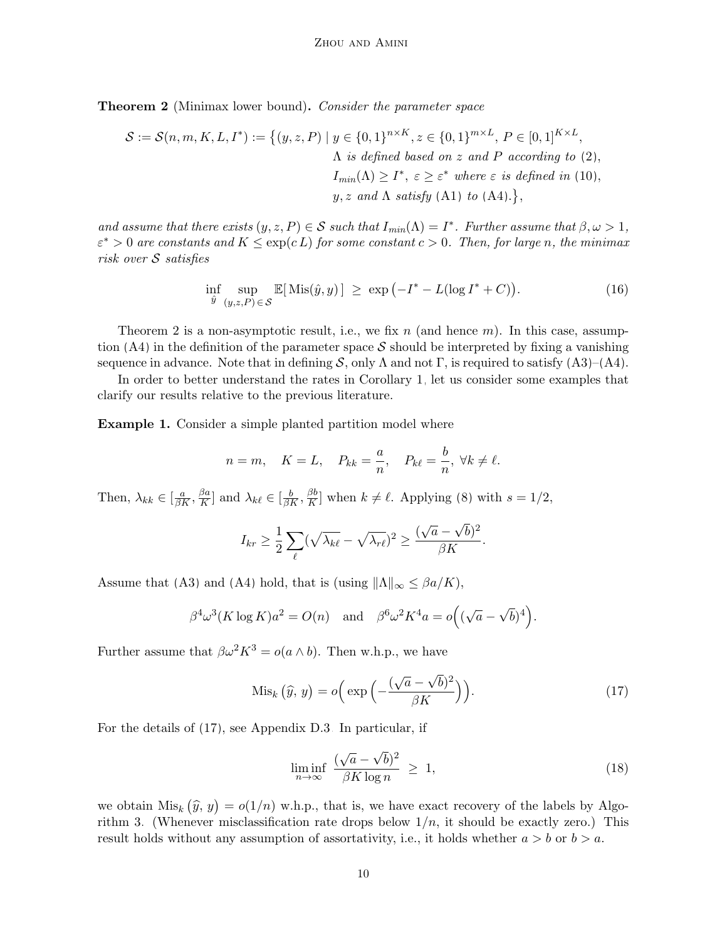<span id="page-9-0"></span>Theorem 2 (Minimax lower bound). Consider the parameter space

$$
\mathcal{S} := \mathcal{S}(n, m, K, L, I^*) := \left\{ (y, z, P) \mid y \in \{0, 1\}^{n \times K}, z \in \{0, 1\}^{m \times L}, P \in [0, 1]^{K \times L}, \right\}
$$
\n
$$
\Lambda \text{ is defined based on } z \text{ and } P \text{ according to (2)},
$$
\n
$$
I_{min}(\Lambda) \ge I^*, \varepsilon \ge \varepsilon^* \text{ where } \varepsilon \text{ is defined in (10)},
$$
\n
$$
y, z \text{ and } \Lambda \text{ satisfy (A1) to (A4).},
$$

and assume that there exists  $(y, z, P) \in S$  such that  $I_{min}(\Lambda) = I^*$ . Further assume that  $\beta, \omega > 1$ ,  $\varepsilon^* > 0$  are constants and  $K \leq \exp(c L)$  for some constant  $c > 0$ . Then, for large n, the minimax risk over S satisfies

<span id="page-9-4"></span>
$$
\inf_{\hat{y}} \sup_{(y,z,P)\in\mathcal{S}} \mathbb{E}[\text{ Mis}(\hat{y},y)] \ge \exp\left(-I^* - L(\log I^* + C)\right). \tag{16}
$$

Theorem [2](#page-9-0) is a non-asymptotic result, i.e., we fix n (and hence  $m$ ). In this case, assump-tion [\(A4\)](#page-7-2) in the definition of the parameter space  $S$  should be interpreted by fixing a vanishing sequence in advance. Note that in defining S, only  $\Lambda$  and not  $\Gamma$ , is required to satisfy  $(A3)-(A4)$  $(A3)-(A4)$ .

In order to better understand the rates in Corollary [1,](#page-8-0) let us consider some examples that clarify our results relative to the previous literature.

<span id="page-9-2"></span>Example 1. Consider a simple planted partition model where

$$
n = m
$$
,  $K = L$ ,  $P_{kk} = \frac{a}{n}$ ,  $P_{k\ell} = \frac{b}{n}$ ,  $\forall k \neq \ell$ .

Then,  $\lambda_{kk} \in [\frac{a}{\beta K}, \frac{\beta a}{K}]$  $\frac{\beta a}{K}$  and  $\lambda_{k\ell} \in [\frac{b}{\beta K}, \frac{\beta b}{K}]$  $\frac{\beta b}{K}$  when  $k \neq \ell$ . Applying [\(8\)](#page-6-1) with  $s = 1/2$ ,

$$
I_{kr} \geq \frac{1}{2} \sum_{\ell} (\sqrt{\lambda_{k\ell}} - \sqrt{\lambda_{r\ell}})^2 \geq \frac{(\sqrt{a} - \sqrt{b})^2}{\beta K}.
$$

Assume that [\(A3\)](#page-7-2) and [\(A4\)](#page-7-2) hold, that is (using  $||\Lambda||_{\infty} \leq \beta a/K$ ),

$$
\beta^4 \omega^3 (K \log K) a^2 = O(n)
$$
 and  $\beta^6 \omega^2 K^4 a = o((\sqrt{a} - \sqrt{b})^4)$ .

Further assume that  $\beta \omega^2 K^3 = o(a \wedge b)$ . Then w.h.p., we have

$$
\text{Mis}_k\left(\widehat{y},\,y\right) = o\Big(\exp\Big(-\frac{(\sqrt{a}-\sqrt{b})^2}{\beta K}\Big)\Big). \tag{17}
$$

For the details of [\(17\)](#page-9-1), see Appendix [D.3.](#page-38-0) In particular, if

<span id="page-9-3"></span><span id="page-9-1"></span>
$$
\liminf_{n \to \infty} \frac{(\sqrt{a} - \sqrt{b})^2}{\beta K \log n} \ge 1,
$$
\n(18)

we obtain  $Mis_k(\hat{y}, y) = o(1/n)$  w.h.p., that is, we have exact recovery of the labels by Algo-rithm [3.](#page-16-0) (Whenever misclassification rate drops below  $1/n$ , it should be exactly zero.) This result holds without any assumption of assortativity, i.e., it holds whether  $a > b$  or  $b > a$ .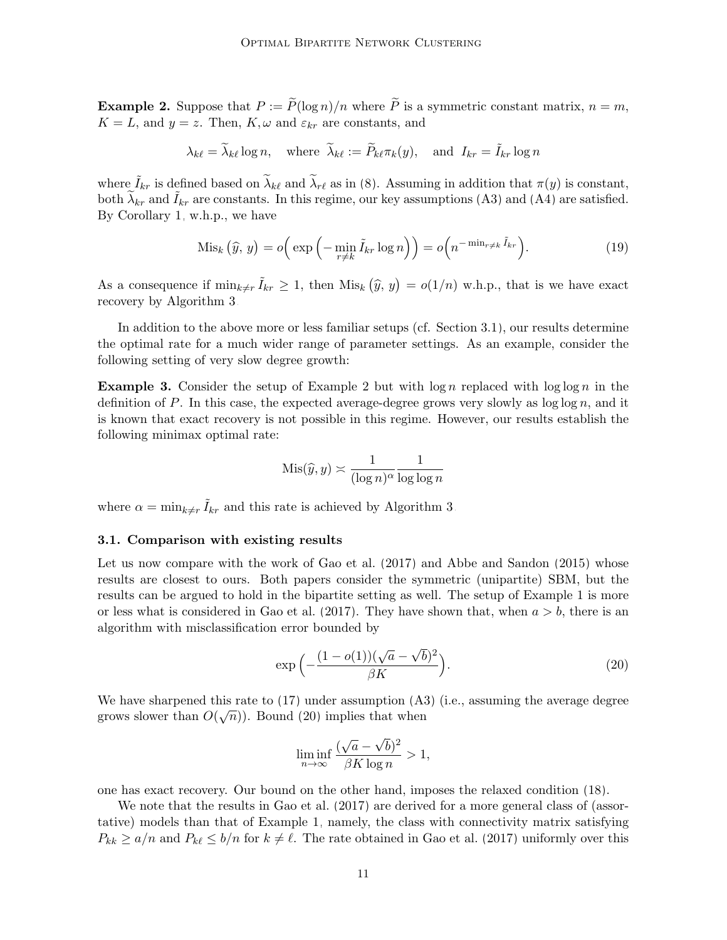<span id="page-10-1"></span>**Example 2.** Suppose that  $P := \tilde{P}(\log n)/n$  where  $\tilde{P}$  is a symmetric constant matrix,  $n = m$ ,  $K = L$ , and  $y = z$ . Then,  $K, \omega$  and  $\varepsilon_{kr}$  are constants, and

$$
\lambda_{k\ell} = \widetilde{\lambda}_{k\ell} \log n, \quad \text{where } \widetilde{\lambda}_{k\ell} := \widetilde{P}_{k\ell} \pi_k(y), \quad \text{and } I_{kr} = \widetilde{I}_{kr} \log n
$$

where  $\tilde{I}_{kr}$  is defined based on  $\tilde{\lambda}_{k\ell}$  and  $\tilde{\lambda}_{r\ell}$  as in [\(8\)](#page-6-1). Assuming in addition that  $\pi(y)$  is constant, both  $\tilde{\lambda}_{kr}$  and  $\tilde{I}_{kr}$  are constants. In this regime, our key assumptions [\(A3\)](#page-7-2) and [\(A4\)](#page-7-2) are satisfied. By Corollary [1,](#page-8-0) w.h.p., we have

$$
\operatorname{Mis}_k(\widehat{y}, y) = o\Big(\exp\Big(-\min_{r \neq k} \widetilde{I}_{kr} \log n\Big)\Big) = o\Big(n^{-\min_{r \neq k} \widetilde{I}_{kr}}\Big). \tag{19}
$$

As a consequence if  $\min_{k \neq r} \tilde{I}_{kr} \geq 1$ , then  $\text{Mis}_k(\hat{y}, y) = o(1/n)$  w.h.p., that is we have exact recovery by Algorithm [3.](#page-16-0)

In addition to the above more or less familiar setups (cf. Section [3.1\)](#page-10-0), our results determine the optimal rate for a much wider range of parameter settings. As an example, consider the following setting of very slow degree growth:

<span id="page-10-3"></span>**Example 3.** Consider the setup of Example [2](#page-10-1) but with  $\log n$  replaced with  $\log \log n$  in the definition of P. In this case, the expected average-degree grows very slowly as  $\log \log n$ , and it is known that exact recovery is not possible in this regime. However, our results establish the following minimax optimal rate:

$$
Mis(\widehat{y}, y) \asymp \frac{1}{(\log n)^{\alpha}} \frac{1}{\log \log n}
$$

where  $\alpha = \min_{k \neq r} \tilde{I}_{kr}$  and this rate is achieved by Algorithm [3.](#page-16-0)

### <span id="page-10-0"></span>3.1. Comparison with existing results

Let us now compare with the work of [Gao et al. \(2017\)](#page-65-10) and [Abbe and Sandon \(2015\)](#page-63-8) whose results are closest to ours. Both papers consider the symmetric (unipartite) SBM, but the results can be argued to hold in the bipartite setting as well. The setup of Example [1](#page-9-2) is more or less what is considered in [Gao et al. \(2017\)](#page-65-10). They have shown that, when  $a > b$ , there is an algorithm with misclassification error bounded by

$$
\exp\left(-\frac{(1-o(1))(\sqrt{a}-\sqrt{b})^2}{\beta K}\right).
$$
\n(20)

We have sharpened this rate to [\(17\)](#page-9-1) under assumption [\(A3\)](#page-7-2) (i.e., assuming the average degree grows slower than  $O(\sqrt{n})$ ). Bound [\(20\)](#page-10-2) implies that when

<span id="page-10-2"></span>
$$
\liminf_{n \to \infty} \frac{(\sqrt{a} - \sqrt{b})^2}{\beta K \log n} > 1,
$$

one has exact recovery. Our bound on the other hand, imposes the relaxed condition [\(18\)](#page-9-3).

We note that the results in Gao et al.  $(2017)$  are derived for a more general class of (assortative) models than that of Example [1,](#page-9-2) namely, the class with connectivity matrix satisfying  $P_{kk} \ge a/n$  and  $P_{k\ell} \le b/n$  for  $k \ne \ell$ . The rate obtained in [Gao et al. \(2017\)](#page-65-10) uniformly over this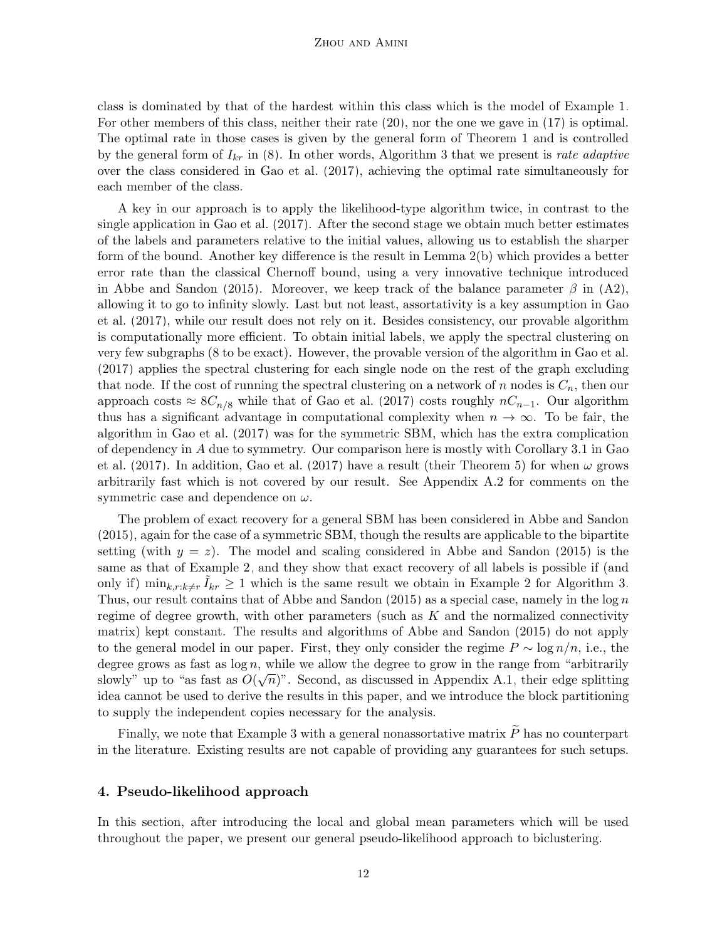class is dominated by that of the hardest within this class which is the model of Example [1.](#page-9-2) For other members of this class, neither their rate [\(20\)](#page-10-2), nor the one we gave in [\(17\)](#page-9-1) is optimal. The optimal rate in those cases is given by the general form of Theorem [1](#page-7-4) and is controlled by the general form of  $I_{kr}$  in [\(8\)](#page-6-1). In other words, Algorithm [3](#page-16-0) that we present is rate adaptive over the class considered in [Gao et al. \(2017\)](#page-65-10), achieving the optimal rate simultaneously for each member of the class.

A key in our approach is to apply the likelihood-type algorithm twice, in contrast to the single application in [Gao et al. \(2017\)](#page-65-10). After the second stage we obtain much better estimates of the labels and parameters relative to the initial values, allowing us to establish the sharper form of the bound. Another key difference is the result in Lemma [2\(b\)](#page-25-1) which provides a better error rate than the classical Chernoff bound, using a very innovative technique introduced in [Abbe and Sandon \(2015\)](#page-63-8). Moreover, we keep track of the balance parameter  $\beta$  in [\(A2\)](#page-6-0), allowing it to go to infinity slowly. Last but not least, assortativity is a key assumption in [Gao](#page-65-10) [et al. \(2017\)](#page-65-10), while our result does not rely on it. Besides consistency, our provable algorithm is computationally more efficient. To obtain initial labels, we apply the spectral clustering on very few subgraphs (8 to be exact). However, the provable version of the algorithm in [Gao et al.](#page-65-10) [\(2017\)](#page-65-10) applies the spectral clustering for each single node on the rest of the graph excluding that node. If the cost of running the spectral clustering on a network of n nodes is  $C_n$ , then our approach costs  $\approx 8C_{n/8}$  while that of [Gao et al. \(2017\)](#page-65-10) costs roughly  $nC_{n-1}$ . Our algorithm thus has a significant advantage in computational complexity when  $n \to \infty$ . To be fair, the algorithm in [Gao et al. \(2017\)](#page-65-10) was for the symmetric SBM, which has the extra complication of dependency in A due to symmetry. Our comparison here is mostly with Corollary 3.1 in [Gao](#page-65-10) [et al. \(2017\)](#page-65-10). In addition, [Gao et al. \(2017\)](#page-65-10) have a result (their Theorem 5) for when  $\omega$  grows arbitrarily fast which is not covered by our result. See Appendix [A.2](#page-23-0) for comments on the symmetric case and dependence on  $\omega$ .

The problem of exact recovery for a general SBM has been considered in [Abbe and Sandon](#page-63-8) [\(2015\)](#page-63-8), again for the case of a symmetric SBM, though the results are applicable to the bipartite setting (with  $y = z$ ). The model and scaling considered in [Abbe and Sandon \(2015\)](#page-63-8) is the same as that of Example [2,](#page-10-1) and they show that exact recovery of all labels is possible if (and only if)  $\min_{k,r:k\neq r} \tilde{I}_{kr} \geq 1$  which is the same result we obtain in Example [2](#page-10-1) for Algorithm [3.](#page-16-0) Thus, our result contains that of Abbe and Sandon  $(2015)$  as a special case, namely in the log n regime of degree growth, with other parameters (such as  $K$  and the normalized connectivity matrix) kept constant. The results and algorithms of [Abbe and Sandon \(2015\)](#page-63-8) do not apply to the general model in our paper. First, they only consider the regime  $P \sim \log n/n$ , i.e., the degree grows as fast as  $log n$ , while we allow the degree to grow in the range from "arbitrarily" slowly" up to "as fast as  $O(\sqrt{n})$ ". Second, as discussed in Appendix [A.1,](#page-22-1) their edge splitting idea cannot be used to derive the results in this paper, and we introduce the block partitioning to supply the independent copies necessary for the analysis.

Finally, we note that Example [3](#page-10-3) with a general nonassortative matrix  $\widetilde{P}$  has no counterpart in the literature. Existing results are not capable of providing any guarantees for such setups.

## <span id="page-11-0"></span>4. Pseudo-likelihood approach

In this section, after introducing the local and global mean parameters which will be used throughout the paper, we present our general pseudo-likelihood approach to biclustering.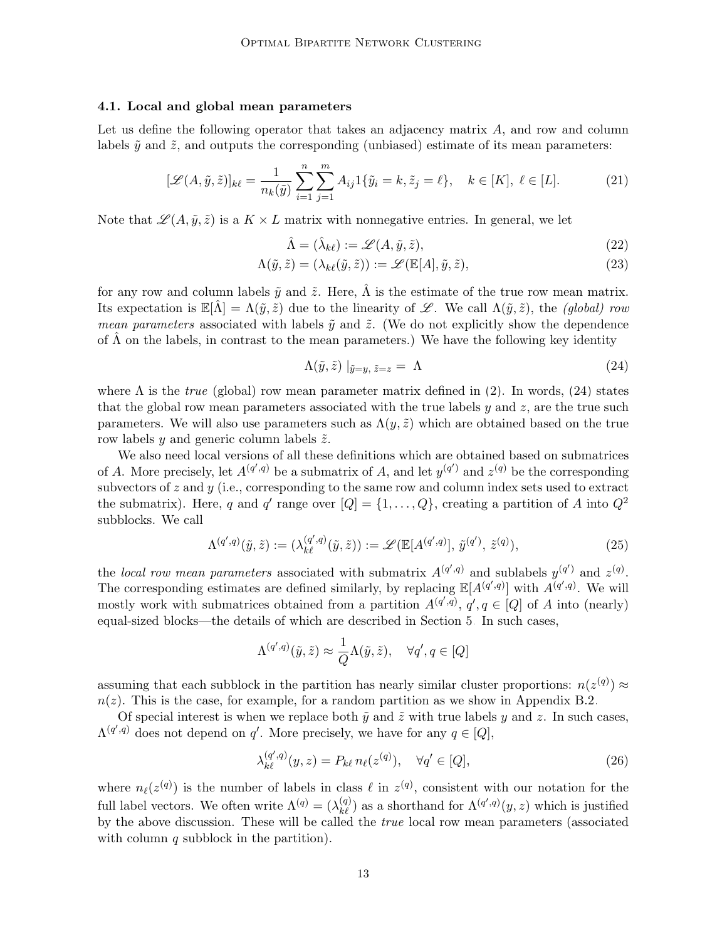#### <span id="page-12-4"></span>4.1. Local and global mean parameters

Let us define the following operator that takes an adjacency matrix  $A$ , and row and column labels  $\tilde{y}$  and  $\tilde{z}$ , and outputs the corresponding (unbiased) estimate of its mean parameters:

$$
[\mathcal{L}(A, \tilde{y}, \tilde{z})]_{k\ell} = \frac{1}{n_k(\tilde{y})} \sum_{i=1}^n \sum_{j=1}^m A_{ij} 1\{\tilde{y}_i = k, \tilde{z}_j = \ell\}, \quad k \in [K], \ \ell \in [L].
$$
 (21)

Note that  $\mathscr{L}(A, \tilde{y}, \tilde{z})$  is a  $K \times L$  matrix with nonnegative entries. In general, we let

<span id="page-12-5"></span><span id="page-12-2"></span><span id="page-12-1"></span>
$$
\hat{\Lambda} = (\hat{\lambda}_{k\ell}) := \mathscr{L}(A, \tilde{y}, \tilde{z}),\tag{22}
$$

$$
\Lambda(\tilde{y}, \tilde{z}) = (\lambda_{k\ell}(\tilde{y}, \tilde{z})) := \mathscr{L}(\mathbb{E}[A], \tilde{y}, \tilde{z}), \tag{23}
$$

for any row and column labels  $\tilde{y}$  and  $\tilde{z}$ . Here,  $\hat{\Lambda}$  is the estimate of the true row mean matrix. Its expectation is  $\mathbb{E}[\hat{\Lambda}] = \Lambda(\tilde{y}, \tilde{z})$  due to the linearity of L. We call  $\Lambda(\tilde{y}, \tilde{z})$ , the *(global) row mean parameters* associated with labels  $\tilde{y}$  and  $\tilde{z}$ . (We do not explicitly show the dependence of  $\Lambda$  on the labels, in contrast to the mean parameters.) We have the following key identity

<span id="page-12-0"></span>
$$
\Lambda(\tilde{y}, \tilde{z}) |_{\tilde{y}=y, \tilde{z}=z} = \Lambda
$$
\n(24)

where  $\Lambda$  is the *true* (global) row mean parameter matrix defined in [\(2\)](#page-4-1). In words, [\(24\)](#page-12-0) states that the global row mean parameters associated with the true labels  $y$  and  $z$ , are the true such parameters. We will also use parameters such as  $\Lambda(y, \tilde{z})$  which are obtained based on the true row labels  $y$  and generic column labels  $\tilde{z}$ .

We also need local versions of all these definitions which are obtained based on submatrices of A. More precisely, let  $A^{(q',q)}$  be a submatrix of A, and let  $y^{(q')}$  and  $z^{(q)}$  be the corresponding subvectors of  $z$  and  $y$  (i.e., corresponding to the same row and column index sets used to extract the submatrix). Here, q and q' range over  $[Q] = \{1, \ldots, Q\}$ , creating a partition of A into  $Q^2$ subblocks. We call

$$
\Lambda^{(q',q)}(\tilde{y},\tilde{z}) := (\lambda^{(q',q)}_{k\ell}(\tilde{y},\tilde{z})) := \mathscr{L}(\mathbb{E}[A^{(q',q)}], \tilde{y}^{(q')}, \tilde{z}^{(q)}),
$$
\n(25)

the local row mean parameters associated with submatrix  $A^{(q',q)}$  and sublabels  $y^{(q')}$  and  $z^{(q)}$ . The corresponding estimates are defined similarly, by replacing  $\mathbb{E}[A^{(q',q)}]$  with  $A^{(q',q)}$ . We will mostly work with submatrices obtained from a partition  $A^{(q',q)}$ ,  $q', q \in [Q]$  of A into (nearly) equal-sized blocks—the details of which are described in Section [5.](#page-15-0) In such cases,

$$
\Lambda^{(q',q)}(\tilde{y},\tilde{z}) \approx \frac{1}{Q} \Lambda(\tilde{y},\tilde{z}), \quad \forall q', q \in [Q]
$$

assuming that each subblock in the partition has nearly similar cluster proportions:  $n(z^{(q)}) \approx$  $n(z)$ . This is the case, for example, for a random partition as we show in Appendix [B.2.](#page-27-0)

Of special interest is when we replace both  $\tilde{y}$  and  $\tilde{z}$  with true labels y and z. In such cases,  $\Lambda^{(q',q)}$  does not depend on q'. More precisely, we have for any  $q \in [Q]$ ,

<span id="page-12-3"></span>
$$
\lambda_{k\ell}^{(q',q)}(y,z) = P_{k\ell} n_{\ell}(z^{(q)}), \quad \forall q' \in [Q],
$$
\n
$$
(26)
$$

where  $n_{\ell}(z^{(q)})$  is the number of labels in class  $\ell$  in  $z^{(q)}$ , consistent with our notation for the full label vectors. We often write  $\Lambda^{(q)} = (\lambda^{(q)}_{k\ell})$  as a shorthand for  $\Lambda^{(q',q)}(y,z)$  which is justified by the above discussion. These will be called the true local row mean parameters (associated with column  $q$  subblock in the partition).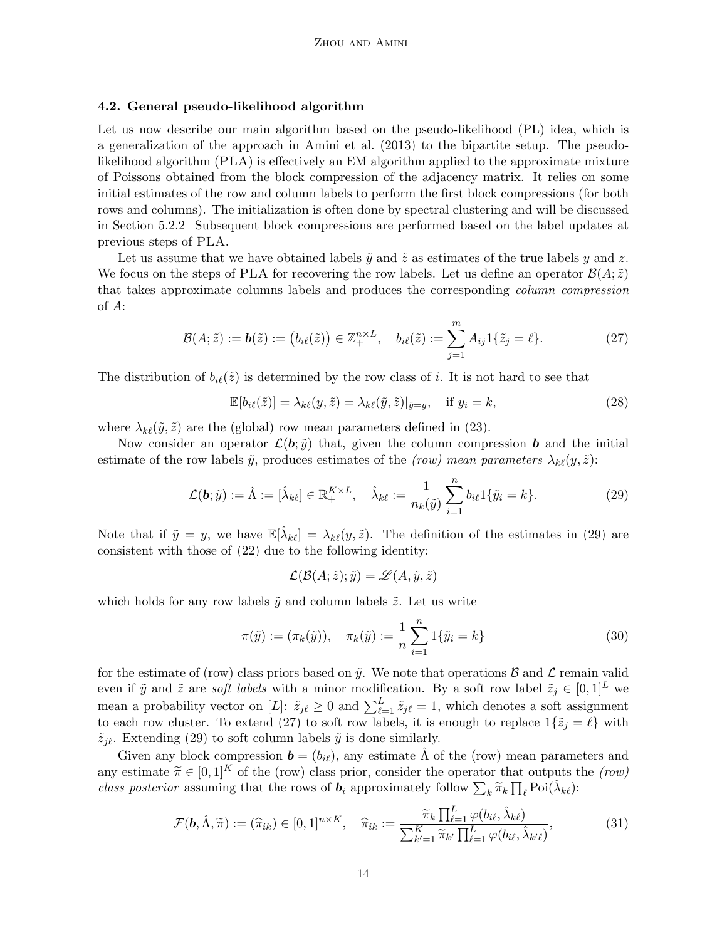#### <span id="page-13-0"></span>4.2. General pseudo-likelihood algorithm

Let us now describe our main algorithm based on the pseudo-likelihood (PL) idea, which is a generalization of the approach in [Amini et al. \(2013\)](#page-63-6) to the bipartite setup. The pseudolikelihood algorithm (PLA) is effectively an EM algorithm applied to the approximate mixture of Poissons obtained from the block compression of the adjacency matrix. It relies on some initial estimates of the row and column labels to perform the first block compressions (for both rows and columns). The initialization is often done by spectral clustering and will be discussed in Section [5.2.2.](#page-21-1) Subsequent block compressions are performed based on the label updates at previous steps of PLA.

Let us assume that we have obtained labels  $\tilde{y}$  and  $\tilde{z}$  as estimates of the true labels y and z. We focus on the steps of PLA for recovering the row labels. Let us define an operator  $\mathcal{B}(A;\tilde{z})$ that takes approximate columns labels and produces the corresponding column compression of A:

$$
\mathcal{B}(A; \tilde{z}) := \mathbf{b}(\tilde{z}) := (b_{i\ell}(\tilde{z})) \in \mathbb{Z}_{+}^{n \times L}, \quad b_{i\ell}(\tilde{z}) := \sum_{j=1}^{m} A_{ij} 1\{\tilde{z}_j = \ell\}.
$$
 (27)

The distribution of  $b_{i\ell}(\tilde{z})$  is determined by the row class of i. It is not hard to see that

<span id="page-13-2"></span>
$$
\mathbb{E}[b_{i\ell}(\tilde{z})] = \lambda_{k\ell}(y,\tilde{z}) = \lambda_{k\ell}(\tilde{y},\tilde{z})|_{\tilde{y}=y}, \quad \text{if } y_i = k,
$$
\n(28)

where  $\lambda_{k\ell}(\tilde{y}, \tilde{z})$  are the (global) row mean parameters defined in [\(23\)](#page-12-1).

Now consider an operator  $\mathcal{L}(\boldsymbol{b}; \tilde{y})$  that, given the column compression **b** and the initial estimate of the row labels  $\tilde{y}$ , produces estimates of the (row) mean parameters  $\lambda_{k\ell}(y, \tilde{z})$ :

$$
\mathcal{L}(\mathbf{b}; \tilde{y}) := \hat{\Lambda} := [\hat{\lambda}_{k\ell}] \in \mathbb{R}_{+}^{K \times L}, \quad \hat{\lambda}_{k\ell} := \frac{1}{n_k(\tilde{y})} \sum_{i=1}^{n} b_{i\ell} 1\{\tilde{y}_i = k\}.
$$
 (29)

Note that if  $\tilde{y} = y$ , we have  $\mathbb{E}[\hat{\lambda}_{k\ell}] = \lambda_{k\ell}(y, \tilde{z})$ . The definition of the estimates in [\(29\)](#page-13-1) are consistent with those of [\(22\)](#page-12-2) due to the following identity:

<span id="page-13-4"></span><span id="page-13-3"></span><span id="page-13-1"></span>
$$
\mathcal{L}(\mathcal{B}(A; \tilde{z}); \tilde{y}) = \mathcal{L}(A, \tilde{y}, \tilde{z})
$$

which holds for any row labels  $\tilde{y}$  and column labels  $\tilde{z}$ . Let us write

$$
\pi(\tilde{y}) := (\pi_k(\tilde{y})), \quad \pi_k(\tilde{y}) := \frac{1}{n} \sum_{i=1}^n 1\{\tilde{y}_i = k\}
$$
\n(30)

for the estimate of (row) class priors based on  $\tilde{y}$ . We note that operations B and L remain valid even if  $\tilde{y}$  and  $\tilde{z}$  are soft labels with a minor modification. By a soft row label  $\tilde{z}_j \in [0,1]^L$  we mean a probability vector on [L]:  $\tilde{z}_{j\ell} \geq 0$  and  $\sum_{\ell=1}^{L} \tilde{z}_{j\ell} = 1$ , which denotes a soft assignment to each row cluster. To extend [\(27\)](#page-13-2) to soft row labels, it is enough to replace  $1\{\tilde{z}_j = \ell\}$  with  $\tilde{z}_{i\ell}$ . Extending [\(29\)](#page-13-1) to soft column labels  $\tilde{y}$  is done similarly.

Given any block compression  $\mathbf{b} = (b_{i\ell})$ , any estimate  $\Lambda$  of the (row) mean parameters and any estimate  $\tilde{\pi} \in [0,1]^K$  of the (row) class prior, consider the operator that outputs the (row) class posterior assuming that the rows of  $b_i$  approximately follow  $\sum_k \widetilde{\pi}_k \prod_\ell \text{Poi}(\hat{\lambda}_{k\ell})$ :

$$
\mathcal{F}(\mathbf{b}, \hat{\Lambda}, \tilde{\pi}) := (\hat{\pi}_{ik}) \in [0, 1]^{n \times K}, \quad \hat{\pi}_{ik} := \frac{\tilde{\pi}_k \prod_{\ell=1}^L \varphi(b_{i\ell}, \hat{\lambda}_{k\ell})}{\sum_{k'=1}^K \tilde{\pi}_{k'} \prod_{\ell=1}^L \varphi(b_{i\ell}, \hat{\lambda}_{k'\ell})},
$$
(31)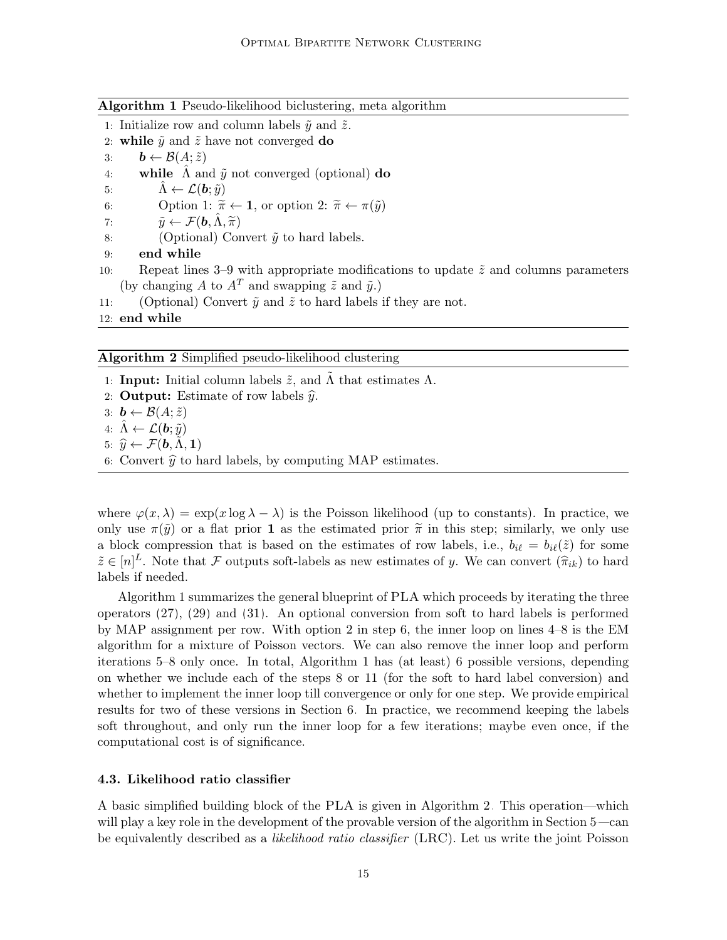<span id="page-14-0"></span>

|  |  |  | Algorithm 1 Pseudo-likelihood biclustering, meta algorithm |  |  |  |  |
|--|--|--|------------------------------------------------------------|--|--|--|--|
|--|--|--|------------------------------------------------------------|--|--|--|--|

- 1: Initialize row and column labels  $\tilde{y}$  and  $\tilde{z}$ .
- 2: while  $\tilde{y}$  and  $\tilde{z}$  have not converged do
- 3:  $\mathbf{b} \leftarrow \mathcal{B}(A; \tilde{z})$ <br>4: while  $\hat{\Lambda}$  and
- while  $\Lambda$  and  $\tilde{y}$  not converged (optional) do
- 5:  $\Lambda \leftarrow \mathcal{L}(\mathbf{b}; \tilde{y})$

6: Option 1:  $\widetilde{\pi} \leftarrow \mathbf{1}$ , or option 2:  $\widetilde{\pi} \leftarrow \pi(\widetilde{y})$ <br>7:  $\widetilde{y} \leftarrow \mathcal{F}(\mathbf{b}, \widehat{\Lambda}, \widetilde{\pi})$ 

- 7:  $\tilde{y} \leftarrow \mathcal{F}(\mathbf{b}, \Lambda, \tilde{\pi})$ <br>8: (Optional) Cor
- (Optional) Convert  $\tilde{y}$  to hard labels.
- 9: end while
- 10: Repeat lines 3–9 with appropriate modifications to update  $\tilde{z}$  and columns parameters (by changing A to  $A^T$  and swapping  $\tilde{z}$  and  $\tilde{y}$ .)
- 11: (Optional) Convert  $\tilde{y}$  and  $\tilde{z}$  to hard labels if they are not.

12: end while

<span id="page-14-1"></span>Algorithm 2 Simplified pseudo-likelihood clustering

- 1: **Input:** Initial column labels  $\tilde{z}$ , and  $\Lambda$  that estimates  $\Lambda$ .
- 2: **Output:** Estimate of row labels  $\hat{y}$ .

3:  $\mathbf{b} \leftarrow \mathcal{B}(A; \tilde{z})$ 4:  $\Lambda \leftarrow \mathcal{L}(\boldsymbol{b}; \tilde{y})$ 5:  $\hat{y} \leftarrow \mathcal{F}(\mathbf{b}, \Lambda, \mathbf{1})$ 6: Convert  $\hat{y}$  to hard labels, by computing MAP estimates.

where  $\varphi(x,\lambda) = \exp(x \log \lambda - \lambda)$  is the Poisson likelihood (up to constants). In practice, we only use  $\pi(\tilde{y})$  or a flat prior 1 as the estimated prior  $\tilde{\pi}$  in this step; similarly, we only use a block compression that is based on the estimates of row labels, i.e.,  $b_{i\ell} = b_{i\ell}(\tilde{z})$  for some  $\tilde{z} \in [n]^L$ . Note that F outputs soft-labels as new estimates of y. We can convert  $(\hat{\pi}_{ik})$  to hard labels if needed.

Algorithm [1](#page-14-0) summarizes the general blueprint of PLA which proceeds by iterating the three operators [\(27\)](#page-13-2), [\(29\)](#page-13-1) and [\(31\)](#page-13-3). An optional conversion from soft to hard labels is performed by MAP assignment per row. With option 2 in step 6, the inner loop on lines 4–8 is the EM algorithm for a mixture of Poisson vectors. We can also remove the inner loop and perform iterations 5–8 only once. In total, Algorithm [1](#page-14-0) has (at least) 6 possible versions, depending on whether we include each of the steps 8 or 11 (for the soft to hard label conversion) and whether to implement the inner loop till convergence or only for one step. We provide empirical results for two of these versions in Section [6.](#page-21-0) In practice, we recommend keeping the labels soft throughout, and only run the inner loop for a few iterations; maybe even once, if the computational cost is of significance.

#### 4.3. Likelihood ratio classifier

A basic simplified building block of the PLA is given in Algorithm [2.](#page-14-1) This operation—which will play a key role in the development of the provable version of the algorithm in Section [5—](#page-15-0)can be equivalently described as a *likelihood ratio classifier* (LRC). Let us write the joint Poisson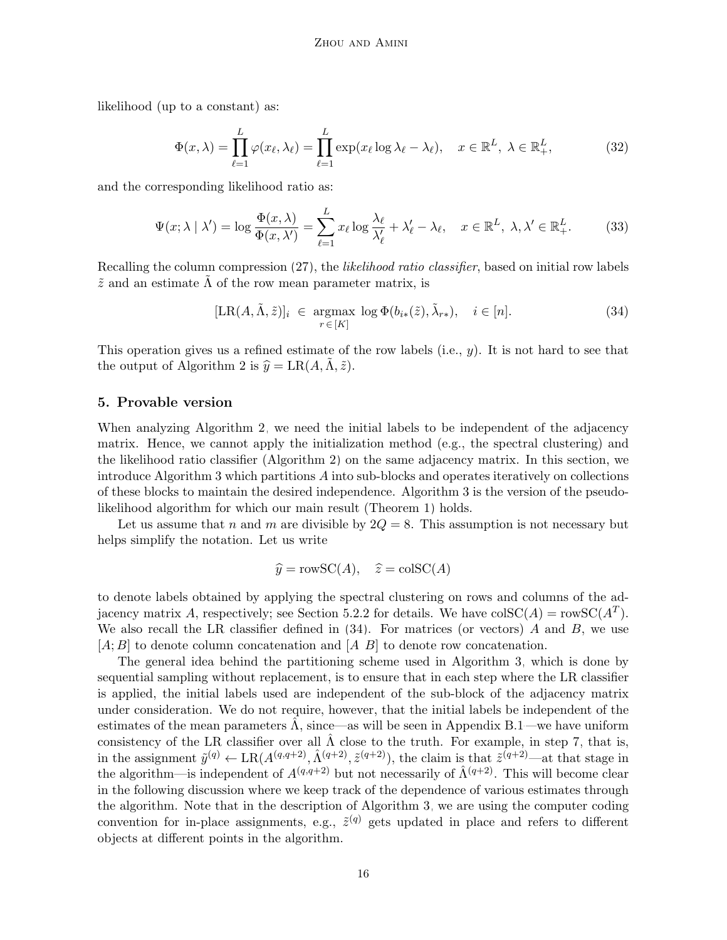likelihood (up to a constant) as:

$$
\Phi(x,\lambda) = \prod_{\ell=1}^{L} \varphi(x_{\ell},\lambda_{\ell}) = \prod_{\ell=1}^{L} \exp(x_{\ell} \log \lambda_{\ell} - \lambda_{\ell}), \quad x \in \mathbb{R}^{L}, \lambda \in \mathbb{R}^{L},
$$
 (32)

and the corresponding likelihood ratio as:

$$
\Psi(x;\lambda \mid \lambda') = \log \frac{\Phi(x,\lambda)}{\Phi(x,\lambda')} = \sum_{\ell=1}^{L} x_{\ell} \log \frac{\lambda_{\ell}}{\lambda_{\ell}'} + \lambda_{\ell}' - \lambda_{\ell}, \quad x \in \mathbb{R}^{L}, \lambda, \lambda' \in \mathbb{R}^{L}_{+}.
$$
 (33)

Recalling the column compression  $(27)$ , the *likelihood ratio classifier*, based on initial row labels  $\tilde{z}$  and an estimate  $\Lambda$  of the row mean parameter matrix, is

<span id="page-15-2"></span><span id="page-15-1"></span>
$$
[\text{LR}(A,\tilde{\Lambda},\tilde{z})]_i \in \underset{r \in [K]}{\text{argmax}} \log \Phi(b_{i*}(\tilde{z}),\tilde{\lambda}_{r*}), \quad i \in [n]. \tag{34}
$$

This operation gives us a refined estimate of the row labels (i.e.,  $y$ ). It is not hard to see that the output of Algorithm [2](#page-14-1) is  $\hat{y} = LR(A, \Lambda, \tilde{z}).$ 

## <span id="page-15-0"></span>5. Provable version

When analyzing Algorithm [2,](#page-14-1) we need the initial labels to be independent of the adjacency matrix. Hence, we cannot apply the initialization method (e.g., the spectral clustering) and the likelihood ratio classifier (Algorithm [2\)](#page-14-1) on the same adjacency matrix. In this section, we introduce Algorithm [3](#page-16-0) which partitions A into sub-blocks and operates iteratively on collections of these blocks to maintain the desired independence. Algorithm [3](#page-16-0) is the version of the pseudolikelihood algorithm for which our main result (Theorem [1\)](#page-7-4) holds.

Let us assume that n and m are divisible by  $2Q = 8$ . This assumption is not necessary but helps simplify the notation. Let us write

$$
\hat{y} = \text{rowSC}(A), \quad \hat{z} = \text{colSC}(A)
$$

to denote labels obtained by applying the spectral clustering on rows and columns of the ad-jacency matrix A, respectively; see Section [5.2.2](#page-21-1) for details. We have  $colSC(A) = rowSC(A^T)$ . We also recall the LR classifier defined in  $(34)$ . For matrices (or vectors) A and B, we use  $[A; B]$  to denote column concatenation and  $[A, B]$  to denote row concatenation.

The general idea behind the partitioning scheme used in Algorithm [3,](#page-16-0) which is done by sequential sampling without replacement, is to ensure that in each step where the LR classifier is applied, the initial labels used are independent of the sub-block of the adjacency matrix under consideration. We do not require, however, that the initial labels be independent of the estimates of the mean parameters  $\hat{\Lambda}$ , since—as will be seen in Appendix [B.1—](#page-24-0)we have uniform consistency of the LR classifier over all  $\hat{\Lambda}$  close to the truth. For example, in step [7,](#page-16-0) that is, in the assignment  $\tilde{y}^{(q)} \leftarrow \text{LR}(A^{(q,q+2)}, \tilde{A}^{(q+2)}, \tilde{z}^{(q+2)})$ , the claim is that  $\tilde{z}^{(q+2)}$ —at that stage in the algorithm—is independent of  $A^{(q,q+2)}$  but not necessarily of  $\hat{\Lambda}^{(q+2)}$ . This will become clear in the following discussion where we keep track of the dependence of various estimates through the algorithm. Note that in the description of Algorithm [3,](#page-16-0) we are using the computer coding convention for in-place assignments, e.g.,  $\tilde{z}^{(q)}$  gets updated in place and refers to different objects at different points in the algorithm.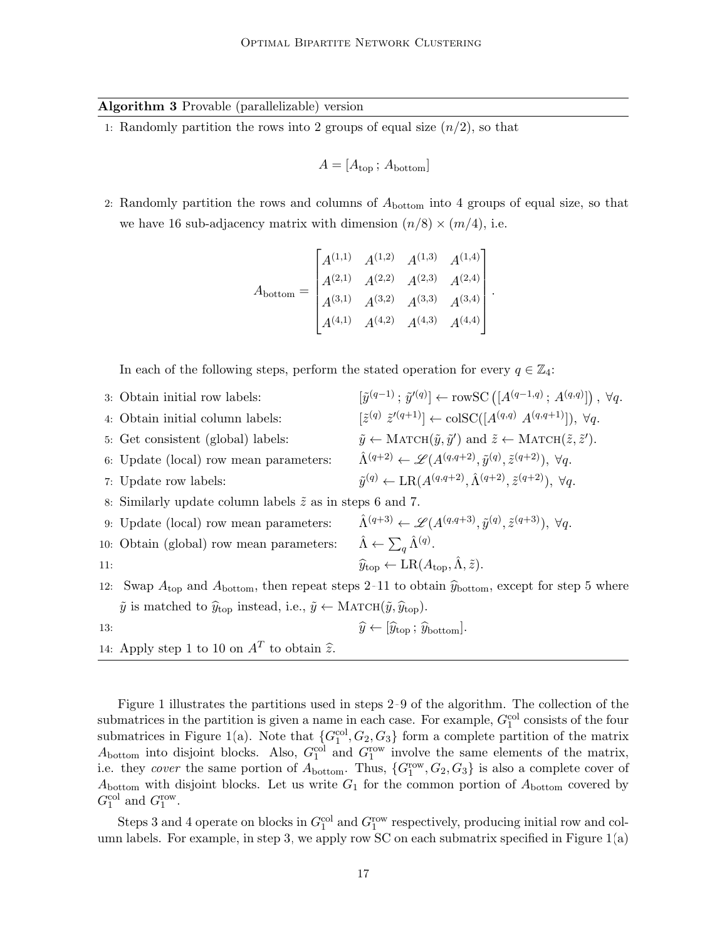### <span id="page-16-0"></span>Algorithm 3 Provable (parallelizable) version

1: Randomly partition the rows into 2 groups of equal size  $(n/2)$ , so that

$$
A = [A_{\text{top}}; A_{\text{bottom}}]
$$

2: Randomly partition the rows and columns of  $A_{bottom}$  into 4 groups of equal size, so that we have 16 sub-adjacency matrix with dimension  $(n/8) \times (m/4)$ , i.e.

$$
A_{\text{bottom}} = \begin{bmatrix} A^{(1,1)} & A^{(1,2)} & A^{(1,3)} & A^{(1,4)} \\ A^{(2,1)} & A^{(2,2)} & A^{(2,3)} & A^{(2,4)} \\ A^{(3,1)} & A^{(3,2)} & A^{(3,3)} & A^{(3,4)} \\ A^{(4,1)} & A^{(4,2)} & A^{(4,3)} & A^{(4,4)} \end{bmatrix}.
$$

In each of the following steps, perform the stated operation for every  $q \in \mathbb{Z}_4$ :

|     | 3: Obtain initial row labels:                                                                                           | $[\tilde{y}^{(q-1)}; \tilde{y}'^{(q)}] \leftarrow \text{rowsC}\left([A^{(q-1,q)}; A^{(q,q)}]\right), \ \forall q.$                       |  |  |  |  |  |
|-----|-------------------------------------------------------------------------------------------------------------------------|------------------------------------------------------------------------------------------------------------------------------------------|--|--|--|--|--|
|     | 4: Obtain initial column labels:                                                                                        | $[\tilde{z}^{(q)} \ \tilde{z}^{\prime(q+1)}] \leftarrow \text{colSC}([A^{(q,q)} \ A^{(q,q+1)}]), \ \forall q.$                           |  |  |  |  |  |
|     | 5: Get consistent (global) labels:                                                                                      | $\tilde{y} \leftarrow \text{MATCH}(\tilde{y}, \tilde{y}')$ and $\tilde{z} \leftarrow \text{MATCH}(\tilde{z}, \tilde{z}').$               |  |  |  |  |  |
|     | 6: Update (local) row mean parameters:                                                                                  | $\hat{\Lambda}^{(q+2)} \leftarrow \mathscr{L}(A^{(q,q+2)}, \tilde{y}^{(q)}, \tilde{z}^{(q+2)}), \ \forall q.$                            |  |  |  |  |  |
|     | 7: Update row labels:                                                                                                   | $\tilde{y}^{(q)} \leftarrow \text{LR}(A^{(q,q+2)}, \hat{\Lambda}^{(q+2)}, \tilde{z}^{(q+2)}), \ \forall q.$                              |  |  |  |  |  |
|     | 8: Similarly update column labels $\tilde{z}$ as in steps 6 and 7.                                                      |                                                                                                                                          |  |  |  |  |  |
|     | 9: Update (local) row mean parameters:                                                                                  | $\hat{\Lambda}^{(q+3)} \leftarrow \mathscr{L}(A^{(q,q+3)}, \tilde{y}^{(q)}, \tilde{z}^{(q+3)}), \ \forall q.$                            |  |  |  |  |  |
|     | 10: Obtain (global) row mean parameters:                                                                                | $\hat{\Lambda} \leftarrow \sum_{a} \hat{\Lambda}^{(q)}$ .                                                                                |  |  |  |  |  |
| 11: |                                                                                                                         | $\widehat{y}_{\text{top}} \leftarrow \text{LR}(A_{\text{top}}, \hat{\Lambda}, \tilde{z}).$                                               |  |  |  |  |  |
|     |                                                                                                                         | 12: Swap $A_{\text{top}}$ and $A_{\text{bottom}}$ , then repeat steps 2–11 to obtain $\hat{y}_{\text{bottom}}$ , except for step 5 where |  |  |  |  |  |
|     | $\tilde{y}$ is matched to $\hat{y}_{top}$ instead, i.e., $\tilde{y} \leftarrow \text{MATCH}(\tilde{y}, \hat{y}_{top}).$ |                                                                                                                                          |  |  |  |  |  |

13: 
$$
\widehat{y} \leftarrow [\widehat{y}_{\text{top}} \, ; \, \widehat{y}_{\text{bottom}}].
$$

14: Apply step 1 to 10 on  $A<sup>T</sup>$  to obtain  $\hat{z}$ .

Figure [1](#page-17-0) illustrates the partitions used in steps [2–9](#page-16-0) of the algorithm. The collection of the submatrices in the partition is given a name in each case. For example,  $G_1^{\text{col}}$  consists of the four submatrices in Figure [1\(](#page-17-0)a). Note that  $\{G_1^{\text{col}}, G_2, G_3\}$  form a complete partition of the matrix  $A_{\text{bottom}}$  into disjoint blocks. Also,  $G_1^{\text{col}}$  and  $G_1^{\text{row}}$  involve the same elements of the matrix, i.e. they cover the same portion of  $A_{\text{bottom}}$ . Thus,  $\{G_1^{\text{row}}, G_2, G_3\}$  is also a complete cover of  $A_{\text{bottom}}$  with disjoint blocks. Let us write  $G_1$  for the common portion of  $A_{\text{bottom}}$  covered by  $G_1^{\text{col}}$  and  $G_1^{\text{row}}$ .

Steps [3](#page-16-0) and [4](#page-16-0) operate on blocks in  $G_1^{\text{col}}$  and  $G_1^{\text{row}}$  respectively, producing initial row and col-umn labels. For example, in step [3,](#page-16-0) we apply row SC on each submatrix specified in Figure  $1(a)$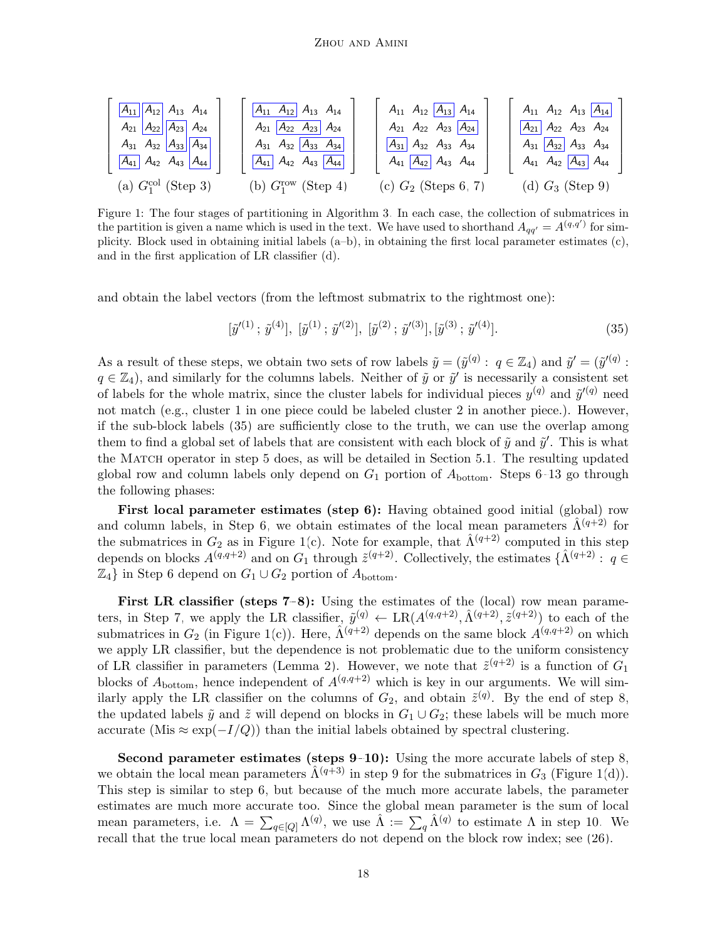<span id="page-17-0"></span>
$$
\begin{bmatrix}\nA_{11} & A_{12} & A_{13} & A_{14} \\
A_{21} & A_{22} & A_{23} & A_{24} \\
A_{31} & A_{32} & A_{33} & A_{34} \\
A_{41} & A_{42} & A_{43} & A_{44}\n\end{bmatrix}\n\begin{bmatrix}\nA_{11} & A_{12} & A_{13} & A_{14} \\
A_{21} & A_{22} & A_{23} & A_{24} \\
A_{31} & A_{32} & A_{33} & A_{34} \\
A_{41} & A_{42} & A_{43} & A_{44}\n\end{bmatrix}\n\begin{bmatrix}\nA_{11} & A_{12} & A_{13} & A_{14} \\
A_{21} & A_{22} & A_{23} & A_{24} \\
A_{31} & A_{32} & A_{33} & A_{34} \\
A_{41} & A_{42} & A_{43} & A_{44}\n\end{bmatrix}\n\begin{bmatrix}\nA_{11} & A_{12} & A_{13} & A_{14} \\
A_{21} & A_{22} & A_{23} & A_{24} \\
A_{31} & A_{32} & A_{33} & A_{34} \\
A_{41} & A_{42} & A_{43} & A_{44}\n\end{bmatrix}\n\begin{bmatrix}\nA_{11} & A_{12} & A_{13} & A_{14} \\
A_{21} & A_{22} & A_{23} & A_{24} \\
A_{31} & A_{32} & A_{33} & A_{34} \\
A_{41} & A_{42} & A_{43} & A_{44}\n\end{bmatrix}
$$
\n(a)  $G_1^{\text{col}}\text{ (Step 3)}$ \n(b)  $G_1^{\text{row}}\text{ (Step 4)}$ \n(c)  $G_2$  (Steps 6, 7)\n(d)  $G_3$  (Step 9)

Figure 1: The four stages of partitioning in Algorithm [3.](#page-16-0) In each case, the collection of submatrices in the partition is given a name which is used in the text. We have used to shorthand  $A_{qq'} = A^{(q,q')}$  for simplicity. Block used in obtaining initial labels (a–b), in obtaining the first local parameter estimates (c), and in the first application of LR classifier (d).

and obtain the label vectors (from the leftmost submatrix to the rightmost one):

<span id="page-17-1"></span>
$$
[\tilde{y}'^{(1)}; \tilde{y}^{(4)}], [\tilde{y}^{(1)}; \tilde{y}'^{(2)}], [\tilde{y}^{(2)}; \tilde{y}'^{(3)}], [\tilde{y}^{(3)}; \tilde{y}'^{(4)}].
$$
\n(35)

As a result of these steps, we obtain two sets of row labels  $\tilde{y} = (\tilde{y}^{(q)} : q \in \mathbb{Z}_4)$  and  $\tilde{y}' = (\tilde{y}'^{(q)} : q \in \mathbb{Z}_4)$  $q \in \mathbb{Z}_4$ , and similarly for the columns labels. Neither of  $\tilde{y}$  or  $\tilde{y}'$  is necessarily a consistent set of labels for the whole matrix, since the cluster labels for individual pieces  $y^{(q)}$  and  $\tilde{y}'^{(q)}$  need not match (e.g., cluster 1 in one piece could be labeled cluster 2 in another piece.). However, if the sub-block labels [\(35\)](#page-17-1) are sufficiently close to the truth, we can use the overlap among them to find a global set of labels that are consistent with each block of  $\tilde{y}$  and  $\tilde{y}'$ . This is what the Match operator in step [5](#page-16-0) does, as will be detailed in Section [5.1.](#page-18-0) The resulting updated global row and column labels only depend on  $G_1$  portion of  $A_{\text{bottom}}$ . Steps [6–13](#page-16-0) go through the following phases:

First local parameter estimates (step [6\)](#page-16-0): Having obtained good initial (global) row and column labels, in Step [6,](#page-16-0) we obtain estimates of the local mean parameters  $\hat{\Lambda}^{(q+2)}$  for the submatrices in  $G_2$  as in Figure [1\(](#page-17-0)c). Note for example, that  $\hat{\Lambda}^{(q+2)}$  computed in this step depends on blocks  $A^{(q,q+2)}$  and on  $G_1$  through  $\tilde{z}^{(q+2)}$ . Collectively, the estimates  $\{\hat{\Lambda}^{(q+2)}: q \in$  $\mathbb{Z}_4$  in Step [6](#page-16-0) depend on  $G_1 \cup G_2$  portion of  $A_{\text{bottom}}$ .

First LR classifier (steps [7–8\)](#page-16-0): Using the estimates of the (local) row mean parame-ters, in Step [7,](#page-16-0) we apply the LR classifier,  $\tilde{y}^{(q)} \leftarrow \text{LR}(A^{(q,q+2)}, \hat{\Lambda}^{(q+2)}, \tilde{z}^{(q+2)})$  to each of the submatrices in  $G_2$  (in Figure [1\(](#page-17-0)c)). Here,  $\hat{\Lambda}(\vec{q+2})$  depends on the same block  $\hat{A}^{(q,q+2)}$  on which we apply LR classifier, but the dependence is not problematic due to the uniform consistency of LR classifier in parameters (Lemma [2\)](#page-25-0). However, we note that  $\tilde{z}^{(q+2)}$  is a function of  $G_1$ blocks of  $A_{\text{bottom}}$ , hence independent of  $A^{(q,q+2)}$  which is key in our arguments. We will similarly apply the LR classifier on the columns of  $G_2$ , and obtain  $\tilde{z}^{(q)}$ . By the end of step [8,](#page-16-0) the updated labels  $\tilde{y}$  and  $\tilde{z}$  will depend on blocks in  $G_1 \cup G_2$ ; these labels will be much more accurate (Mis  $\approx \exp(-I/Q)$ ) than the initial labels obtained by spectral clustering.

Second parameter estimates (steps [9–10\)](#page-16-0): Using the more accurate labels of step [8,](#page-16-0) we obtain the local mean parameters  $\hat{\Lambda}^{(q+3)}$  in step [9](#page-16-0) for the submatrices in  $G_3$  (Figure [1\(](#page-17-0)d)). This step is similar to step [6,](#page-16-0) but because of the much more accurate labels, the parameter estimates are much more accurate too. Since the global mean parameter is the sum of local mean parameters, i.e.  $\Lambda = \sum_{q \in [Q]} \Lambda^{(q)}$ , we use  $\hat{\Lambda} := \sum_{q} \hat{\Lambda}^{(q)}$  to estimate  $\Lambda$  in step [10.](#page-16-0) We recall that the true local mean parameters do not depend on the block row index; see [\(26\)](#page-12-3).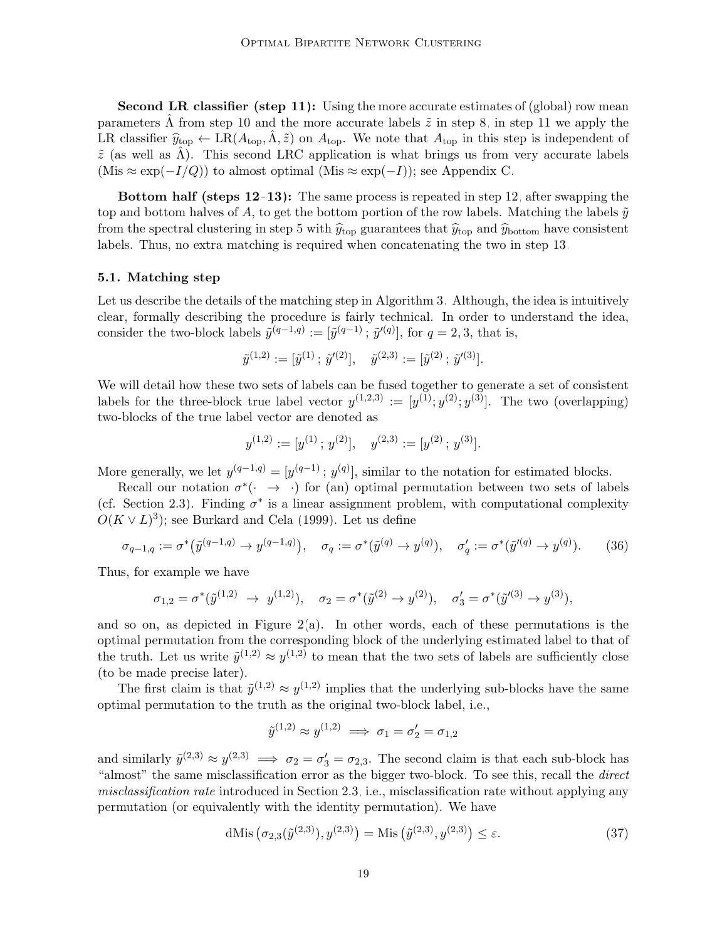Second LR classifier (step [11\)](#page-16-0): Using the more accurate estimates of (global) row mean parameters  $\Lambda$  from step [10](#page-16-0) and the more accurate labels  $\tilde{z}$  in step [8,](#page-16-0) in step [11](#page-16-0) we apply the LR classifier  $\hat{y}_{\text{top}} \leftarrow \text{LR}(A_{\text{top}}, \tilde{\Lambda}, \tilde{z})$  on  $A_{\text{top}}$ . We note that  $A_{\text{top}}$  in this step is independent of  $\tilde{z}$  (as well as  $\tilde{\Lambda}$ ). This second LRC application is what brings us from very accurate labels  $(Mis ≈ exp(-I/Q))$  to almost optimal  $(Mis ≈ exp(-I))$ ; see Appendix [C.](#page-29-0)

Bottom half (steps [12–13\)](#page-16-0): The same process is repeated in step [12,](#page-16-0) after swapping the top and bottom halves of A, to get the bottom portion of the row labels. Matching the labels  $\tilde{y}$ from the spectral clustering in step [5](#page-16-0) with  $\hat{y}_{\text{top}}$  guarantees that  $\hat{y}_{\text{top}}$  and  $\hat{y}_{\text{bottom}}$  have consistent labels. Thus, no extra matching is required when concatenating the two in step [13.](#page-16-0)

#### <span id="page-18-0"></span>5.1. Matching step

Let us describe the details of the matching step in Algorithm [3.](#page-16-0) Although, the idea is intuitively clear, formally describing the procedure is fairly technical. In order to understand the idea, consider the two-block labels  $\tilde{y}^{(q-1,q)} := [\tilde{y}^{(q-1)}; \tilde{y}'^{(q)}],$  for  $q = 2, 3$ , that is,

$$
\tilde{y}^{(1,2)} := [\tilde{y}^{(1)} \,;\, \tilde{y}'^{(2)}], \quad \tilde{y}^{(2,3)} := [\tilde{y}^{(2)} \,;\, \tilde{y}'^{(3)}].
$$

We will detail how these two sets of labels can be fused together to generate a set of consistent labels for the three-block true label vector  $y^{(1,2,3)} := [y^{(1)}; y^{(2)}; y^{(3)}]$ . The two (overlapping) two-blocks of the true label vector are denoted as

<span id="page-18-2"></span>
$$
y^{(1,2)} := [y^{(1)}; y^{(2)}], \quad y^{(2,3)} := [y^{(2)}; y^{(3)}].
$$

More generally, we let  $y^{(q-1,q)} = [y^{(q-1)}; y^{(q)}]$ , similar to the notation for estimated blocks.

Recall our notation  $\sigma^*$   $(\cdot \rightarrow \cdot)$  for (an) optimal permutation between two sets of labels (cf. Section [2.3\)](#page-5-2). Finding  $\sigma^*$  is a linear assignment problem, with computational complexity  $O(K \vee L)^3$ ); see [Burkard and Cela \(1999\)](#page-64-12). Let us define

$$
\sigma_{q-1,q} := \sigma^* \big( \tilde{y}^{(q-1,q)} \to y^{(q-1,q)} \big), \quad \sigma_q := \sigma^* \big( \tilde{y}^{(q)} \to y^{(q)} \big), \quad \sigma'_q := \sigma^* \big( \tilde{y}'^{(q)} \to y^{(q)} \big). \tag{36}
$$

Thus, for example we have

$$
\sigma_{1,2} = \sigma^*(\tilde{y}^{(1,2)} \rightarrow y^{(1,2)}), \quad \sigma_2 = \sigma^*(\tilde{y}^{(2)} \rightarrow y^{(2)}), \quad \sigma_3' = \sigma^*(\tilde{y}'^{(3)} \rightarrow y^{(3)}),
$$

and so on, as depicted in Figure  $2(a)$ . In other words, each of these permutations is the optimal permutation from the corresponding block of the underlying estimated label to that of the truth. Let us write  $\tilde{y}^{(1,2)} \approx y^{(1,2)}$  to mean that the two sets of labels are sufficiently close (to be made precise later).

The first claim is that  $\tilde{y}^{(1,2)} \approx y^{(1,2)}$  implies that the underlying sub-blocks have the same optimal permutation to the truth as the original two-block label, i.e.,

<span id="page-18-1"></span>
$$
\tilde{y}^{(1,2)} \approx y^{(1,2)} \implies \sigma_1 = \sigma_2' = \sigma_{1,2}
$$

and similarly  $\tilde{y}^{(2,3)} \approx y^{(2,3)} \implies \sigma_2 = \sigma_3' = \sigma_{2,3}$ . The second claim is that each sub-block has "almost" the same misclassification error as the bigger two-block. To see this, recall the direct misclassification rate introduced in Section [2.3,](#page-5-2) i.e., misclassification rate without applying any permutation (or equivalently with the identity permutation). We have

dMis 
$$
(\sigma_{2,3}(\tilde{y}^{(2,3)}), y^{(2,3)}) = \text{Mis } (\tilde{y}^{(2,3)}, y^{(2,3)}) \le \varepsilon.
$$
 (37)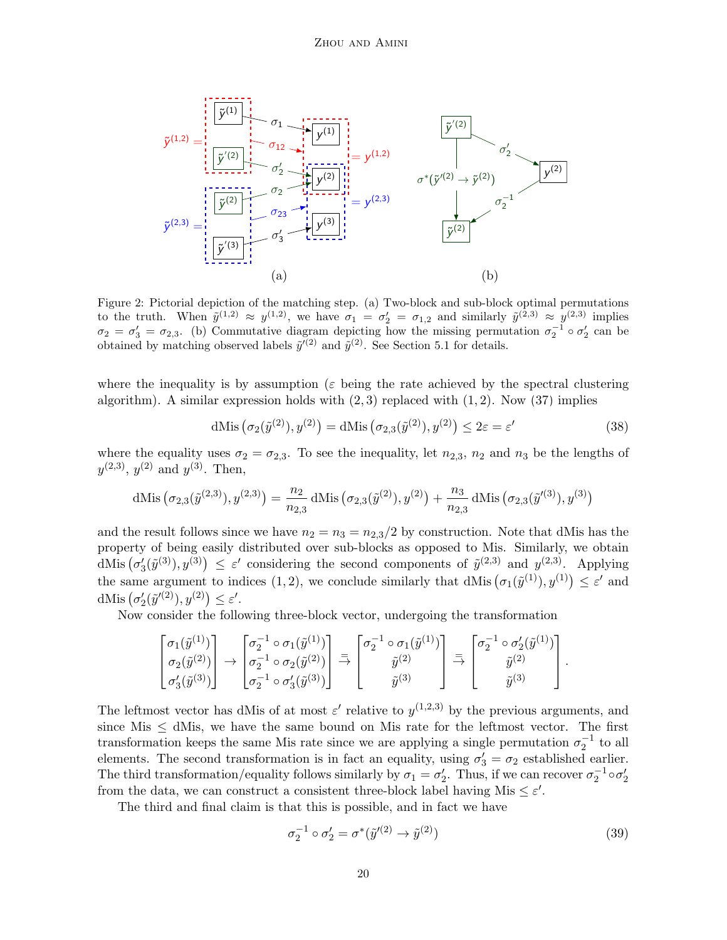<span id="page-19-0"></span>

Figure 2: Pictorial depiction of the matching step. (a) Two-block and sub-block optimal permutations to the truth. When  $\tilde{y}^{(1,2)} \approx y^{(1,2)}$ , we have  $\sigma_1 = \sigma_2' = \sigma_{1,2}$  and similarly  $\tilde{y}^{(2,3)} \approx y^{(2,3)}$  implies  $\sigma_2 = \sigma_3' = \sigma_{2,3}$ . (b) Commutative diagram depicting how the missing permutation  $\sigma_2^{-1} \circ \sigma_2'$  can be obtained by matching observed labels  $\tilde{y}'^{(2)}$  and  $\tilde{y}^{(2)}$ . See Section [5.1](#page-18-0) for details.

where the inequality is by assumption ( $\varepsilon$  being the rate achieved by the spectral clustering algorithm). A similar expression holds with  $(2, 3)$  replaced with  $(1, 2)$ . Now  $(37)$  implies

<span id="page-19-1"></span>
$$
\text{dMis}\left(\sigma_2(\tilde{y}^{(2)}), y^{(2)}\right) = \text{dMis}\left(\sigma_{2,3}(\tilde{y}^{(2)}), y^{(2)}\right) \le 2\varepsilon = \varepsilon'\tag{38}
$$

where the equality uses  $\sigma_2 = \sigma_{2,3}$ . To see the inequality, let  $n_{2,3}$ ,  $n_2$  and  $n_3$  be the lengths of  $y^{(2,3)}$ ,  $y^{(2)}$  and  $y^{(3)}$ . Then,

dMis 
$$
(\sigma_{2,3}(\tilde{y}^{(2,3)}), y^{(2,3)}) = \frac{n_2}{n_{2,3}} dMis (\sigma_{2,3}(\tilde{y}^{(2)}), y^{(2)}) + \frac{n_3}{n_{2,3}} dMis (\sigma_{2,3}(\tilde{y}'^{(3)}), y^{(3)})
$$

and the result follows since we have  $n_2 = n_3 = n_{2,3}/2$  by construction. Note that dMis has the property of being easily distributed over sub-blocks as opposed to Mis. Similarly, we obtain dMis  $(\sigma'_3(\tilde{y}^{(3)}), y^{(3)}) \leq \varepsilon'$  considering the second components of  $\tilde{y}^{(2,3)}$  and  $y^{(2,3)}$ . Applying the same argument to indices (1, 2), we conclude similarly that dMis  $(\sigma_1(\tilde{y}^{(1)}), y^{(1)}) \leq \varepsilon'$  and dMis  $(\sigma'_2(\tilde{y}'^{(2)}), y^{(2)}) \le \varepsilon'.$ 

Now consider the following three-block vector, undergoing the transformation

$$
\begin{bmatrix} \sigma_1(\tilde{y}^{(1)}) \\ \sigma_2(\tilde{y}^{(2)}) \\ \sigma'_3(\tilde{y}^{(3)}) \end{bmatrix} \rightarrow \begin{bmatrix} \sigma_2^{-1} \circ \sigma_1(\tilde{y}^{(1)}) \\ \sigma_2^{-1} \circ \sigma_2(\tilde{y}^{(2)}) \\ \sigma_2^{-1} \circ \sigma'_3(\tilde{y}^{(3)}) \end{bmatrix} \stackrel{=}{\rightarrow} \begin{bmatrix} \sigma_2^{-1} \circ \sigma_1(\tilde{y}^{(1)}) \\ \tilde{y}^{(2)} \\ \tilde{y}^{(3)} \end{bmatrix} \stackrel{=}{\rightarrow} \begin{bmatrix} \sigma_2^{-1} \circ \sigma'_2(\tilde{y}^{(1)}) \\ \tilde{y}^{(2)} \\ \tilde{y}^{(3)} \end{bmatrix}.
$$

The leftmost vector has dMis of at most  $\varepsilon'$  relative to  $y^{(1,2,3)}$  by the previous arguments, and since Mis  $\le$  dMis, we have the same bound on Mis rate for the leftmost vector. The first transformation keeps the same Mis rate since we are applying a single permutation  $\sigma_2^{-1}$  to all elements. The second transformation is in fact an equality, using  $\sigma'_3 = \sigma_2$  established earlier. The third transformation/equality follows similarly by  $\sigma_1 = \sigma_2'$ . Thus, if we can recover  $\sigma_2^{-1} \circ \sigma_2'$ from the data, we can construct a consistent three-block label having Mis  $\leq \varepsilon'$ .

The third and final claim is that this is possible, and in fact we have

$$
\sigma_2^{-1} \circ \sigma_2' = \sigma^*(\tilde{y}'^{(2)} \to \tilde{y}^{(2)})
$$
\n(39)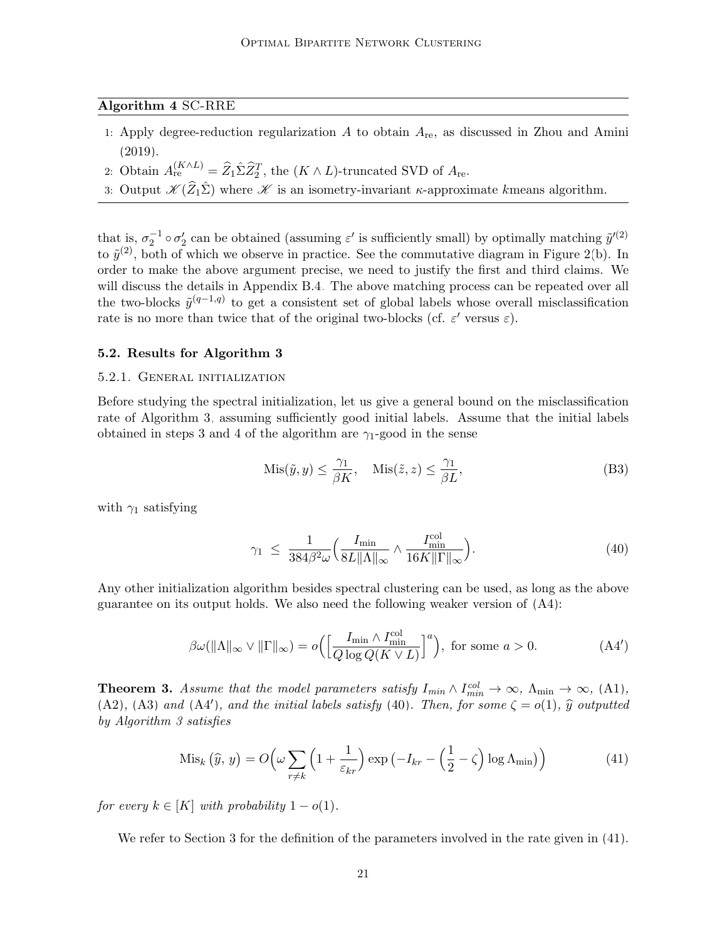## <span id="page-20-4"></span>Algorithm 4 SC-RRE

- 1: Apply degree-reduction regularization  $A$  to obtain  $A_{\text{re}}$ , as discussed in [Zhou and Amini](#page-67-2) [\(2019\)](#page-67-2).
- 2: Obtain  $A_{\text{re}}^{(K \wedge L)} = \widehat{Z}_1 \hat{\Sigma} \widehat{Z}_2^T$ , the  $(K \wedge L)$ -truncated SVD of  $A_{\text{re}}$ .
- 3: Output  $\mathscr{K}(\widehat{Z}_1\widehat{\Sigma})$  where  $\mathscr{K}$  is an isometry-invariant  $\kappa$ -approximate kmeans algorithm.

that is,  $\sigma_2^{-1} \circ \sigma_2'$  can be obtained (assuming  $\varepsilon'$  is sufficiently small) by optimally matching  $\tilde{y}'^{(2)}$ to  $\tilde{y}^{(2)}$ , both of which we observe in practice. See the commutative diagram in Figure [2\(](#page-19-0)b). In order to make the above argument precise, we need to justify the first and third claims. We will discuss the details in Appendix [B.4.](#page-29-1) The above matching process can be repeated over all the two-blocks  $\tilde{y}^{(q-1,q)}$  to get a consistent set of global labels whose overall misclassification rate is no more than twice that of the original two-blocks (cf.  $\varepsilon'$  versus  $\varepsilon$ ).

#### 5.2. Results for Algorithm [3](#page-16-0)

#### <span id="page-20-0"></span>5.2.1. General initialization

Before studying the spectral initialization, let us give a general bound on the misclassification rate of Algorithm [3,](#page-16-0) assuming sufficiently good initial labels. Assume that the initial labels obtained in steps [3](#page-16-0) and [4](#page-16-0) of the algorithm are  $\gamma_1$ -good in the sense

<span id="page-20-2"></span>
$$
Mis(\tilde{y}, y) \le \frac{\gamma_1}{\beta K}, \quad Mis(\tilde{z}, z) \le \frac{\gamma_1}{\beta L}, \tag{B3}
$$

with  $\gamma_1$  satisfying

<span id="page-20-3"></span>
$$
\gamma_1 \leq \frac{1}{384\beta^2 \omega} \left( \frac{I_{\min}}{8L \|\Lambda\|_{\infty}} \wedge \frac{I_{\min}^{\text{col}}}{16K \|\Gamma\|_{\infty}} \right). \tag{40}
$$

Any other initialization algorithm besides spectral clustering can be used, as long as the above guarantee on its output holds. We also need the following weaker version of [\(A4\)](#page-7-2):

$$
\beta \omega(||\Lambda||_{\infty} \vee ||\Gamma||_{\infty}) = o\left(\left[\frac{I_{\min} \wedge I_{\min}^{\text{col}}}{Q \log Q(K \vee L)}\right]^{a}\right), \text{ for some } a > 0. \tag{A4'}
$$

<span id="page-20-1"></span>**Theorem 3.** Assume that the model parameters satisfy  $I_{min} \wedge I_{min}^{col} \rightarrow \infty$ ,  $\Lambda_{min} \rightarrow \infty$ , [\(A1\)](#page-6-0), [\(A2\)](#page-6-0), [\(A3\)](#page-7-2) and [\(A4](#page-20-2)'), and the initial labels satisfy [\(40\)](#page-20-2). Then, for some  $\zeta = o(1)$ ,  $\hat{y}$  outputted by Algorithm [3](#page-16-0) satisfies

$$
\text{Mis}_k\left(\widehat{y},\,y\right) = O\!\left(\omega \sum_{r \neq k} \left(1 + \frac{1}{\varepsilon_{kr}}\right) \exp\left(-I_{kr} - \left(\frac{1}{2} - \zeta\right) \log \Lambda_{\min}\right)\right) \tag{41}
$$

for every  $k \in [K]$  with probability  $1 - o(1)$ .

We refer to Section [3](#page-6-0) for the definition of the parameters involved in the rate given in  $(41)$ .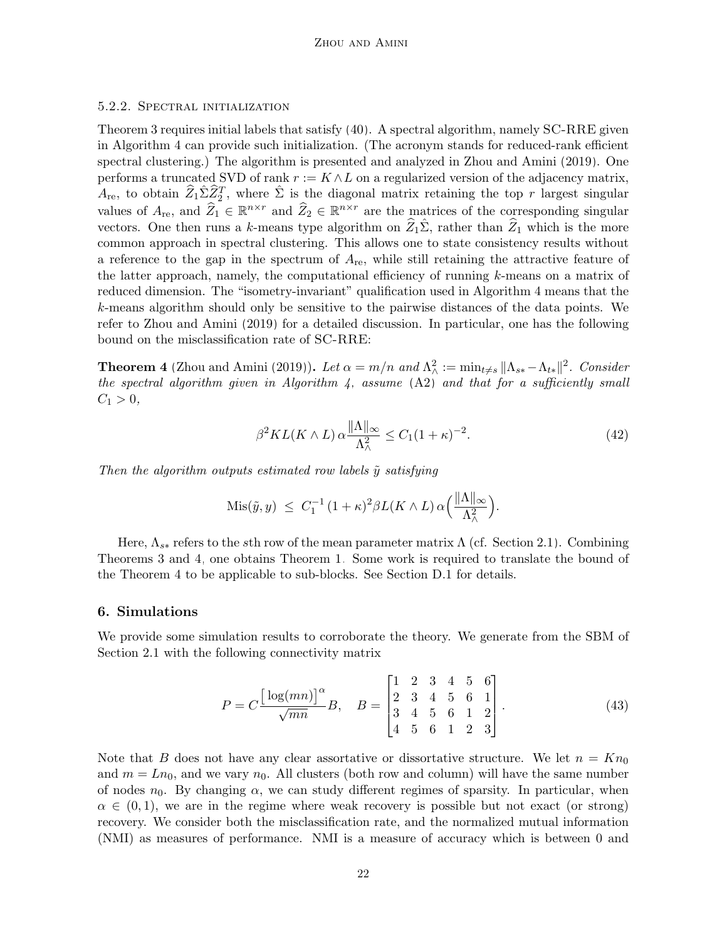#### <span id="page-21-1"></span>5.2.2. Spectral initialization

Theorem [3](#page-20-1) requires initial labels that satisfy [\(40\)](#page-20-2). A spectral algorithm, namely SC-RRE given in Algorithm [4](#page-20-4) can provide such initialization. (The acronym stands for reduced-rank efficient spectral clustering.) The algorithm is presented and analyzed in [Zhou and Amini \(2019\)](#page-67-2). One performs a truncated SVD of rank  $r := K \wedge L$  on a regularized version of the adjacency matrix,  $\widehat{A}_{\text{re}}$ , to obtain  $\widehat{Z}_1\widehat{\Sigma}\widehat{Z}_2^T$ , where  $\widehat{\Sigma}$  is the diagonal matrix retaining the top  $r$  largest singular values of  $A_{\text{re}}$ , and  $\widehat{Z}_1 \in \mathbb{R}^{n \times r}$  and  $\widehat{Z}_2 \in \mathbb{R}^{n \times r}$  are the matrices of the corresponding singular vectors. One then runs a k-means type algorithm on  $Z_1\hat{\Sigma}$ , rather than  $\hat{Z}_1$  which is the more common approach in spectral clustering. This allows one to state consistency results without a reference to the gap in the spectrum of  $A_{\text{re}}$ , while still retaining the attractive feature of the latter approach, namely, the computational efficiency of running k-means on a matrix of reduced dimension. The "isometry-invariant" qualification used in Algorithm [4](#page-20-4) means that the k-means algorithm should only be sensitive to the pairwise distances of the data points. We refer to [Zhou and Amini \(2019\)](#page-67-2) for a detailed discussion. In particular, one has the following bound on the misclassification rate of SC-RRE:

<span id="page-21-2"></span>**Theorem 4** [\(Zhou and Amini \(2019\)](#page-67-2)). Let  $\alpha = m/n$  and  $\Lambda^2_{\wedge} := \min_{t \neq s} ||\Lambda_{ss} - \Lambda_{ts}||^2$ . Consider the spectral algorithm given in Algorithm [4,](#page-20-4) assume  $(A2)$  and that for a sufficiently small  $C_1 > 0$ ,

$$
\beta^2 KL(K \wedge L) \alpha \frac{\|\Lambda\|_{\infty}}{\Lambda_{\wedge}^2} \le C_1 (1+\kappa)^{-2}.
$$
 (42)

Then the algorithm outputs estimated row labels  $\tilde{y}$  satisfying

$$
Mis(\tilde{y}, y) \leq C_1^{-1} (1 + \kappa)^2 \beta L(K \wedge L) \alpha \left( \frac{\|\Lambda\|_{\infty}}{\Lambda_{\wedge}^2} \right).
$$

Here,  $\Lambda_{s*}$  refers to the sth row of the mean parameter matrix  $\Lambda$  (cf. Section [2.1\)](#page-3-1). Combining Theorems [3](#page-20-1) and [4,](#page-21-2) one obtains Theorem [1.](#page-7-4) Some work is required to translate the bound of the Theorem [4](#page-21-2) to be applicable to sub-blocks. See Section [D.1](#page-36-0) for details.

#### <span id="page-21-0"></span>6. Simulations

We provide some simulation results to corroborate the theory. We generate from the SBM of Section [2.1](#page-3-1) with the following connectivity matrix

<span id="page-21-3"></span>
$$
P = C \frac{\left[\log(mn)\right]^{\alpha}}{\sqrt{mn}} B, \quad B = \begin{bmatrix} 1 & 2 & 3 & 4 & 5 & 6 \\ 2 & 3 & 4 & 5 & 6 & 1 \\ 3 & 4 & 5 & 6 & 1 & 2 \\ 4 & 5 & 6 & 1 & 2 & 3 \end{bmatrix}.
$$
 (43)

Note that B does not have any clear assortative or dissortative structure. We let  $n = K n_0$ and  $m = Ln_0$ , and we vary  $n_0$ . All clusters (both row and column) will have the same number of nodes  $n_0$ . By changing  $\alpha$ , we can study different regimes of sparsity. In particular, when  $\alpha \in (0, 1)$ , we are in the regime where weak recovery is possible but not exact (or strong) recovery. We consider both the misclassification rate, and the normalized mutual information (NMI) as measures of performance. NMI is a measure of accuracy which is between 0 and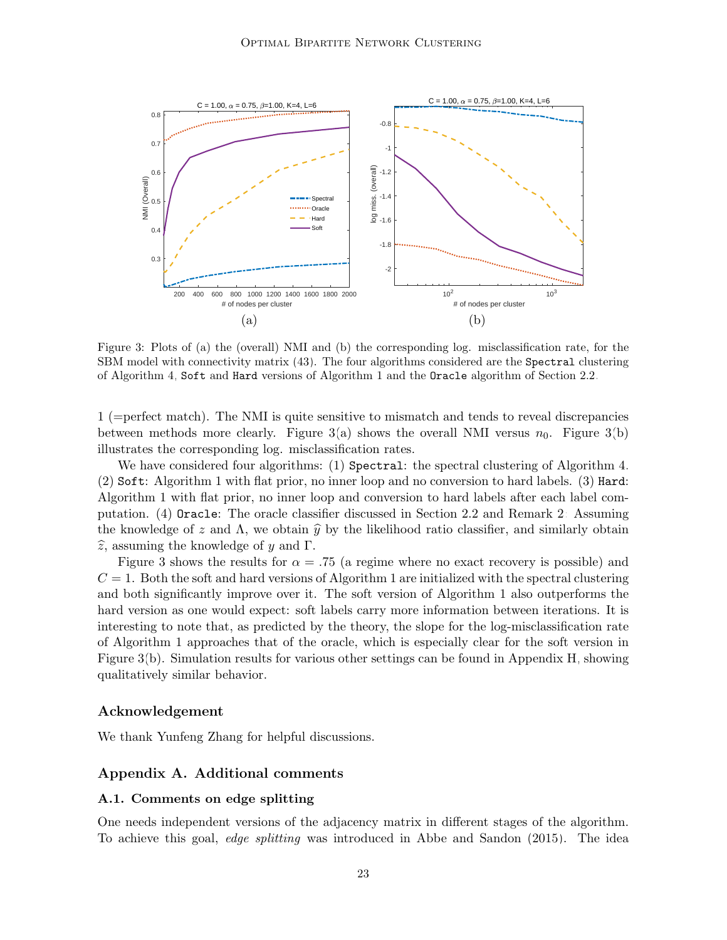<span id="page-22-2"></span>

Figure 3: Plots of (a) the (overall) NMI and (b) the corresponding log. misclassification rate, for the SBM model with connectivity matrix [\(43\)](#page-21-3). The four algorithms considered are the Spectral clustering of Algorithm [4,](#page-20-4) Soft and Hard versions of Algorithm [1](#page-14-0) and the Oracle algorithm of Section [2.2.](#page-4-3)

1 (=perfect match). The NMI is quite sensitive to mismatch and tends to reveal discrepancies between methods more clearly. Figure  $3(a)$  shows the overall NMI versus  $n_0$ . Figure  $3(b)$ illustrates the corresponding log. misclassification rates.

We have considered four algorithms: (1) Spectral: the spectral clustering of Algorithm [4.](#page-20-4) (2) Soft: Algorithm [1](#page-14-0) with flat prior, no inner loop and no conversion to hard labels. (3) Hard: Algorithm [1](#page-14-0) with flat prior, no inner loop and conversion to hard labels after each label computation. (4) Oracle: The oracle classifier discussed in Section [2.2](#page-4-3) and Remark [2:](#page-8-3) Assuming the knowledge of z and  $\Lambda$ , we obtain  $\hat{y}$  by the likelihood ratio classifier, and similarly obtain  $\widehat{z}$ , assuming the knowledge of y and Γ.

Figure [3](#page-22-2) shows the results for  $\alpha = .75$  (a regime where no exact recovery is possible) and  $C = 1$  $C = 1$ . Both the soft and hard versions of Algorithm 1 are initialized with the spectral clustering and both significantly improve over it. The soft version of Algorithm [1](#page-14-0) also outperforms the hard version as one would expect: soft labels carry more information between iterations. It is interesting to note that, as predicted by the theory, the slope for the log-misclassification rate of Algorithm [1](#page-14-0) approaches that of the oracle, which is especially clear for the soft version in Figure [3\(](#page-22-2)b). Simulation results for various other settings can be found in Appendix [H,](#page-62-0) showing qualitatively similar behavior.

#### Acknowledgement

We thank Yunfeng Zhang for helpful discussions.

## <span id="page-22-0"></span>Appendix A. Additional comments

#### <span id="page-22-1"></span>A.1. Comments on edge splitting

One needs independent versions of the adjacency matrix in different stages of the algorithm. To achieve this goal, edge splitting was introduced in [Abbe and Sandon \(2015\)](#page-63-8). The idea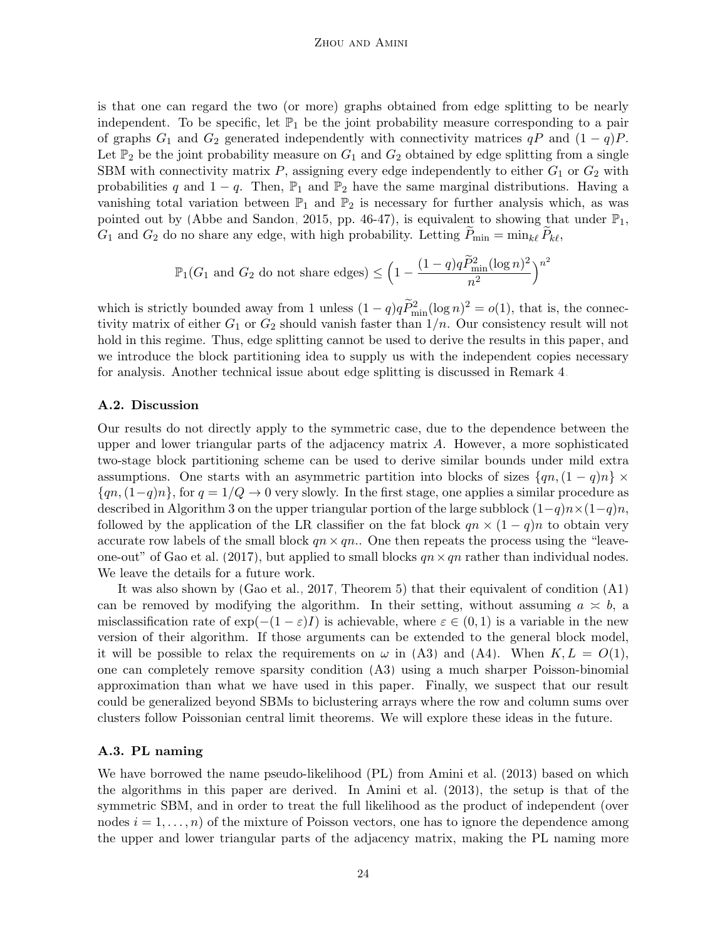is that one can regard the two (or more) graphs obtained from edge splitting to be nearly independent. To be specific, let  $\mathbb{P}_1$  be the joint probability measure corresponding to a pair of graphs  $G_1$  and  $G_2$  generated independently with connectivity matrices  $qP$  and  $(1 - q)P$ . Let  $\mathbb{P}_2$  be the joint probability measure on  $G_1$  and  $G_2$  obtained by edge splitting from a single SBM with connectivity matrix  $P$ , assigning every edge independently to either  $G_1$  or  $G_2$  with probabilities q and  $1 - q$ . Then,  $\mathbb{P}_1$  and  $\mathbb{P}_2$  have the same marginal distributions. Having a vanishing total variation between  $\mathbb{P}_1$  and  $\mathbb{P}_2$  is necessary for further analysis which, as was pointed out by [\(Abbe and Sandon, 2015,](#page-63-8) pp. 46-47), is equivalent to showing that under  $\mathbb{P}_1$ ,  $G_1$  and  $G_2$  do no share any edge, with high probability. Letting  $P_{\min} = \min_{k\ell} P_{k\ell}$ ,

$$
\mathbb{P}_1(G_1 \text{ and } G_2 \text{ do not share edges}) \le \left(1 - \frac{(1-q)q\widetilde{P}_{\min}^2(\log n)^2}{n^2}\right)^{n^2}
$$

which is strictly bounded away from 1 unless  $(1-q)q\tilde{P}_{\min}^2(\log n)^2 = o(1)$ , that is, the connectivity matrix of either  $G_1$  or  $G_2$  should vanish faster than  $1/n$ . Our consistency result will not hold in this regime. Thus, edge splitting cannot be used to derive the results in this paper, and we introduce the block partitioning idea to supply us with the independent copies necessary for analysis. Another technical issue about edge splitting is discussed in Remark [4.](#page-26-1)

#### <span id="page-23-0"></span>A.2. Discussion

Our results do not directly apply to the symmetric case, due to the dependence between the upper and lower triangular parts of the adjacency matrix  $A$ . However, a more sophisticated two-stage block partitioning scheme can be used to derive similar bounds under mild extra assumptions. One starts with an asymmetric partition into blocks of sizes  $\{qn,(1-q)n\}\times$  ${q_n, (1-q)n}$ , for  $q = 1/Q \rightarrow 0$  very slowly. In the first stage, one applies a similar procedure as described in Algorithm [3](#page-16-0) on the upper triangular portion of the large subblock  $(1-q)n\times(1-q)n$ , followed by the application of the LR classifier on the fat block  $qn \times (1-q)n$  to obtain very accurate row labels of the small block  $qn \times qn$ . One then repeats the process using the "leave-one-out" of [Gao et al. \(2017\)](#page-65-10), but applied to small blocks  $qn \times qn$  rather than individual nodes. We leave the details for a future work.

It was also shown by [\(Gao et al., 2017,](#page-65-10) Theorem 5) that their equivalent of condition [\(A1\)](#page-6-0) can be removed by modifying the algorithm. In their setting, without assuming  $a \approx b$ , a misclassification rate of  $\exp(-(1-\varepsilon)I)$  is achievable, where  $\varepsilon \in (0,1)$  is a variable in the new version of their algorithm. If those arguments can be extended to the general block model, it will be possible to relax the requirements on  $\omega$  in [\(A3\)](#page-7-2) and [\(A4\)](#page-7-2). When  $K, L = O(1)$ , one can completely remove sparsity condition [\(A3\)](#page-7-2) using a much sharper Poisson-binomial approximation than what we have used in this paper. Finally, we suspect that our result could be generalized beyond SBMs to biclustering arrays where the row and column sums over clusters follow Poissonian central limit theorems. We will explore these ideas in the future.

## A.3. PL naming

We have borrowed the name pseudo-likelihood (PL) from [Amini et al. \(2013\)](#page-63-6) based on which the algorithms in this paper are derived. In [Amini et al. \(2013\)](#page-63-6), the setup is that of the symmetric SBM, and in order to treat the full likelihood as the product of independent (over nodes  $i = 1, \ldots, n$  of the mixture of Poisson vectors, one has to ignore the dependence among the upper and lower triangular parts of the adjacency matrix, making the PL naming more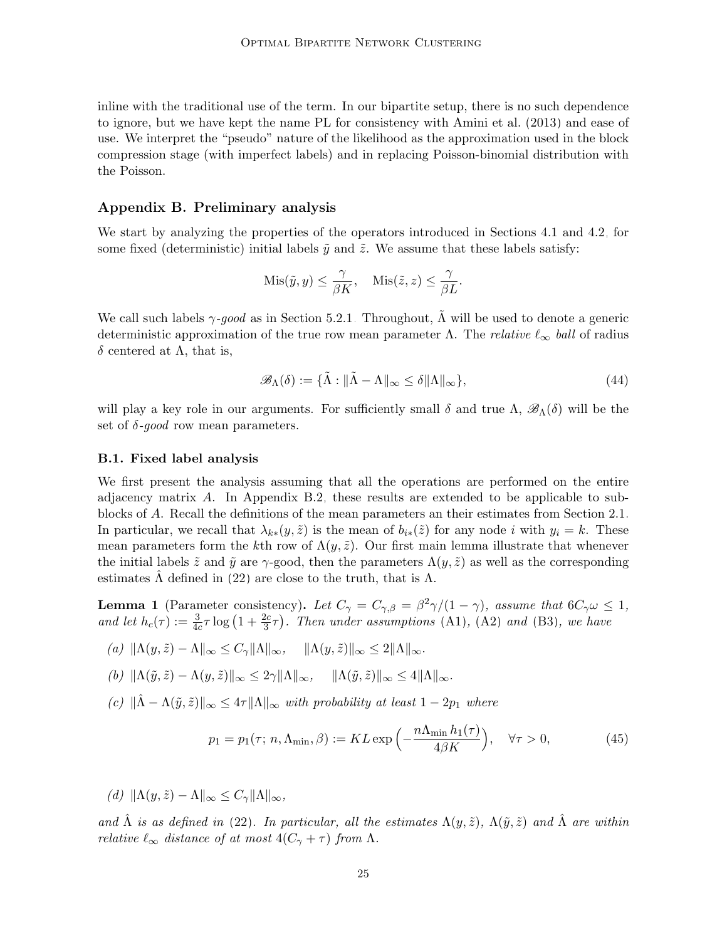inline with the traditional use of the term. In our bipartite setup, there is no such dependence to ignore, but we have kept the name PL for consistency with [Amini et al. \(2013\)](#page-63-6) and ease of use. We interpret the "pseudo" nature of the likelihood as the approximation used in the block compression stage (with imperfect labels) and in replacing Poisson-binomial distribution with the Poisson.

## <span id="page-24-1"></span>Appendix B. Preliminary analysis

We start by analyzing the properties of the operators introduced in Sections [4.1](#page-12-4) and [4.2,](#page-13-0) for some fixed (deterministic) initial labels  $\tilde{y}$  and  $\tilde{z}$ . We assume that these labels satisfy:

$$
Mis(\tilde{y}, y) \le \frac{\gamma}{\beta K}, \quad Mis(\tilde{z}, z) \le \frac{\gamma}{\beta L}.
$$

We call such labels  $\gamma$ -good as in Section [5.2.1.](#page-20-0) Throughout,  $\tilde{\Lambda}$  will be used to denote a generic deterministic approximation of the true row mean parameter  $\Lambda$ . The *relative*  $\ell_{\infty}$  ball of radius δ centered at  $Λ$ , that is,

$$
\mathscr{B}_{\Lambda}(\delta) := \{ \tilde{\Lambda} : \|\tilde{\Lambda} - \Lambda\|_{\infty} \le \delta \|\Lambda\|_{\infty} \},\tag{44}
$$

will play a key role in our arguments. For sufficiently small  $\delta$  and true  $\Lambda$ ,  $\mathscr{B}_{\Lambda}(\delta)$  will be the set of  $\delta$ -good row mean parameters.

#### <span id="page-24-0"></span>B.1. Fixed label analysis

We first present the analysis assuming that all the operations are performed on the entire adjacency matrix A. In Appendix [B.2,](#page-27-0) these results are extended to be applicable to subblocks of A. Recall the definitions of the mean parameters an their estimates from Section [2.1.](#page-3-1) In particular, we recall that  $\lambda_{k*}(y, \tilde{z})$  is the mean of  $b_{i*}(\tilde{z})$  for any node i with  $y_i = k$ . These mean parameters form the kth row of  $\Lambda(y, \tilde{z})$ . Our first main lemma illustrate that whenever the initial labels  $\tilde{z}$  and  $\tilde{y}$  are  $\gamma$ -good, then the parameters  $\Lambda(y, \tilde{z})$  as well as the corresponding estimates  $\Lambda$  defined in [\(22\)](#page-12-2) are close to the truth, that is  $\Lambda$ .

<span id="page-24-2"></span>**Lemma 1** (Parameter consistency). Let  $C_{\gamma} = C_{\gamma,\beta} = \frac{\beta^2 \gamma}{(1 - \gamma)}$ , assume that  $6C_{\gamma} \omega \leq 1$ , and let  $h_c(\tau) := \frac{3}{4c} \tau \log(1 + \frac{2c}{3}\tau)$ . Then under assumptions [\(A1\)](#page-6-0), [\(A2\)](#page-6-0) and [\(B3\)](#page-20-0), we have

- <span id="page-24-3"></span>(a)  $\|\Lambda(y, \tilde{z}) - \Lambda\|_{\infty} \leq C_{\gamma} \|\Lambda\|_{\infty}, \quad \|\Lambda(y, \tilde{z})\|_{\infty} \leq 2\|\Lambda\|_{\infty}.$
- <span id="page-24-4"></span>(b)  $\|\Lambda(\tilde{y}, \tilde{z}) - \Lambda(y, \tilde{z})\|_{\infty} \leq 2\gamma \|\Lambda\|_{\infty}, \quad \|\Lambda(\tilde{y}, \tilde{z})\|_{\infty} \leq 4\|\Lambda\|_{\infty}.$
- (c)  $\|\hat{\Lambda} \Lambda(\tilde{y}, \tilde{z})\|_{\infty} \leq 4\tau \|\Lambda\|_{\infty}$  with probability at least  $1 2p_1$  where

<span id="page-24-5"></span>
$$
p_1 = p_1(\tau; n, \Lambda_{\min}, \beta) := KL \exp\left(-\frac{n\Lambda_{\min}h_1(\tau)}{4\beta K}\right), \quad \forall \tau > 0,
$$
 (45)

(d)  $\|\Lambda(y, \tilde{z}) - \Lambda\|_{\infty} \leq C_{\gamma} \|\Lambda\|_{\infty}$ ,

and  $\hat{\Lambda}$  is as defined in [\(22\)](#page-12-2). In particular, all the estimates  $\Lambda(y, \tilde{z})$ ,  $\Lambda(\tilde{y}, \tilde{z})$  and  $\hat{\Lambda}$  are within relative  $\ell_{\infty}$  distance of at most  $4(C_{\gamma} + \tau)$  from  $\Lambda$ .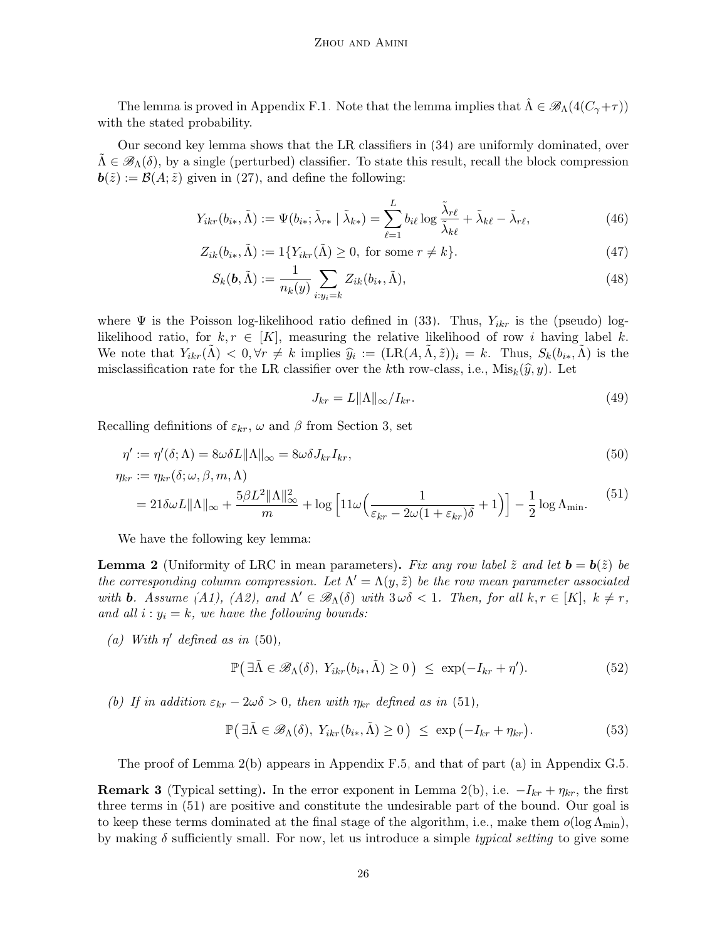The lemma is proved in Appendix [F.1.](#page-40-1) Note that the lemma implies that  $\hat{\Lambda} \in \mathscr{B}_{\Lambda}(4(C_{\gamma}+\tau))$ with the stated probability.

Our second key lemma shows that the LR classifiers in [\(34\)](#page-15-1) are uniformly dominated, over  $\Lambda \in \mathscr{B}_{\Lambda}(\delta)$ , by a single (perturbed) classifier. To state this result, recall the block compression  $\mathbf{b}(\tilde{z}) := \mathcal{B}(A;\tilde{z})$  given in [\(27\)](#page-13-2), and define the following:

$$
Y_{ikr}(b_{i*}, \tilde{\Lambda}) := \Psi(b_{i*}; \tilde{\lambda}_{r*} | \tilde{\lambda}_{k*}) = \sum_{\ell=1}^{L} b_{i\ell} \log \frac{\tilde{\lambda}_{r\ell}}{\tilde{\lambda}_{k\ell}} + \tilde{\lambda}_{k\ell} - \tilde{\lambda}_{r\ell}, \qquad (46)
$$

$$
Z_{ik}(b_{i*}, \tilde{\Lambda}) := 1\{Y_{ikr}(\tilde{\Lambda}) \ge 0, \text{ for some } r \ne k\}.
$$
 (47)

$$
S_k(\mathbf{b}, \tilde{\Lambda}) := \frac{1}{n_k(y)} \sum_{i:y_i=k} Z_{ik}(b_{i*}, \tilde{\Lambda}), \qquad (48)
$$

where  $\Psi$  is the Poisson log-likelihood ratio defined in [\(33\)](#page-15-2). Thus,  $Y_{ikr}$  is the (pseudo) loglikelihood ratio, for  $k, r \in [K]$ , measuring the relative likelihood of row i having label k. We note that  $Y_{ikr}(\tilde{\Lambda}) \leq 0, \forall r \neq k$  implies  $\hat{y}_i := (\text{LR}(A, \tilde{\Lambda}, \tilde{z}))_i = k$ . Thus,  $S_k(b_{i*}, \tilde{\Lambda})$  is the misclassification rate for the LR classifier over the kth row-class, i.e.,  $Mis_k(\hat{y}, y)$ . Let

<span id="page-25-10"></span><span id="page-25-9"></span><span id="page-25-8"></span><span id="page-25-3"></span><span id="page-25-2"></span>
$$
J_{kr} = L \|\Lambda\|_{\infty} / I_{kr}.\tag{49}
$$

Recalling definitions of  $\varepsilon_{kr}$ ,  $\omega$  and  $\beta$  from Section [3,](#page-6-0) set

$$
\eta' := \eta'(\delta; \Lambda) = 8\omega\delta L \|\Lambda\|_{\infty} = 8\omega\delta J_{kr}I_{kr},
$$
  
\n
$$
\eta_{kr} := \eta_{kr}(\delta; \omega, \beta, m, \Lambda)
$$
\n(50)

$$
\mu_{kr} := \eta_{kr}(0, \omega, \beta, m, \Lambda)
$$
  
=  $21 \delta \omega L ||\Lambda||_{\infty} + \frac{5 \beta L^2 ||\Lambda||_{\infty}^2}{m} + \log \left[11 \omega \left(\frac{1}{\varepsilon_{kr} - 2\omega(1 + \varepsilon_{kr})\delta} + 1\right)\right] - \frac{1}{2} \log \Lambda_{\min}.$  (51)

We have the following key lemma:

<span id="page-25-0"></span>**Lemma 2** (Uniformity of LRC in mean parameters). Fix any row label  $\tilde{z}$  and let  $\mathbf{b} = \mathbf{b}(\tilde{z})$  be the corresponding column compression. Let  $\Lambda' = \Lambda(y, \tilde{z})$  be the row mean parameter associated with **b**. Assume [\(A1\)](#page-6-0), [\(A2\)](#page-6-0), and  $\Lambda' \in \mathcal{B}_{\Lambda}(\delta)$  with  $3\omega\delta < 1$ . Then, for all  $k, r \in [K]$ ,  $k \neq r$ , and all  $i : y_i = k$ , we have the following bounds:

<span id="page-25-6"></span>(a) With  $\eta'$  defined as in [\(50\)](#page-25-2),

<span id="page-25-5"></span><span id="page-25-4"></span>
$$
\mathbb{P}\big(\exists \tilde{\Lambda} \in \mathscr{B}_{\Lambda}(\delta), \ Y_{ikr}(b_{i*}, \tilde{\Lambda}) \ge 0\big) \le \exp(-I_{kr} + \eta'). \tag{52}
$$

<span id="page-25-1"></span>(b) If in addition  $\varepsilon_{kr} - 2\omega\delta > 0$ , then with  $\eta_{kr}$  defined as in [\(51\)](#page-25-3),

$$
\mathbb{P}\big(\exists \tilde{\Lambda} \in \mathscr{B}_{\Lambda}(\delta), \ Y_{ikr}(b_{i*}, \tilde{\Lambda}) \ge 0\big) \le \exp\big(-I_{kr} + \eta_{kr}\big). \tag{53}
$$

The proof of Lemma [2\(b\)](#page-25-1) appears in Appendix [F.5,](#page-48-0) and that of part (a) in Appendix [G.5.](#page-58-0)

<span id="page-25-7"></span>**Remark 3** (Typical setting). In the error exponent in Lemma [2\(b\),](#page-25-1) i.e.  $-I_{kr} + \eta_{kr}$ , the first three terms in [\(51\)](#page-25-3) are positive and constitute the undesirable part of the bound. Our goal is to keep these terms dominated at the final stage of the algorithm, i.e., make them  $o(\log \Lambda_{\min})$ , by making  $\delta$  sufficiently small. For now, let us introduce a simple typical setting to give some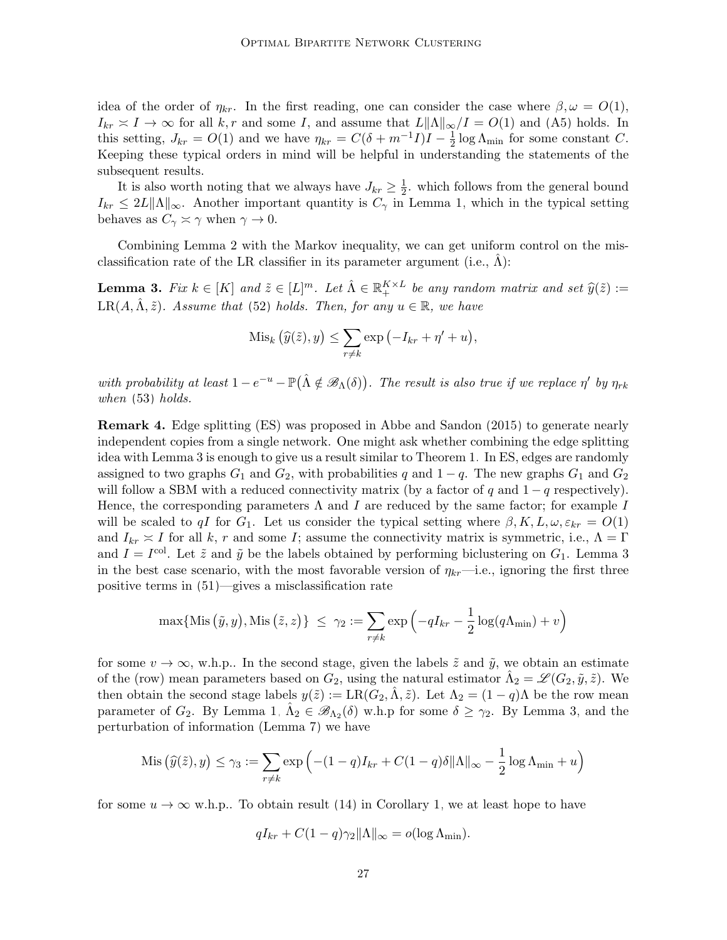idea of the order of  $\eta_{kr}$ . In the first reading, one can consider the case where  $\beta, \omega = O(1)$ ,  $I_{kr} \approx I \to \infty$  for all k, r and some I, and assume that  $L\|\Lambda\|_{\infty}/I = O(1)$  and [\(A5\)](#page-8-1) holds. In this setting,  $J_{kr} = O(1)$  and we have  $\eta_{kr} = C(\delta + m^{-1}I)I - \frac{1}{2}$  $\frac{1}{2}$  log  $\Lambda_{\text{min}}$  for some constant C. Keeping these typical orders in mind will be helpful in understanding the statements of the subsequent results.

It is also worth noting that we always have  $J_{kr} \geq \frac{1}{2}$  $\frac{1}{2}$ , which follows from the general bound  $I_{kr} \leq 2L\|\Lambda\|_{\infty}$ . Another important quantity is  $C_{\gamma}$  in Lemma [1,](#page-24-2) which in the typical setting behaves as  $C_{\gamma} \simeq \gamma$  when  $\gamma \to 0$ .

Combining Lemma [2](#page-25-0) with the Markov inequality, we can get uniform control on the misclassification rate of the LR classifier in its parameter argument (i.e.,  $\Lambda$ ):

<span id="page-26-0"></span>**Lemma 3.** Fix  $k \in [K]$  and  $\tilde{z} \in [L]^m$ . Let  $\hat{\Lambda} \in \mathbb{R}_+^{K \times L}$  be any random matrix and set  $\hat{y}(\tilde{z}) :=$  $LR(A, \hat{\Lambda}, \tilde{z})$ . Assume that [\(52\)](#page-25-4) holds. Then, for any  $u \in \mathbb{R}$ , we have

$$
\mathrm{Mis}_k\left(\widehat{y}(\widetilde{z}), y\right) \leq \sum_{r \neq k} \exp\left(-I_{kr} + \eta' + u\right),\,
$$

with probability at least  $1-e^{-u}-\mathbb{P}(\hat{\Lambda}\notin\mathscr{B}_{\Lambda}(\delta))$ . The result is also true if we replace  $\eta'$  by  $\eta_{rk}$ when [\(53\)](#page-25-5) holds.

<span id="page-26-1"></span>Remark 4. Edge splitting (ES) was proposed in [Abbe and Sandon \(2015\)](#page-63-8) to generate nearly independent copies from a single network. One might ask whether combining the edge splitting idea with Lemma [3](#page-26-0) is enough to give us a result similar to Theorem [1.](#page-7-4) In ES, edges are randomly assigned to two graphs  $G_1$  and  $G_2$ , with probabilities q and  $1-q$ . The new graphs  $G_1$  and  $G_2$ will follow a SBM with a reduced connectivity matrix (by a factor of q and  $1 - q$  respectively). Hence, the corresponding parameters  $\Lambda$  and I are reduced by the same factor; for example I will be scaled to qI for  $G_1$ . Let us consider the typical setting where  $\beta, K, L, \omega, \varepsilon_{kr} = O(1)$ and  $I_{kr} \approx I$  for all k, r and some I; assume the connectivity matrix is symmetric, i.e.,  $\Lambda = \Gamma$ and  $I = I^{\text{col}}$ . Let  $\tilde{z}$  and  $\tilde{y}$  be the labels obtained by performing biclustering on  $G_1$ . Lemma [3](#page-26-0) in the best case scenario, with the most favorable version of  $\eta_{kr}$ —i.e., ignoring the first three positive terms in [\(51\)](#page-25-3)—gives a misclassification rate

$$
\max\{\text{Mis}(\tilde{y}, y), \text{Mis}(\tilde{z}, z)\}\ \leq\ \gamma_2 := \sum_{r \neq k} \exp\left(-qI_{kr} - \frac{1}{2}\log(q\Lambda_{\min}) + v\right)
$$

for some  $v \to \infty$ , w.h.p.. In the second stage, given the labels  $\tilde{z}$  and  $\tilde{y}$ , we obtain an estimate of the (row) mean parameters based on  $G_2$ , using the natural estimator  $\hat{\Lambda}_2 = \mathscr{L}(G_2, \tilde{y}, \tilde{z})$ . We then obtain the second stage labels  $y(\tilde{z}) := \text{LR}(G_2, \tilde{\Lambda}, \tilde{z})$ . Let  $\Lambda_2 = (1 - q)\Lambda$  be the row mean parameter of  $G_2$ . By Lemma [1,](#page-24-2)  $\hat{\Lambda}_2 \in \mathscr{B}_{\Lambda_2}(\delta)$  w.h.p for some  $\delta \geq \gamma_2$ . By Lemma [3,](#page-26-0) and the perturbation of information (Lemma [7\)](#page-29-2) we have

$$
\operatorname{Mis}\left(\widehat{y}(\tilde{z}), y\right) \le \gamma_3 := \sum_{r \ne k} \exp\left(-(1-q)I_{kr} + C(1-q)\delta \|\Lambda\|_{\infty} - \frac{1}{2}\log \Lambda_{\min} + u\right)
$$

for some  $u \to \infty$  w.h.p.. To obtain result [\(14\)](#page-8-2) in Corollary [1,](#page-8-0) we at least hope to have

$$
qI_{kr} + C(1-q)\gamma_2 \|\Lambda\|_{\infty} = o(\log \Lambda_{\min}).
$$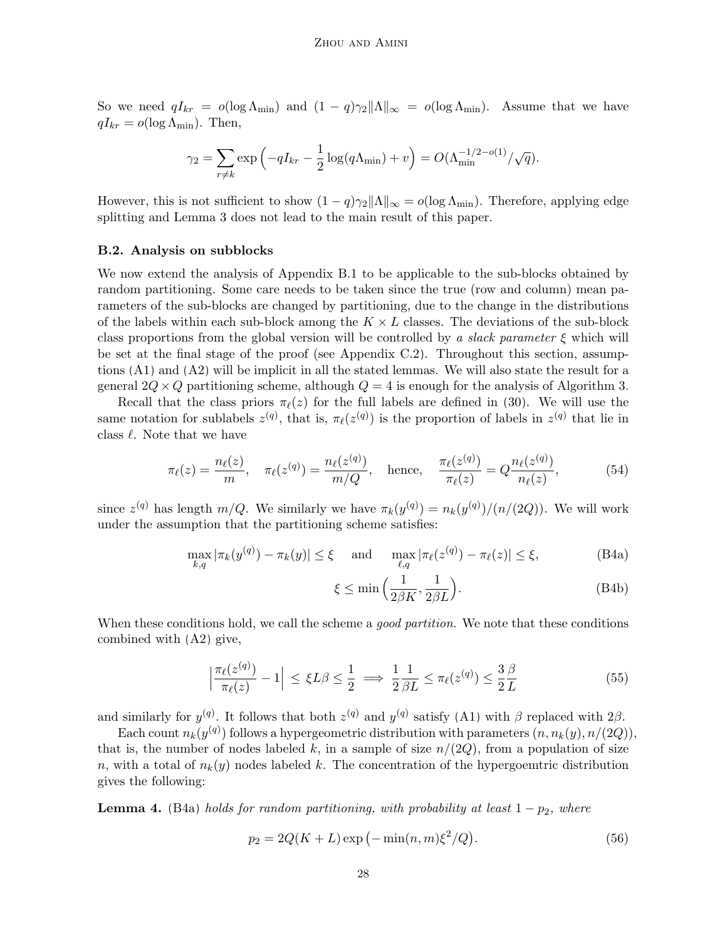So we need  $qI_{kr} = o(\log \Lambda_{min})$  and  $(1 - q)\gamma_2 ||\Lambda||_{\infty} = o(\log \Lambda_{min})$ . Assume that we have  $qI_{kr} = o(\log \Lambda_{\min})$ . Then,

$$
\gamma_2 = \sum_{r \neq k} \exp\left(-qI_{kr} - \frac{1}{2}\log(q\Lambda_{\min}) + v\right) = O(\Lambda_{\min}^{-1/2 - o(1)}/\sqrt{q}).
$$

However, this is not sufficient to show  $(1-q)\gamma_2\|\Lambda\|_{\infty} = o(\log \Lambda_{\min})$ . Therefore, applying edge splitting and Lemma [3](#page-26-0) does not lead to the main result of this paper.

#### <span id="page-27-0"></span>B.2. Analysis on subblocks

We now extend the analysis of Appendix [B.1](#page-24-0) to be applicable to the sub-blocks obtained by random partitioning. Some care needs to be taken since the true (row and column) mean parameters of the sub-blocks are changed by partitioning, due to the change in the distributions of the labels within each sub-block among the  $K \times L$  classes. The deviations of the sub-block class proportions from the global version will be controlled by a slack parameter  $\xi$  which will be set at the final stage of the proof (see Appendix [C.2\)](#page-34-0). Throughout this section, assumptions [\(A1\)](#page-6-0) and [\(A2\)](#page-6-0) will be implicit in all the stated lemmas. We will also state the result for a general  $2Q \times Q$  partitioning scheme, although  $Q = 4$  is enough for the analysis of Algorithm [3.](#page-16-0)

Recall that the class priors  $\pi_{\ell}(z)$  for the full labels are defined in [\(30\)](#page-13-4). We will use the same notation for sublabels  $z^{(q)}$ , that is,  $\pi_{\ell}(z^{(q)})$  is the proportion of labels in  $z^{(q)}$  that lie in class  $\ell$ . Note that we have

$$
\pi_{\ell}(z) = \frac{n_{\ell}(z)}{m}, \quad \pi_{\ell}(z^{(q)}) = \frac{n_{\ell}(z^{(q)})}{m/Q}, \quad \text{hence,} \quad \frac{\pi_{\ell}(z^{(q)})}{\pi_{\ell}(z)} = Q \frac{n_{\ell}(z^{(q)})}{n_{\ell}(z)}, \tag{54}
$$

since  $z^{(q)}$  has length  $m/Q$ . We similarly we have  $\pi_k(y^{(q)}) = n_k(y^{(q)})/(n/(2Q))$ . We will work under the assumption that the partitioning scheme satisfies:

$$
\max_{k,q} |\pi_k(y^{(q)}) - \pi_k(y)| \le \xi \quad \text{and} \quad \max_{\ell,q} |\pi_\ell(z^{(q)}) - \pi_\ell(z)| \le \xi,
$$
 (B4a)

<span id="page-27-4"></span><span id="page-27-1"></span>
$$
\xi \le \min\left(\frac{1}{2\beta K}, \frac{1}{2\beta L}\right). \tag{B4b}
$$

When these conditions hold, we call the scheme a *good partition*. We note that these conditions combined with [\(A2\)](#page-6-0) give,

$$
\left|\frac{\pi_{\ell}(z^{(q)})}{\pi_{\ell}(z)} - 1\right| \le \xi L\beta \le \frac{1}{2} \implies \frac{1}{2}\frac{1}{\beta L} \le \pi_{\ell}(z^{(q)}) \le \frac{3}{2}\frac{\beta}{L} \tag{55}
$$

and similarly for  $y^{(q)}$ . It follows that both  $z^{(q)}$  and  $y^{(q)}$  satisfy [\(A1\)](#page-6-0) with  $\beta$  replaced with  $2\beta$ .

Each count  $n_k(y^{(q)})$  follows a hypergeometric distribution with parameters  $(n, n_k(y), n/(2Q)),$ that is, the number of nodes labeled k, in a sample of size  $n/(2Q)$ , from a population of size n, with a total of  $n_k(y)$  nodes labeled k. The concentration of the hypergoemtric distribution gives the following:

<span id="page-27-2"></span>**Lemma 4.** [\(B4a\)](#page-27-1) holds for random partitioning, with probability at least  $1 - p_2$ , where

<span id="page-27-3"></span>
$$
p_2 = 2Q(K+L)\exp(-\min(n,m)\xi^2/Q).
$$
 (56)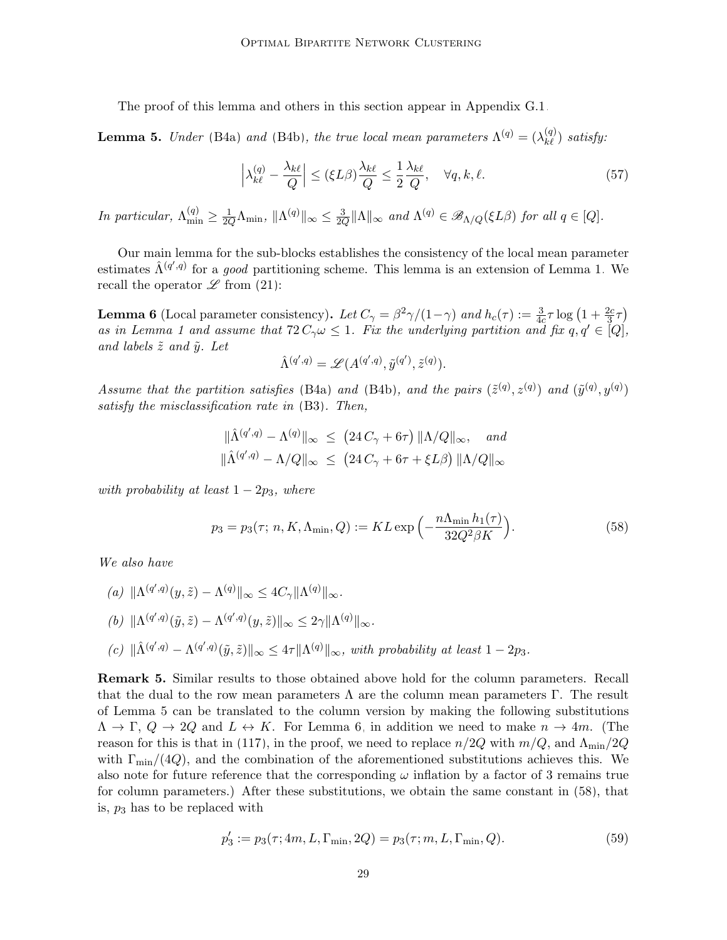The proof of this lemma and others in this section appear in Appendix [G.1.](#page-50-0)

<span id="page-28-0"></span>**Lemma 5.** Under [\(B4a\)](#page-27-1) and [\(B4b\)](#page-27-1), the true local mean parameters  $\Lambda^{(q)} = (\lambda^{(q)}_{k\ell})$  satisfy:

<span id="page-28-5"></span>
$$
\left|\lambda_{k\ell}^{(q)} - \frac{\lambda_{k\ell}}{Q}\right| \le (\xi L\beta) \frac{\lambda_{k\ell}}{Q} \le \frac{1}{2} \frac{\lambda_{k\ell}}{Q}, \quad \forall q, k, \ell.
$$
\n(57)

In particular,  $\Lambda_{\min}^{(q)} \ge \frac{1}{2Q} \Lambda_{\min}$ ,  $\|\Lambda^{(q)}\|_{\infty} \le \frac{3}{2Q}$  $\frac{3}{2Q} \|\Lambda\|_{\infty}$  and  $\Lambda^{(q)} \in \mathscr{B}_{\Lambda/Q}(\xi L\beta)$  for all  $q \in [Q]$ .

Our main lemma for the sub-blocks establishes the consistency of the local mean parameter estimates  $\hat{\Lambda}^{(q',q)}$  for a *good* partitioning scheme. This lemma is an extension of Lemma [1.](#page-24-2) We recall the operator  $\mathscr L$  from [\(21\)](#page-12-5):

<span id="page-28-1"></span>**Lemma 6** (Local parameter consistency). Let  $C_\gamma = \frac{\beta^2 \gamma}{1 - \gamma}$  and  $h_c(\tau) := \frac{3}{4c} \tau \log\left(1 + \frac{2c}{3}\tau\right)$ as in Lemma [1](#page-24-2) and assume that  $72 C_{\gamma} \omega \leq 1$ . Fix the underlying partition and fix  $q, q' \in [Q]$ , and labels  $\tilde{z}$  and  $\tilde{y}$ . Let

<span id="page-28-2"></span>
$$
\hat{\Lambda}^{(q',q)} = \mathscr{L}(A^{(q',q)}, \tilde{y}^{(q')}, \tilde{z}^{(q)}).
$$

Assume that the partition satisfies [\(B4a\)](#page-27-1) and [\(B4b\)](#page-27-1), and the pairs  $(\tilde{z}^{(q)}, z^{(q)})$  and  $(\tilde{y}^{(q)}, y^{(q)})$ satisfy the misclassification rate in [\(B3\)](#page-20-0). Then,

$$
\|\hat{\Lambda}^{(q',q)} - \Lambda^{(q)}\|_{\infty} \le (24 C_{\gamma} + 6\tau) \|\Lambda/Q\|_{\infty}, \text{ and}
$$
  

$$
\|\hat{\Lambda}^{(q',q)} - \Lambda/Q\|_{\infty} \le (24 C_{\gamma} + 6\tau + \xi L\beta) \|\Lambda/Q\|_{\infty}
$$

with probability at least  $1 - 2p_3$ , where

$$
p_3 = p_3(\tau; n, K, \Lambda_{\min}, Q) := KL \exp\left(-\frac{n\Lambda_{\min}h_1(\tau)}{32Q^2\beta K}\right).
$$
 (58)

We also have

\n- (a) 
$$
\|\Lambda^{(q',q)}(y,\tilde{z}) - \Lambda^{(q)}\|_{\infty} \leq 4C_{\gamma} \|\Lambda^{(q)}\|_{\infty}.
$$
\n- (b)  $\|\Lambda^{(q',q)}(\tilde{y},\tilde{z}) - \Lambda^{(q',q)}(y,\tilde{z})\|_{\infty} \leq 2\gamma \|\Lambda^{(q)}\|_{\infty}.$
\n- (c)  $\|\hat{\Lambda}^{(q',q)} - \Lambda^{(q',q)}(\tilde{y},\tilde{z})\|_{\infty} \leq 4\tau \|\Lambda^{(q)}\|_{\infty}$ , with probability at least  $1 - 2p_3$ .
\n

<span id="page-28-3"></span>Remark 5. Similar results to those obtained above hold for the column parameters. Recall that the dual to the row mean parameters  $\Lambda$  are the column mean parameters  $\Gamma$ . The result of Lemma [5](#page-28-0) can be translated to the column version by making the following substitutions  $\Lambda \to \Gamma$ ,  $Q \to 2Q$  and  $L \leftrightarrow K$ . For Lemma [6,](#page-28-1) in addition we need to make  $n \to 4m$ . (The reason for this is that in [\(117\)](#page-51-0), in the proof, we need to replace  $n/2Q$  with  $m/Q$ , and  $\Lambda_{\rm min}/2Q$ with  $\Gamma_{\rm min}/(4Q)$ , and the combination of the aforementioned substitutions achieves this. We also note for future reference that the corresponding  $\omega$  inflation by a factor of 3 remains true for column parameters.) After these substitutions, we obtain the same constant in [\(58\)](#page-28-2), that is,  $p_3$  has to be replaced with

<span id="page-28-4"></span>
$$
p_3' := p_3(\tau; 4m, L, \Gamma_{\min}, 2Q) = p_3(\tau; m, L, \Gamma_{\min}, Q). \tag{59}
$$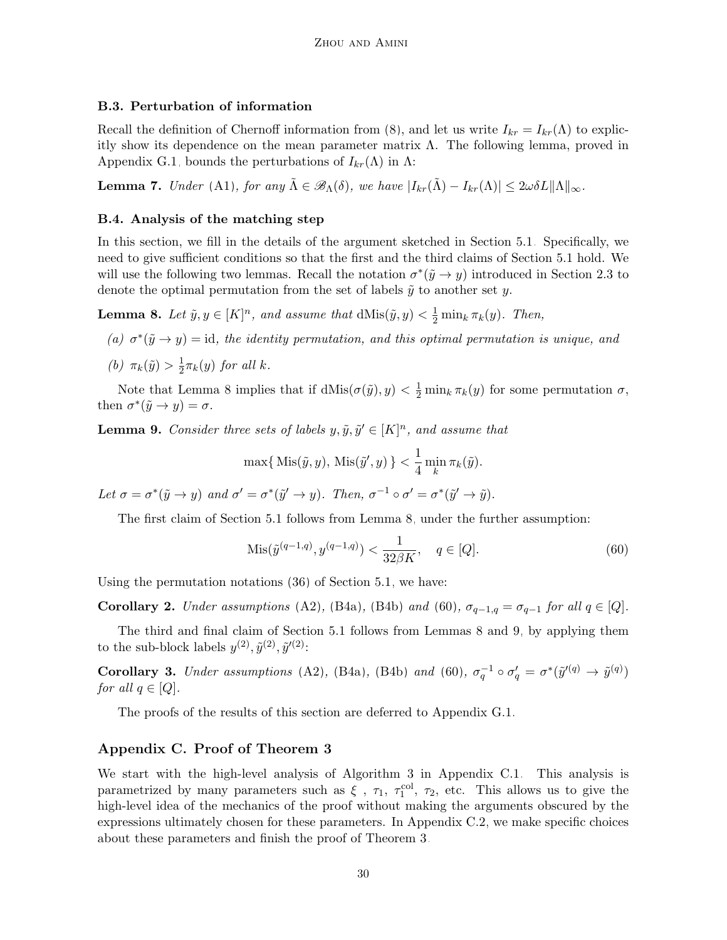## <span id="page-29-6"></span>B.3. Perturbation of information

Recall the definition of Chernoff information from [\(8\)](#page-6-1), and let us write  $I_{kr} = I_{kr}(\Lambda)$  to explicitly show its dependence on the mean parameter matrix Λ. The following lemma, proved in Appendix [G.1,](#page-50-0) bounds the perturbations of  $I_{kr}(\Lambda)$  in  $\Lambda$ :

<span id="page-29-2"></span>**Lemma 7.** Under [\(A1\)](#page-6-0), for any  $\tilde{\Lambda} \in \mathscr{B}_{\Lambda}(\delta)$ , we have  $|I_{kr}(\tilde{\Lambda}) - I_{kr}(\Lambda)| \leq 2\omega \delta L \|\Lambda\|_{\infty}$ .

## <span id="page-29-1"></span>B.4. Analysis of the matching step

In this section, we fill in the details of the argument sketched in Section [5.1.](#page-18-0) Specifically, we need to give sufficient conditions so that the first and the third claims of Section [5.1](#page-18-0) hold. We will use the following two lemmas. Recall the notation  $\sigma^*(\tilde{y} \to y)$  introduced in Section [2.3](#page-5-2) to denote the optimal permutation from the set of labels  $\tilde{y}$  to another set y.

<span id="page-29-3"></span>**Lemma 8.** Let  $\tilde{y}, y \in [K]^n$ , and assume that  $dMis(\tilde{y}, y) < \frac{1}{2} \min_k \pi_k(y)$ . Then,

- (a)  $\sigma^*(\tilde{y} \to y) = id$ , the identity permutation, and this optimal permutation is unique, and
- (b)  $\pi_k(\tilde{y}) > \frac{1}{2}$  $\frac{1}{2}\pi_k(y)$  for all k.

Note that Lemma [8](#page-29-3) implies that if  $dMis(\sigma(\tilde{y}), y) < \frac{1}{2} \min_k \pi_k(y)$  for some permutation  $\sigma$ , then  $\sigma^*(\tilde{y} \to y) = \sigma$ .

<span id="page-29-5"></span>**Lemma 9.** Consider three sets of labels  $y, \tilde{y}, \tilde{y}' \in [K]^n$ , and assume that

$$
\max\{\,\mathrm{Mis}(\tilde{y}, y),\,\mathrm{Mis}(\tilde{y}', y)\,\}<\frac{1}{4}\min_k \pi_k(\tilde{y}).
$$

Let  $\sigma = \sigma^*(\tilde{y} \to y)$  and  $\sigma' = \sigma^*(\tilde{y}' \to y)$ . Then,  $\sigma^{-1} \circ \sigma' = \sigma^*(\tilde{y}' \to \tilde{y})$ .

The first claim of Section [5.1](#page-18-0) follows from Lemma [8,](#page-29-3) under the further assumption:

<span id="page-29-4"></span>
$$
Mis(\tilde{y}^{(q-1,q)}, y^{(q-1,q)}) < \frac{1}{32\beta K}, \quad q \in [Q].\tag{60}
$$

Using the permutation notations [\(36\)](#page-18-2) of Section [5.1,](#page-18-0) we have:

<span id="page-29-7"></span>Corollary 2. Under assumptions [\(A2\)](#page-6-0), [\(B4a\)](#page-27-1), [\(B4b\)](#page-27-1) and [\(60\)](#page-29-4),  $\sigma_{q-1,q} = \sigma_{q-1}$  for all  $q \in [Q]$ .

The third and final claim of Section [5.1](#page-18-0) follows from Lemmas [8](#page-29-3) and [9,](#page-29-5) by applying them to the sub-block labels  $y^{(2)}$ ,  $\tilde{y}^{(2)}$ ,  $\tilde{y}'^{(2)}$ :

<span id="page-29-8"></span>**Corollary 3.** Under assumptions [\(A2\)](#page-6-0), [\(B4a\)](#page-27-1), [\(B4b\)](#page-27-1) and [\(60\)](#page-29-4),  $\sigma_q^{-1} \circ \sigma_q' = \sigma^*(\tilde{y}'^{(q)} \to \tilde{y}^{(q)})$ for all  $q \in [Q]$ .

The proofs of the results of this section are deferred to Appendix [G.1.](#page-50-0)

## <span id="page-29-0"></span>Appendix C. Proof of Theorem [3](#page-20-1)

We start with the high-level analysis of Algorithm [3](#page-16-0) in Appendix [C.1.](#page-30-0) This analysis is parametrized by many parameters such as  $\xi$ ,  $\tau_1$ ,  $\tau_1^{\text{col}}$ ,  $\tau_2$ , etc. This allows us to give the high-level idea of the mechanics of the proof without making the arguments obscured by the expressions ultimately chosen for these parameters. In Appendix [C.2,](#page-34-0) we make specific choices about these parameters and finish the proof of Theorem [3.](#page-20-1)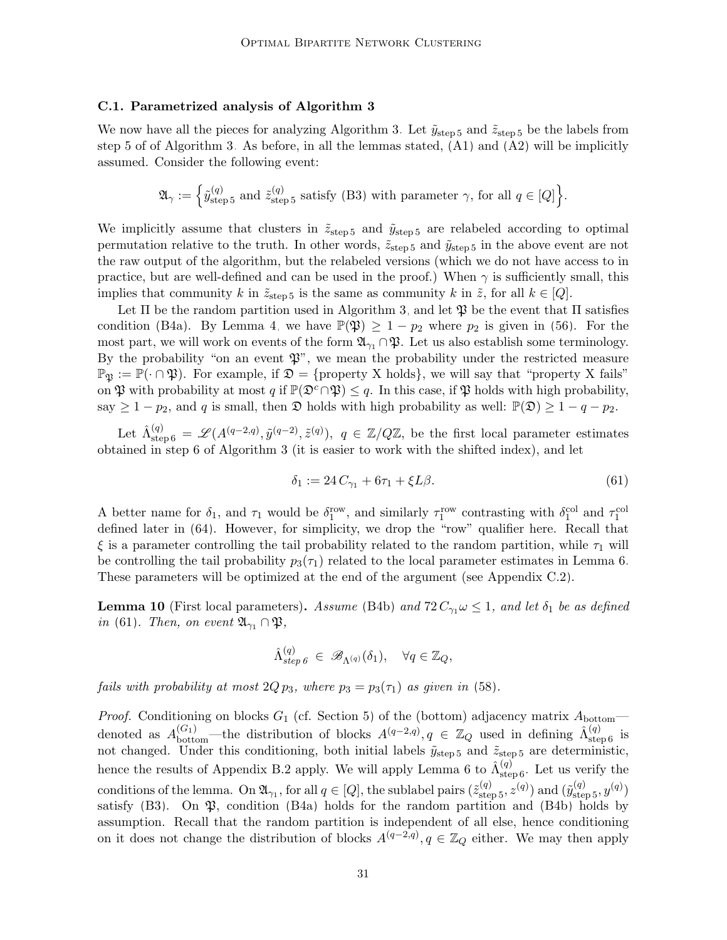#### <span id="page-30-0"></span>C.1. Parametrized analysis of Algorithm [3](#page-16-0)

We now have all the pieces for analyzing Algorithm [3.](#page-16-0) Let  $\tilde{y}_{step 5}$  $\tilde{y}_{step 5}$  $\tilde{y}_{step 5}$  and  $\tilde{z}_{step 5}$  be the labels from step [5](#page-16-0) of of Algorithm [3.](#page-16-0) As before, in all the lemmas stated,  $(A1)$  and  $(A2)$  will be implicitly assumed. Consider the following event:

$$
\mathfrak{A}_{\gamma} := \left\{ \tilde{y}_{\text{step 5}}^{(q)} \text{ and } \tilde{z}_{\text{step 5}}^{(q)} \text{ satisfy (B3) with parameter } \gamma \text{, for all } q \in [Q] \right\}.
$$

We implicitly assume that clusters in  $\tilde{z}_{step 5}$  $\tilde{z}_{step 5}$  $\tilde{z}_{step 5}$  and  $\tilde{y}_{step 5}$  are relabeled according to optimal permutation relative to the truth. In other words,  $\tilde{z}_{step 5}$  $\tilde{z}_{step 5}$  $\tilde{z}_{step 5}$  and  $\tilde{y}_{step 5}$  in the above event are not the raw output of the algorithm, but the relabeled versions (which we do not have access to in practice, but are well-defined and can be used in the proof.) When  $\gamma$  is sufficiently small, this implies that community k in  $\tilde{z}_{\text{step 5}}$  $\tilde{z}_{\text{step 5}}$  $\tilde{z}_{\text{step 5}}$  is the same as community k in  $\tilde{z}$ , for all  $k \in [Q]$ .

Let  $\Pi$  be the random partition used in Algorithm [3,](#page-16-0) and let  $\mathfrak P$  be the event that  $\Pi$  satisfies condition [\(B4a\)](#page-27-1). By Lemma [4,](#page-27-2) we have  $\mathbb{P}(\mathfrak{P}) \geq 1 - p_2$  where  $p_2$  is given in [\(56\)](#page-27-3). For the most part, we will work on events of the form  $\mathfrak{A}_{\gamma_1} \cap \mathfrak{P}$ . Let us also establish some terminology. By the probability "on an event  $\mathfrak{P}$ ", we mean the probability under the restricted measure  $\mathbb{P}_{\mathfrak{B}} := \mathbb{P}(\cdot \cap \mathfrak{P})$ . For example, if  $\mathfrak{D} = \{\text{property X holds}\},\$ we will say that "property X fails" on  $\mathfrak P$  with probability at most q if  $\mathbb P(\mathfrak D^c \cap \mathfrak P) \leq q$ . In this case, if  $\mathfrak P$  holds with high probability, say  $\geq 1 - p_2$ , and q is small, then  $\mathfrak D$  holds with high probability as well:  $\mathbb P(\mathfrak D) \geq 1 - q - p_2$ .

Let  $\hat{\Lambda}^{(q)}_{\text{step 6}} = \mathscr{L}(A^{(q-2,q)}, \tilde{y}^{(q-2)}, \tilde{z}^{(q)}), q \in \mathbb{Z}/Q\mathbb{Z}$  $\hat{\Lambda}^{(q)}_{\text{step 6}} = \mathscr{L}(A^{(q-2,q)}, \tilde{y}^{(q-2)}, \tilde{z}^{(q)}), q \in \mathbb{Z}/Q\mathbb{Z}$  $\hat{\Lambda}^{(q)}_{\text{step 6}} = \mathscr{L}(A^{(q-2,q)}, \tilde{y}^{(q-2)}, \tilde{z}^{(q)}), q \in \mathbb{Z}/Q\mathbb{Z}$ , be the first local parameter estimates obtained in step [6](#page-16-0) of Algorithm [3](#page-16-0) (it is easier to work with the shifted index), and let

<span id="page-30-1"></span>
$$
\delta_1 := 24 C_{\gamma_1} + 6\tau_1 + \xi L\beta.
$$
\n(61)

A better name for  $\delta_1$ , and  $\tau_1$  would be  $\delta_1^{\text{row}}$ , and similarly  $\tau_1^{\text{row}}$  contrasting with  $\delta_1^{\text{col}}$  and  $\tau_1^{\text{col}}$ defined later in [\(64\)](#page-32-0). However, for simplicity, we drop the "row" qualifier here. Recall that ξ is a parameter controlling the tail probability related to the random partition, while  $τ_1$  will be controlling the tail probability  $p_3(\tau_1)$  related to the local parameter estimates in Lemma [6.](#page-28-1) These parameters will be optimized at the end of the argument (see Appendix [C.2\)](#page-34-0).

<span id="page-30-2"></span>**Lemma 10** (First local parameters). Assume [\(B4b\)](#page-27-1) and  $72 C_{\gamma_1} \omega \leq 1$ , and let  $\delta_1$  be as defined in [\(61\)](#page-30-1). Then, on event  $\mathfrak{A}_{\gamma_1} \cap \mathfrak{P},$ 

$$
\hat{\Lambda}_{step\ 6}^{(q)} \in \mathscr{B}_{\Lambda^{(q)}}(\delta_1), \quad \forall q \in \mathbb{Z}_Q,
$$

fails with probability at most  $2Q p_3$ , where  $p_3 = p_3(\tau_1)$  as given in [\(58\)](#page-28-2).

*Proof.* Conditioning on blocks  $G_1$  (cf. Section [5\)](#page-15-0) of the (bottom) adjacency matrix  $A_{\text{bottom}}$ denoted as  $A_{\text{bottom}}^{(G_1)}$ —the distribution of blocks  $A^{(q-2,q)}$ ,  $q \in \mathbb{Z}_Q$  used in defining  $\hat{\Lambda}_{\text{step 6}}^{(q)}$  $\hat{\Lambda}_{\text{step 6}}^{(q)}$  $\hat{\Lambda}_{\text{step 6}}^{(q)}$  is not changed. Under this conditioning, both initial labels  $\tilde{y}_{step 5}$  $\tilde{y}_{step 5}$  $\tilde{y}_{step 5}$  and  $\tilde{z}_{step 5}$  $\tilde{z}_{step 5}$  $\tilde{z}_{step 5}$  are deterministic, hence the results of Appendix [B.2](#page-27-0) apply. We will apply Lemma [6](#page-16-0) to  $\hat{\Lambda}^{(q)}_{\text{step 6}}$ . Let us verify the conditions of the lemma. On  $\mathfrak{A}_{\gamma_1}$ , for all  $q \in [Q]$ , the sublabel pairs  $(\tilde{z}_{\text{step 5}}^{(q)}, z^{(q)})$  $(\tilde{z}_{\text{step 5}}^{(q)}, z^{(q)})$  $(\tilde{z}_{\text{step 5}}^{(q)}, z^{(q)})$  and  $(\tilde{y}_{\text{step 5}}^{(q)}, y^{(q)})$ satisfy  $(B3)$ . On  $\mathfrak{P}$ , condition  $(B4a)$  holds for the random partition and  $(B4b)$  holds by assumption. Recall that the random partition is independent of all else, hence conditioning on it does not change the distribution of blocks  $A^{(q-2,q)}$ ,  $q \in \mathbb{Z}_Q$  either. We may then apply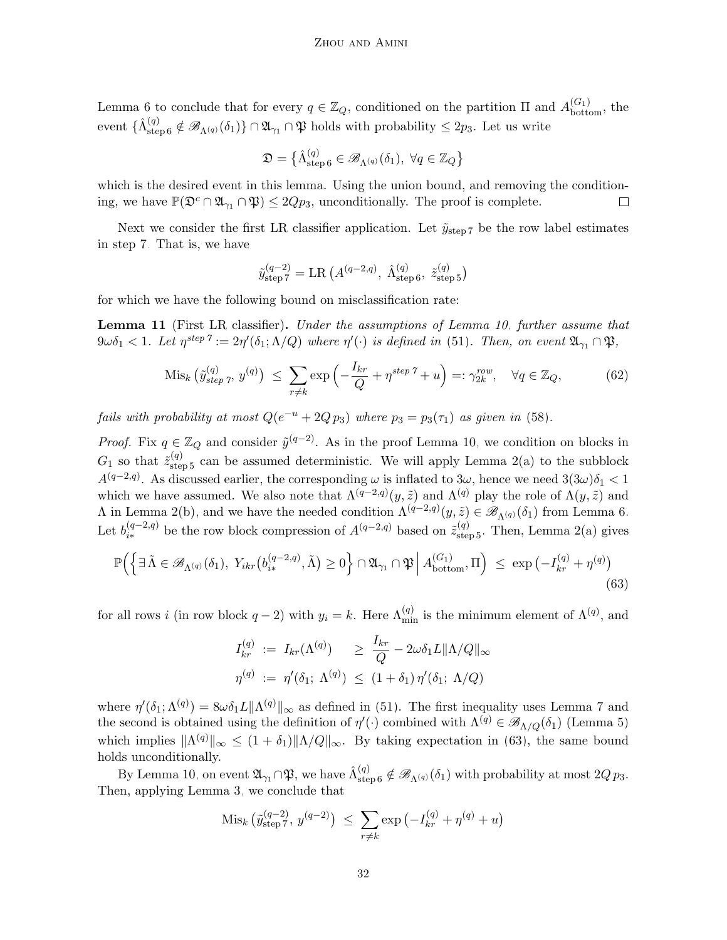Lemma [6](#page-28-1) to conclude that for every  $q \in \mathbb{Z}_Q$ , conditioned on the partition  $\Pi$  and  $A_{\text{bottom}}^{(G_1)}$ , the event  $\{\hat{\Lambda}_{\text{step 6}}^{(q)} \notin \mathscr{B}_{\Lambda^{(q)}}(\delta_1)\} \cap \mathfrak{A}_{\gamma_1} \cap \mathfrak{P}$  $\{\hat{\Lambda}_{\text{step 6}}^{(q)} \notin \mathscr{B}_{\Lambda^{(q)}}(\delta_1)\} \cap \mathfrak{A}_{\gamma_1} \cap \mathfrak{P}$  $\{\hat{\Lambda}_{\text{step 6}}^{(q)} \notin \mathscr{B}_{\Lambda^{(q)}}(\delta_1)\} \cap \mathfrak{A}_{\gamma_1} \cap \mathfrak{P}$  holds with probability  $\leq 2p_3$ . Let us write

$$
\mathfrak{D} = \big\{ \hat{\Lambda}_{\text{step 6}}^{(q)} \in \mathscr{B}_{\Lambda^{(q)}}(\delta_1), \ \forall q \in \mathbb{Z}_Q \big\}
$$

which is the desired event in this lemma. Using the union bound, and removing the conditioning, we have  $\mathbb{P}(\mathfrak{D}^c \cap \mathfrak{A}_{\gamma_1} \cap \mathfrak{P}) \leq 2Qp_3$ , unconditionally. The proof is complete.  $\Box$ 

Next we consider the first LR classifier application. Let  $\tilde{y}_{step 7}$  $\tilde{y}_{step 7}$  $\tilde{y}_{step 7}$  be the row label estimates in step [7.](#page-16-0) That is, we have

<span id="page-31-1"></span>
$$
\tilde{y}_{\text{step 7}}^{(q-2)} = \text{LR} (A^{(q-2,q)}, \hat{\Lambda}_{\text{step 6}}^{(q)}, \tilde{z}_{\text{step 5}}^{(q)})
$$

for which we have the following bound on misclassification rate:

<span id="page-31-2"></span>Lemma 11 (First LR classifier). Under the assumptions of Lemma [10,](#page-30-2) further assume that  $9\omega\delta_1 < 1$ . Let  $\eta^{step\ \gamma} := 2\eta'(\delta_1;\Lambda/Q)$  where  $\eta'(\cdot)$  is defined in [\(51\)](#page-25-3). Then, on event  $\mathfrak{A}_{\gamma_1} \cap \mathfrak{P}$ ,

$$
\operatorname{Mis}_k\left(\tilde{y}_{step\ \gamma}^{(q)},\ y^{(q)}\right) \ \leq \ \sum_{r \neq k} \exp\left(-\frac{I_{kr}}{Q} + \eta^{step\ \gamma} + u\right) =: \gamma_{2k}^{row}, \quad \forall q \in \mathbb{Z}_Q,\tag{62}
$$

fails with probability at most  $Q(e^{-u} + 2Q p_3)$  where  $p_3 = p_3(\tau_1)$  as given in [\(58\)](#page-28-2).

*Proof.* Fix  $q \in \mathbb{Z}_Q$  and consider  $\tilde{y}^{(q-2)}$ . As in the proof Lemma [10,](#page-30-2) we condition on blocks in  $G_1$  so that  $\tilde{z}_{\text{step 5}}^{(q)}$  $\tilde{z}_{\text{step 5}}^{(q)}$  $\tilde{z}_{\text{step 5}}^{(q)}$  can be assumed deterministic. We will apply Lemma [2\(a\)](#page-25-6) to the subblock  $A^{(q-2,q)}$ . As discussed earlier, the corresponding  $\omega$  is inflated to  $3\omega$ , hence we need  $3(3\omega)\delta_1 < 1$ which we have assumed. We also note that  $\Lambda^{(q-2,q)}(y,\tilde{z})$  and  $\Lambda^{(q)}$  play the role of  $\Lambda(y,\tilde{z})$  and  $\Lambda$  in Lemma [2\(b\),](#page-25-1) and we have the needed condition  $\Lambda^{(q-2,q)}(y,\tilde{z}) \in \mathscr{B}_{\Lambda^{(q)}}(\delta_1)$  from Lemma [6.](#page-28-1) Let  $b_{i*}^{(q-2,q)}$  $\tilde{z}_{i*}^{(q-2,q)}$  be the row block compression of  $A^{(q-2,q)}$  based on  $\tilde{z}_{step 5}^{(q)}$  $\tilde{z}_{step 5}^{(q)}$  $\tilde{z}_{step 5}^{(q)}$ . Then, Lemma [2\(a\)](#page-25-6) gives

$$
\mathbb{P}\Big(\Big\{\exists \,\tilde{\Lambda}\in\mathscr{B}_{\Lambda^{(q)}}(\delta_1),\ Y_{ikr}\big(b_{i*}^{(q-2,q)},\tilde{\Lambda}\big)\geq 0\Big\}\cap\mathfrak{A}_{\gamma_1}\cap\mathfrak{P}\Big|\,A_{\text{bottom}}^{(G_1)},\Pi\Big)\ \leq\ \exp\left(-I_{kr}^{(q)}+\eta^{(q)}\right)\tag{63}
$$

for all rows i (in row block  $q-2$ ) with  $y_i = k$ . Here  $\Lambda_{\min}^{(q)}$  is the minimum element of  $\Lambda^{(q)}$ , and

<span id="page-31-0"></span>
$$
I_{kr}^{(q)} := I_{kr}(\Lambda^{(q)}) \ge \frac{I_{kr}}{Q} - 2\omega \delta_1 L \|\Lambda/Q\|_{\infty}
$$
  

$$
\eta^{(q)} := \eta'(\delta_1; \Lambda^{(q)}) \le (1 + \delta_1) \eta'(\delta_1; \Lambda/Q)
$$

where  $\eta'(\delta_1; \Lambda^{(q)}) = 8\omega \delta_1 L \|\Lambda^{(q)}\|_{\infty}$  as defined in [\(51\)](#page-25-3). The first inequality uses Lemma [7](#page-29-2) and the second is obtained using the definition of  $\eta'(\cdot)$  combined with  $\Lambda^{(q)} \in \mathscr{B}_{\Lambda/Q}(\delta_1)$  (Lemma [5\)](#page-28-0) which implies  $\|\Lambda^{(q)}\|_{\infty} \leq (1+\delta_1)\|\Lambda/Q\|_{\infty}$ . By taking expectation in [\(63\)](#page-31-0), the same bound holds unconditionally.

By Lemma [10,](#page-30-2) on event  $\mathfrak{A}_{\gamma_1} \cap \mathfrak{P}$ , we have  $\hat{\Lambda}_{\text{step 6}}^{(q)} \notin \mathscr{B}_{\Lambda^{(q)}}(\delta_1)$  $\hat{\Lambda}_{\text{step 6}}^{(q)} \notin \mathscr{B}_{\Lambda^{(q)}}(\delta_1)$  $\hat{\Lambda}_{\text{step 6}}^{(q)} \notin \mathscr{B}_{\Lambda^{(q)}}(\delta_1)$  with probability at most  $2Q p_3$ . Then, applying Lemma [3,](#page-26-0) we conclude that

$$
\text{Mis}_k\left(\tilde{y}_{\text{step }7}^{(q-2)},\,y^{(q-2)}\right) \,\,\leq\,\, \sum_{r \neq k} \exp\left(-I_{kr}^{(q)} + \eta^{(q)} + u\right)
$$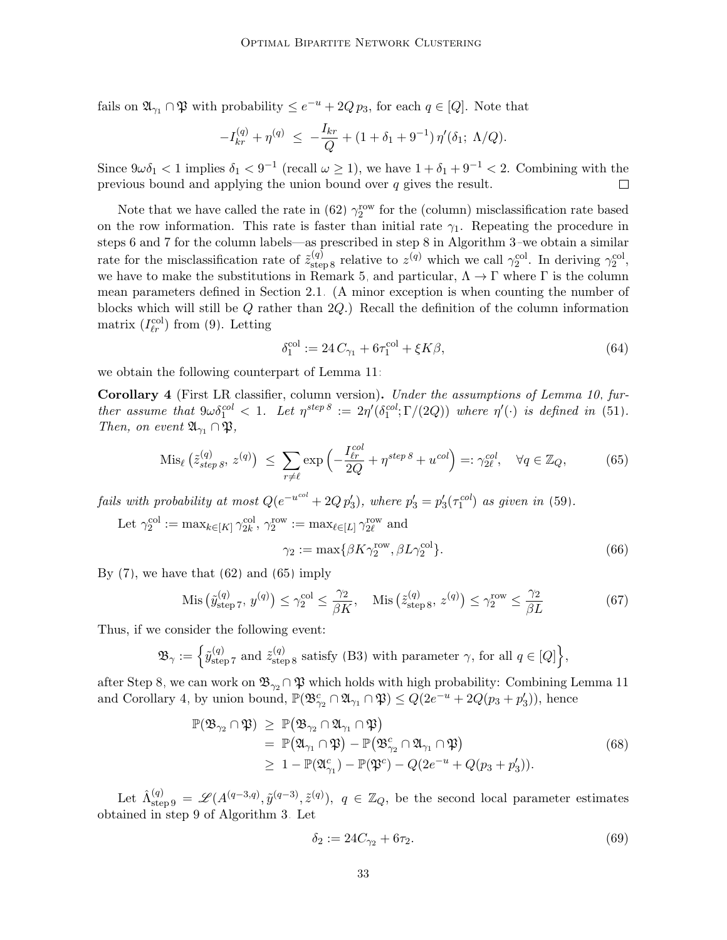fails on  $\mathfrak{A}_{\gamma_1} \cap \mathfrak{P}$  with probability  $\leq e^{-u} + 2Q p_3$ , for each  $q \in [Q]$ . Note that

$$
-I_{kr}^{(q)} + \eta^{(q)} \le -\frac{I_{kr}}{Q} + (1 + \delta_1 + 9^{-1})\eta'(\delta_1; \Lambda/Q).
$$

Since  $9\omega\delta_1 < 1$  implies  $\delta_1 < 9^{-1}$  (recall  $\omega \ge 1$ ), we have  $1 + \delta_1 + 9^{-1} < 2$ . Combining with the previous bound and applying the union bound over  $q$  gives the result.

Note that we have called the rate in [\(62\)](#page-31-1)  $\gamma_2^{\text{row}}$  for the (column) misclassification rate based on the row information. This rate is faster than initial rate  $\gamma_1$ . Repeating the procedure in steps [6](#page-16-0) and [7](#page-16-0) for the column labels—as prescribed in step [8](#page-16-0) in Algorithm [3–](#page-16-0)we obtain a similar rate for the misclassification rate of  $\tilde{z}_{\text{step 8}}^{(q)}$  $\tilde{z}_{\text{step 8}}^{(q)}$  $\tilde{z}_{\text{step 8}}^{(q)}$  relative to  $z^{(q)}$  which we call  $\gamma_2^{\text{col}}$ . In deriving  $\gamma_2^{\text{col}}$ , we have to make the substitutions in Remark [5,](#page-28-3) and particular,  $\Lambda \to \Gamma$  where  $\Gamma$  is the column mean parameters defined in Section [2.1.](#page-3-1) (A minor exception is when counting the number of blocks which will still be Q rather than 2Q.) Recall the definition of the column information matrix  $(I_{\ell r}^{\text{col}})$  from [\(9\)](#page-7-1). Letting

<span id="page-32-5"></span><span id="page-32-1"></span><span id="page-32-0"></span>
$$
\delta_1^{\text{col}} := 24 C_{\gamma_1} + 6\tau_1^{\text{col}} + \xi K\beta,\tag{64}
$$

we obtain the following counterpart of Lemma [11:](#page-31-2)

<span id="page-32-2"></span>Corollary 4 (First LR classifier, column version). Under the assumptions of Lemma [10,](#page-30-2) further assume that  $9\omega \delta_1^{col} < 1$ . Let  $\eta^{step\ 8} := 2\eta'(\delta_1^{col}; \Gamma/(2Q))$  $\eta^{step\ 8} := 2\eta'(\delta_1^{col}; \Gamma/(2Q))$  $\eta^{step\ 8} := 2\eta'(\delta_1^{col}; \Gamma/(2Q))$  where  $\eta'(\cdot)$  is defined in [\(51\)](#page-25-3). Then, on event  $\mathfrak{A}_{\gamma_1} \cap \mathfrak{P},$ 

$$
\mathrm{Mis}_{\ell}\left(\tilde{z}_{step\,8}^{(q)},\,z^{(q)}\right) \,\,\leq\,\,\sum_{r\neq\ell}\exp\left(-\frac{I_{\ell r}^{col}}{2Q}+\eta^{step\,8}+u^{col}\right)=:\gamma_{2\ell}^{col},\quad\forall q\in\mathbb{Z}_Q,\tag{65}
$$

fails with probability at most  $Q(e^{-u^{col}} + 2Q p_3')$ , where  $p_3' = p_3'(\tau_1^{col})$  as given in [\(59\)](#page-28-4).

Let 
$$
\gamma_2^{\text{col}} := \max_{k \in [K]} \gamma_{2k}^{\text{col}}, \gamma_2^{\text{row}} := \max_{\ell \in [L]} \gamma_{2\ell}^{\text{row}}
$$
 and  

$$
\gamma_2 := \max\{\beta K \gamma_2^{\text{row}}, \beta L \gamma_2^{\text{col}}\}.
$$
 (66)

By  $(7)$ , we have that  $(62)$  and  $(65)$  imply

$$
\text{Mis}\left(\tilde{y}_{\text{step 7}}^{(q)}, y^{(q)}\right) \le \gamma_2^{\text{col}} \le \frac{\gamma_2}{\beta K}, \quad \text{Mis}\left(\tilde{z}_{\text{step 8}}^{(q)}, z^{(q)}\right) \le \gamma_2^{\text{row}} \le \frac{\gamma_2}{\beta L} \tag{67}
$$

Thus, if we consider the following event:

$$
\mathfrak{B}_{\gamma} := \left\{ \tilde{y}_{\text{step 7}}^{(q)} \text{ and } \tilde{z}_{\text{step 8}}^{(q)} \text{ satisfy (B3) with parameter } \gamma \text{, for all } q \in [Q] \right\},\
$$

after Step [8,](#page-16-0) we can work on  $\mathfrak{B}_{\gamma_2} \cap \mathfrak{P}$  which holds with high probability: Combining Lemma [11](#page-31-2) and Corollary [4,](#page-32-2) by union bound,  $\mathbb{P}(\mathfrak{B}_{\gamma_2}^c \cap \mathfrak{A}_{\gamma_1} \cap \mathfrak{P}) \leq Q(2e^{-u} + 2Q(p_3 + p_3'))$ , hence

$$
\mathbb{P}(\mathfrak{B}_{\gamma_2} \cap \mathfrak{P}) \geq \mathbb{P}(\mathfrak{B}_{\gamma_2} \cap \mathfrak{A}_{\gamma_1} \cap \mathfrak{P})
$$
  
\n
$$
= \mathbb{P}(\mathfrak{A}_{\gamma_1} \cap \mathfrak{P}) - \mathbb{P}(\mathfrak{B}_{\gamma_2}^c \cap \mathfrak{A}_{\gamma_1} \cap \mathfrak{P})
$$
  
\n
$$
\geq 1 - \mathbb{P}(\mathfrak{A}_{\gamma_1}^c) - \mathbb{P}(\mathfrak{P}^c) - Q(2e^{-u} + Q(p_3 + p_3')).
$$
\n(68)

Let  $\hat{\Lambda}^{(q)}_{\text{step 9}} = \mathscr{L}(A^{(q-3,q)}, \tilde{y}^{(q-3)}, \tilde{z}^{(q)})$  $\hat{\Lambda}^{(q)}_{\text{step 9}} = \mathscr{L}(A^{(q-3,q)}, \tilde{y}^{(q-3)}, \tilde{z}^{(q)})$  $\hat{\Lambda}^{(q)}_{\text{step 9}} = \mathscr{L}(A^{(q-3,q)}, \tilde{y}^{(q-3)}, \tilde{z}^{(q)})$ ,  $q \in \mathbb{Z}_Q$ , be the second local parameter estimates obtained in step [9](#page-16-0) of Algorithm [3.](#page-16-0) Let

<span id="page-32-4"></span><span id="page-32-3"></span>
$$
\delta_2 := 24C_{\gamma_2} + 6\tau_2. \tag{69}
$$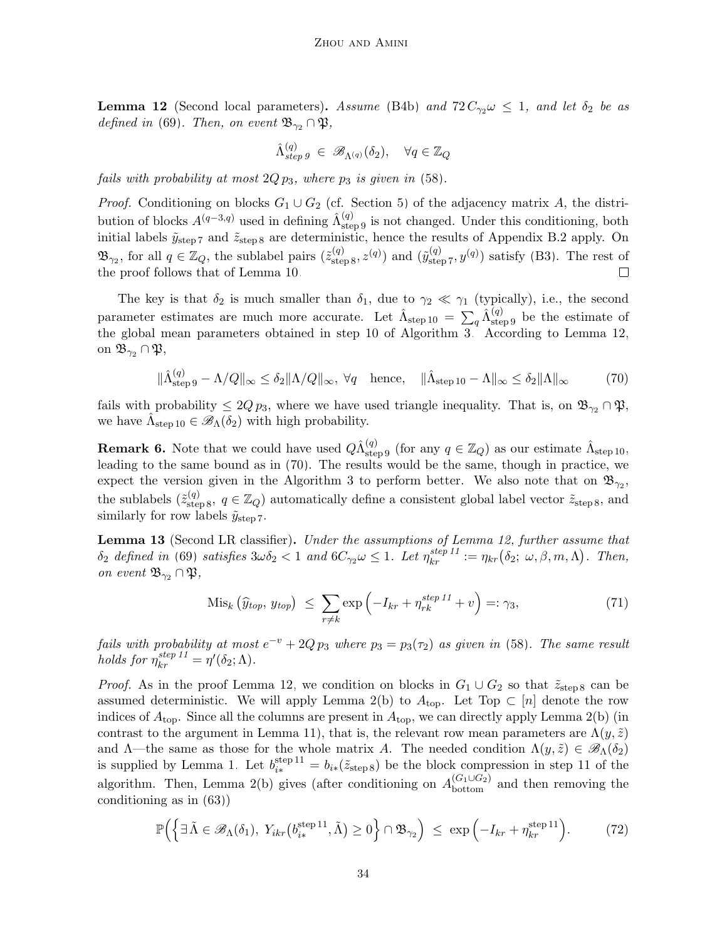<span id="page-33-0"></span>**Lemma 12** (Second local parameters). Assume [\(B4b\)](#page-27-1) and  $72 C_{\gamma2} \omega \leq 1$ , and let  $\delta_2$  be as defined in [\(69\)](#page-32-3). Then, on event  $\mathfrak{B}_{\gamma_2} \cap \mathfrak{P}$ ,

<span id="page-33-1"></span>
$$
\hat{\Lambda}_{step\,g}^{(q)} \in \mathscr{B}_{\Lambda^{(q)}}(\delta_2), \quad \forall q \in \mathbb{Z}_Q
$$

fails with probability at most  $2Qp_3$ , where  $p_3$  is given in [\(58\)](#page-28-2).

*Proof.* Conditioning on blocks  $G_1 \cup G_2$  (cf. Section [5\)](#page-15-0) of the adjacency matrix A, the distribution of blocks  $A^{(q-3,q)}$  used in defining  $\hat{\Lambda}_{\text{step 9}}^{(q)}$  $\hat{\Lambda}_{\text{step 9}}^{(q)}$  $\hat{\Lambda}_{\text{step 9}}^{(q)}$  is not changed. Under this conditioning, both initial labels  $\tilde{y}_{step 7}$  $\tilde{y}_{step 7}$  $\tilde{y}_{step 7}$  and  $\tilde{z}_{step 8}$  $\tilde{z}_{step 8}$  $\tilde{z}_{step 8}$  are deterministic, hence the results of Appendix [B.2](#page-27-0) apply. On  $\mathfrak{B}_{\gamma_2}$ , for all  $q \in \mathbb{Z}_Q$ , the sublabel pairs  $(\tilde{z}_{\text{step 8}}^{(q)}, z^{(q)})$  $(\tilde{z}_{\text{step 8}}^{(q)}, z^{(q)})$  $(\tilde{z}_{\text{step 8}}^{(q)}, z^{(q)})$  and  $(\tilde{y}_{\text{step 7}}^{(q)}, y^{(q)})$  $(\tilde{y}_{\text{step 7}}^{(q)}, y^{(q)})$  $(\tilde{y}_{\text{step 7}}^{(q)}, y^{(q)})$  satisfy [\(B3\)](#page-20-0). The rest of the proof follows that of Lemma [10.](#page-30-2)  $\Box$ 

The key is that  $\delta_2$  is much smaller than  $\delta_1$ , due to  $\gamma_2 \ll \gamma_1$  (typically), i.e., the second parameter estimates are much more accurate. Let  $\hat{\Lambda}_{\text{step 10}} = \sum_{q} \hat{\Lambda}_{\text{step 9}}^{(q)}$  $\hat{\Lambda}_{\text{step 10}} = \sum_{q} \hat{\Lambda}_{\text{step 9}}^{(q)}$  $\hat{\Lambda}_{\text{step 10}} = \sum_{q} \hat{\Lambda}_{\text{step 9}}^{(q)}$  $\hat{\Lambda}_{\text{step 10}} = \sum_{q} \hat{\Lambda}_{\text{step 9}}^{(q)}$  $\hat{\Lambda}_{\text{step 10}} = \sum_{q} \hat{\Lambda}_{\text{step 9}}^{(q)}$  be the estimate of the global mean parameters obtained in step [10](#page-16-0) of Algorithm [3.](#page-16-0) According to Lemma [12,](#page-33-0) on  $\mathfrak{B}_{\gamma_2} \cap \mathfrak{P},$ 

$$
\|\hat{\Lambda}_{\text{step 9}}^{(q)} - \Lambda/Q\|_{\infty} \le \delta_2 \|\Lambda/Q\|_{\infty}, \ \forall q \quad \text{hence}, \quad \|\hat{\Lambda}_{\text{step 10}} - \Lambda\|_{\infty} \le \delta_2 \|\Lambda\|_{\infty} \tag{70}
$$

fails with probability  $\leq 2Q p_3$ , where we have used triangle inequality. That is, on  $\mathfrak{B}_{\gamma_2} \cap \mathfrak{P}$ , we have  $\hat{\Lambda}_{\text{step 10}} \in \mathscr{B}_{\Lambda}(\delta_2)$  $\hat{\Lambda}_{\text{step 10}} \in \mathscr{B}_{\Lambda}(\delta_2)$  $\hat{\Lambda}_{\text{step 10}} \in \mathscr{B}_{\Lambda}(\delta_2)$  with high probability.

**Remark 6.** Note that we could have used  $Q\hat{\Lambda}_{\text{step 9}}^{(q)}$  $Q\hat{\Lambda}_{\text{step 9}}^{(q)}$  $Q\hat{\Lambda}_{\text{step 9}}^{(q)}$  (for any  $q \in \mathbb{Z}_Q$ ) as our estimate  $\hat{\Lambda}_{\text{step 10}}$  $\hat{\Lambda}_{\text{step 10}}$  $\hat{\Lambda}_{\text{step 10}}$ , leading to the same bound as in [\(70\)](#page-33-1). The results would be the same, though in practice, we expect the version given in the Algorithm [3](#page-16-0) to perform better. We also note that on  $\mathfrak{B}_{\gamma_2}$ , the sublabels  $(\tilde{z}_{step 8}^{(q)}, q \in \mathbb{Z}_Q)$  $(\tilde{z}_{step 8}^{(q)}, q \in \mathbb{Z}_Q)$  $(\tilde{z}_{step 8}^{(q)}, q \in \mathbb{Z}_Q)$  automatically define a consistent global label vector  $\tilde{z}_{step 8}$ , and similarly for row labels  $\tilde{y}_{step 7}$  $\tilde{y}_{step 7}$  $\tilde{y}_{step 7}$ .

<span id="page-33-3"></span>Lemma 13 (Second LR classifier). Under the assumptions of Lemma [12,](#page-33-0) further assume that  $\delta_2$  defined in [\(69\)](#page-32-3) satisfies  $3\omega\delta_2 < 1$  and  $6C_{\gamma_2}\omega \leq 1$ . Let  $\eta_{kr}^{step 11} := \eta_{kr}(\delta_2; \omega, \beta, m, \Lambda)$  $\eta_{kr}^{step 11} := \eta_{kr}(\delta_2; \omega, \beta, m, \Lambda)$  $\eta_{kr}^{step 11} := \eta_{kr}(\delta_2; \omega, \beta, m, \Lambda)$ . Then, on event  $\mathfrak{B}_{\gamma_2} \cap \mathfrak{P},$ 

<span id="page-33-2"></span>
$$
\text{Mis}_k\left(\widehat{y}_{top}, y_{top}\right) \le \sum_{r \neq k} \exp\left(-I_{kr} + \eta_{rk}^{step\ 11} + v\right) =: \gamma_3,\tag{71}
$$

fails with probability at most  $e^{-v} + 2Q p_3$  where  $p_3 = p_3(\tau_2)$  as given in [\(58\)](#page-28-2). The same result holds for  $\eta_{kr}^{step 11} = \eta'(\delta_2; \Lambda)$  $\eta_{kr}^{step 11} = \eta'(\delta_2; \Lambda)$  $\eta_{kr}^{step 11} = \eta'(\delta_2; \Lambda)$ .

*Proof.* As in the proof Lemma [12,](#page-33-0) we condition on blocks in  $G_1 \cup G_2$  so that  $\tilde{z}_{step 8}$  $\tilde{z}_{step 8}$  $\tilde{z}_{step 8}$  can be assumed deterministic. We will apply Lemma [2\(b\)](#page-25-1) to  $A_{\text{top}}$ . Let Top  $\subset [n]$  denote the row indices of  $A_{\text{top}}$ . Since all the columns are present in  $A_{\text{top}}$ , we can directly apply Lemma [2\(b\)](#page-25-1) (in contrast to the argument in Lemma [11\)](#page-31-2), that is, the relevant row mean parameters are  $\Lambda(y,\tilde{z})$ and  $\Lambda$ —the same as those for the whole matrix A. The needed condition  $\Lambda(y, \tilde{z}) \in \mathscr{B}_{\Lambda}(\delta_2)$ is supplied by Lemma [1.](#page-24-2) Let  $b_{i*}^{step 11} = b_{i*}(\tilde{z}_{step 8})$  $b_{i*}^{step 11} = b_{i*}(\tilde{z}_{step 8})$  $b_{i*}^{step 11} = b_{i*}(\tilde{z}_{step 8})$  $b_{i*}^{step 11} = b_{i*}(\tilde{z}_{step 8})$  $b_{i*}^{step 11} = b_{i*}(\tilde{z}_{step 8})$  be the block compression in step 11 of the algorithm. Then, Lemma [2\(b\)](#page-25-1) gives (after conditioning on  $A_{\text{bottom}}^{(G_1 \cup G_2)}$  and then removing the conditioning as in [\(63\)](#page-31-0))

$$
\mathbb{P}\Big(\Big\{\exists \,\tilde{\Lambda}\in\mathscr{B}_{\Lambda}(\delta_1),\ Y_{ikr}\big(b_{i*}^{\text{step 11}},\tilde{\Lambda}\big)\geq 0\Big\}\cap\mathfrak{B}_{\gamma_2}\Big)\ \leq\ \exp\Big(-I_{kr}+\eta_{kr}^{\text{step 11}}\Big). \tag{72}
$$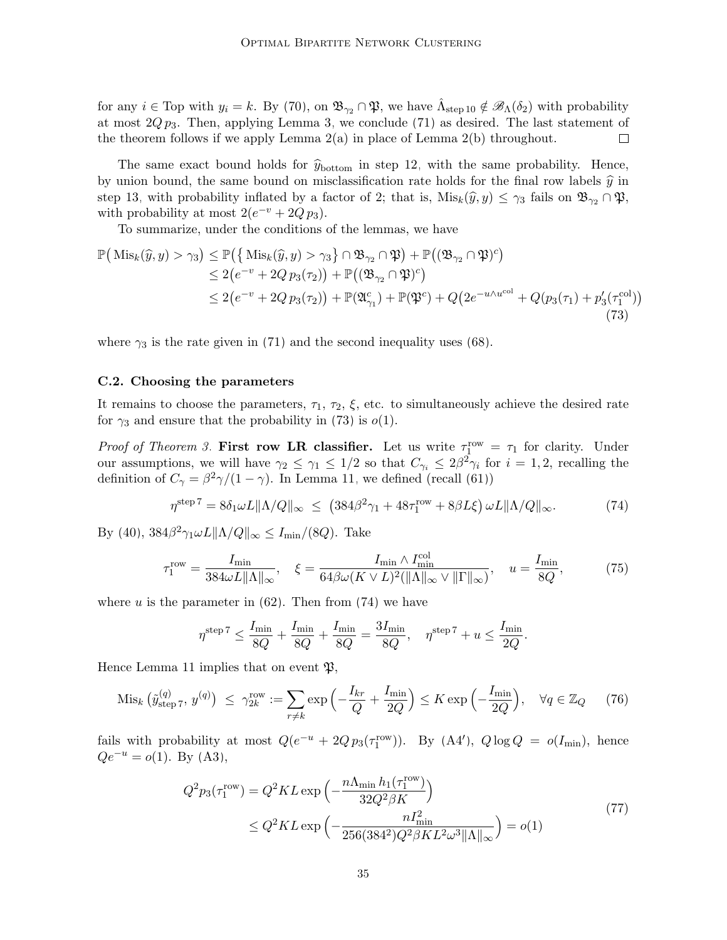for any  $i \in \text{Top}$  with  $y_i = k$ . By [\(70\)](#page-33-1), on  $\mathfrak{B}_{\gamma_2} \cap \mathfrak{P}$ , we have  $\hat{\Lambda}_{\text{step 10}} \notin \mathscr{B}_{\Lambda}(\delta_2)$  $\hat{\Lambda}_{\text{step 10}} \notin \mathscr{B}_{\Lambda}(\delta_2)$  $\hat{\Lambda}_{\text{step 10}} \notin \mathscr{B}_{\Lambda}(\delta_2)$  with probability at most  $2Qp_3$ . Then, applying Lemma [3,](#page-26-0) we conclude [\(71\)](#page-33-2) as desired. The last statement of the theorem follows if we apply Lemma  $2(a)$  in place of Lemma  $2(b)$  throughout.  $\Box$ 

The same exact bound holds for  $\hat{y}_{\text{bottom}}$  in step [12,](#page-16-0) with the same probability. Hence, by union bound, the same bound on misclassification rate holds for the final row labels  $\hat{y}$  in step [13,](#page-16-0) with probability inflated by a factor of 2; that is,  $\text{Mis}_k(\hat{y}, y) \leq \gamma_3$  fails on  $\mathfrak{B}_{\gamma_2} \cap \mathfrak{P}$ , with probability at most  $2(e^{-v} + 2Qp_3)$ .

To summarize, under the conditions of the lemmas, we have

$$
\mathbb{P}\left(\operatorname{Mis}_k(\widehat{y}, y) > \gamma_3\right) \le \mathbb{P}\left(\left\{\operatorname{Mis}_k(\widehat{y}, y) > \gamma_3\right\} \cap \mathfrak{B}_{\gamma_2} \cap \mathfrak{P}\right) + \mathbb{P}\left((\mathfrak{B}_{\gamma_2} \cap \mathfrak{P})^c\right) \n\le 2\left(e^{-v} + 2Qp_3(\tau_2)\right) + \mathbb{P}\left((\mathfrak{B}_{\gamma_2} \cap \mathfrak{P})^c\right) \n\le 2\left(e^{-v} + 2Qp_3(\tau_2)\right) + \mathbb{P}(\mathfrak{A}_{\gamma_1}^c) + \mathbb{P}(\mathfrak{P}^c) + Q\left(2e^{-u\wedge u^{\text{col}}} + Q(p_3(\tau_1) + p_3'(\tau_1^{\text{col}})\right)
$$
\n(73)

where  $\gamma_3$  is the rate given in [\(71\)](#page-33-2) and the second inequality uses [\(68\)](#page-32-4).

#### <span id="page-34-0"></span>C.2. Choosing the parameters

It remains to choose the parameters,  $\tau_1$ ,  $\tau_2$ ,  $\xi$ , etc. to simultaneously achieve the desired rate for  $\gamma_3$  and ensure that the probability in [\(73\)](#page-34-1) is  $o(1)$ .

*Proof of Theorem [3.](#page-20-1)* First row LR classifier. Let us write  $\tau_1^{\text{row}} = \tau_1$  for clarity. Under our assumptions, we will have  $\gamma_2 \leq \gamma_1 \leq 1/2$  so that  $C_{\gamma_i} \leq 2\beta^2 \gamma_i$  for  $i = 1, 2$ , recalling the definition of  $C_{\gamma} = \frac{\beta^2 \gamma}{(1 - \gamma)}$ . In Lemma [11,](#page-31-2) we defined (recall [\(61\)](#page-30-1))

<span id="page-34-1"></span>
$$
\eta^{\text{step 7}} = 8\delta_1 \omega L \|\Lambda/Q\|_{\infty} \le (384\beta^2 \gamma_1 + 48\tau_1^{\text{row}} + 8\beta L\xi) \omega L \|\Lambda/Q\|_{\infty}.
$$
 (74)

By [\(40\)](#page-20-2),  $384\beta^2\gamma_1\omega L \|\Lambda/Q\|_{\infty} \le I_{\min}/(8Q)$ . Take

$$
\tau_1^{\text{row}} = \frac{I_{\text{min}}}{384\omega L \|\Lambda\|_{\infty}}, \quad \xi = \frac{I_{\text{min}} \wedge I_{\text{min}}^{\text{col}}}{64\beta\omega (K \vee L)^2 (\|\Lambda\|_{\infty} \vee \|\Gamma\|_{\infty})}, \quad u = \frac{I_{\text{min}}}{8Q},\tag{75}
$$

where u is the parameter in  $(62)$ . Then from  $(74)$  we have

<span id="page-34-4"></span><span id="page-34-3"></span><span id="page-34-2"></span>
$$
\eta^{\text{step 7}} \le \frac{I_{\min}}{8Q} + \frac{I_{\min}}{8Q} + \frac{I_{\min}}{8Q} = \frac{3I_{\min}}{8Q}, \quad \eta^{\text{step 7}} + u \le \frac{I_{\min}}{2Q}.
$$

Hence Lemma [11](#page-31-2) implies that on event  $\mathfrak{P}$ ,

$$
\text{Mis}_k\left(\tilde{y}_{\text{step }7}^{(q)},\,y^{(q)}\right) \,\,\leq\,\, \gamma_{2k}^{\text{row}} := \sum_{r \neq k} \exp\left(-\frac{I_{kr}}{Q} + \frac{I_{\min}}{2Q}\right) \leq K \exp\left(-\frac{I_{\min}}{2Q}\right), \quad \forall q \in \mathbb{Z}_Q \tag{76}
$$

fails with probability at most  $Q(e^{-u} + 2Q p_3(\tau_1^{\text{row}}))$ . By  $(A4')$ ,  $Q \log Q = o(I_{\text{min}})$ , hence  $Qe^{-u} = o(1)$ . By [\(A3\)](#page-7-2),

$$
Q^{2}p_{3}(\tau_{1}^{\text{row}}) = Q^{2}KL \exp\left(-\frac{n\Lambda_{\min}h_{1}(\tau_{1}^{\text{row}})}{32Q^{2}\beta K}\right)
$$
  
 
$$
\leq Q^{2}KL \exp\left(-\frac{nI_{\min}^{2}}{256(384^{2})Q^{2}\beta KL^{2}\omega^{3}||\Lambda||_{\infty}}\right) = o(1)
$$
 (77)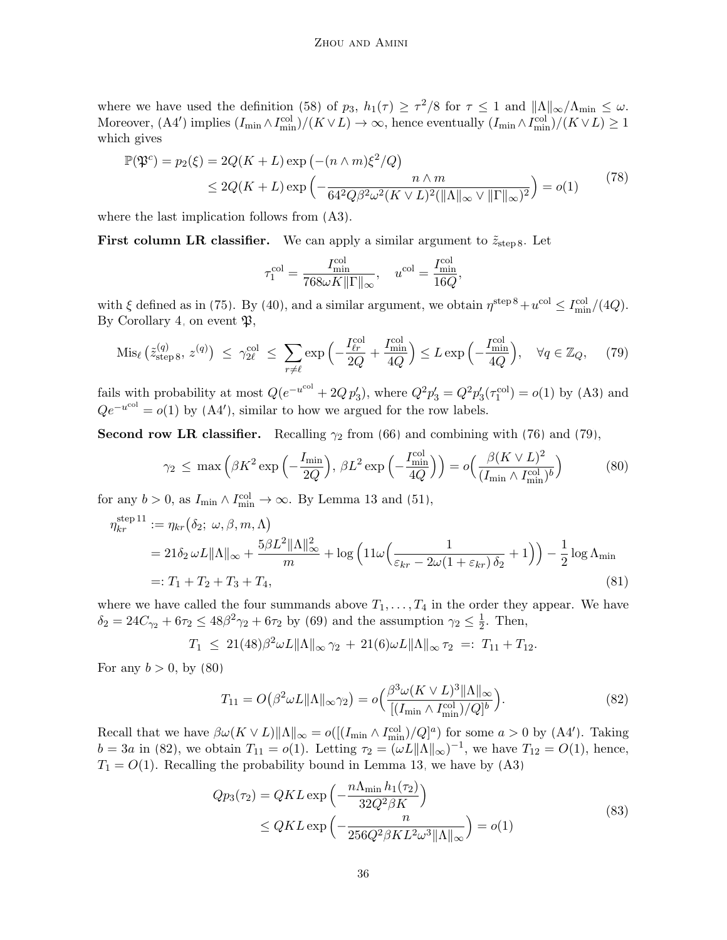where we have used the definition [\(58\)](#page-28-2) of  $p_3$ ,  $h_1(\tau) \geq \tau^2/8$  for  $\tau \leq 1$  and  $||\Lambda||_{\infty}/\Lambda_{\min} \leq \omega$ . Moreover,  $(A4')$  implies  $(I_{\min} \wedge I_{\min}^{\text{col}})/(K \vee L) \to \infty$ , hence eventually  $(I_{\min} \wedge I_{\min}^{\text{col}})/(K \vee L) \geq 1$ which gives

$$
\mathbb{P}(\mathfrak{P}^c) = p_2(\xi) = 2Q(K+L)\exp\left(-(n\wedge m)\xi^2/Q\right)
$$
  
\n
$$
\leq 2Q(K+L)\exp\left(-\frac{n\wedge m}{64^2Q\beta^2\omega^2(K\vee L)^2(\|\Lambda\|_{\infty}\vee\|\Gamma\|_{\infty})^2}\right) = o(1)
$$
\n(78)

where the last implication follows from [\(A3\)](#page-7-2).

First column LR classifier. We can apply a similar argument to  $\tilde{z}_{step 8}$  $\tilde{z}_{step 8}$  $\tilde{z}_{step 8}$ . Let

<span id="page-35-4"></span><span id="page-35-1"></span><span id="page-35-0"></span>
$$
\tau_1^{\rm col} = \frac{I_{\rm min}^{\rm col}}{768 \omega K \|\Gamma\|_\infty}, \quad u^{\rm col} = \frac{I_{\rm min}^{\rm col}}{16Q},
$$

with  $\xi$  defined as in [\(75\)](#page-34-3). By [\(40\)](#page-20-2), and a similar argument, we obtain  $\eta^{\text{step 8}} + u^{\text{col}} \le I_{\text{min}}^{\text{col}}/(4Q)$  $\eta^{\text{step 8}} + u^{\text{col}} \le I_{\text{min}}^{\text{col}}/(4Q)$  $\eta^{\text{step 8}} + u^{\text{col}} \le I_{\text{min}}^{\text{col}}/(4Q)$ . By Corollary [4,](#page-32-2) on event  $\mathfrak{B}$ ,

$$
\text{Mis}_{\ell}\left(\tilde{z}_{\text{step }8}^{(q)},\,z^{(q)}\right) \,\leq\, \gamma_{2\ell}^{\text{col}} \,\leq\, \sum_{r\neq\ell} \exp\left(-\frac{I_{\ell r}^{\text{col}}}{2Q} + \frac{I_{\text{min}}^{\text{col}}}{4Q}\right) \leq L \exp\left(-\frac{I_{\text{min}}^{\text{col}}}{4Q}\right), \quad \forall q \in \mathbb{Z}_Q,\tag{79}
$$

fails with probability at most  $Q(e^{-u^{\text{col}}} + 2Q p_3')$ , where  $Q^2 p_3' = Q^2 p_3'(\tau_1^{\text{col}}) = o(1)$  by [\(A3\)](#page-7-2) and  $Qe^{-u^{\text{col}}} = o(1)$  by  $(A4')$ , similar to how we argued for the row labels.

Second row LR classifier. Recalling  $\gamma_2$  from [\(66\)](#page-32-5) and combining with [\(76\)](#page-34-4) and [\(79\)](#page-35-0),

$$
\gamma_2 \le \max\left(\beta K^2 \exp\left(-\frac{I_{\min}}{2Q}\right), \,\beta L^2 \exp\left(-\frac{I_{\min}^{\text{col}}}{4Q}\right)\right) = o\left(\frac{\beta (K \vee L)^2}{(I_{\min} \wedge I_{\min}^{\text{col}})^b}\right) \tag{80}
$$

for any  $b > 0$ , as  $I_{\min} \wedge I_{\min}^{\text{col}} \to \infty$ . By Lemma [13](#page-33-3) and [\(51\)](#page-25-3),

$$
\eta_{kr}^{\text{step 11}} := \eta_{kr}(\delta_2; \omega, \beta, m, \Lambda)
$$
  
=  $21\delta_2 \omega L \|\Lambda\|_{\infty} + \frac{5\beta L^2 \|\Lambda\|_{\infty}^2}{m} + \log \left(11\omega \left(\frac{1}{\varepsilon_{kr} - 2\omega(1 + \varepsilon_{kr})\delta_2} + 1\right)\right) - \frac{1}{2}\log \Lambda_{\text{min}}$   
=:  $T_1 + T_2 + T_3 + T_4$ , (81)

where we have called the four summands above  $T_1, \ldots, T_4$  in the order they appear. We have  $\delta_2 = 24C_{\gamma_2} + 6\tau_2 \le 48\beta^2\gamma_2 + 6\tau_2$  by [\(69\)](#page-32-3) and the assumption  $\gamma_2 \le \frac{1}{2}$  $\frac{1}{2}$ . Then,

$$
T_1 \leq 21(48)\beta^2 \omega L \|\Lambda\|_{\infty} \gamma_2 + 21(6)\omega L \|\Lambda\|_{\infty} \tau_2 =: T_{11} + T_{12}.
$$

For any  $b > 0$ , by  $(80)$ 

<span id="page-35-3"></span><span id="page-35-2"></span>
$$
T_{11} = O\left(\beta^2 \omega L \|\Lambda\|_{\infty} \gamma_2\right) = o\left(\frac{\beta^3 \omega (K \vee L)^3 \|\Lambda\|_{\infty}}{\left[(I_{\min} \wedge I_{\min}^{\text{col}})/Q\right]^b}\right). \tag{82}
$$

Recall that we have  $\beta \omega(K \vee L) \|\Lambda\|_{\infty} = o([(I_{\min} \wedge I_{\min}^{\text{col}})/Q]^a)$  for some  $a > 0$  by  $(A4')$ . Taking  $b = 3a$  in [\(82\)](#page-35-2), we obtain  $T_{11} = o(1)$ . Letting  $\tau_2 = (\omega L ||\Lambda||_{\infty})^{-1}$ , we have  $T_{12} = O(1)$ , hence,  $T_1 = O(1)$ . Recalling the probability bound in Lemma [13,](#page-33-3) we have by  $(A3)$ 

$$
Qp_3(\tau_2) = QKL \exp\left(-\frac{n\Lambda_{\min}h_1(\tau_2)}{32Q^2\beta K}\right)
$$
  
 
$$
\le QKL \exp\left(-\frac{n}{256Q^2\beta KL^2\omega^3\|\Lambda\|_{\infty}}\right) = o(1)
$$
 (83)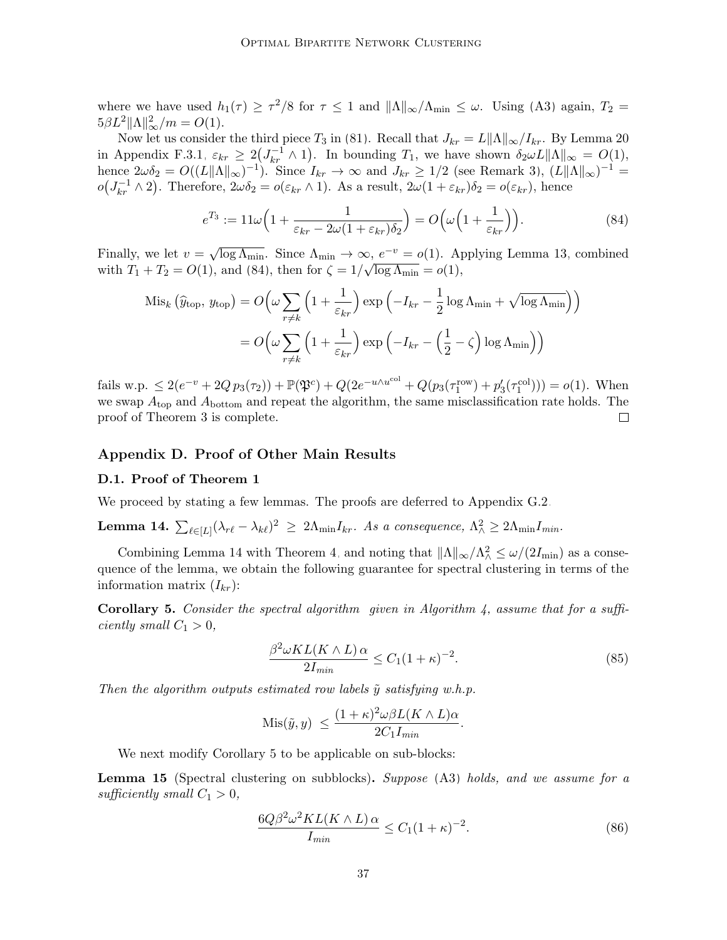where we have used  $h_1(\tau) \geq \tau^2/8$  for  $\tau \leq 1$  and  $||\Lambda||_{\infty}/\Lambda_{\min} \leq \omega$ . Using [\(A3\)](#page-7-2) again,  $T_2 =$  $5\beta L^2 \|\Lambda\|_{\infty}^2/m = O(1).$ 

Now let us consider the third piece  $T_3$  in [\(81\)](#page-35-3). Recall that  $J_{kr} = L||\Lambda||_{\infty}/I_{kr}$ . By Lemma [20](#page-46-1) in Appendix [F.3.1,](#page-45-0)  $\varepsilon_{kr} \geq 2(J_{kr}^{-1} \wedge 1)$ . In bounding  $T_1$ , we have shown  $\delta_2 \omega L ||\Lambda||_{\infty} = O(1)$ , hence  $2\omega\delta_2 = O((L\|\Lambda\|\_\infty)^{-1})$ . Since  $I_{kr} \to \infty$  and  $J_{kr} \ge 1/2$  (see Remark [3\)](#page-25-7),  $(L\|\Lambda\|\_\infty)^{-1} =$  $o(J_{kr}^{-1} \wedge 2)$ . Therefore,  $2\omega \delta_2 = o(\varepsilon_{kr} \wedge 1)$ . As a result,  $2\omega(1 + \varepsilon_{kr})\delta_2 = o(\varepsilon_{kr})$ , hence

<span id="page-36-1"></span>
$$
e^{T_3} := 11\omega \Big( 1 + \frac{1}{\varepsilon_{kr} - 2\omega (1 + \varepsilon_{kr}) \delta_2} \Big) = O\Big(\omega \Big( 1 + \frac{1}{\varepsilon_{kr}} \Big) \Big). \tag{84}
$$

Finally, we let  $v = \sqrt{\log \Lambda_{\min}}$ . Since  $\Lambda_{\min} \to \infty$ ,  $e^{-v} = o(1)$ . Applying Lemma [13,](#page-33-3) combined with  $T_1 + T_2 = O(1)$ , and [\(84\)](#page-36-1), then for  $\zeta = 1/\sqrt{\log \Lambda_{\min}} = o(1)$ ,

$$
\text{Mis}_k \left( \hat{y}_{\text{top}}, y_{\text{top}} \right) = O\left(\omega \sum_{r \neq k} \left(1 + \frac{1}{\varepsilon_{kr}}\right) \exp\left(-I_{kr} - \frac{1}{2} \log \Lambda_{\min} + \sqrt{\log \Lambda_{\min}}\right)\right)
$$

$$
= O\left(\omega \sum_{r \neq k} \left(1 + \frac{1}{\varepsilon_{kr}}\right) \exp\left(-I_{kr} - \left(\frac{1}{2} - \zeta\right) \log \Lambda_{\min}\right)\right)
$$

fails w.p.  $\leq 2(e^{-v} + 2Qp_3(\tau_2)) + \mathbb{P}(\mathfrak{P}^c) + Q(2e^{-u\wedge u^{\text{col}}} + Q(p_3(\tau_1^{\text{row}}) + p_3'(\tau_1^{\text{col}}))) = o(1)$ . When we swap  $A_{\text{top}}$  and  $A_{\text{bottom}}$  and repeat the algorithm, the same misclassification rate holds. The proof of Theorem [3](#page-20-1) is complete.  $\Box$ 

## Appendix D. Proof of Other Main Results

#### <span id="page-36-0"></span>D.1. Proof of Theorem [1](#page-7-4)

We proceed by stating a few lemmas. The proofs are deferred to Appendix [G.2.](#page-53-0)

<span id="page-36-2"></span>Lemma 14.  $\sum_{\ell \in [L]} (\lambda_{r\ell} - \lambda_{k\ell})^2 \ge 2\Lambda_{\min} I_{kr}$ . As a consequence,  $\Lambda^2_{\wedge} \ge 2\Lambda_{\min} I_{min}$ .

Combining Lemma [14](#page-36-2) with Theorem [4,](#page-21-2) and noting that  $||\Lambda||_{\infty}/\Lambda_{\Lambda}^2 \le \omega/(2I_{\min})$  as a consequence of the lemma, we obtain the following guarantee for spectral clustering in terms of the information matrix  $(I_{kr})$ :

<span id="page-36-3"></span>**Corollary 5.** Consider the spectral algorithm given in Algorithm [4,](#page-20-4) assume that for a sufficiently small  $C_1 > 0$ ,

<span id="page-36-6"></span>
$$
\frac{\beta^2 \omega KL(K \wedge L) \alpha}{2I_{min}} \le C_1 (1+\kappa)^{-2}.
$$
\n(85)

Then the algorithm outputs estimated row labels  $\tilde{y}$  satisfying w.h.p.

$$
Mis(\tilde{y}, y) \le \frac{(1+\kappa)^2 \omega \beta L(K \wedge L)\alpha}{2C_1 I_{min}}.
$$

We next modify Corollary [5](#page-36-3) to be applicable on sub-blocks:

<span id="page-36-5"></span>Lemma 15 (Spectral clustering on subblocks). Suppose [\(A3\)](#page-7-2) holds, and we assume for a sufficiently small  $C_1 > 0$ ,

<span id="page-36-4"></span>
$$
\frac{6Q\beta^2\omega^2KL(K\wedge L)\,\alpha}{I_{min}} \le C_1(1+\kappa)^{-2}.\tag{86}
$$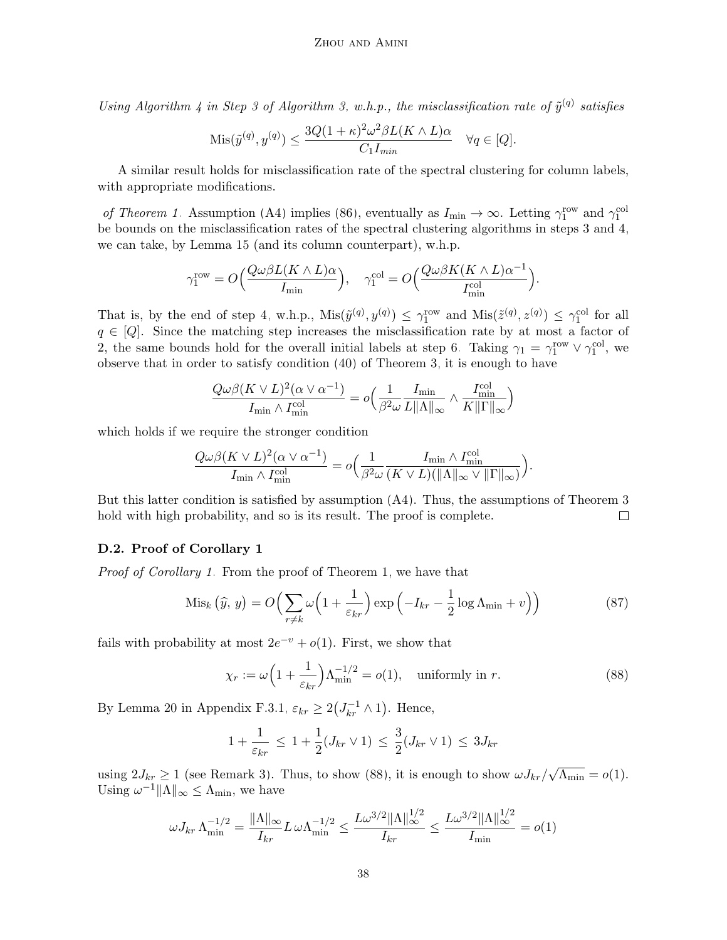Using Algorithm [4](#page-20-4) in Step [3](#page-16-0) of Algorithm [3,](#page-16-0) w.h.p., the misclassification rate of  $\tilde{y}^{(q)}$  satisfies

$$
Mis(\tilde{y}^{(q)}, y^{(q)}) \le \frac{3Q(1+\kappa)^2 \omega^2 \beta L(K \wedge L)\alpha}{C_1 I_{min}} \quad \forall q \in [Q].
$$

A similar result holds for misclassification rate of the spectral clustering for column labels, with appropriate modifications.

of Theorem [1.](#page-7-4) Assumption [\(A4\)](#page-7-2) implies [\(86\)](#page-36-4), eventually as  $I_{\min} \to \infty$ . Letting  $\gamma_1^{\text{row}}$  and  $\gamma_1^{\text{col}}$ be bounds on the misclassification rates of the spectral clustering algorithms in steps [3](#page-16-0) and [4,](#page-16-0) we can take, by Lemma [15](#page-36-5) (and its column counterpart), w.h.p.

$$
\gamma_1^{\text{row}} = O\Big(\frac{Q\omega\beta L(K \wedge L)\alpha}{I_{\min}}\Big), \quad \gamma_1^{\text{col}} = O\Big(\frac{Q\omega\beta K(K \wedge L)\alpha^{-1}}{I_{\min}^{\text{col}}}\Big).
$$

That is, by the end of step [4,](#page-16-0) w.h.p.,  $\text{Mis}(\tilde{y}^{(q)}, y^{(q)}) \leq \gamma_1^{\text{row}}$  and  $\text{Mis}(\tilde{z}^{(q)}, z^{(q)}) \leq \gamma_1^{\text{col}}$  for all  $q \in [Q]$ . Since the matching step increases the misclassification rate by at most a factor of 2, the same bounds hold for the overall initial labels at step [6.](#page-16-0) Taking  $\gamma_1 = \gamma_1^{\text{row}} \vee \gamma_1^{\text{col}}$ , we observe that in order to satisfy condition [\(40\)](#page-20-2) of Theorem [3,](#page-20-1) it is enough to have

$$
\frac{Q\omega\beta(K\vee L)^2(\alpha\vee\alpha^{-1})}{I_{\min}\wedge I_{\min}^{\text{col}}} = o\Big(\frac{1}{\beta^2\omega}\frac{I_{\min}}{L\|\Lambda\|_{\infty}}\wedge\frac{I_{\min}^{\text{col}}}{K\|\Gamma\|_{\infty}}\Big)
$$

which holds if we require the stronger condition

$$
\frac{Q\omega\beta(K\vee L)^2(\alpha\vee\alpha^{-1})}{I_{\min}\wedge I_{\min}^{\text{col}}} = o\Big(\frac{1}{\beta^2\omega}\frac{I_{\min}\wedge I_{\min}^{\text{col}}}{(K\vee L)(\|\Lambda\|_{\infty}\vee\|\Gamma\|_{\infty})}\Big).
$$

But this latter condition is satisfied by assumption [\(A4\)](#page-7-2). Thus, the assumptions of Theorem [3](#page-20-1) hold with high probability, and so is its result. The proof is complete.  $\Box$ 

## D.2. Proof of Corollary [1](#page-8-0)

Proof of Corollary [1.](#page-8-0) From the proof of Theorem [1,](#page-7-4) we have that

$$
\text{Mis}_k\left(\widehat{y},\,y\right) = O\Big(\sum_{r \neq k} \omega\Big(1 + \frac{1}{\varepsilon_{kr}}\Big) \exp\Big(-I_{kr} - \frac{1}{2}\log\Lambda_{\min} + v\Big)\Big) \tag{87}
$$

fails with probability at most  $2e^{-v} + o(1)$ . First, we show that

<span id="page-37-1"></span><span id="page-37-0"></span>
$$
\chi_r := \omega \left( 1 + \frac{1}{\varepsilon_{kr}} \right) \Lambda_{\min}^{-1/2} = o(1), \quad \text{uniformly in } r. \tag{88}
$$

By Lemma [20](#page-46-1) in Appendix [F.3.1,](#page-45-0)  $\varepsilon_{kr} \geq 2(J_{kr}^{-1} \wedge 1)$ . Hence,

$$
1 + \frac{1}{\varepsilon_{kr}} \le 1 + \frac{1}{2}(J_{kr} \vee 1) \le \frac{3}{2}(J_{kr} \vee 1) \le 3J_{kr}
$$

using  $2J_{kr} \ge 1$  (see Remark [3\)](#page-25-7). Thus, to show [\(88\)](#page-37-0), it is enough to show  $\omega J_{kr}/\sqrt{\Lambda_{\min}} = o(1)$ . Using  $\omega^{-1} \|\Lambda\|_{\infty} \leq \Lambda_{\min}$ , we have

$$
\omega J_{kr} \Lambda_{\min}^{-1/2} = \frac{\|\Lambda\|_{\infty}}{I_{kr}} L \omega \Lambda_{\min}^{-1/2} \le \frac{L \omega^{3/2} \|\Lambda\|_{\infty}^{1/2}}{I_{kr}} \le \frac{L \omega^{3/2} \|\Lambda\|_{\infty}^{1/2}}{I_{\min}} = o(1)
$$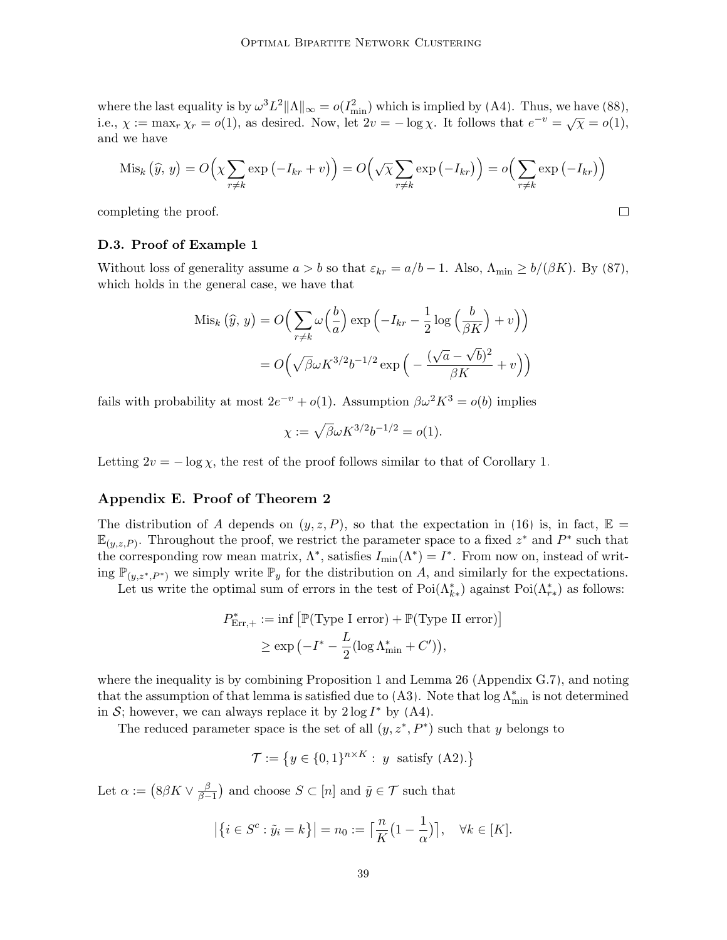where the last equality is by  $\omega^3 L^2 ||\Lambda||_{\infty} = o(I_{\min}^2)$  which is implied by [\(A4\)](#page-7-2). Thus, we have [\(88\)](#page-37-0), i.e.,  $\chi := \max_r \chi_r = o(1)$ , as desired. Now, let  $2v = -\log \chi$ . It follows that  $e^{-v} = \sqrt{\chi} = o(1)$ , and we have

$$
\mathrm{Mis}_k(\widehat{y}, y) = O\left(\chi \sum_{r \neq k} \exp\left(-I_{kr} + v\right)\right) = O\left(\sqrt{\chi} \sum_{r \neq k} \exp\left(-I_{kr}\right)\right) = o\left(\sum_{r \neq k} \exp\left(-I_{kr}\right)\right)
$$

 $\Box$ 

completing the proof.

#### <span id="page-38-0"></span>D.3. Proof of Example [1](#page-9-2)

Without loss of generality assume  $a > b$  so that  $\varepsilon_{kr} = a/b - 1$ . Also,  $\Lambda_{\min} \ge b/(\beta K)$ . By [\(87\)](#page-37-1), which holds in the general case, we have that

$$
\text{Mis}_k(\widehat{y}, y) = O\Big(\sum_{r \neq k} \omega\Big(\frac{b}{a}\Big) \exp\Big(-I_{kr} - \frac{1}{2}\log\Big(\frac{b}{\beta K}\Big) + v\Big)\Big)
$$

$$
= O\Big(\sqrt{\beta}\omega K^{3/2}b^{-1/2}\exp\Big(-\frac{(\sqrt{a} - \sqrt{b})^2}{\beta K} + v\Big)\Big)
$$

fails with probability at most  $2e^{-v} + o(1)$ . Assumption  $\beta \omega^2 K^3 = o(b)$  implies

$$
\chi := \sqrt{\beta} \omega K^{3/2} b^{-1/2} = o(1).
$$

Letting  $2v = -\log \chi$ , the rest of the proof follows similar to that of Corollary [1.](#page-8-0)

## Appendix E. Proof of Theorem [2](#page-9-0)

The distribution of A depends on  $(y, z, P)$ , so that the expectation in [\(16\)](#page-9-4) is, in fact,  $\mathbb{E} =$  $\mathbb{E}_{(y,z,P)}$ . Throughout the proof, we restrict the parameter space to a fixed  $z^*$  and  $P^*$  such that the corresponding row mean matrix,  $\Lambda^*$ , satisfies  $I_{\min}(\Lambda^*) = I^*$ . From now on, instead of writing  $\mathbb{P}_{(y,z^*,P^*)}$  we simply write  $\mathbb{P}_y$  for the distribution on A, and similarly for the expectations.

Let us write the optimal sum of errors in the test of  $Poi(\Lambda_{k*}^*)$  against  $Poi(\Lambda_{r*}^*)$  as follows:

$$
P_{\text{Err},+}^* := \inf \left[ \mathbb{P}(\text{Type I error}) + \mathbb{P}(\text{Type II error}) \right]
$$

$$
\geq \exp \left( -I^* - \frac{L}{2} (\log \Lambda_{\min}^* + C') \right),
$$

where the inequality is by combining Proposition [1](#page-7-0) and Lemma [26](#page-61-0) (Appendix  $G(7)$ , and noting that the assumption of that lemma is satisfied due to [\(A3\)](#page-7-2). Note that  $\log \Lambda_{\min}^*$  is not determined in S; however, we can always replace it by  $2 \log I^*$  by  $(A4)$ .

The reduced parameter space is the set of all  $(y, z^*, P^*)$  such that y belongs to

$$
\mathcal{T} := \left\{ y \in \{0, 1\}^{n \times K} : \ y \text{ satisfy (A2).} \right\}
$$

Let  $\alpha := \bigl( 8 \beta K \vee \frac{\beta}{\beta - 1} \bigr)$  $\beta-1$ ) and choose  $S\subset [n]$  and  $\tilde{y}\in \mathcal{T}$  such that

$$
\left| \left\{ i \in S^c : \tilde{y}_i = k \right\} \right| = n_0 := \left\lceil \frac{n}{K} \left( 1 - \frac{1}{\alpha} \right) \right\rceil, \quad \forall k \in [K].
$$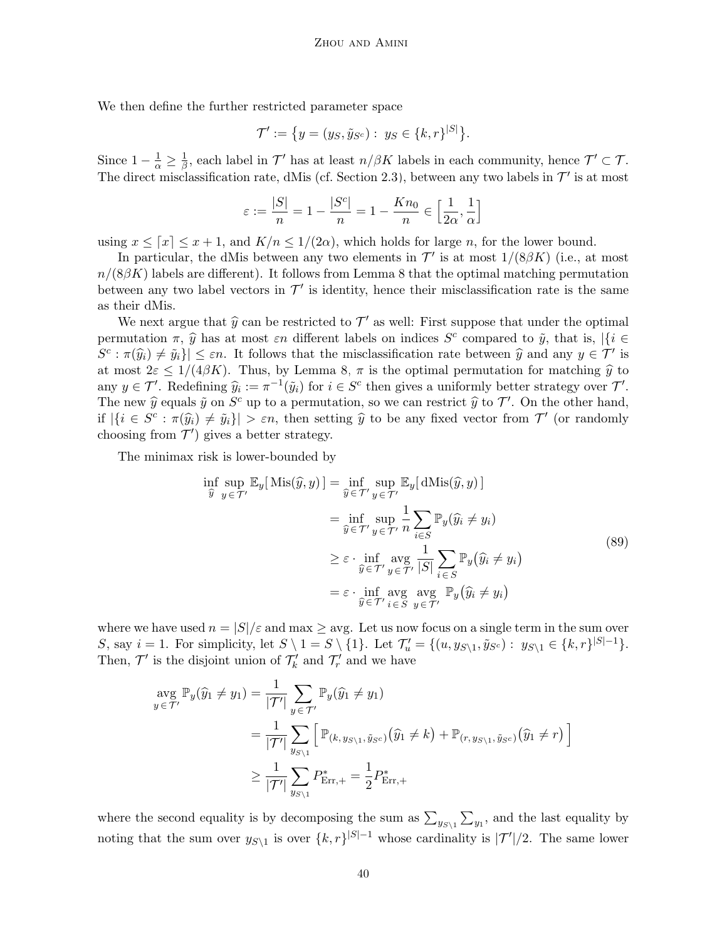We then define the further restricted parameter space

$$
\mathcal{T}' := \{ y = (y_S, \tilde{y}_{S^c}) : y_S \in \{k, r\}^{|S|} \}.
$$

Since  $1-\frac{1}{\alpha} \geq \frac{1}{\beta}$  $\frac{1}{\beta}$ , each label in  $\mathcal{T}'$  has at least  $n/\beta K$  labels in each community, hence  $\mathcal{T}' \subset \mathcal{T}$ . The direct misclassification rate, dMis (cf. Section [2.3\)](#page-5-2), between any two labels in  $\mathcal{T}'$  is at most

$$
\varepsilon:=\frac{|S|}{n}=1-\frac{|S^c|}{n}=1-\frac{Kn_0}{n}\in\Big[\frac{1}{2\alpha},\frac{1}{\alpha}\Big]
$$

using  $x \leq [x] \leq x + 1$ , and  $K/n \leq 1/(2\alpha)$ , which holds for large n, for the lower bound.

In particular, the dMis between any two elements in  $\mathcal{T}'$  is at most  $1/(8\beta K)$  (i.e., at most  $n/(8\beta K)$  labels are different). It follows from Lemma [8](#page-29-3) that the optimal matching permutation between any two label vectors in  $\mathcal{T}'$  is identity, hence their misclassification rate is the same as their dMis.

We next argue that  $\hat{y}$  can be restricted to  $\mathcal{T}'$  as well: First suppose that under the optimal permutation  $\pi$ ,  $\hat{y}$  has at most  $\varepsilon n$  different labels on indices  $S^c$  compared to  $\tilde{y}$ , that is,  $|\{i \in C^c \mid (\hat{z}_i)_{i \in C} \}$  $S^c : \pi(\widehat{y}_i) \neq \widetilde{y}_i\} \leq \varepsilon n$ . It follows that the misclassification rate between  $\widehat{y}$  and any  $y \in \mathcal{T}'$  is at most  $2\varepsilon \leq 1/(4\beta K)$ . Thus, by Lemma [8,](#page-29-3)  $\pi$  is the optimal permutation for matching  $\hat{y}$  to any  $y \in \mathcal{T}'$ . Redefining  $\widehat{y}_i := \pi^{-1}(\widetilde{y}_i)$  for  $i \in S^c$  then gives a uniformly better strategy over  $\mathcal{T}'$ . The new  $\hat{y}$  equals  $\tilde{y}$  on  $S^c$  up to a permutation, so we can restrict  $\hat{y}$  to  $\mathcal{T}'$ . On the other hand, if  $|\{i \in S^c : \pi(\widehat{y}_i) \neq \widetilde{y}_i\}| > \varepsilon n$ , then setting  $\widehat{y}$  to be any fixed vector from  $\mathcal{T}'$  (or randomly choosing from  $\mathcal{T}'$  gives a better strategy.

The minimax risk is lower-bounded by

<span id="page-39-0"></span>
$$
\inf_{\widehat{y}} \sup_{y \in \mathcal{T}'} \mathbb{E}_{y}[\text{ Mis}(\widehat{y}, y)] = \inf_{\widehat{y} \in \mathcal{T}'} \sup_{y \in \mathcal{T}'} \mathbb{E}_{y}[\text{dMis}(\widehat{y}, y)]
$$
\n
$$
= \inf_{\widehat{y} \in \mathcal{T}'} \sup_{y \in \mathcal{T}'} \frac{1}{n} \sum_{i \in S} \mathbb{P}_{y}(\widehat{y}_{i} \neq y_{i})
$$
\n
$$
\geq \varepsilon \cdot \inf_{\widehat{y} \in \mathcal{T}'} \sup_{y \in \mathcal{T}'} \frac{1}{|S|} \sum_{i \in S} \mathbb{P}_{y}(\widehat{y}_{i} \neq y_{i})
$$
\n
$$
= \varepsilon \cdot \inf_{\widehat{y} \in \mathcal{T}'} \sup_{i \in S} \sup_{y \in \mathcal{T}'} \mathbb{P}_{y}(\widehat{y}_{i} \neq y_{i})
$$
\n(89)

where we have used  $n = |S|/\varepsilon$  and max  $\geq$  avg. Let us now focus on a single term in the sum over S, say  $i = 1$ . For simplicity, let  $S \setminus 1 = S \setminus \{1\}$ . Let  $\mathcal{T}'_u = \{(u, y_{S \setminus 1}, \tilde{y}_{S^c}) : y_{S \setminus 1} \in \{k, r\}^{|S|-1}\}$ . Then,  $\mathcal{T}'$  is the disjoint union of  $\mathcal{T}'_k$  and  $\mathcal{T}'_r$  and we have

$$
\begin{aligned} \n\arg \, \mathbb{P}_{y}(\widehat{y}_{1} \neq y_{1}) &= \frac{1}{|\mathcal{T}'|} \sum_{y \in \mathcal{T}'} \mathbb{P}_{y}(\widehat{y}_{1} \neq y_{1}) \\ \n&= \frac{1}{|\mathcal{T}'|} \sum_{y_{S \setminus 1}} \left[ \mathbb{P}_{(k, y_{S \setminus 1}, \widehat{y}_{S^c})}(\widehat{y}_{1} \neq k) + \mathbb{P}_{(r, y_{S \setminus 1}, \widehat{y}_{S^c})}(\widehat{y}_{1} \neq r) \right] \\ \n&\ge \frac{1}{|\mathcal{T}'|} \sum_{y_{S \setminus 1}} P_{\text{Err},+}^{*} = \frac{1}{2} P_{\text{Err},+}^{*} \n\end{aligned}
$$

where the second equality is by decomposing the sum as  $\sum_{y_{S\setminus 1}} \sum_{y_1}$ , and the last equality by noting that the sum over  $y_{S\setminus 1}$  is over  $\{k, r\}^{|S|-1}$  whose cardinality is  $|\mathcal{T}'|/2$ . The same lower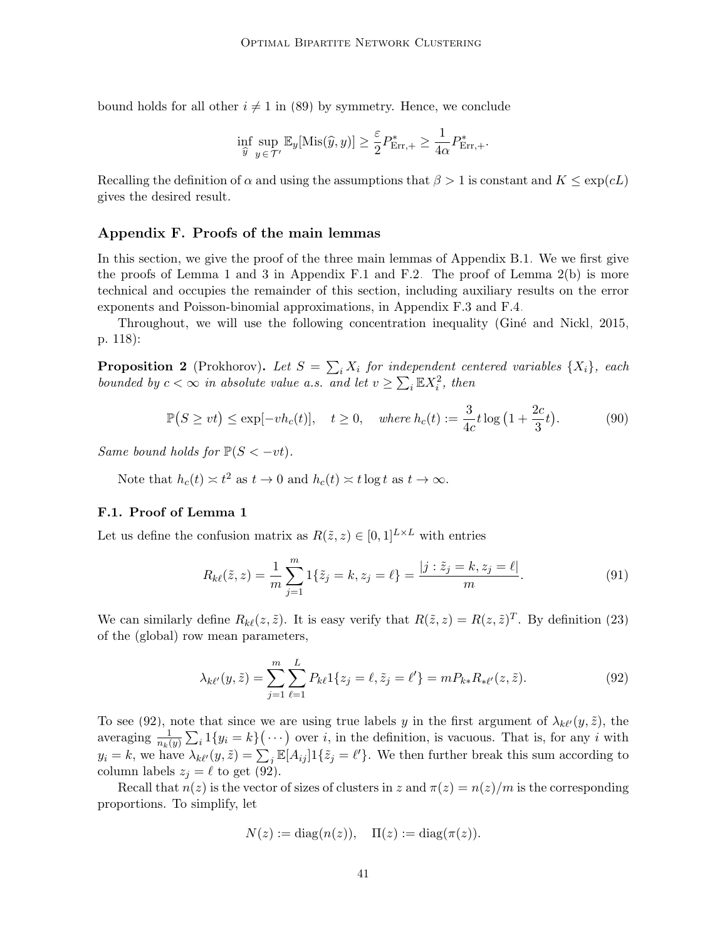bound holds for all other  $i \neq 1$  in [\(89\)](#page-39-0) by symmetry. Hence, we conclude

$$
\inf_{\widehat{y}} \sup_{y \in \mathcal{T}'} \mathbb{E}_y[\text{Mis}(\widehat{y}, y)] \ge \frac{\varepsilon}{2} P_{\text{Err},+}^* \ge \frac{1}{4\alpha} P_{\text{Err},+}^*.
$$

Recalling the definition of  $\alpha$  and using the assumptions that  $\beta > 1$  is constant and  $K \leq \exp(cL)$ gives the desired result.

#### <span id="page-40-0"></span>Appendix F. Proofs of the main lemmas

In this section, we give the proof of the three main lemmas of Appendix [B.1.](#page-24-0) We we first give the proofs of Lemma [1](#page-24-2) and [3](#page-26-0) in Appendix [F.1](#page-40-1) and [F.2.](#page-44-1) The proof of Lemma [2\(b\)](#page-25-1) is more technical and occupies the remainder of this section, including auxiliary results on the error exponents and Poisson-binomial approximations, in Appendix [F.3](#page-44-0) and [F.4.](#page-47-0)

Throughout, we will use the following concentration inequality (Gine and Nickl, 2015, p. 118):

<span id="page-40-4"></span>**Proposition 2** (Prokhorov). Let  $S = \sum_i X_i$  for independent centered variables  $\{X_i\}$ , each bounded by  $c < \infty$  in absolute value a.s. and let  $v \ge \sum_i \mathbb{E}X_i^2$ , then

$$
\mathbb{P}(S \ge vt) \le \exp[-vh_c(t)], \quad t \ge 0, \quad \text{where } h_c(t) := \frac{3}{4c}t \log\left(1 + \frac{2c}{3}t\right). \tag{90}
$$

Same bound holds for  $\mathbb{P}(S \lt -vt)$ .

Note that  $h_c(t) \approx t^2$  as  $t \to 0$  and  $h_c(t) \approx t \log t$  as  $t \to \infty$ .

## <span id="page-40-1"></span>F.1. Proof of Lemma [1](#page-24-2)

Let us define the confusion matrix as  $R(\tilde{z}, z) \in [0, 1]^{L \times L}$  with entries

<span id="page-40-3"></span>
$$
R_{k\ell}(\tilde{z}, z) = \frac{1}{m} \sum_{j=1}^{m} 1\{\tilde{z}_j = k, z_j = \ell\} = \frac{|j : \tilde{z}_j = k, z_j = \ell|}{m}.
$$
\n(91)

We can similarly define  $R_{k\ell}(z, \tilde{z})$ . It is easy verify that  $R(\tilde{z}, z) = R(z, \tilde{z})^T$ . By definition [\(23\)](#page-12-1) of the (global) row mean parameters,

$$
\lambda_{k\ell'}(y,\tilde{z}) = \sum_{j=1}^{m} \sum_{\ell=1}^{L} P_{k\ell} 1\{z_j = \ell, \tilde{z}_j = \ell'\} = m P_{k*} R_{* \ell'}(z,\tilde{z}). \tag{92}
$$

To see [\(92\)](#page-40-2), note that since we are using true labels y in the first argument of  $\lambda_{k\ell}(y, \tilde{z})$ , the averaging  $\frac{1}{n_k(y)}\sum_i 1\{y_i = k\}(\cdots)$  over i, in the definition, is vacuous. That is, for any i with  $y_i = k$ , we have  $\lambda_{k\ell'}(y, \tilde{z}) = \sum_j \mathbb{E}[A_{ij}] 1\{\tilde{z}_j = \ell'\}.$  We then further break this sum according to column labels  $z_i = \ell$  to get [\(92\)](#page-40-2).

Recall that  $n(z)$  is the vector of sizes of clusters in z and  $\pi(z) = n(z)/m$  is the corresponding proportions. To simplify, let

<span id="page-40-2"></span>
$$
N(z) := \text{diag}(n(z)), \quad \Pi(z) := \text{diag}(\pi(z)).
$$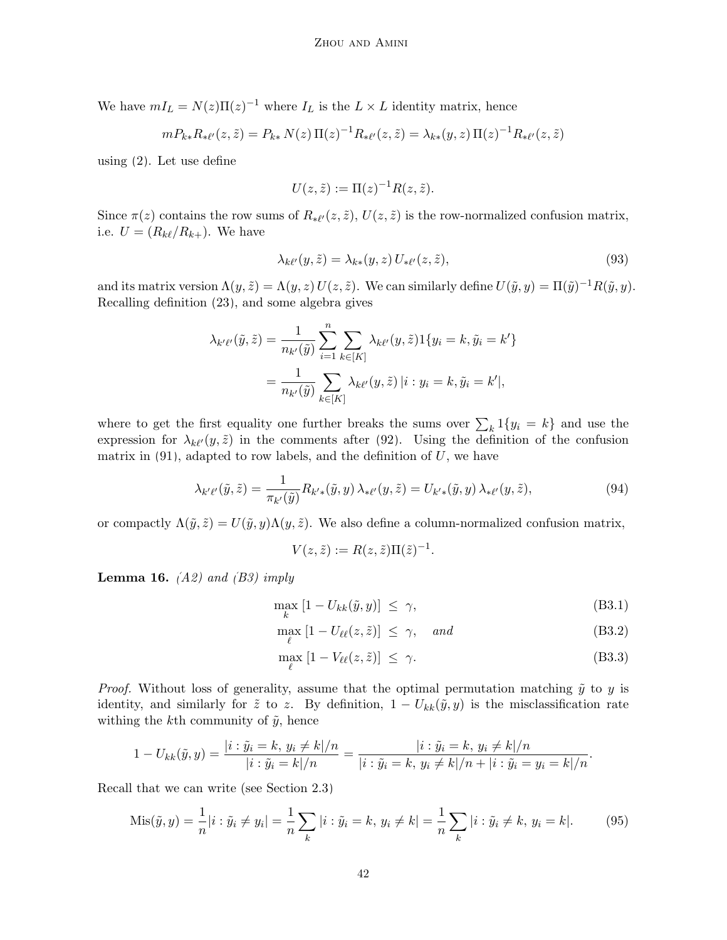We have  $mI_L = N(z)\Pi(z)^{-1}$  where  $I_L$  is the  $L \times L$  identity matrix, hence

$$
m P_{k*} R_{* \ell'}(z, \tilde{z}) = P_{k*} N(z) \Pi(z)^{-1} R_{* \ell'}(z, \tilde{z}) = \lambda_{k*}(y, z) \Pi(z)^{-1} R_{* \ell'}(z, \tilde{z})
$$

using [\(2\)](#page-4-1). Let use define

<span id="page-41-2"></span>
$$
U(z, \tilde{z}) := \Pi(z)^{-1} R(z, \tilde{z}).
$$

Since  $\pi(z)$  contains the row sums of  $R_{*l'}(z, \tilde{z})$ ,  $U(z, \tilde{z})$  is the row-normalized confusion matrix, i.e.  $U = (R_{k\ell}/R_{k+})$ . We have

$$
\lambda_{k\ell'}(y,\tilde{z}) = \lambda_{k*}(y,z) U_{* \ell'}(z,\tilde{z}),\tag{93}
$$

and its matrix version  $\Lambda(y, \tilde{z}) = \Lambda(y, z) U(z, \tilde{z})$ . We can similarly define  $U(\tilde{y}, y) = \Pi(\tilde{y})^{-1} R(\tilde{y}, y)$ . Recalling definition [\(23\)](#page-12-1), and some algebra gives

$$
\lambda_{k'\ell'}(\tilde{y}, \tilde{z}) = \frac{1}{n_{k'}(\tilde{y})} \sum_{i=1}^{n} \sum_{k \in [K]} \lambda_{k\ell'}(y, \tilde{z}) \mathbb{1}\{y_i = k, \tilde{y}_i = k'\}
$$

$$
= \frac{1}{n_{k'}(\tilde{y})} \sum_{k \in [K]} \lambda_{k\ell'}(y, \tilde{z}) |i : y_i = k, \tilde{y}_i = k'|,
$$

where to get the first equality one further breaks the sums over  $\sum_{k} 1\{y_i = k\}$  and use the expression for  $\lambda_{k\ell}(y, \tilde{z})$  in the comments after [\(92\)](#page-40-2). Using the definition of the confusion matrix in  $(91)$ , adapted to row labels, and the definition of U, we have

$$
\lambda_{k'\ell'}(\tilde{y},\tilde{z}) = \frac{1}{\pi_{k'}(\tilde{y})} R_{k'\ast}(\tilde{y},y) \lambda_{\ast\ell'}(y,\tilde{z}) = U_{k'\ast}(\tilde{y},y) \lambda_{\ast\ell'}(y,\tilde{z}),\tag{94}
$$

or compactly  $\Lambda(\tilde{y}, \tilde{z}) = U(\tilde{y}, y) \Lambda(y, \tilde{z})$ . We also define a column-normalized confusion matrix,

<span id="page-41-3"></span>
$$
V(z,\tilde{z}) := R(z,\tilde{z})\Pi(\tilde{z})^{-1}.
$$

<span id="page-41-1"></span>**Lemma 16.**  $(A2)$  and  $(B3)$  imply

$$
\max_{k} [1 - U_{kk}(\tilde{y}, y)] \le \gamma, \tag{B3.1}
$$

$$
\max_{\ell} [1 - U_{\ell\ell}(z, \tilde{z})] \le \gamma, \quad and \tag{B3.2}
$$

<span id="page-41-0"></span>
$$
\max_{\ell} [1 - V_{\ell\ell}(z, \tilde{z})] \le \gamma.
$$
 (B3.3)

*Proof.* Without loss of generality, assume that the optimal permutation matching  $\tilde{y}$  to y is identity, and similarly for  $\tilde{z}$  to z. By definition,  $1 - U_{kk}(\tilde{y}, y)$  is the misclassification rate withing the k<sup>th</sup> community of  $\tilde{y}$ , hence

$$
1 - U_{kk}(\tilde{y}, y) = \frac{|i : \tilde{y}_i = k, y_i \neq k|}{|i : \tilde{y}_i = k|}{n} = \frac{|i : \tilde{y}_i = k, y_i \neq k|}{n} = \frac{|i : \tilde{y}_i = k, y_i \neq k|}{n} = \frac{|i : \tilde{y}_i = k - \tilde{y}_i}{n}.
$$

Recall that we can write (see Section [2.3\)](#page-5-2)

$$
Mis(\tilde{y}, y) = \frac{1}{n}|i : \tilde{y}_i \neq y_i| = \frac{1}{n} \sum_k |i : \tilde{y}_i = k, y_i \neq k| = \frac{1}{n} \sum_k |i : \tilde{y}_i \neq k, y_i = k|.
$$
 (95)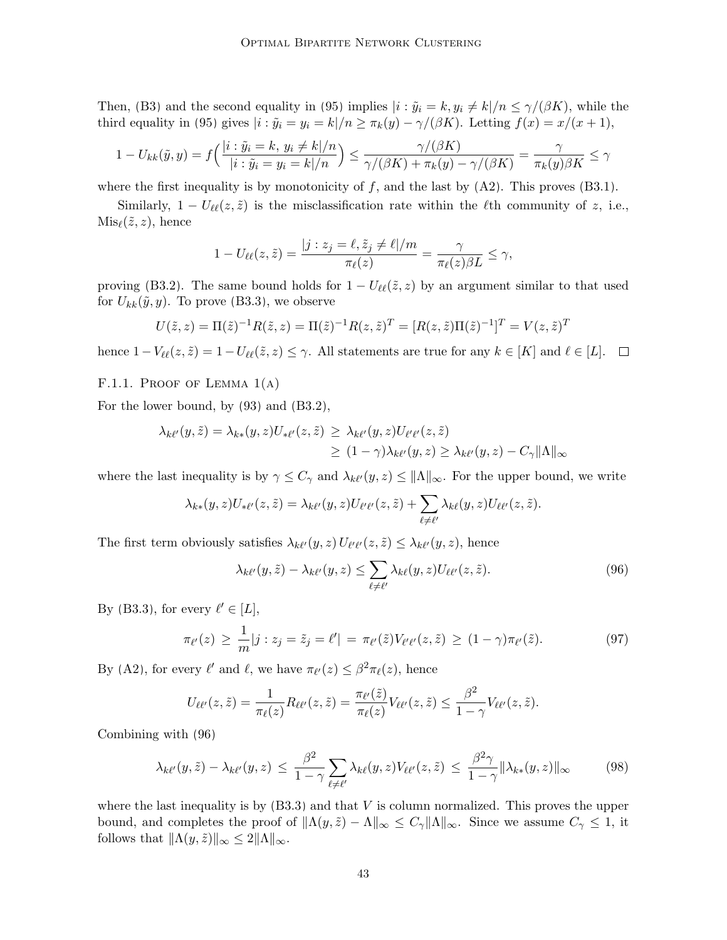Then, [\(B3\)](#page-20-0) and the second equality in [\(95\)](#page-41-0) implies  $|i : \tilde{y}_i = k, y_i \neq k | / n \leq \gamma/(\beta K)$ , while the third equality in [\(95\)](#page-41-0) gives  $|i : \tilde{y}_i = y_i = k | / n \ge \pi_k(y) - \gamma/(\beta K)$ . Letting  $f(x) = x/(x+1)$ ,

$$
1 - U_{kk}(\tilde{y}, y) = f\left(\frac{|i : \tilde{y}_i = k, y_i \neq k|/n}{|i : \tilde{y}_i = y_i = k|/n}\right) \le \frac{\gamma/(\beta K)}{\gamma/(\beta K) + \pi_k(y) - \gamma/(\beta K)} = \frac{\gamma}{\pi_k(y)\beta K} \le \gamma
$$

where the first inequality is by monotonicity of f, and the last by  $(A2)$ . This proves  $(B3.1)$ .

Similarly,  $1 - U_{\ell\ell}(z, \tilde{z})$  is the misclassification rate within the  $\ell$ th community of z, i.e.,  $Mis_{\ell}(\tilde{z}, z)$ , hence

$$
1 - U_{\ell\ell}(z,\tilde{z}) = \frac{|j:z_j = \ell, \tilde{z}_j \neq \ell|/m}{\pi_{\ell}(z)} = \frac{\gamma}{\pi_{\ell}(z)\beta L} \leq \gamma,
$$

proving [\(B3.2\)](#page-41-1). The same bound holds for  $1 - U_{\ell\ell}(\tilde{z}, z)$  by an argument similar to that used for  $U_{kk}(\tilde{y}, y)$ . To prove [\(B3.3\)](#page-41-1), we observe

$$
U(\tilde{z}, z) = \Pi(\tilde{z})^{-1} R(\tilde{z}, z) = \Pi(\tilde{z})^{-1} R(z, \tilde{z})^{T} = [R(z, \tilde{z}) \Pi(\tilde{z})^{-1}]^{T} = V(z, \tilde{z})^{T}
$$

hence  $1-V_{\ell\ell}(z,\tilde{z}) = 1-U_{\ell\ell}(\tilde{z},z) \leq \gamma$ . All statements are true for any  $k \in [K]$  and  $\ell \in [L]$ .  $\Box$ 

#### F.1.1. PROOF OF LEMMA  $1(A)$

For the lower bound, by [\(93\)](#page-41-2) and [\(B3.2\)](#page-41-1),

$$
\lambda_{k\ell'}(y,\tilde{z}) = \lambda_{k*}(y,z)U_{* \ell'}(z,\tilde{z}) \geq \lambda_{k\ell'}(y,z)U_{\ell' \ell'}(z,\tilde{z})
$$
  

$$
\geq (1-\gamma)\lambda_{k\ell'}(y,z) \geq \lambda_{k\ell'}(y,z) - C_{\gamma} \|\Lambda\|_{\infty}
$$

where the last inequality is by  $\gamma \leq C_{\gamma}$  and  $\lambda_{k\ell'}(y, z) \leq ||\Lambda||_{\infty}$ . For the upper bound, we write

$$
\lambda_{k*}(y,z)U_{*l'}(z,\tilde{z})=\lambda_{kll'}(y,z)U_{l'l'}(z,\tilde{z})+\sum_{\ell\neq l'}\lambda_{k\ell}(y,z)U_{l\ell'}(z,\tilde{z}).
$$

The first term obviously satisfies  $\lambda_{k\ell'}(y, z) U_{\ell'\ell'}(z, \tilde{z}) \leq \lambda_{k\ell'}(y, z)$ , hence

<span id="page-42-1"></span><span id="page-42-0"></span>
$$
\lambda_{k\ell'}(y,\tilde{z}) - \lambda_{k\ell'}(y,z) \le \sum_{\ell \ne \ell'} \lambda_{k\ell}(y,z) U_{\ell\ell'}(z,\tilde{z}). \tag{96}
$$

By [\(B3.3\)](#page-41-1), for every  $\ell' \in [L]$ ,

$$
\pi_{\ell'}(z) \ge \frac{1}{m}|j:z_j = \tilde{z}_j = \ell'| = \pi_{\ell'}(\tilde{z})V_{\ell'\ell'}(z,\tilde{z}) \ge (1-\gamma)\pi_{\ell'}(\tilde{z}). \tag{97}
$$

By [\(A2\)](#page-6-0), for every  $\ell'$  and  $\ell$ , we have  $\pi_{\ell'}(z) \leq \beta^2 \pi_{\ell}(z)$ , hence

$$
U_{\ell\ell'}(z,\tilde{z})=\frac{1}{\pi_{\ell}(z)}R_{\ell\ell'}(z,\tilde{z})=\frac{\pi_{\ell'}(\tilde{z})}{\pi_{\ell}(z)}V_{\ell\ell'}(z,\tilde{z})\leq \frac{\beta^2}{1-\gamma}V_{\ell\ell'}(z,\tilde{z}).
$$

Combining with [\(96\)](#page-42-0)

$$
\lambda_{k\ell'}(y,\tilde{z}) - \lambda_{k\ell'}(y,z) \le \frac{\beta^2}{1-\gamma} \sum_{\ell \neq \ell'} \lambda_{k\ell}(y,z) V_{\ell\ell'}(z,\tilde{z}) \le \frac{\beta^2 \gamma}{1-\gamma} \|\lambda_{k*}(y,z)\|_{\infty}
$$
(98)

where the last inequality is by  $(B3.3)$  and that V is column normalized. This proves the upper bound, and completes the proof of  $\|\Lambda(y, \tilde{z}) - \Lambda\|_{\infty} \leq C_{\gamma} \|\Lambda\|_{\infty}$ . Since we assume  $C_{\gamma} \leq 1$ , it follows that  $\|\Lambda(y, \tilde{z})\|_{\infty} \leq 2\|\Lambda\|_{\infty}$ .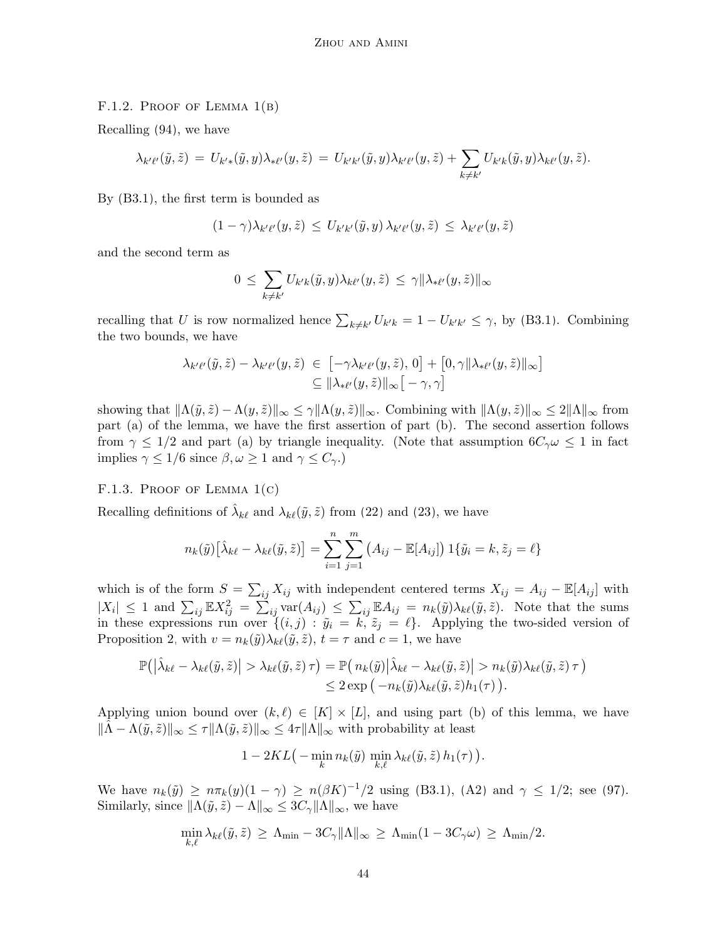#### F.1.2. PROOF OF LEMMA  $1(B)$

Recalling [\(94\)](#page-41-3), we have

$$
\lambda_{k'\ell'}(\tilde{y},\tilde{z}) = U_{k'\ast}(\tilde{y},y)\lambda_{*\ell'}(y,\tilde{z}) = U_{k'k'}(\tilde{y},y)\lambda_{k'\ell'}(y,\tilde{z}) + \sum_{k\neq k'} U_{k'k}(\tilde{y},y)\lambda_{k\ell'}(y,\tilde{z}).
$$

By [\(B3.1\)](#page-41-1), the first term is bounded as

$$
(1 - \gamma) \lambda_{k'\ell'}(y, \tilde{z}) \leq U_{k'k'}(\tilde{y}, y) \lambda_{k'\ell'}(y, \tilde{z}) \leq \lambda_{k'\ell'}(y, \tilde{z})
$$

and the second term as

$$
0 \leq \sum_{k \neq k'} U_{k'k}(\tilde{y}, y) \lambda_{k\ell'}(y, \tilde{z}) \leq \gamma ||\lambda_{* \ell'}(y, \tilde{z})||_{\infty}
$$

recalling that U is row normalized hence  $\sum_{k\neq k'} U_{k'k} = 1 - U_{k'k'} \leq \gamma$ , by [\(B3.1\)](#page-41-1). Combining the two bounds, we have

$$
\lambda_{k'\ell'}(\tilde{y},\tilde{z}) - \lambda_{k'\ell'}(y,\tilde{z}) \in [-\gamma \lambda_{k'\ell'}(y,\tilde{z}),0] + [0,\gamma \|\lambda_{*\ell'}(y,\tilde{z})\|_{\infty}]
$$
  

$$
\subseteq \|\lambda_{*\ell'}(y,\tilde{z})\|_{\infty} [-\gamma,\gamma]
$$

showing that  $\|\Lambda(\tilde{y}, \tilde{z}) - \Lambda(y, \tilde{z})\|_{\infty} \leq \gamma \|\Lambda(y, \tilde{z})\|_{\infty}$ . Combining with  $\|\Lambda(y, \tilde{z})\|_{\infty} \leq 2\|\Lambda\|_{\infty}$  from part (a) of the lemma, we have the first assertion of part (b). The second assertion follows from  $\gamma \leq 1/2$  and part (a) by triangle inequality. (Note that assumption  $6C_{\gamma}\omega \leq 1$  in fact implies  $\gamma \leq 1/6$  since  $\beta, \omega \geq 1$  and  $\gamma \leq C_{\gamma}$ .

## F.1.3. PROOF OF LEMMA  $1(c)$

Recalling definitions of  $\hat{\lambda}_{k\ell}$  and  $\lambda_{k\ell}(\tilde{y}, \tilde{z})$  from [\(22\)](#page-12-2) and [\(23\)](#page-12-1), we have

$$
n_k(\tilde{y})\left[\hat{\lambda}_{k\ell} - \lambda_{k\ell}(\tilde{y}, \tilde{z})\right] = \sum_{i=1}^n \sum_{j=1}^m \left(A_{ij} - \mathbb{E}[A_{ij}]\right)1\{\tilde{y}_i = k, \tilde{z}_j = \ell\}
$$

which is of the form  $S = \sum_{ij} X_{ij}$  with independent centered terms  $X_{ij} = A_{ij} - \mathbb{E}[A_{ij}]$  with  $|X_i| \leq 1$  and  $\sum_{ij} \mathbb{E} X_{ij}^2 = \sum_{ij} \text{var}(A_{ij}) \leq \sum_{ij} \mathbb{E} A_{ij} = n_k(\tilde{y}) \lambda_{k\ell}(\tilde{y}, \tilde{z})$ . Note that the sums in these expressions run over  $\{(i, j) : \tilde{y}_i = k, \tilde{z}_j = \ell\}$ . Applying the two-sided version of Proposition [2,](#page-40-4) with  $v = n_k(\tilde{y})\lambda_{k\ell}(\tilde{y}, \tilde{z}), t = \tau$  and  $c = 1$ , we have

$$
\mathbb{P}(|\hat{\lambda}_{k\ell} - \lambda_{k\ell}(\tilde{y}, \tilde{z})| > \lambda_{k\ell}(\tilde{y}, \tilde{z}) \tau) = \mathbb{P}(n_k(\tilde{y})|\hat{\lambda}_{k\ell} - \lambda_{k\ell}(\tilde{y}, \tilde{z})| > n_k(\tilde{y})\lambda_{k\ell}(\tilde{y}, \tilde{z}) \tau) \leq 2 \exp(-n_k(\tilde{y})\lambda_{k\ell}(\tilde{y}, \tilde{z})h_1(\tau)).
$$

Applying union bound over  $(k, \ell) \in [K] \times [L]$ , and using part (b) of this lemma, we have  $\|\tilde{\Lambda} - \Lambda(\tilde{y}, \tilde{z})\|_{\infty} \leq \tau \|\Lambda(\tilde{y}, \tilde{z})\|_{\infty} \leq 4\tau \|\Lambda\|_{\infty}$  with probability at least

$$
1 - 2KL\big(-\min_k n_k(\tilde{y})\min_{k,\ell} \lambda_{k\ell}(\tilde{y},\tilde{z})h_1(\tau)\big).
$$

We have  $n_k(\tilde{y}) \ge n \pi_k(y) (1 - \gamma) \ge n(\beta K)^{-1/2}$  using [\(B3.1\)](#page-41-1), [\(A2\)](#page-6-0) and  $\gamma \le 1/2$ ; see [\(97\)](#page-42-1). Similarly, since  $\|\Lambda(\tilde{y}, \tilde{z}) - \Lambda\|_{\infty} \leq 3C_{\gamma} \|\Lambda\|_{\infty}$ , we have

$$
\min_{k,\ell} \lambda_{k\ell}(\tilde{y},\tilde{z}) \geq \Lambda_{\min} - 3C_{\gamma} \|\Lambda\|_{\infty} \geq \Lambda_{\min} (1 - 3C_{\gamma}\omega) \geq \Lambda_{\min}/2.
$$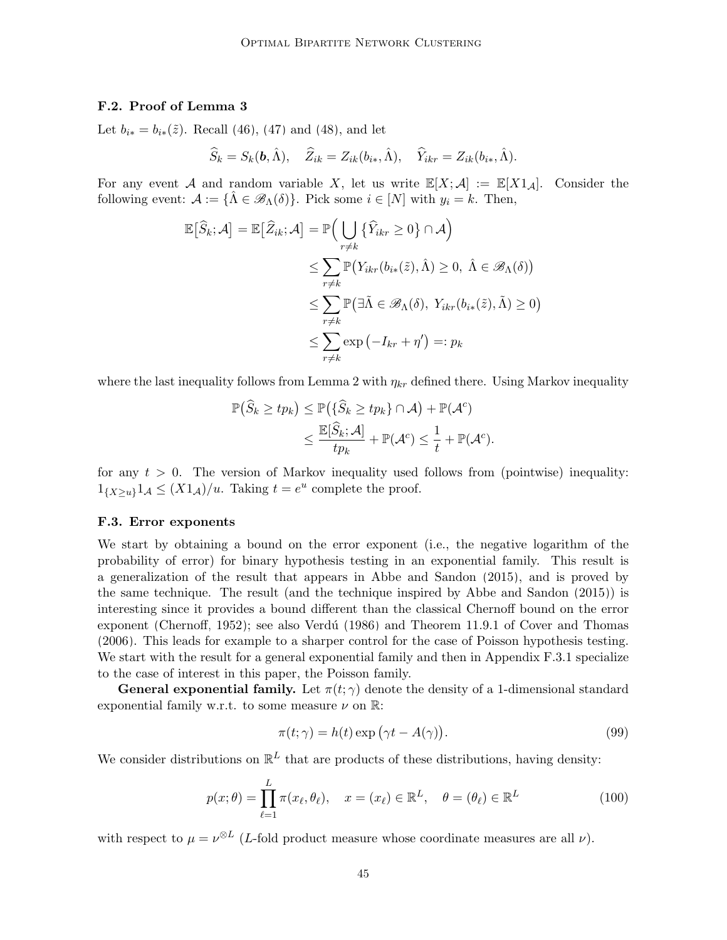#### <span id="page-44-1"></span>F.2. Proof of Lemma [3](#page-26-0)

Let  $b_{i*} = b_{i*}(\tilde{z})$ . Recall [\(46\)](#page-25-8), [\(47\)](#page-25-9) and [\(48\)](#page-25-10), and let

$$
\widehat{S}_k = S_k(\mathbf{b}, \widehat{\Lambda}), \quad \widehat{Z}_{ik} = Z_{ik}(b_{i*}, \widehat{\Lambda}), \quad \widehat{Y}_{ikr} = Z_{ik}(b_{i*}, \widehat{\Lambda}).
$$

For any event A and random variable X, let us write  $\mathbb{E}[X; \mathcal{A}] := \mathbb{E}[X] \mathbb{1}_A$ . Consider the following event:  $\mathcal{A} := {\{\hat{\Lambda} \in \mathscr{B}_{\Lambda}(\delta)\}}$ . Pick some  $i \in [N]$  with  $y_i = k$ . Then,

$$
\mathbb{E}[\widehat{S}_k; \mathcal{A}] = \mathbb{E}[\widehat{Z}_{ik}; \mathcal{A}] = \mathbb{P}\Big(\bigcup_{r \neq k} \{\widehat{Y}_{ikr} \ge 0\} \cap \mathcal{A}\Big)
$$
  
\n
$$
\le \sum_{r \neq k} \mathbb{P}(Y_{ikr}(b_{i*}(\tilde{z}), \hat{\Lambda}) \ge 0, \ \hat{\Lambda} \in \mathcal{B}_{\Lambda}(\delta))
$$
  
\n
$$
\le \sum_{r \neq k} \mathbb{P}(\exists \tilde{\Lambda} \in \mathcal{B}_{\Lambda}(\delta), Y_{ikr}(b_{i*}(\tilde{z}), \tilde{\Lambda}) \ge 0)
$$
  
\n
$$
\le \sum_{r \neq k} \exp(-I_{kr} + \eta') =: p_k
$$

where the last inequality follows from Lemma [2](#page-25-0) with  $\eta_{kr}$  defined there. Using Markov inequality

$$
\mathbb{P}(\widehat{S}_k \ge tp_k) \le \mathbb{P}(\{\widehat{S}_k \ge tp_k\} \cap \mathcal{A}) + \mathbb{P}(\mathcal{A}^c)
$$
  

$$
\le \frac{\mathbb{E}[\widehat{S}_k; \mathcal{A}]}{tp_k} + \mathbb{P}(\mathcal{A}^c) \le \frac{1}{t} + \mathbb{P}(\mathcal{A}^c).
$$

for any  $t > 0$ . The version of Markov inequality used follows from (pointwise) inequality:  $1_{\{X\geq u\}}1_{\mathcal{A}} \leq (X1_{\mathcal{A}})/u$ . Taking  $t=e^u$  complete the proof.

## <span id="page-44-0"></span>F.3. Error exponents

We start by obtaining a bound on the error exponent (i.e., the negative logarithm of the probability of error) for binary hypothesis testing in an exponential family. This result is a generalization of the result that appears in [Abbe and Sandon \(2015\)](#page-63-8), and is proved by the same technique. The result (and the technique inspired by [Abbe and Sandon \(2015\)](#page-63-8)) is interesting since it provides a bound different than the classical Chernoff bound on the error exponent [\(Chernoff, 1952\)](#page-64-11); see also Verdú  $(1986)$  and Theorem 11.9.1 of [Cover and Thomas](#page-64-13) [\(2006\)](#page-64-13). This leads for example to a sharper control for the case of Poisson hypothesis testing. We start with the result for a general exponential family and then in Appendix [F.3.1](#page-45-0) specialize to the case of interest in this paper, the Poisson family.

**General exponential family.** Let  $\pi(t; \gamma)$  denote the density of a 1-dimensional standard exponential family w.r.t. to some measure  $\nu$  on  $\mathbb{R}$ :

<span id="page-44-3"></span><span id="page-44-2"></span>
$$
\pi(t; \gamma) = h(t) \exp(\gamma t - A(\gamma)).
$$
\n(99)

We consider distributions on  $\mathbb{R}^L$  that are products of these distributions, having density:

$$
p(x; \theta) = \prod_{\ell=1}^{L} \pi(x_{\ell}, \theta_{\ell}), \quad x = (x_{\ell}) \in \mathbb{R}^{L}, \quad \theta = (\theta_{\ell}) \in \mathbb{R}^{L}
$$
 (100)

with respect to  $\mu = \nu^{\otimes L}$  (*L*-fold product measure whose coordinate measures are all  $\nu$ ).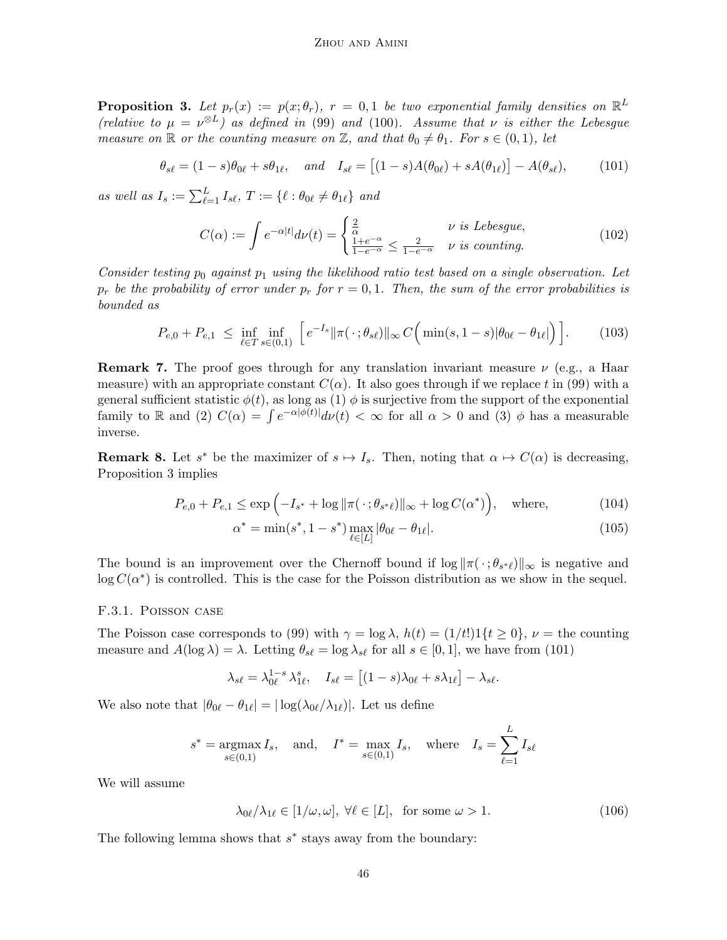<span id="page-45-1"></span>**Proposition 3.** Let  $p_r(x) := p(x; \theta_r)$ ,  $r = 0, 1$  be two exponential family densities on  $\mathbb{R}^L$ (relative to  $\mu = \nu^{\otimes L}$ ) as defined in [\(99\)](#page-44-2) and [\(100\)](#page-44-3). Assume that v is either the Lebesgue measure on  $\mathbb R$  or the counting measure on  $\mathbb Z$ , and that  $\theta_0 \neq \theta_1$ . For  $s \in (0,1)$ , let

$$
\theta_{s\ell} = (1-s)\theta_{0\ell} + s\theta_{1\ell}, \quad \text{and} \quad I_{s\ell} = \left[ (1-s)A(\theta_{0\ell}) + sA(\theta_{1\ell}) \right] - A(\theta_{s\ell}), \tag{101}
$$

as well as  $I_s := \sum_{\ell=1}^L I_{s\ell}, T := \{ \ell : \theta_{0\ell} \neq \theta_{1\ell} \}$  and

<span id="page-45-6"></span><span id="page-45-2"></span>
$$
C(\alpha) := \int e^{-\alpha|t|} d\nu(t) = \begin{cases} \frac{2}{\alpha} & \text{if } \text{Lebesgue,} \\ \frac{1+e^{-\alpha}}{1-e^{-\alpha}} \le \frac{2}{1-e^{-\alpha}} & \text{if } \text{counting.} \end{cases}
$$
(102)

Consider testing  $p_0$  against  $p_1$  using the likelihood ratio test based on a single observation. Let  $p_r$  be the probability of error under  $p_r$  for  $r = 0, 1$ . Then, the sum of the error probabilities is bounded as

$$
P_{e,0} + P_{e,1} \le \inf_{\ell \in T} \inf_{s \in (0,1)} \left[ e^{-I_s} \|\pi(\cdot;\theta_{s\ell})\|_{\infty} C\Big(\min(s,1-s) |\theta_{0\ell} - \theta_{1\ell}|\Big) \right].
$$
 (103)

**Remark 7.** The proof goes through for any translation invariant measure  $\nu$  (e.g., a Haar measure) with an appropriate constant  $C(\alpha)$ . It also goes through if we replace t in [\(99\)](#page-44-2) with a general sufficient statistic  $\phi(t)$ , as long as (1)  $\phi$  is surjective from the support of the exponential family to R and (2)  $C(\alpha) = \int e^{-\alpha |\phi(t)|} d\nu(t) < \infty$  for all  $\alpha > 0$  and (3)  $\phi$  has a measurable inverse.

**Remark 8.** Let  $s^*$  be the maximizer of  $s \mapsto I_s$ . Then, noting that  $\alpha \mapsto C(\alpha)$  is decreasing, Proposition [3](#page-45-1) implies

$$
P_{e,0} + P_{e,1} \le \exp\left(-I_{s^*} + \log \|\pi(\cdot;\theta_{s^* \ell})\|_{\infty} + \log C(\alpha^*)\right), \quad \text{where,} \tag{104}
$$

<span id="page-45-5"></span><span id="page-45-4"></span>
$$
\alpha^* = \min(s^*, 1 - s^*) \max_{\ell \in [L]} |\theta_{0\ell} - \theta_{1\ell}|. \tag{105}
$$

The bound is an improvement over the Chernoff bound if  $\log ||\pi(\cdot; \theta_{s^* \ell})||_{\infty}$  is negative and  $log C(\alpha^*)$  is controlled. This is the case for the Poisson distribution as we show in the sequel.

#### <span id="page-45-0"></span>F.3.1. Poisson case

The Poisson case corresponds to [\(99\)](#page-44-2) with  $\gamma = \log \lambda$ ,  $h(t) = (1/t!) \cdot 1\{t \ge 0\}$ ,  $\nu =$  the counting measure and  $A(\log \lambda) = \lambda$ . Letting  $\theta_{s\ell} = \log \lambda_{s\ell}$  for all  $s \in [0, 1]$ , we have from [\(101\)](#page-45-2)

$$
\lambda_{s\ell} = \lambda_{0\ell}^{1-s} \lambda_{1\ell}^s, \quad I_{s\ell} = \left[ (1-s)\lambda_{0\ell} + s\lambda_{1\ell} \right] - \lambda_{s\ell}.
$$

We also note that  $|\theta_{0\ell} - \theta_{1\ell}| = |\log(\lambda_{0\ell}/\lambda_{1\ell})|$ . Let us define

$$
s^* = \underset{s \in (0,1)}{\operatorname{argmax}} I_s, \quad \text{and}, \quad I^* = \underset{s \in (0,1)}{\operatorname{max}} I_s, \quad \text{where} \quad I_s = \sum_{\ell=1}^L I_{s\ell}
$$

We will assume

<span id="page-45-3"></span>
$$
\lambda_{0\ell}/\lambda_{1\ell} \in [1/\omega, \omega], \ \forall \ell \in [L], \text{ for some } \omega > 1.
$$
 (106)

The following lemma shows that  $s^*$  stays away from the boundary: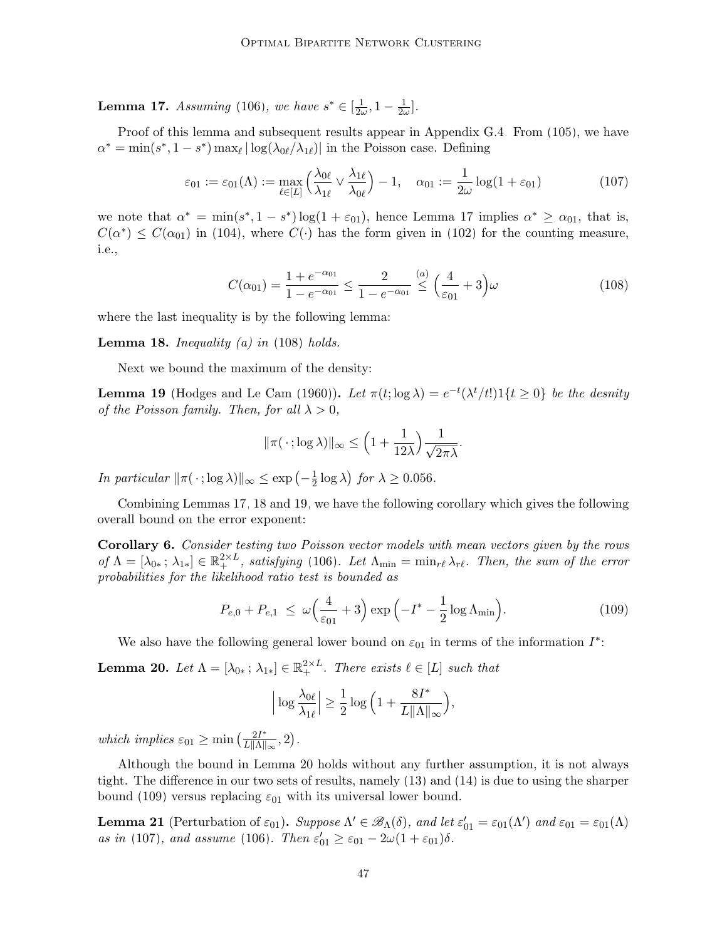<span id="page-46-2"></span>**Lemma 17.** Assuming [\(106\)](#page-45-3), we have  $s^* \in \left[\frac{1}{2\omega}\right]$  $\frac{1}{2\omega}$ , 1 –  $\frac{1}{2\omega}$  $\frac{1}{2\omega}$ .

Proof of this lemma and subsequent results appear in Appendix [G.4.](#page-55-0) From [\(105\)](#page-45-4), we have  $\alpha^* = \min(s^*, 1 - s^*) \max_{\ell} |\log(\lambda_{0\ell}/\lambda_{1\ell})|$  in the Poisson case. Defining

$$
\varepsilon_{01} := \varepsilon_{01}(\Lambda) := \max_{\ell \in [L]} \left( \frac{\lambda_{0\ell}}{\lambda_{1\ell}} \vee \frac{\lambda_{1\ell}}{\lambda_{0\ell}} \right) - 1, \quad \alpha_{01} := \frac{1}{2\omega} \log(1 + \varepsilon_{01}) \tag{107}
$$

we note that  $\alpha^* = \min(s^*, 1 - s^*) \log(1 + \varepsilon_{01})$ , hence Lemma [17](#page-46-2) implies  $\alpha^* \ge \alpha_{01}$ , that is,  $C(\alpha^*) \leq C(\alpha_{01})$  in [\(104\)](#page-45-5), where  $C(\cdot)$  has the form given in [\(102\)](#page-45-6) for the counting measure, i.e.,

<span id="page-46-7"></span>
$$
C(\alpha_{01}) = \frac{1 + e^{-\alpha_{01}}}{1 - e^{-\alpha_{01}}} \le \frac{2}{1 - e^{-\alpha_{01}}} \stackrel{(a)}{\le} \left(\frac{4}{\varepsilon_{01}} + 3\right)\omega\tag{108}
$$

where the last inequality is by the following lemma:

<span id="page-46-4"></span>**Lemma 18.** Inequality (a) in  $(108)$  holds.

Next we bound the maximum of the density:

<span id="page-46-5"></span>**Lemma 19** [\(Hodges and Le Cam \(1960\)](#page-65-13)). Let  $\pi(t; \log \lambda) = e^{-t}(\lambda^t/t!)1\{t \geq 0\}$  be the desnity of the Poisson family. Then, for all  $\lambda > 0$ ,

<span id="page-46-3"></span>
$$
\|\pi(\,\cdot\,;\log\lambda)\|_{\infty} \le \left(1 + \frac{1}{12\lambda}\right) \frac{1}{\sqrt{2\pi\lambda}}.
$$

In particular  $\|\pi(\cdot;\log \lambda)\|_{\infty} \leq \exp\left(-\frac{1}{2}\right)$  $\frac{1}{2} \log \lambda$ ) for  $\lambda \ge 0.056$ .

Combining Lemmas [17,](#page-46-2) [18](#page-46-4) and [19,](#page-46-5) we have the following corollary which gives the following overall bound on the error exponent:

<span id="page-46-0"></span>Corollary 6. Consider testing two Poisson vector models with mean vectors given by the rows of  $\Lambda = [\lambda_{0*}; \lambda_{1*}] \in \mathbb{R}_+^{2 \times L}$ , satisfying [\(106\)](#page-45-3). Let  $\Lambda_{\min} = \min_{r \in \Lambda_{r}} \lambda_{r}$ . Then, the sum of the error probabilities for the likelihood ratio test is bounded as

$$
P_{e,0} + P_{e,1} \le \omega \left(\frac{4}{\varepsilon_{01}} + 3\right) \exp\left(-I^* - \frac{1}{2}\log \Lambda_{\min}\right). \tag{109}
$$

We also have the following general lower bound on  $\varepsilon_{01}$  in terms of the information  $I^*$ :

<span id="page-46-1"></span>**Lemma 20.** Let  $\Lambda = [\lambda_{0*}; \lambda_{1*}] \in \mathbb{R}^{2 \times L}_{+}$ . There exists  $\ell \in [L]$  such that

<span id="page-46-6"></span>
$$
\left|\log \frac{\lambda_{0\ell}}{\lambda_{1\ell}}\right| \ge \frac{1}{2} \log \Big(1 + \frac{8I^*}{L \|\Lambda\|_{\infty}}\Big),\,
$$

which implies  $\varepsilon_{01} \ge \min\left(\frac{2I^*}{L\|\Lambda\|_{\infty}}, 2\right)$ .

Although the bound in Lemma [20](#page-46-1) holds without any further assumption, it is not always tight. The difference in our two sets of results, namely [\(13\)](#page-8-4) and [\(14\)](#page-8-2) is due to using the sharper bound [\(109\)](#page-46-6) versus replacing  $\varepsilon_{01}$  with its universal lower bound.

<span id="page-46-8"></span>**Lemma 21** (Perturbation of  $\varepsilon_{01}$ ). Suppose  $\Lambda' \in \mathscr{B}_{\Lambda}(\delta)$ , and let  $\varepsilon'_{01} = \varepsilon_{01}(\Lambda')$  and  $\varepsilon_{01} = \varepsilon_{01}(\Lambda)$ as in [\(107\)](#page-46-7), and assume [\(106\)](#page-45-3). Then  $\varepsilon'_{01} \ge \varepsilon_{01} - 2\omega(1 + \varepsilon_{01})\delta$ .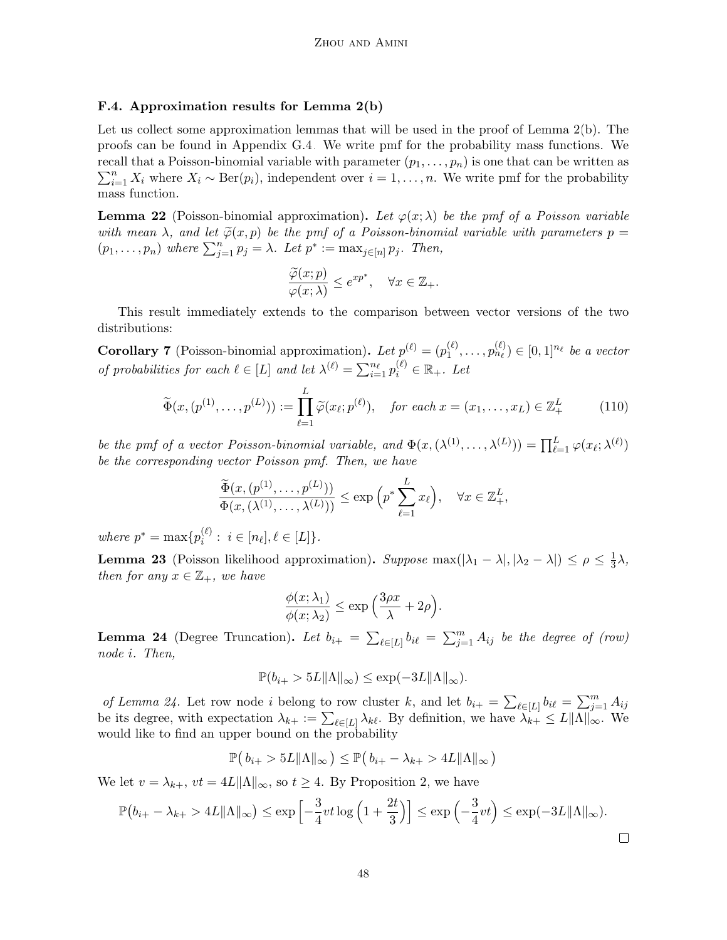### <span id="page-47-0"></span>F.4. Approximation results for Lemma [2\(b\)](#page-25-1)

Let us collect some approximation lemmas that will be used in the proof of Lemma [2\(](#page-25-0)b). The proofs can be found in Appendix [G.4.](#page-55-0) We write pmf for the probability mass functions. We  $\sum_{i=1}^{n} X_i$  where  $X_i \sim \text{Ber}(p_i)$ , independent over  $i = 1, \ldots, n$ . We write pmf for the probability recall that a Poisson-binomial variable with parameter  $(p_1, \ldots, p_n)$  is one that can be written as mass function.

<span id="page-47-5"></span>**Lemma 22** (Poisson-binomial approximation). Let  $\varphi(x; \lambda)$  be the pmf of a Poisson variable with mean  $\lambda$ , and let  $\tilde{\varphi}(x, p)$  be the pmf of a Poisson-binomial variable with parameters  $p =$  $(p_1, \ldots, p_n)$  where  $\sum_{j=1}^n p_j = \lambda$ . Let  $p^* := \max_{j \in [n]} p_j$ . Then,

<span id="page-47-2"></span>
$$
\frac{\widetilde{\varphi}(x;p)}{\varphi(x;\lambda)} \le e^{xp^*}, \quad \forall x \in \mathbb{Z}_+.
$$

This result immediately extends to the comparison between vector versions of the two distributions:

<span id="page-47-3"></span>**Corollary 7** (Poisson-binomial approximation). Let  $p^{(\ell)} = (p_1^{(\ell)})$  $p_1^{(\ell)}, \ldots, p_{n_{\ell}}^{(\ell)} \in [0,1]^{n_{\ell}}$  be a vector of probabilities for each  $\ell \in [L]$  and let  $\lambda^{(\ell)} = \sum_{i=1}^{n_{\ell}} p_i^{(\ell)} \in \mathbb{R}_+$ . Let

$$
\widetilde{\Phi}(x,(p^{(1)},\ldots,p^{(L)})) := \prod_{\ell=1}^{L} \widetilde{\varphi}(x_{\ell};p^{(\ell)}), \quad \text{for each } x = (x_1,\ldots,x_L) \in \mathbb{Z}_+^L \tag{110}
$$

be the pmf of a vector Poisson-binomial variable, and  $\Phi(x, (\lambda^{(1)}, \ldots, \lambda^{(L)})) = \prod_{\ell=1}^{L} \varphi(x_{\ell}; \lambda^{(\ell)})$ be the corresponding vector Poisson pmf. Then, we have

$$
\frac{\widetilde{\Phi}(x,(p^{(1)},\ldots,p^{(L)}))}{\Phi(x,(\lambda^{(1)},\ldots,\lambda^{(L)}))} \le \exp\left(p^*\sum_{\ell=1}^L x_{\ell}\right), \quad \forall x \in \mathbb{Z}_+^L,
$$

where  $p^* = \max\{p_i^{(\ell)}\}$  $i^{(\ell)}$ :  $i \in [n_{\ell}], \ell \in [L]$ .

<span id="page-47-4"></span>**Lemma 23** (Poisson likelihood approximation). Suppose  $\max(|\lambda_1 - \lambda|, |\lambda_2 - \lambda|) \le \rho \le \frac{1}{3}$  $\frac{1}{3}\lambda,$ then for any  $x \in \mathbb{Z}_+$ , we have

$$
\frac{\phi(x;\lambda_1)}{\phi(x;\lambda_2)} \le \exp\left(\frac{3\rho x}{\lambda} + 2\rho\right).
$$

<span id="page-47-1"></span>**Lemma 24** (Degree Truncation). Let  $b_{i+} = \sum_{\ell \in [L]} b_{i\ell} = \sum_{j=1}^m A_{ij}$  be the degree of (row) node i. Then,

$$
\mathbb{P}(b_{i+}>5L\|\Lambda\|_{\infty})\leq \exp(-3L\|\Lambda\|_{\infty}).
$$

of Lemma [24.](#page-47-1) Let row node i belong to row cluster k, and let  $b_{i+} = \sum_{\ell \in [L]} b_{i\ell} = \sum_{j=1}^m A_{ij}$ be its degree, with expectation  $\lambda_{k+} := \sum_{\ell \in [L]} \lambda_{k\ell}$ . By definition, we have  $\lambda_{k+} \le L ||\Lambda||_{\infty}$ . We would like to find an upper bound on the probability

$$
\mathbb{P}(b_{i+} > 5L\|\Lambda\|_{\infty}) \leq \mathbb{P}(b_{i+} - \lambda_{k+} > 4L\|\Lambda\|_{\infty})
$$

We let  $v = \lambda_{k+}$ ,  $vt = 4L\|\Lambda\|_{\infty}$ , so  $t \geq 4$ . By Proposition [2,](#page-40-4) we have

$$
\mathbb{P}(b_{i+} - \lambda_{k+} > 4L \|\Lambda\|_{\infty}) \le \exp\left[-\frac{3}{4}vt \log\left(1 + \frac{2t}{3}\right)\right] \le \exp\left(-\frac{3}{4}vt\right) \le \exp(-3L \|\Lambda\|_{\infty}).
$$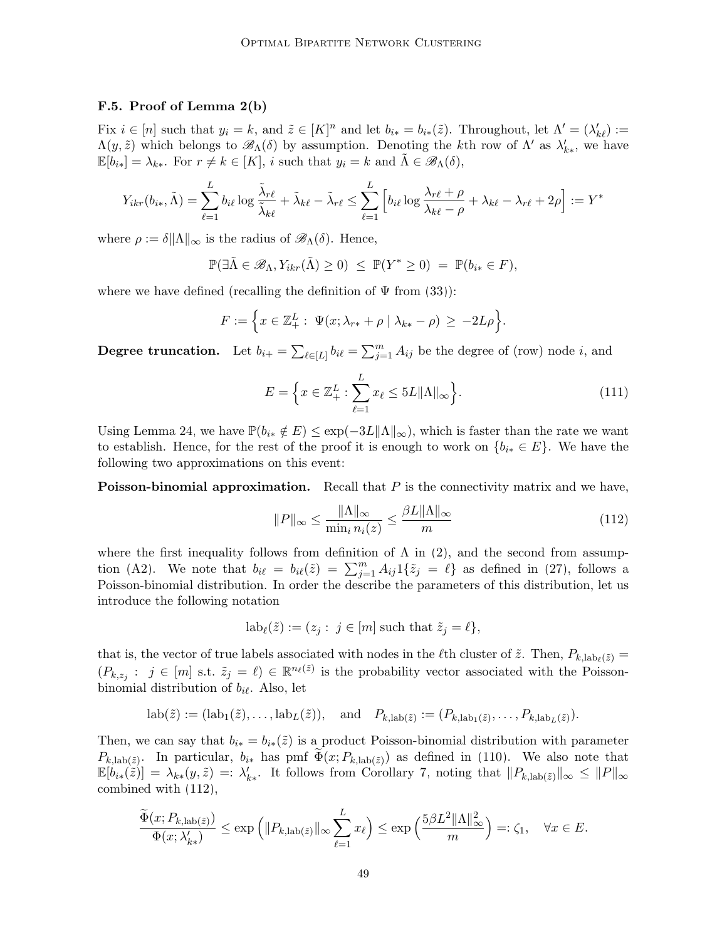#### <span id="page-48-0"></span>F.5. Proof of Lemma [2\(b\)](#page-25-1)

Fix  $i \in [n]$  such that  $y_i = k$ , and  $\tilde{z} \in [K]^n$  and let  $b_{i*} = b_{i*}(\tilde{z})$ . Throughout, let  $\Lambda' = (\lambda'_{k\ell}) :=$  $\Lambda(y, \tilde{z})$  which belongs to  $\mathscr{B}_{\Lambda}(\delta)$  by assumption. Denoting the kth row of  $\Lambda'$  as  $\lambda'_{k*}$ , we have  $\mathbb{E}[b_{i*}] = \lambda_{k*}$ . For  $r \neq k \in [K]$ , i such that  $y_i = k$  and  $\Lambda \in \mathscr{B}_{\Lambda}(\delta)$ ,

$$
Y_{ikr}(b_{i*}, \tilde{\Lambda}) = \sum_{\ell=1}^{L} b_{i\ell} \log \frac{\tilde{\lambda}_{r\ell}}{\tilde{\lambda}_{k\ell}} + \tilde{\lambda}_{k\ell} - \tilde{\lambda}_{r\ell} \le \sum_{\ell=1}^{L} \left[ b_{i\ell} \log \frac{\lambda_{r\ell} + \rho}{\lambda_{k\ell} - \rho} + \lambda_{k\ell} - \lambda_{r\ell} + 2\rho \right] := Y^*
$$

where  $\rho := \delta ||\Lambda||_{\infty}$  is the radius of  $\mathscr{B}_{\Lambda}(\delta)$ . Hence,

$$
\mathbb{P}(\exists \tilde{\Lambda} \in \mathscr{B}_{\Lambda}, Y_{ikr}(\tilde{\Lambda}) \ge 0) \le \mathbb{P}(Y^* \ge 0) = \mathbb{P}(b_{i*} \in F),
$$

where we have defined (recalling the definition of  $\Psi$  from [\(33\)](#page-15-2)):

$$
F := \Big\{ x \in \mathbb{Z}_+^L : \Psi(x; \lambda_{r*} + \rho \mid \lambda_{k*} - \rho) \ge -2L\rho \Big\}.
$$

**Degree truncation.** Let  $b_{i+} = \sum_{\ell \in [L]} b_{i\ell} = \sum_{j=1}^{m} A_{ij}$  be the degree of (row) node i, and

$$
E = \left\{ x \in \mathbb{Z}_+^L : \sum_{\ell=1}^L x_\ell \le 5L \|\Lambda\|_\infty \right\}.
$$
\n(111)

Using Lemma [24,](#page-47-1) we have  $\mathbb{P}(b_{i*} \notin E) \leq \exp(-3L\|\Lambda\|_{\infty})$ , which is faster than the rate we want to establish. Hence, for the rest of the proof it is enough to work on  $\{b_{i*} \in E\}$ . We have the following two approximations on this event:

**Poisson-binomial approximation.** Recall that  $P$  is the connectivity matrix and we have,

<span id="page-48-1"></span>
$$
||P||_{\infty} \le \frac{||\Lambda||_{\infty}}{\min_{i} n_{i}(z)} \le \frac{\beta L ||\Lambda||_{\infty}}{m}
$$
\n(112)

where the first inequality follows from definition of  $\Lambda$  in [\(2\)](#page-4-1), and the second from assump-tion [\(A2\)](#page-6-0). We note that  $b_{i\ell} = b_{i\ell}(\tilde{z}) = \sum_{j=1}^{m} A_{ij} 1\{\tilde{z}_j = \ell\}$  as defined in [\(27\)](#page-13-2), follows a Poisson-binomial distribution. In order the describe the parameters of this distribution, let us introduce the following notation

$$
lab_{\ell}(\tilde{z}) := (z_j : j \in [m] \text{ such that } \tilde{z}_j = \ell \},
$$

that is, the vector of true labels associated with nodes in the  $\ell$ th cluster of  $\tilde{z}$ . Then,  $P_{k,lab_{\ell}(\tilde{z})}$  =  $(P_{k,z_j}: j \in [m] \text{ s.t. } \tilde{z}_j = \ell \in \mathbb{R}^{n_{\ell}(\tilde{z})}$  is the probability vector associated with the Poissonbinomial distribution of  $b_{i\ell}$ . Also, let

$$
\mathrm{lab}(\tilde{z}) := (\mathrm{lab}_1(\tilde{z}), \dots, \mathrm{lab}_L(\tilde{z})), \quad \text{and} \quad P_{k,\mathrm{lab}(\tilde{z})} := (P_{k,\mathrm{lab}_1(\tilde{z})}, \dots, P_{k,\mathrm{lab}_L(\tilde{z})}).
$$

Then, we can say that  $b_{i*} = b_{i*}(\tilde{z})$  is a product Poisson-binomial distribution with parameter  $P_{k,lab(\tilde{z})}$ . In particular,  $b_{i*}$  has pmf  $\Phi(x; P_{k,lab(\tilde{z})})$  as defined in [\(110\)](#page-47-2). We also note that  $\mathbb{E}[b_{i*}(\tilde{z})] = \lambda_{k*}(y, \tilde{z}) =: \lambda'_{k*}.$  It follows from Corollary [7,](#page-47-3) noting that  $||P_{k,lab(\tilde{z})}||_{\infty} \leq ||P||_{\infty}$ combined with [\(112\)](#page-48-1),

$$
\frac{\widetilde{\Phi}(x; P_{k, \text{lab}(\widetilde{z})})}{\Phi(x; \lambda'_{k*})} \le \exp\left(\|P_{k, \text{lab}(\widetilde{z})}\|_{\infty} \sum_{\ell=1}^{L} x_{\ell}\right) \le \exp\left(\frac{5\beta L^{2} \|\Lambda\|_{\infty}^{2}}{m}\right) =: \zeta_{1}, \quad \forall x \in E.
$$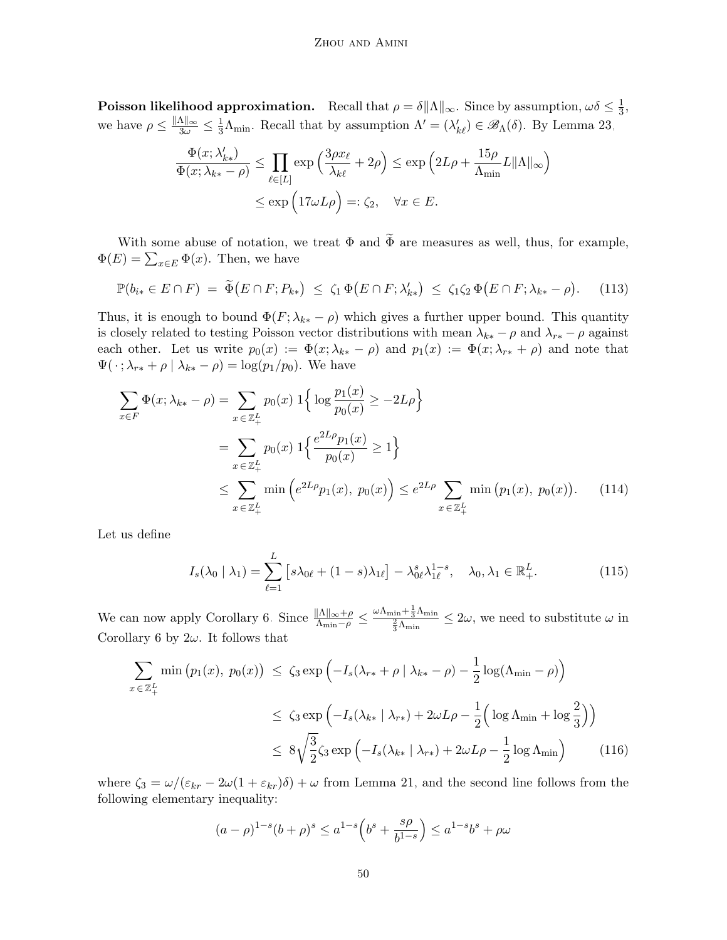**Poisson likelihood approximation.** Recall that  $\rho = \delta ||\Lambda||_{\infty}$ . Since by assumption,  $\omega \delta \leq \frac{1}{3}$  $\frac{1}{3}$ , we have  $\rho \leq \frac{\|\Lambda\|_{\infty}}{3\omega} \leq \frac{1}{3} \Lambda_{\min}$ . Recall that by assumption  $\Lambda' = (\lambda'_{k\ell}) \in \mathscr{B}_{\Lambda}(\delta)$ . By Lemma [23,](#page-47-4)

<span id="page-49-0"></span>
$$
\frac{\Phi(x; \lambda'_{k*})}{\Phi(x; \lambda_{k*} - \rho)} \le \prod_{\ell \in [L]} \exp\left(\frac{3\rho x_{\ell}}{\lambda_{k\ell}} + 2\rho\right) \le \exp\left(2L\rho + \frac{15\rho}{\Lambda_{\min}} L\|\Lambda\|_{\infty}\right)
$$

$$
\le \exp\left(17\omega L\rho\right) =: \zeta_2, \quad \forall x \in E.
$$

With some abuse of notation, we treat  $\Phi$  and  $\widetilde{\Phi}$  are measures as well, thus, for example,  $\Phi(E) = \sum_{x \in E} \Phi(x)$ . Then, we have

$$
\mathbb{P}(b_{i*} \in E \cap F) = \widetilde{\Phi}(E \cap F; P_{k*}) \le \zeta_1 \Phi(E \cap F; \lambda'_{k*}) \le \zeta_1 \zeta_2 \Phi(E \cap F; \lambda_{k*} - \rho). \tag{113}
$$

Thus, it is enough to bound  $\Phi(F; \lambda_{k*} - \rho)$  which gives a further upper bound. This quantity is closely related to testing Poisson vector distributions with mean  $\lambda_{k*} - \rho$  and  $\lambda_{r*} - \rho$  against each other. Let us write  $p_0(x) := \Phi(x; \lambda_{k*} - \rho)$  and  $p_1(x) := \Phi(x; \lambda_{r*} + \rho)$  and note that  $\Psi(\cdot; \lambda_{r*} + \rho \mid \lambda_{k*} - \rho) = \log(p_1/p_0)$ . We have

$$
\sum_{x \in F} \Phi(x; \lambda_{k*} - \rho) = \sum_{x \in \mathbb{Z}_{+}^{L}} p_{0}(x) 1 \Big\{ \log \frac{p_{1}(x)}{p_{0}(x)} \ge -2L\rho \Big\}
$$
  
= 
$$
\sum_{x \in \mathbb{Z}_{+}^{L}} p_{0}(x) 1 \Big\{ \frac{e^{2L\rho} p_{1}(x)}{p_{0}(x)} \ge 1 \Big\}
$$
  

$$
\le \sum_{x \in \mathbb{Z}_{+}^{L}} \min \Big(e^{2L\rho} p_{1}(x), p_{0}(x)\Big) \le e^{2L\rho} \sum_{x \in \mathbb{Z}_{+}^{L}} \min \big(p_{1}(x), p_{0}(x)\big). \tag{114}
$$

Let us define

<span id="page-49-1"></span>
$$
I_s(\lambda_0 | \lambda_1) = \sum_{\ell=1}^L \left[ s \lambda_{0\ell} + (1 - s) \lambda_{1\ell} \right] - \lambda_{0\ell}^s \lambda_{1\ell}^{1 - s}, \quad \lambda_0, \lambda_1 \in \mathbb{R}_+^L.
$$
 (115)

We can now apply Corollary [6.](#page-46-0) Since  $\frac{\|\Lambda\|_{\infty}+\rho}{\Lambda_{\min}-\rho} \leq$  $\frac{\omega \Lambda_{\min} + \frac{1}{3}\Lambda_{\min}}{\frac{2}{3}\Lambda_{\min}} \leq 2\omega$ , we need to substitute  $\omega$  in Corollary [6](#page-46-0) by  $2\omega$ . It follows that

$$
\sum_{x \in \mathbb{Z}_{+}^{L}} \min (p_1(x), p_0(x)) \le \zeta_3 \exp \left( -I_s(\lambda_{r*} + \rho \mid \lambda_{k*} - \rho) - \frac{1}{2} \log(\Lambda_{\min} - \rho) \right)
$$
  

$$
\le \zeta_3 \exp \left( -I_s(\lambda_{k*} \mid \lambda_{r*}) + 2\omega L\rho - \frac{1}{2} \left( \log \Lambda_{\min} + \log \frac{2}{3} \right) \right)
$$
  

$$
\le 8\sqrt{\frac{3}{2}} \zeta_3 \exp \left( -I_s(\lambda_{k*} \mid \lambda_{r*}) + 2\omega L\rho - \frac{1}{2} \log \Lambda_{\min} \right) \qquad (116)
$$

where  $\zeta_3 = \omega/(\varepsilon_{kr} - 2\omega(1 + \varepsilon_{kr})\delta) + \omega$  from Lemma [21,](#page-46-8) and the second line follows from the following elementary inequality:

<span id="page-49-2"></span>
$$
(a - \rho)^{1-s} (b + \rho)^s \le a^{1-s} \left( b^s + \frac{s\rho}{b^{1-s}} \right) \le a^{1-s} b^s + \rho \omega
$$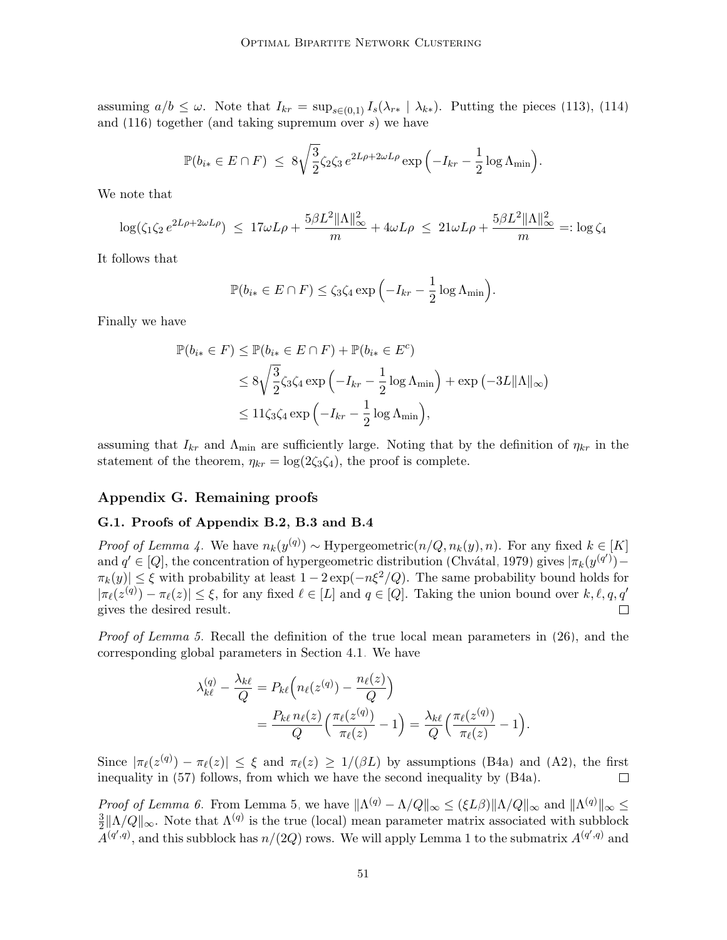assuming  $a/b \leq \omega$ . Note that  $I_{kr} = \sup_{s \in (0,1)} I_s(\lambda_{r*} | \lambda_{k*})$ . Putting the pieces [\(113\)](#page-49-0), [\(114\)](#page-49-1) and  $(116)$  together (and taking supremum over s) we have

$$
\mathbb{P}(b_{i*} \in E \cap F) \leq 8\sqrt{\frac{3}{2}}\zeta_2\zeta_3 e^{2L\rho + 2\omega L\rho} \exp\left(-I_{kr} - \frac{1}{2}\log \Lambda_{\min}\right).
$$

We note that

$$
\log(\zeta_1 \zeta_2 e^{2L\rho + 2\omega L\rho}) \le 17\omega L\rho + \frac{5\beta L^2 \|\Lambda\|_{\infty}^2}{m} + 4\omega L\rho \le 21\omega L\rho + \frac{5\beta L^2 \|\Lambda\|_{\infty}^2}{m} =: \log \zeta_4
$$

It follows that

$$
\mathbb{P}(b_{i*} \in E \cap F) \le \zeta_3 \zeta_4 \exp\left(-I_{kr} - \frac{1}{2}\log \Lambda_{\min}\right).
$$

Finally we have

$$
\mathbb{P}(b_{i*} \in F) \le \mathbb{P}(b_{i*} \in E \cap F) + \mathbb{P}(b_{i*} \in E^c)
$$
  
\n
$$
\le 8\sqrt{\frac{3}{2}}\zeta_3\zeta_4 \exp\left(-I_{kr} - \frac{1}{2}\log\Lambda_{\min}\right) + \exp\left(-3L\|\Lambda\|_{\infty}\right)
$$
  
\n
$$
\le 11\zeta_3\zeta_4 \exp\left(-I_{kr} - \frac{1}{2}\log\Lambda_{\min}\right),
$$

assuming that  $I_{kr}$  and  $\Lambda_{min}$  are sufficiently large. Noting that by the definition of  $\eta_{kr}$  in the statement of the theorem,  $\eta_{kr} = \log(2\zeta_3\zeta_4)$ , the proof is complete.

## Appendix G. Remaining proofs

## <span id="page-50-0"></span>G.1. Proofs of Appendix [B.2,](#page-27-0) [B.3](#page-29-6) and [B.4](#page-29-1)

*Proof of Lemma [4.](#page-27-2)* We have  $n_k(y^{(q)}) \sim$  Hypergeometric $(n/Q, n_k(y), n)$ . For any fixed  $k \in [K]$ and  $q' \in [Q]$ , the concentration of hypergeometric distribution (Chvátal, 1979) gives  $|\pi_k(y^{(q')}) \pi_k(y) \leq \xi$  with probability at least  $1 - 2 \exp(-n\xi^2/Q)$ . The same probability bound holds for  $|\pi_{\ell}(z^{(q)}) - \pi_{\ell}(z)| \leq \xi$ , for any fixed  $\ell \in [L]$  and  $q \in [Q]$ . Taking the union bound over  $k, \ell, q, q'$ gives the desired result.

Proof of Lemma [5.](#page-28-0) Recall the definition of the true local mean parameters in [\(26\)](#page-12-3), and the corresponding global parameters in Section [4.1.](#page-12-4) We have

$$
\lambda_{k\ell}^{(q)} - \frac{\lambda_{k\ell}}{Q} = P_{k\ell} \left( n_{\ell}(z^{(q)}) - \frac{n_{\ell}(z)}{Q} \right)
$$
  
= 
$$
\frac{P_{k\ell} n_{\ell}(z)}{Q} \left( \frac{\pi_{\ell}(z^{(q)})}{\pi_{\ell}(z)} - 1 \right) = \frac{\lambda_{k\ell}}{Q} \left( \frac{\pi_{\ell}(z^{(q)})}{\pi_{\ell}(z)} - 1 \right).
$$

Since  $|\pi_{\ell}(z^{(q)}) - \pi_{\ell}(z)| \leq \xi$  and  $\pi_{\ell}(z) \geq 1/(\beta L)$  by assumptions [\(B4a\)](#page-27-1) and [\(A2\)](#page-6-0), the first inequality in [\(57\)](#page-28-5) follows, from which we have the second inequality by [\(B4a\)](#page-27-1).

Proof of Lemma [6.](#page-28-1) From Lemma [5,](#page-28-0) we have  $\|\Lambda^{(q)} - \Lambda/Q\|_{\infty} \leq (\xi L\beta) \|\Lambda/Q\|_{\infty}$  and  $\|\Lambda^{(q)}\|_{\infty} \leq$ 3  $\frac{3}{2} \|\Lambda/Q\|_{\infty}$ . Note that  $\Lambda^{(q)}$  is the true (local) mean parameter matrix associated with subblock  $A^{(q',q)}$ , and this subblock has  $n/(2Q)$  rows. We will apply Lemma [1](#page-24-2) to the submatrix  $A^{(q',q)}$  and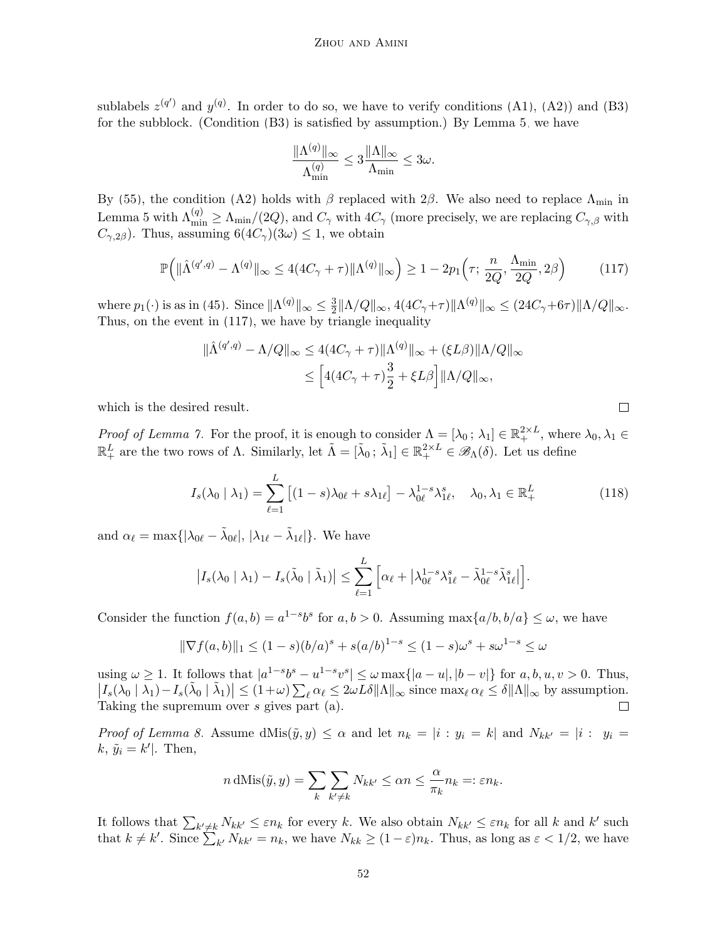sublabels  $z^{(q')}$  and  $y^{(q)}$ . In order to do so, we have to verify conditions [\(A1\)](#page-6-0), [\(A2\)](#page-6-0)) and [\(B3\)](#page-20-0) for the subblock. (Condition [\(B3\)](#page-20-0) is satisfied by assumption.) By Lemma [5,](#page-28-0) we have

$$
\frac{\|\Lambda^{(q)}\|_\infty}{\Lambda^{(q)}_{\min}}\le 3\frac{\|\Lambda\|_\infty}{\Lambda_{\min}}\le 3\omega.
$$

By [\(55\)](#page-27-4), the condition [\(A2\)](#page-6-0) holds with β replaced with 2β. We also need to replace  $\Lambda_{\text{min}}$  in Lemma [5](#page-28-0) with  $\Lambda_{\min}^{(q)} \ge \Lambda_{\min}/(2Q)$ , and  $C_{\gamma}$  with  $4C_{\gamma}$  (more precisely, we are replacing  $C_{\gamma,\beta}$  with  $C_{\gamma,2\beta}$ ). Thus, assuming  $6(4C_{\gamma})(3\omega) \leq 1$ , we obtain

$$
\mathbb{P}\Big(\|\hat{\Lambda}^{(q',q)} - \Lambda^{(q)}\|_{\infty} \le 4(4C_{\gamma} + \tau)\|\Lambda^{(q)}\|_{\infty}\Big) \ge 1 - 2p_1\Big(\tau; \frac{n}{2Q}, \frac{\Lambda_{\min}}{2Q}, 2\beta\Big) \tag{117}
$$

where  $p_1(\cdot)$  is as in [\(45\)](#page-24-5). Since  $\|\Lambda^{(q)}\|_{\infty} \leq \frac{3}{2}$  $\frac{3}{2} \|\Lambda/Q\|_{\infty}$ ,  $4(4C_{\gamma}+\tau) \|\Lambda^{(q)}\|_{\infty} \leq (24C_{\gamma}+6\tau) \|\Lambda/Q\|_{\infty}$ . Thus, on the event in [\(117\)](#page-51-0), we have by triangle inequality

$$
\|\hat{\Lambda}^{(q',q)} - \Lambda/Q\|_{\infty} \le 4(4C_{\gamma} + \tau)\|\Lambda^{(q)}\|_{\infty} + (\xi L\beta)\|\Lambda/Q\|_{\infty}
$$

$$
\le \left[4(4C_{\gamma} + \tau)\frac{3}{2} + \xi L\beta\right] \|\Lambda/Q\|_{\infty},
$$

which is the desired result.

Proof of Lemma [7.](#page-29-2) For the proof, it is enough to consider  $\Lambda = [\lambda_0; \lambda_1] \in \mathbb{R}^{2 \times L}_+$ , where  $\lambda_0, \lambda_1 \in$  $\mathbb{R}^L_+$  are the two rows of  $\Lambda$ . Similarly, let  $\tilde{\Lambda} = [\tilde{\lambda}_0; \tilde{\lambda}_1] \in \mathbb{R}^{2 \times L}_+ \in \mathscr{B}_{\Lambda}(\delta)$ . Let us define

$$
I_s(\lambda_0 \mid \lambda_1) = \sum_{\ell=1}^L \left[ (1-s)\lambda_{0\ell} + s\lambda_{1\ell} \right] - \lambda_{0\ell}^{1-s} \lambda_{1\ell}^s, \quad \lambda_0, \lambda_1 \in \mathbb{R}_+^L \tag{118}
$$

and  $\alpha_{\ell} = \max\{|\lambda_{0\ell} - \tilde{\lambda}_{0\ell}|, |\lambda_{1\ell} - \tilde{\lambda}_{1\ell}|\}.$  We have

$$
\left|I_s(\lambda_0 \mid \lambda_1) - I_s(\tilde{\lambda}_0 \mid \tilde{\lambda}_1)\right| \leq \sum_{\ell=1}^L \left[\alpha_\ell + \left|\lambda_{0\ell}^{1-s}\lambda_{1\ell}^s - \tilde{\lambda}_{0\ell}^{1-s}\tilde{\lambda}_{1\ell}^s\right|\right].
$$

Consider the function  $f(a, b) = a^{1-s}b^s$  for  $a, b > 0$ . Assuming  $\max\{a/b, b/a\} \leq \omega$ , we have

$$
\|\nabla f(a,b)\|_1 \le (1-s)(b/a)^s + s(a/b)^{1-s} \le (1-s)\omega^s + s\omega^{1-s} \le \omega
$$

using  $\omega \ge 1$ . It follows that  $|a^{1-s}b^s - u^{1-s}v^s| \le \omega \max\{|a-u|, |b-v|\}$  for  $a, b, u, v > 0$ . Thus,  $\left|I_s(\lambda_0 \mid \lambda_1) - I_s(\tilde{\lambda}_0 \mid \tilde{\lambda}_1)\right| \leq (1+\omega) \sum_{\ell} \alpha_{\ell} \leq 2\omega L\delta \|\Lambda\|_{\infty} \text{ since } \max_{\ell} \alpha_{\ell} \leq \delta \|\Lambda\|_{\infty}$  by assumption. Taking the supremum over s gives part (a).

*Proof of Lemma [8.](#page-29-3)* Assume  $dMis(\tilde{y}, y) \leq \alpha$  and let  $n_k = |i : y_i = k|$  and  $N_{kk'} = |i : y_i = k|$  $k, \tilde{y}_i = k'$ . Then,

$$
n \, \text{dMis}(\tilde{y}, y) = \sum_{k} \sum_{k' \neq k} N_{kk'} \leq \alpha n \leq \frac{\alpha}{\pi_k} n_k =: \varepsilon n_k.
$$

It follows that  $\sum_{k' \neq k} N_{kk'} \leq \varepsilon n_k$  for every k. We also obtain  $N_{kk'} \leq \varepsilon n_k$  for all k and k' such that  $k \neq k'$ . Since  $\sum_{k'} N_{kk'} = n_k$ , we have  $N_{kk} \geq (1 - \varepsilon) n_k$ . Thus, as long as  $\varepsilon < 1/2$ , we have

<span id="page-51-0"></span> $\Box$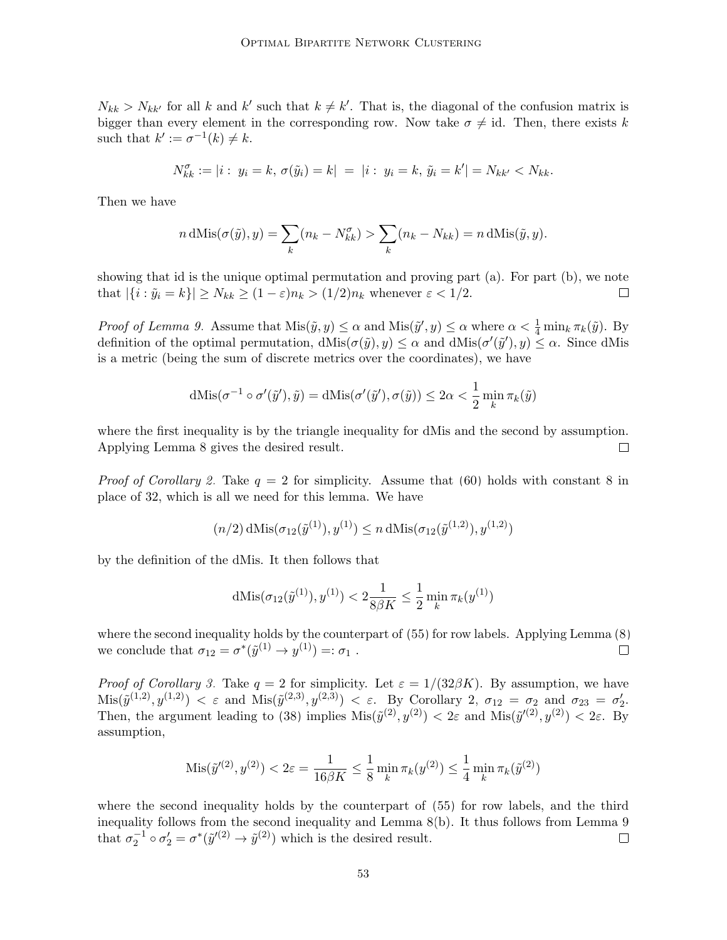$N_{kk} > N_{kk'}$  for all k and k' such that  $k \neq k'$ . That is, the diagonal of the confusion matrix is bigger than every element in the corresponding row. Now take  $\sigma \neq id$ . Then, there exists k such that  $k' := \sigma^{-1}(k) \neq k$ .

$$
N_{kk}^{\sigma} := |i : y_i = k, \sigma(\tilde{y}_i) = k| = |i : y_i = k, \tilde{y}_i = k'| = N_{kk'} < N_{kk}.
$$

Then we have

$$
n \, \text{dMis}(\sigma(\tilde{y}), y) = \sum_{k} (n_k - N_{kk}^{\sigma}) > \sum_{k} (n_k - N_{kk}) = n \, \text{dMis}(\tilde{y}, y).
$$

showing that id is the unique optimal permutation and proving part (a). For part (b), we note that  $|\{i : \tilde{y}_i = k\}| \ge N_{kk} \ge (1 - \varepsilon) n_k > (1/2) n_k$  whenever  $\varepsilon < 1/2$ .  $\Box$ 

*Proof of Lemma [9.](#page-29-5)* Assume that  $Mis(\tilde{y}, y) \le \alpha$  and  $Mis(\tilde{y}', y) \le \alpha$  where  $\alpha < \frac{1}{4} \min_k \pi_k(\tilde{y})$ . By definition of the optimal permutation,  $dMis(\sigma(\tilde{y}), y) \leq \alpha$  and  $dMis(\sigma'(\tilde{y}'), y) \leq \alpha$ . Since dMis is a metric (being the sum of discrete metrics over the coordinates), we have

$$
dMis(\sigma^{-1} \circ \sigma'(\tilde{y}'), \tilde{y}) = dMis(\sigma'(\tilde{y}'), \sigma(\tilde{y})) \le 2\alpha < \frac{1}{2} \min_{k} \pi_k(\tilde{y})
$$

where the first inequality is by the triangle inequality for dMis and the second by assumption. Applying Lemma [8](#page-29-3) gives the desired result.  $\Box$ 

*Proof of Corollary [2.](#page-29-7)* Take  $q = 2$  for simplicity. Assume that [\(60\)](#page-29-4) holds with constant 8 in place of 32, which is all we need for this lemma. We have

$$
(n/2)\,\mathrm{dMis}(\sigma_{12}(\tilde{y}^{(1)}), y^{(1)}) \le n\,\mathrm{dMis}(\sigma_{12}(\tilde{y}^{(1,2)}), y^{(1,2)})
$$

by the definition of the dMis. It then follows that

$$
dMis(\sigma_{12}(\tilde{y}^{(1)}), y^{(1)}) < 2\frac{1}{8\beta K} \le \frac{1}{2} \min_{k} \pi_k(y^{(1)})
$$

where the second inequality holds by the counterpart of [\(55\)](#page-27-4) for row labels. Applying Lemma [\(8\)](#page-29-3) we conclude that  $\sigma_{12} = \sigma^*(\tilde{y}^{(1)} \to y^{(1)}) =: \sigma_1$ .  $\Box$ 

*Proof of Corollary [3.](#page-29-8)* Take  $q = 2$  for simplicity. Let  $\varepsilon = 1/(32\beta K)$ . By assumption, we have  $\text{Mis}(\tilde{y}^{(1,2)}, y^{(1,2)}) < \varepsilon$  and  $\text{Mis}(\tilde{y}^{(2,3)}, y^{(2,3)}) < \varepsilon$ . By Corollary [2,](#page-29-7)  $\sigma_{12} = \sigma_2$  and  $\sigma_{23} = \sigma_2'.$ Then, the argument leading to [\(38\)](#page-19-1) implies  $\text{Mis}(\tilde{y}^{(2)}, y^{(2)}) < 2\varepsilon$  and  $\text{Mis}(\tilde{y}^{(2)}, y^{(2)}) < 2\varepsilon$ . By assumption,

$$
Mis(\tilde{y}'^{(2)}, y^{(2)}) < 2\varepsilon = \frac{1}{16\beta K} \le \frac{1}{8} \min_{k} \pi_k(y^{(2)}) \le \frac{1}{4} \min_{k} \pi_k(\tilde{y}^{(2)})
$$

where the second inequality holds by the counterpart of [\(55\)](#page-27-4) for row labels, and the third inequality follows from the second inequality and Lemma [8\(](#page-29-3)b). It thus follows from Lemma [9](#page-29-5) that  $\sigma_2^{-1} \circ \sigma_2' = \sigma^*(\tilde{y}'^{(2)} \to \tilde{y}^{(2)})$  which is the desired result.  $\Box$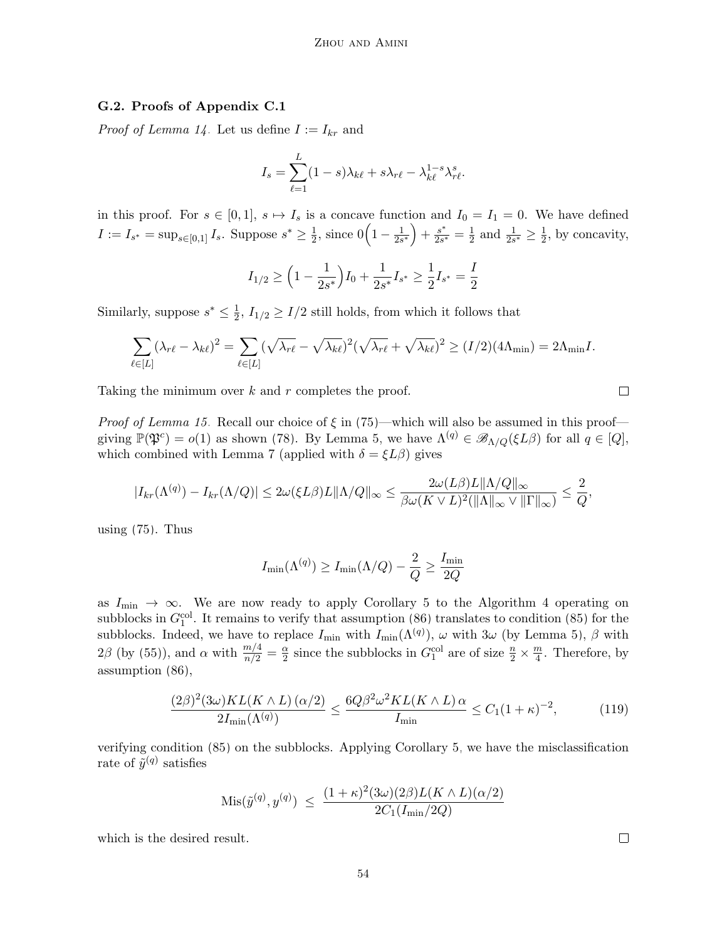#### <span id="page-53-0"></span>G.2. Proofs of Appendix [C.1](#page-30-0)

*Proof of Lemma [14.](#page-36-2)* Let us define  $I := I_{kr}$  and

$$
I_s = \sum_{\ell=1}^L (1-s)\lambda_{k\ell} + s\lambda_{r\ell} - \lambda_{k\ell}^{1-s}\lambda_{r\ell}^s.
$$

in this proof. For  $s \in [0,1], s \mapsto I_s$  is a concave function and  $I_0 = I_1 = 0$ . We have defined  $I := I_{s^*} = \sup_{s \in [0,1]} I_s$ . Suppose  $s^* \geq \frac{1}{2}$  $\frac{1}{2}$ , since  $0\left(1-\frac{1}{2s}\right)$  $2s^*$  $+ \frac{s^*}{2s^*} = \frac{1}{2}$  $\frac{1}{2}$  and  $\frac{1}{2s^*} \geq \frac{1}{2}$  $\frac{1}{2}$ , by concavity,

$$
I_{1/2} \ge \left(1 - \frac{1}{2s^*}\right)I_0 + \frac{1}{2s^*}I_{s^*} \ge \frac{1}{2}I_{s^*} = \frac{I}{2}
$$

Similarly, suppose  $s^* \leq \frac{1}{2}$  $\frac{1}{2}$ ,  $I_{1/2} \geq I/2$  still holds, from which it follows that

$$
\sum_{\ell \in [L]} (\lambda_{r\ell} - \lambda_{k\ell})^2 = \sum_{\ell \in [L]} (\sqrt{\lambda_{r\ell}} - \sqrt{\lambda_{k\ell}})^2 (\sqrt{\lambda_{r\ell}} + \sqrt{\lambda_{k\ell}})^2 \ge (I/2)(4\Lambda_{\min}) = 2\Lambda_{\min}I.
$$

Taking the minimum over  $k$  and  $r$  completes the proof.

*Proof of Lemma [15.](#page-36-5)* Recall our choice of  $\xi$  in [\(75\)](#page-34-3)—which will also be assumed in this proof giving  $\mathbb{P}(\mathfrak{P}^c) = o(1)$  as shown [\(78\)](#page-35-4). By Lemma [5,](#page-28-0) we have  $\Lambda^{(q)} \in \mathscr{B}_{\Lambda/Q}(\xi L\beta)$  for all  $q \in [Q]$ , which combined with Lemma [7](#page-29-2) (applied with  $\delta = \xi L \beta$ ) gives

$$
|I_{kr}(\Lambda^{(q)}) - I_{kr}(\Lambda/Q)| \leq 2\omega(\xi L\beta)L\|\Lambda/Q\|_{\infty} \leq \frac{2\omega(L\beta)L\|\Lambda/Q\|_{\infty}}{\beta\omega(K\vee L)^{2}(\|\Lambda\|_{\infty}\vee\|\Gamma\|_{\infty})} \leq \frac{2}{Q},
$$

using  $(75)$ . Thus

$$
I_{\min}(\Lambda^{(q)}) \ge I_{\min}(\Lambda/Q) - \frac{2}{Q} \ge \frac{I_{\min}}{2Q}
$$

as  $I_{\text{min}} \rightarrow \infty$ . We are now ready to apply Corollary [5](#page-36-3) to the Algorithm [4](#page-20-4) operating on subblocks in  $G_1^{\text{col}}$ . It remains to verify that assumption [\(86\)](#page-36-4) translates to condition [\(85\)](#page-36-6) for the subblocks. Indeed, we have to replace  $I_{\min}$  with  $I_{\min}(\Lambda^{(q)})$ ,  $\omega$  with  $3\omega$  (by Lemma [5\)](#page-28-0),  $\beta$  with  $2\beta$  (by [\(55\)](#page-27-4)), and  $\alpha$  with  $\frac{m/4}{n/2} = \frac{\alpha}{2}$  $\frac{\alpha}{2}$  since the subblocks in  $G_1^{\text{col}}$  are of size  $\frac{n}{2} \times \frac{m}{4}$  $\frac{m}{4}$ . Therefore, by assumption [\(86\)](#page-36-4),

$$
\frac{(2\beta)^2 (3\omega) KL(K \wedge L) (\alpha/2)}{2I_{\min}(\Lambda^{(q)})} \le \frac{6Q\beta^2 \omega^2 KL(K \wedge L) \alpha}{I_{\min}} \le C_1 (1+\kappa)^{-2},\tag{119}
$$

verifying condition [\(85\)](#page-36-6) on the subblocks. Applying Corollary [5,](#page-36-3) we have the misclassification rate of  $\tilde{y}^{(q)}$  satisfies

$$
\text{Mis}(\tilde{y}^{(q)}, y^{(q)}) \le \frac{(1+\kappa)^2 (3\omega)(2\beta)L(K \wedge L)(\alpha/2)}{2C_1(I_{\min}/2Q)}
$$

which is the desired result.

 $\Box$ 

 $\Box$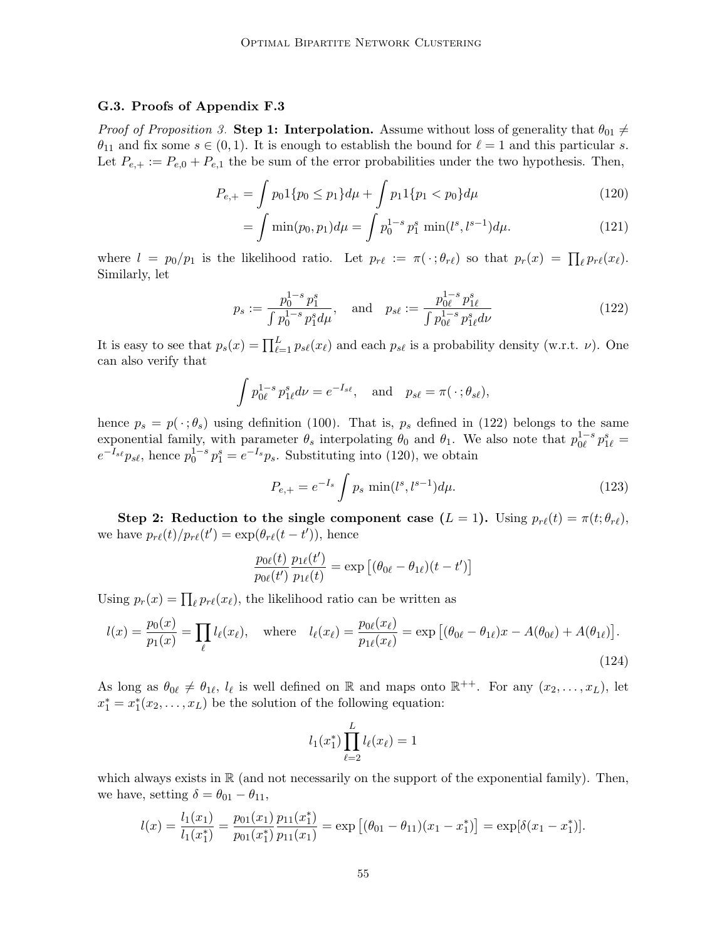#### G.3. Proofs of Appendix [F.3](#page-44-0)

*Proof of Proposition [3.](#page-45-1)* Step 1: Interpolation. Assume without loss of generality that  $\theta_{01} \neq$  $\theta_{11}$  and fix some  $s \in (0, 1)$ . It is enough to establish the bound for  $\ell = 1$  and this particular s. Let  $P_{e,+} := P_{e,0} + P_{e,1}$  the be sum of the error probabilities under the two hypothesis. Then,

$$
P_{e,+} = \int p_0 \, 1\{p_0 \le p_1\} \, d\mu + \int p_1 \, 1\{p_1 < p_0\} \, d\mu \tag{120}
$$

<span id="page-54-1"></span><span id="page-54-0"></span>
$$
= \int \min(p_0, p_1) d\mu = \int p_0^{1-s} p_1^s \min(l^s, l^{s-1}) d\mu.
$$
 (121)

where  $l = p_0/p_1$  is the likelihood ratio. Let  $p_{r\ell} := \pi(\cdot; \theta_{r\ell})$  so that  $p_r(x) = \prod_{\ell} p_{r\ell}(x_{\ell}).$ Similarly, let

$$
p_s := \frac{p_0^{1-s} p_1^s}{\int p_0^{1-s} p_1^s d\mu}, \quad \text{and} \quad p_{s\ell} := \frac{p_{0\ell}^{1-s} p_{1\ell}^s}{\int p_{0\ell}^{1-s} p_{1\ell}^s d\nu} \tag{122}
$$

It is easy to see that  $p_s(x) = \prod_{\ell=1}^L p_{s\ell}(x_\ell)$  and each  $p_{s\ell}$  is a probability density (w.r.t.  $\nu$ ). One can also verify that

$$
\int p_{0\ell}^{1-s} p_{1\ell}^s d\nu = e^{-I_{s\ell}}, \text{ and } p_{s\ell} = \pi(\cdot; \theta_{s\ell}),
$$

hence  $p_s = p(\cdot; \theta_s)$  using definition [\(100\)](#page-44-3). That is,  $p_s$  defined in [\(122\)](#page-54-0) belongs to the same exponential family, with parameter  $\theta_s$  interpolating  $\theta_0$  and  $\theta_1$ . We also note that  $p_{0\ell}^{1-s} p_{1\ell}^s =$  $e^{-I_{s\ell}} p_{s\ell}$ , hence  $p_0^{1-s} p_1^s = e^{-I_s} p_s$ . Substituting into [\(120\)](#page-54-1), we obtain

<span id="page-54-2"></span>
$$
P_{e,+} = e^{-I_s} \int p_s \min(l^s, l^{s-1}) d\mu.
$$
 (123)

Step 2: Reduction to the single component case  $(L = 1)$ . Using  $p_{r\ell}(t) = \pi(t; \theta_{r\ell}),$ we have  $p_{r\ell}(t)/p_{r\ell}(t') = \exp(\theta_{r\ell}(t - t'))$ , hence

$$
\frac{p_{0\ell}(t)}{p_{0\ell}(t')}\frac{p_{1\ell}(t')}{p_{1\ell}(t)} = \exp\left[(\theta_{0\ell} - \theta_{1\ell})(t - t')\right]
$$

Using  $p_r(x) = \prod_{\ell} p_{r\ell}(x_{\ell})$ , the likelihood ratio can be written as

$$
l(x) = \frac{p_0(x)}{p_1(x)} = \prod_{\ell} l_{\ell}(x_{\ell}), \quad \text{where} \quad l_{\ell}(x_{\ell}) = \frac{p_{0\ell}(x_{\ell})}{p_{1\ell}(x_{\ell})} = \exp\left[ (\theta_{0\ell} - \theta_{1\ell})x - A(\theta_{0\ell}) + A(\theta_{1\ell}) \right].
$$
\n(124)

As long as  $\theta_{0\ell} \neq \theta_{1\ell}$ ,  $l_{\ell}$  is well defined on R and maps onto  $\mathbb{R}^{++}$ . For any  $(x_2, \ldots, x_L)$ , let  $x_1^* = x_1^*(x_2, \ldots, x_L)$  be the solution of the following equation:

<span id="page-54-3"></span>
$$
l_1(x_1^*)\prod_{\ell=2}^L l_\ell(x_\ell)=1
$$

which always exists in  $\mathbb R$  (and not necessarily on the support of the exponential family). Then, we have, setting  $\delta = \theta_{01} - \theta_{11}$ ,

$$
l(x) = \frac{l_1(x_1)}{l_1(x_1^*)} = \frac{p_{01}(x_1)}{p_{01}(x_1^*)} \frac{p_{11}(x_1^*)}{p_{11}(x_1)} = \exp\left[ (\theta_{01} - \theta_{11})(x_1 - x_1^*) \right] = \exp[\delta(x_1 - x_1^*)].
$$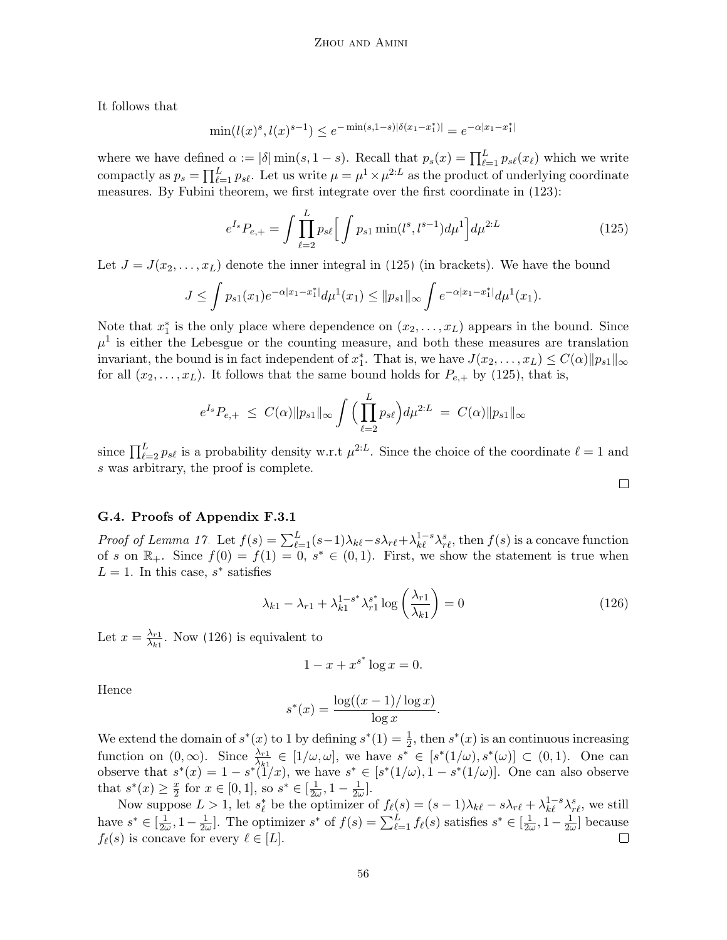It follows that

$$
\min(l(x)^s, l(x)^{s-1}) \le e^{-\min(s, 1-s)|\delta(x_1 - x_1^*)|} = e^{-\alpha|x_1 - x_1^*|}
$$

where we have defined  $\alpha := |\delta| \min(s, 1-s)$ . Recall that  $p_s(x) = \prod_{\ell=1}^L p_{s\ell}(x_\ell)$  which we write compactly as  $p_s = \prod_{\ell=1}^L p_{s\ell}$ . Let us write  $\mu = \mu^1 \times \mu^{2:L}$  as the product of underlying coordinate measures. By Fubini theorem, we first integrate over the first coordinate in [\(123\)](#page-54-2):

$$
e^{I_s} P_{e,+} = \int \prod_{\ell=2}^{L} p_{s\ell} \Big[ \int p_{s1} \min(l^s, l^{s-1}) d\mu^1 \Big] d\mu^{2:L} \tag{125}
$$

Let  $J = J(x_2, \ldots, x_L)$  denote the inner integral in [\(125\)](#page-55-1) (in brackets). We have the bound

$$
J \leq \int p_{s1}(x_1) e^{-\alpha |x_1 - x_1^*|} d\mu^1(x_1) \leq ||p_{s1}||_{\infty} \int e^{-\alpha |x_1 - x_1^*|} d\mu^1(x_1).
$$

Note that  $x_1^*$  is the only place where dependence on  $(x_2, \ldots, x_L)$  appears in the bound. Since  $\mu^1$  is either the Lebesgue or the counting measure, and both these measures are translation invariant, the bound is in fact independent of  $x_1^*$ . That is, we have  $J(x_2, \ldots, x_L) \leq C(\alpha) \|p_{s1}\|_{\infty}$ for all  $(x_2, \ldots, x_L)$ . It follows that the same bound holds for  $P_{e,+}$  by [\(125\)](#page-55-1), that is,

$$
e^{I_s} P_{e,+} \leq C(\alpha) \|p_{s1}\|_{\infty} \int \Big(\prod_{\ell=2}^L p_{s\ell}\Big) d\mu^{2:L} = C(\alpha) \|p_{s1}\|_{\infty}
$$

since  $\prod_{\ell=2}^L p_{s\ell}$  is a probability density w.r.t  $\mu^{2:L}$ . Since the choice of the coordinate  $\ell=1$  and s was arbitrary, the proof is complete.

## <span id="page-55-2"></span><span id="page-55-1"></span> $\Box$

## <span id="page-55-0"></span>G.4. Proofs of Appendix [F.3.1](#page-45-0)

*Proof of Lemma [17.](#page-46-2)* Let  $f(s) = \sum_{\ell=1}^{L} (s-1)\lambda_{k\ell} - s\lambda_{r\ell} + \lambda_{k\ell}^{1-s}\lambda_{r\ell}^s$ , then  $f(s)$  is a concave function of s on  $\mathbb{R}_+$ . Since  $f(0) = f(1) = 0$ ,  $s^* \in (0,1)$ . First, we show the statement is true when  $L = 1$ . In this case,  $s^*$  satisfies

$$
\lambda_{k1} - \lambda_{r1} + \lambda_{k1}^{1-s^*} \lambda_{r1}^{s^*} \log \left( \frac{\lambda_{r1}}{\lambda_{k1}} \right) = 0 \tag{126}
$$

.

Let  $x = \frac{\lambda_{r1}}{\lambda_{r1}}$  $\frac{\lambda_{r1}}{\lambda_{k1}}$ . Now [\(126\)](#page-55-2) is equivalent to

$$
1 - x + x^{s^*} \log x = 0.
$$

Hence

$$
s^*(x) = \frac{\log((x-1)/\log x)}{\log x}
$$

We extend the domain of  $s^*(x)$  to 1 by defining  $s^*(1) = \frac{1}{2}$ , then  $s^*(x)$  is an continuous increasing function on  $(0, \infty)$ . Since  $\frac{\lambda_{r1}}{\lambda_{k1}} \in [1/\omega, \omega]$ , we have  $s^* \in [s^*(1/\omega), s^*(\omega)] \subset (0, 1)$ . One can observe that  $s^*(x) = 1 - s^*(1/x)$ , we have  $s^* \in [s^*(1/\omega), 1 - s^*(1/\omega)]$ . One can also observe that  $s^*(x) \geq \frac{x}{2}$  $\frac{x}{2}$  for  $x \in [0,1]$ , so  $s^* \in [\frac{1}{2\omega}]$  $\frac{1}{2\omega}$ , 1 –  $\frac{1}{2\omega}$  $\frac{1}{2\omega}$ .

Now suppose  $L > 1$ , let  $s_\ell^*$  be the optimizer of  $f_\ell(s) = (s-1)\lambda_{k\ell} - s\lambda_{r\ell} + \lambda_{k\ell}^{1-s}\lambda_{r\ell}^s$ , we still  $\frac{1}{2\omega}$ . The optimizer  $s^*$  of  $f(s) = \sum_{\ell=1}^L f_{\ell}(s)$  satisfies  $s^* \in [\frac{1}{2\omega}]$ . have  $s^* \in [\frac{1}{2\omega}]$  $\frac{1}{2\omega}$ , 1 –  $\frac{1}{2\omega}$  $\frac{1}{2\omega}$ , 1 –  $\frac{1}{2\omega}$  $\frac{1}{2\omega}$  because  $f_{\ell}(s)$  is concave for every  $\ell \in [L]$ .  $\Box$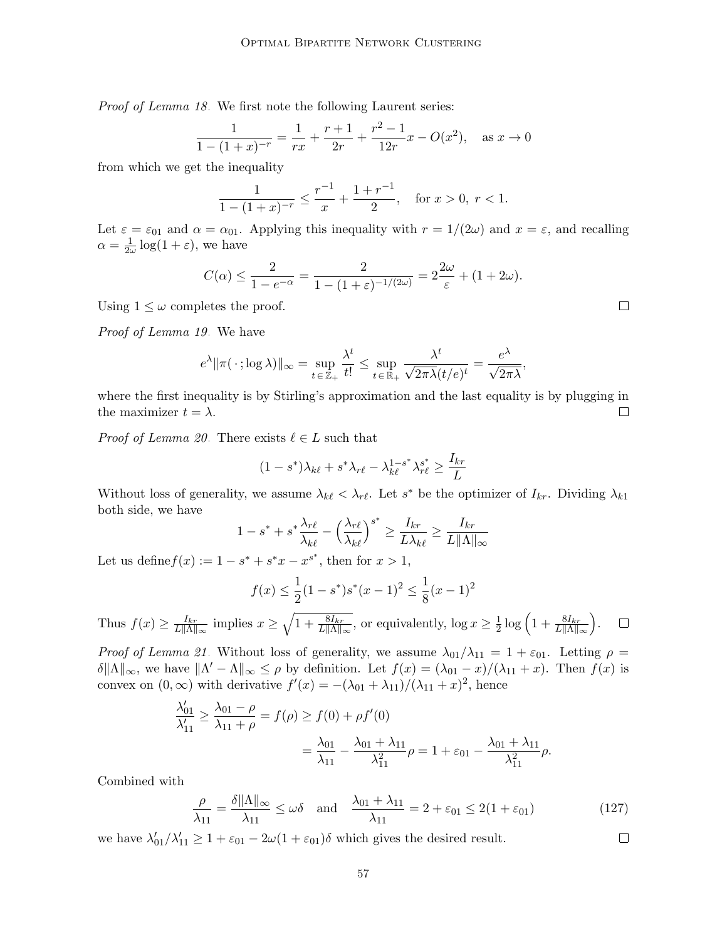Proof of Lemma [18.](#page-46-4) We first note the following Laurent series:

$$
\frac{1}{1 - (1 + x)^{-r}} = \frac{1}{rx} + \frac{r+1}{2r} + \frac{r^2 - 1}{12r}x - O(x^2), \text{ as } x \to 0
$$

from which we get the inequality

$$
\frac{1}{1 - (1 + x)^{-r}} \le \frac{r^{-1}}{x} + \frac{1 + r^{-1}}{2}, \quad \text{for } x > 0, \ r < 1.
$$

Let  $\varepsilon = \varepsilon_{01}$  and  $\alpha = \alpha_{01}$ . Applying this inequality with  $r = 1/(2\omega)$  and  $x = \varepsilon$ , and recalling  $\alpha = \frac{1}{2a}$  $\frac{1}{2\omega}\log(1+\varepsilon)$ , we have

$$
C(\alpha) \le \frac{2}{1 - e^{-\alpha}} = \frac{2}{1 - (1 + \varepsilon)^{-1/(2\omega)}} = 2\frac{2\omega}{\varepsilon} + (1 + 2\omega).
$$

Using  $1 \leq \omega$  completes the proof.

Proof of Lemma [19.](#page-46-5) We have

$$
e^{\lambda} \|\pi(\,\cdot\,;\log\lambda)\|_{\infty} = \sup_{t \in \mathbb{Z}_+} \frac{\lambda^t}{t!} \leq \sup_{t \in \mathbb{R}_+} \frac{\lambda^t}{\sqrt{2\pi\lambda}(t/e)^t} = \frac{e^{\lambda}}{\sqrt{2\pi\lambda}},
$$

where the first inequality is by Stirling's approximation and the last equality is by plugging in the maximizer  $t = \lambda$ .  $\Box$ 

*Proof of Lemma [20.](#page-46-1)* There exists  $\ell \in L$  such that

$$
(1 - s^*)\lambda_{k\ell} + s^*\lambda_{r\ell} - \lambda_{k\ell}^{1 - s^*}\lambda_{r\ell}^{s^*} \ge \frac{I_{kr}}{L}
$$

Without loss of generality, we assume  $\lambda_{k\ell} < \lambda_{r\ell}$ . Let  $s^*$  be the optimizer of  $I_{kr}$ . Dividing  $\lambda_{k1}$ both side, we have

$$
1 - s^* + s^* \frac{\lambda_{r\ell}}{\lambda_{k\ell}} - \left(\frac{\lambda_{r\ell}}{\lambda_{k\ell}}\right)^{s^*} \ge \frac{I_{kr}}{L\lambda_{k\ell}} \ge \frac{I_{kr}}{L\|\Lambda\|_{\infty}}
$$

Let us define  $f(x) := 1 - s^* + s^*x - x^{s^*}$ , then for  $x > 1$ ,

$$
f(x) \le \frac{1}{2}(1 - s^*)s^*(x - 1)^2 \le \frac{1}{8}(x - 1)^2
$$

 $\frac{1}{2} \log \left( 1 + \frac{8I_{kr}}{L\|\Lambda\|_{\infty}} \right)$  .  $\frac{I_{kr}}{L\|\Lambda\|_{\infty}}$  implies  $x \geq \sqrt{1 + \frac{8I_{kr}}{L\|\Lambda\|_{\infty}}},$  or equivalently,  $\log x \geq \frac{1}{2}$ Thus  $f(x) \geq \frac{I_{kr}}{L\|\Lambda\|}$  $\Box$ 

*Proof of Lemma [21.](#page-46-8)* Without loss of generality, we assume  $\lambda_{01}/\lambda_{11} = 1 + \varepsilon_{01}$ . Letting  $\rho =$  $\delta \|\Lambda\|_{\infty}$ , we have  $\|\Lambda' - \Lambda\|_{\infty} \leq \rho$  by definition. Let  $f(x) = (\lambda_{01} - x)/(\lambda_{11} + x)$ . Then  $f(x)$  is convex on  $(0, \infty)$  with derivative  $f'(x) = -(\lambda_{01} + \lambda_{11})/(\lambda_{11} + x)^2$ , hence

$$
\frac{\lambda'_{01}}{\lambda'_{11}} \ge \frac{\lambda_{01} - \rho}{\lambda_{11} + \rho} = f(\rho) \ge f(0) + \rho f'(0)
$$

$$
= \frac{\lambda_{01}}{\lambda_{11}} - \frac{\lambda_{01} + \lambda_{11}}{\lambda_{11}^2} \rho = 1 + \varepsilon_{01} - \frac{\lambda_{01} + \lambda_{11}}{\lambda_{11}^2} \rho.
$$

Combined with

$$
\frac{\rho}{\lambda_{11}} = \frac{\delta \|\Lambda\|_{\infty}}{\lambda_{11}} \le \omega \delta \quad \text{and} \quad \frac{\lambda_{01} + \lambda_{11}}{\lambda_{11}} = 2 + \varepsilon_{01} \le 2(1 + \varepsilon_{01}) \tag{127}
$$

we have  $\lambda'_{01}/\lambda'_{11} \geq 1 + \varepsilon_{01} - 2\omega(1 + \varepsilon_{01})\delta$  which gives the desired result.

 $\Box$ 

 $\Box$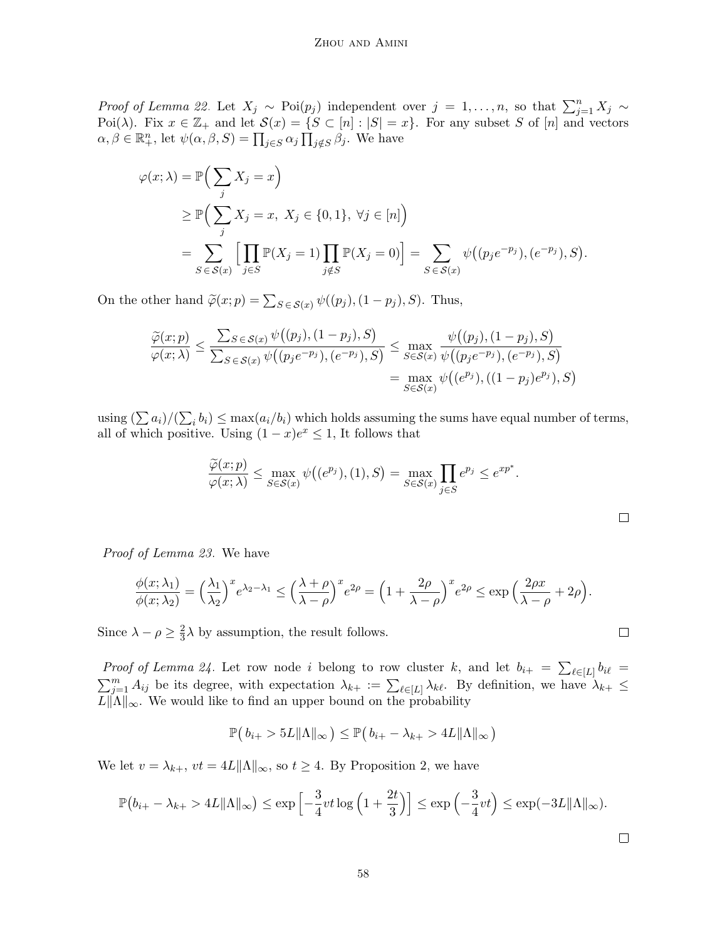*Proof of Lemma [22.](#page-47-5)* Let  $X_j \sim \text{Poi}(p_j)$  independent over  $j = 1, \ldots, n$ , so that  $\sum_{j=1}^n X_j \sim$ Poi( $\lambda$ ). Fix  $x \in \mathbb{Z}_+$  and let  $\mathcal{S}(x) = \{S \subset [n] : |S| = x\}$ . For any subset S of  $[n]$  and vectors  $\alpha, \beta \in \mathbb{R}^n_+$ , let  $\psi(\alpha, \beta, S) = \prod_{j \in S} \alpha_j \prod_{j \notin S} \beta_j$ . We have

$$
\varphi(x;\lambda) = \mathbb{P}\Big(\sum_{j} X_{j} = x\Big)
$$
  
\n
$$
\geq \mathbb{P}\Big(\sum_{j} X_{j} = x, X_{j} \in \{0,1\}, \forall j \in [n]\Big)
$$
  
\n
$$
= \sum_{S \in S(x)} \Big[\prod_{j \in S} \mathbb{P}(X_{j} = 1) \prod_{j \notin S} \mathbb{P}(X_{j} = 0)\Big] = \sum_{S \in S(x)} \psi((p_{j}e^{-p_{j}}), (e^{-p_{j}}), S).
$$

On the other hand  $\widetilde{\varphi}(x; p) = \sum_{S \in \mathcal{S}(x)} \psi((p_j), (1 - p_j), S)$ . Thus,

$$
\frac{\widetilde{\varphi}(x;p)}{\varphi(x;\lambda)} \le \frac{\sum_{S \in \mathcal{S}(x)} \psi((p_j), (1-p_j), S)}{\sum_{S \in \mathcal{S}(x)} \psi((p_j e^{-p_j}), (e^{-p_j}), S)} \le \max_{S \in \mathcal{S}(x)} \frac{\psi((p_j), (1-p_j), S)}{\psi((p_j e^{-p_j}), (e^{-p_j}), S)} = \max_{S \in \mathcal{S}(x)} \psi((e^{p_j}), ((1-p_j)e^{p_j}), S)
$$

using  $(\sum a_i)/(\sum_i b_i) \leq \max(a_i/b_i)$  which holds assuming the sums have equal number of terms, all of which positive. Using  $(1-x)e^x \leq 1$ , It follows that

$$
\frac{\widetilde{\varphi}(x;p)}{\varphi(x;\lambda)} \le \max_{S \in \mathcal{S}(x)} \psi\big((e^{p_j}), (1), S\big) = \max_{S \in \mathcal{S}(x)} \prod_{j \in S} e^{p_j} \le e^{xp^*}.
$$

Proof of Lemma [23.](#page-47-4) We have

$$
\frac{\phi(x;\lambda_1)}{\phi(x;\lambda_2)} = \left(\frac{\lambda_1}{\lambda_2}\right)^x e^{\lambda_2 - \lambda_1} \le \left(\frac{\lambda + \rho}{\lambda - \rho}\right)^x e^{2\rho} = \left(1 + \frac{2\rho}{\lambda - \rho}\right)^x e^{2\rho} \le \exp\left(\frac{2\rho x}{\lambda - \rho} + 2\rho\right).
$$

Since  $\lambda - \rho \geq \frac{2}{3}$  $\frac{2}{3}\lambda$  by assumption, the result follows.

*Proof of Lemma [24.](#page-47-1)* Let row node i belong to row cluster k, and let  $b_{i+} = \sum_{\ell \in [L]} b_{i\ell} =$  $\sum_{i=1}^m A_{ij}$  be its degree, with expectation  $\lambda_{k+} := \sum_{\ell \in [L]} \lambda_{k\ell}$ . By definition, we have  $\lambda_{k+} \leq$  $L\|\Lambda\|_{\infty}$ . We would like to find an upper bound on the probability

$$
\mathbb{P}(b_{i+} > 5L\|\Lambda\|_{\infty}) \leq \mathbb{P}(b_{i+} - \lambda_{k+} > 4L\|\Lambda\|_{\infty})
$$

We let  $v = \lambda_{k+}$ ,  $vt = 4L||\Lambda||_{\infty}$ , so  $t \geq 4$ . By Proposition [2,](#page-40-4) we have

$$
\mathbb{P}(b_{i+} - \lambda_{k+} > 4L \|\Lambda\|_{\infty}) \le \exp\left[-\frac{3}{4}vt \log\left(1 + \frac{2t}{3}\right)\right] \le \exp\left(-\frac{3}{4}vt\right) \le \exp(-3L \|\Lambda\|_{\infty}).
$$

 $\Box$ 

 $\Box$ 

 $\Box$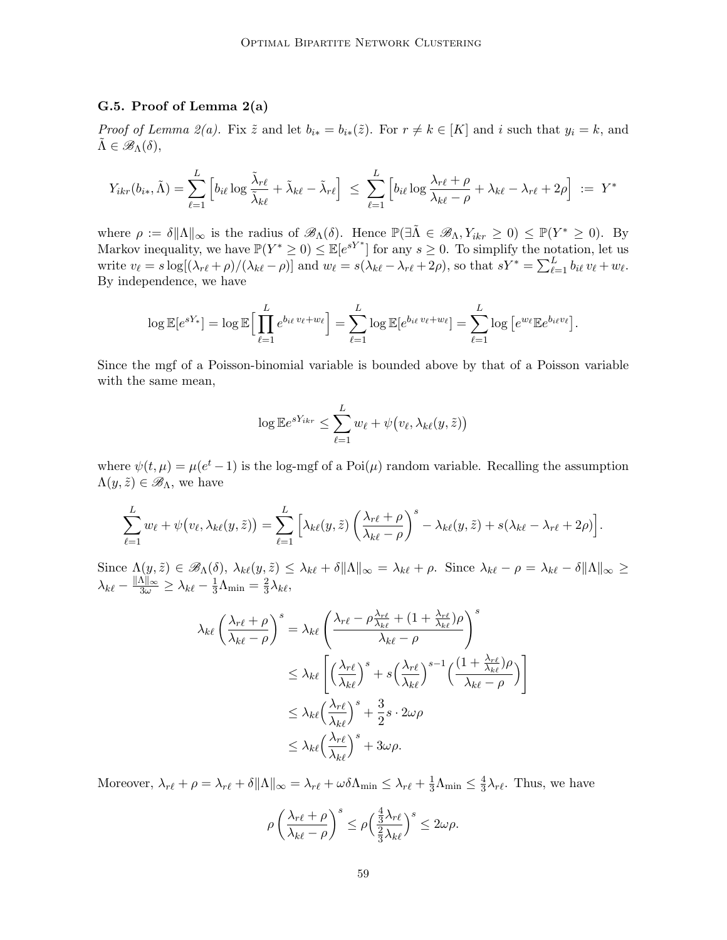## <span id="page-58-0"></span>G.5. Proof of Lemma [2\(a\)](#page-25-6)

*Proof of Lemma [2\(](#page-25-0)a).* Fix  $\tilde{z}$  and let  $b_{i*} = b_{i*}(\tilde{z})$ . For  $r \neq k \in [K]$  and i such that  $y_i = k$ , and  $\Lambda \in \mathscr{B}_{\Lambda}(\delta),$ 

$$
Y_{ikr}(b_{i*}, \tilde{\Lambda}) = \sum_{\ell=1}^{L} \left[ b_{i\ell} \log \frac{\tilde{\lambda}_{r\ell}}{\tilde{\lambda}_{k\ell}} + \tilde{\lambda}_{k\ell} - \tilde{\lambda}_{r\ell} \right] \leq \sum_{\ell=1}^{L} \left[ b_{i\ell} \log \frac{\lambda_{r\ell} + \rho}{\lambda_{k\ell} - \rho} + \lambda_{k\ell} - \lambda_{r\ell} + 2\rho \right] := Y^*
$$

where  $\rho := \delta ||\Lambda||_{\infty}$  is the radius of  $\mathscr{B}_{\Lambda}(\delta)$ . Hence  $\mathbb{P}(\exists \tilde{\Lambda} \in \mathscr{B}_{\Lambda}, Y_{ikr} \geq 0) \leq \mathbb{P}(Y^* \geq 0)$ . By Markov inequality, we have  $\mathbb{P}(Y^* \geq 0) \leq \mathbb{E}[e^{sY^*}]$  for any  $s \geq 0$ . To simplify the notation, let us write  $v_\ell = s \log[(\lambda_{r\ell} + \rho)/(\lambda_{k\ell} - \rho)]$  and  $w_\ell = s(\lambda_{k\ell} - \lambda_{r\ell} + 2\rho)$ , so that  $sY^* = \sum_{\ell=1}^L b_{i\ell} v_\ell + w_\ell$ . By independence, we have

$$
\log \mathbb{E}[e^{sY_*}] = \log \mathbb{E}\Big[\prod_{\ell=1}^L e^{b_{i\ell}v_\ell + w_\ell}\Big] = \sum_{\ell=1}^L \log \mathbb{E}[e^{b_{i\ell}v_\ell + w_\ell}] = \sum_{\ell=1}^L \log \big[e^{w_\ell} \mathbb{E}e^{b_{i\ell}v_\ell}\big].
$$

Since the mgf of a Poisson-binomial variable is bounded above by that of a Poisson variable with the same mean,

$$
\log \mathbb{E} e^{sY_{ikr}} \leq \sum_{\ell=1}^{L} w_{\ell} + \psi(v_{\ell}, \lambda_{k\ell}(y, \tilde{z}))
$$

where  $\psi(t,\mu) = \mu(e^t - 1)$  is the log-mgf of a Poi $(\mu)$  random variable. Recalling the assumption  $\Lambda(y,\tilde{z}) \in \mathscr{B}_{\Lambda}$ , we have

$$
\sum_{\ell=1}^L w_{\ell} + \psi(v_{\ell}, \lambda_{k\ell}(y, \tilde{z})) = \sum_{\ell=1}^L \left[ \lambda_{k\ell}(y, \tilde{z}) \left( \frac{\lambda_{r\ell} + \rho}{\lambda_{k\ell} - \rho} \right)^s - \lambda_{k\ell}(y, \tilde{z}) + s(\lambda_{k\ell} - \lambda_{r\ell} + 2\rho) \right].
$$

 $Sine \Lambda(y, \tilde{z}) \in \mathscr{B}_{\Lambda}(\delta), \ \lambda_{k\ell}(y, \tilde{z}) \leq \lambda_{k\ell} + \delta \|\Lambda\|_{\infty} = \lambda_{k\ell} + \rho.$  Since  $\lambda_{k\ell} - \rho = \lambda_{k\ell} - \delta \|\Lambda\|_{\infty} \geq$  $\lambda_{k\ell} - \frac{\|\Lambda\|_{\infty}}{3\omega} \ge \lambda_{k\ell} - \frac{1}{3}\Lambda_{\min} = \frac{2}{3}$  $\frac{2}{3}\lambda_{k\ell},$ 

$$
\lambda_{k\ell} \left( \frac{\lambda_{r\ell} + \rho}{\lambda_{k\ell} - \rho} \right)^s = \lambda_{k\ell} \left( \frac{\lambda_{r\ell} - \rho \frac{\lambda_{r\ell}}{\lambda_{k\ell}} + (1 + \frac{\lambda_{r\ell}}{\lambda_{k\ell}}) \rho}{\lambda_{k\ell} - \rho} \right)^s
$$
  

$$
\leq \lambda_{k\ell} \left[ \left( \frac{\lambda_{r\ell}}{\lambda_{k\ell}} \right)^s + s \left( \frac{\lambda_{r\ell}}{\lambda_{k\ell}} \right)^{s-1} \left( \frac{(1 + \frac{\lambda_{r\ell}}{\lambda_{k\ell}}) \rho}{\lambda_{k\ell} - \rho} \right) \right]
$$
  

$$
\leq \lambda_{k\ell} \left( \frac{\lambda_{r\ell}}{\lambda_{k\ell}} \right)^s + \frac{3}{2} s \cdot 2\omega \rho
$$
  

$$
\leq \lambda_{k\ell} \left( \frac{\lambda_{r\ell}}{\lambda_{k\ell}} \right)^s + 3\omega \rho.
$$

Moreover,  $\lambda_{r\ell} + \rho = \lambda_{r\ell} + \delta \|\Lambda\|_{\infty} = \lambda_{r\ell} + \omega \delta \Lambda_{\min} \leq \lambda_{r\ell} + \frac{1}{3}\Lambda_{\min} \leq \frac{4}{3}$  $\frac{4}{3}\lambda_{r\ell}$ . Thus, we have

$$
\rho \left( \frac{\lambda_{r\ell} + \rho}{\lambda_{k\ell} - \rho} \right)^s \le \rho \left( \frac{\frac{4}{3}\lambda_{r\ell}}{\frac{2}{3}\lambda_{k\ell}} \right)^s \le 2\omega\rho.
$$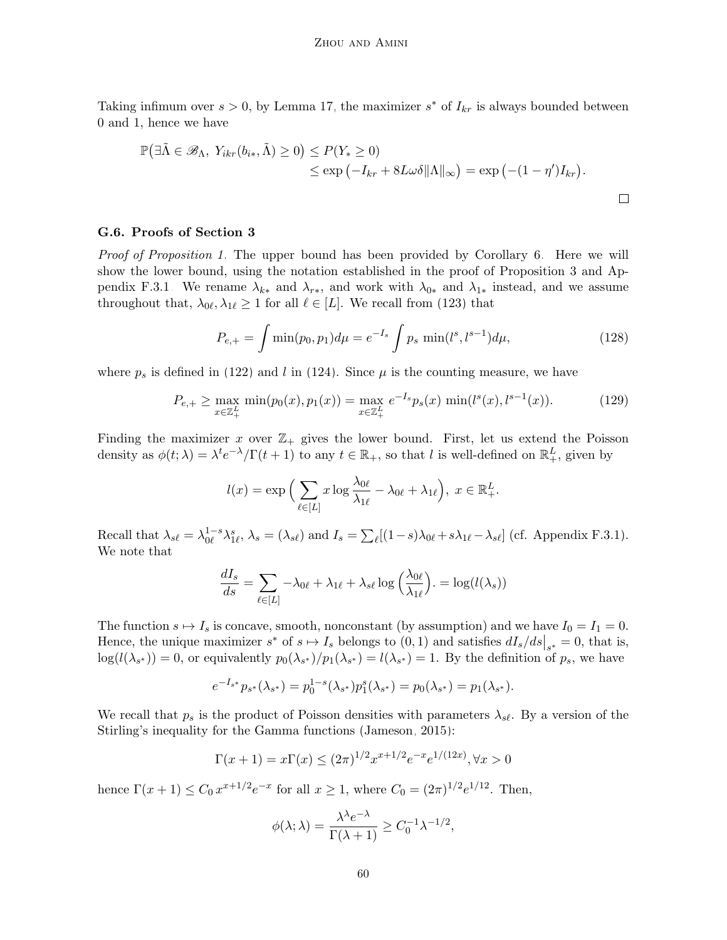Taking infimum over  $s > 0$ , by Lemma [17,](#page-46-2) the maximizer  $s^*$  of  $I_{kr}$  is always bounded between 0 and 1, hence we have

$$
\mathbb{P}(\exists \tilde{\Lambda} \in \mathscr{B}_{\Lambda}, Y_{ikr}(b_{i*}, \tilde{\Lambda}) \ge 0) \le P(Y_{*} \ge 0)
$$
  
\$\le \exp(-I\_{kr} + 8L\omega\delta ||\Lambda||\_{\infty}) = \exp(-(1 - \eta')I\_{kr}).

#### <span id="page-59-0"></span>G.6. Proofs of Section [3](#page-6-0)

Proof of Proposition [1.](#page-7-0) The upper bound has been provided by Corollary [6.](#page-46-0) Here we will show the lower bound, using the notation established in the proof of Proposition [3](#page-45-1) and Ap-pendix [F.3.1.](#page-45-0) We rename  $\lambda_{k*}$  and  $\lambda_{r*}$ , and work with  $\lambda_{0*}$  and  $\lambda_{1*}$  instead, and we assume throughout that,  $\lambda_{0\ell}, \lambda_{1\ell} \ge 1$  for all  $\ell \in [L]$ . We recall from [\(123\)](#page-54-2) that

$$
P_{e,+} = \int \min(p_0, p_1) d\mu = e^{-I_s} \int p_s \min(l^s, l^{s-1}) d\mu,
$$
\n(128)

where  $p_s$  is defined in [\(122\)](#page-54-0) and l in [\(124\)](#page-54-3). Since  $\mu$  is the counting measure, we have

$$
P_{e,+} \ge \max_{x \in \mathbb{Z}_+^L} \min(p_0(x), p_1(x)) = \max_{x \in \mathbb{Z}_+^L} e^{-I_s} p_s(x) \min(l^s(x), l^{s-1}(x)).
$$
 (129)

Finding the maximizer x over  $\mathbb{Z}_+$  gives the lower bound. First, let us extend the Poisson density as  $\phi(t;\lambda) = \lambda^t e^{-\lambda}/\Gamma(t+1)$  to any  $t \in \mathbb{R}_+$ , so that l is well-defined on  $\mathbb{R}^L_+$ , given by

$$
l(x) = \exp\Big(\sum_{\ell \in [L]} x \log \frac{\lambda_{0\ell}}{\lambda_{1\ell}} - \lambda_{0\ell} + \lambda_{1\ell}\Big), \ x \in \mathbb{R}^L_+.
$$

Recall that  $\lambda_{s\ell} = \lambda_{0\ell}^{1-s} \lambda_{1\ell}^s$ ,  $\lambda_s = (\lambda_{s\ell})$  and  $I_s = \sum_{\ell} [(1-s)\lambda_{0\ell} + s\lambda_{1\ell} - \lambda_{s\ell}]$  (cf. Appendix [F.3.1\)](#page-45-0). We note that

$$
\frac{dI_s}{ds} = \sum_{\ell \in [L]} -\lambda_{0\ell} + \lambda_{1\ell} + \lambda_{s\ell} \log \left( \frac{\lambda_{0\ell}}{\lambda_{1\ell}} \right) = \log(l(\lambda_s))
$$

The function  $s \mapsto I_s$  is concave, smooth, nonconstant (by assumption) and we have  $I_0 = I_1 = 0$ . Hence, the unique maximizer  $s^*$  of  $s \mapsto I_s$  belongs to  $(0, 1)$  and satisfies  $dI_s/ds|_{s^*} = 0$ , that is,  $log(l(\lambda_{s^*})) = 0$ , or equivalently  $p_0(\lambda_{s^*})/p_1(\lambda_{s^*}) = l(\lambda_{s^*}) = 1$ . By the definition of  $p_s$ , we have

$$
e^{-I_{s^*}}p_{s^*}(\lambda_{s^*}) = p_0^{1-s}(\lambda_{s^*})p_1^s(\lambda_{s^*}) = p_0(\lambda_{s^*}) = p_1(\lambda_{s^*}).
$$

We recall that  $p_s$  is the product of Poisson densities with parameters  $\lambda_{s\ell}$ . By a version of the Stirling's inequality for the Gamma functions [\(Jameson, 2015\)](#page-65-14):

$$
\Gamma(x+1) = x\Gamma(x) \le (2\pi)^{1/2} x^{x+1/2} e^{-x} e^{1/(12x)}, \forall x > 0
$$

hence  $\Gamma(x+1) \leq C_0 x^{x+1/2} e^{-x}$  for all  $x \geq 1$ , where  $C_0 = (2\pi)^{1/2} e^{1/12}$ . Then,

$$
\phi(\lambda; \lambda) = \frac{\lambda^{\lambda} e^{-\lambda}}{\Gamma(\lambda + 1)} \ge C_0^{-1} \lambda^{-1/2},
$$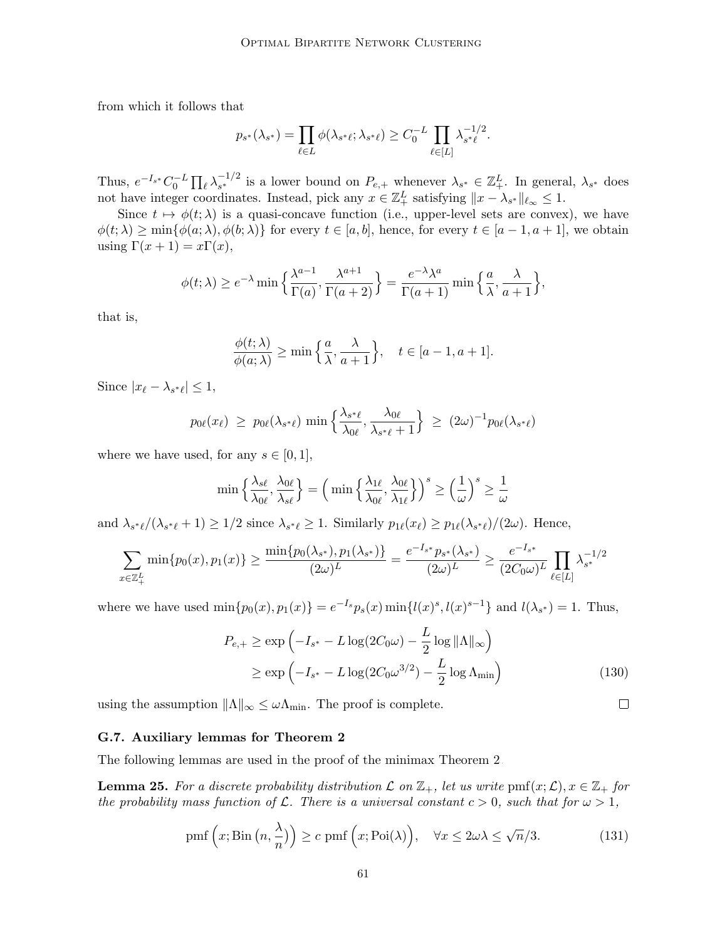from which it follows that

$$
p_{s^*}(\lambda_{s^*}) = \prod_{\ell \in L} \phi(\lambda_{s^*\ell}; \lambda_{s^*\ell}) \ge C_0^{-L} \prod_{\ell \in [L]} \lambda_{s^*\ell}^{-1/2}.
$$

Thus,  $e^{-I_{s^*}}C_0^{-L}\prod_{\ell}\lambda_{s^*}^{-1/2}$  is a lower bound on  $P_{e,+}$  whenever  $\lambda_{s^*}\in\mathbb{Z}_+^L$ . In general,  $\lambda_{s^*}$  does not have integer coordinates. Instead, pick any  $x \in \mathbb{Z}_+^L$  satisfying  $||x - \lambda_{s^*}||_{\ell_\infty} \leq 1$ .

Since  $t \mapsto \phi(t; \lambda)$  is a quasi-concave function (i.e., upper-level sets are convex), we have  $\phi(t; \lambda) \ge \min{\{\phi(a; \lambda), \phi(b; \lambda)\}}$  for every  $t \in [a, b]$ , hence, for every  $t \in [a - 1, a + 1]$ , we obtain using  $\Gamma(x+1) = x\Gamma(x)$ ,

$$
\phi(t; \lambda) \ge e^{-\lambda} \min \left\{ \frac{\lambda^{a-1}}{\Gamma(a)}, \frac{\lambda^{a+1}}{\Gamma(a+2)} \right\} = \frac{e^{-\lambda} \lambda^a}{\Gamma(a+1)} \min \left\{ \frac{a}{\lambda}, \frac{\lambda}{a+1} \right\},\,
$$

that is,

$$
\frac{\phi(t;\lambda)}{\phi(a;\lambda)} \ge \min\left\{\frac{a}{\lambda}, \frac{\lambda}{a+1}\right\}, \quad t \in [a-1, a+1].
$$

Since  $|x_{\ell} - \lambda_{s^* \ell}| \leq 1$ ,

$$
p_{0\ell}(x_{\ell}) \ge p_{0\ell}(\lambda_{s^*\ell}) \min\left\{\frac{\lambda_{s^*\ell}}{\lambda_{0\ell}}, \frac{\lambda_{0\ell}}{\lambda_{s^*\ell}+1}\right\} \ge (2\omega)^{-1} p_{0\ell}(\lambda_{s^*\ell})
$$

where we have used, for any  $s \in [0,1]$ ,

$$
\min\left\{\frac{\lambda_{s\ell}}{\lambda_{0\ell}}, \frac{\lambda_{0\ell}}{\lambda_{s\ell}}\right\} = \left(\min\left\{\frac{\lambda_{1\ell}}{\lambda_{0\ell}}, \frac{\lambda_{0\ell}}{\lambda_{1\ell}}\right\}\right)^s \ge \left(\frac{1}{\omega}\right)^s \ge \frac{1}{\omega}
$$

and  $\lambda_{s^*\ell}/(\lambda_{s^*\ell}+1) \ge 1/2$  since  $\lambda_{s^*\ell} \ge 1$ . Similarly  $p_{1\ell}(x_\ell) \ge p_{1\ell}(\lambda_{s^*\ell})/(2\omega)$ . Hence,

$$
\sum_{x \in \mathbb{Z}_+^L} \min\{p_0(x), p_1(x)\} \ge \frac{\min\{p_0(\lambda_{s^*}), p_1(\lambda_{s^*})\}}{(2\omega)^L} = \frac{e^{-I_{s^*}}p_{s^*}(\lambda_{s^*})}{(2\omega)^L} \ge \frac{e^{-I_{s^*}}}{(2C_0\omega)^L} \prod_{\ell \in [L]} \lambda_{s^*}^{-1/2}
$$

where we have used  $\min\{p_0(x), p_1(x)\} = e^{-l_s} p_s(x) \min\{l(x)^s, l(x)^{s-1}\}\$ and  $l(\lambda_{s^*}) = 1$ . Thus,

$$
P_{e,+} \ge \exp\left(-I_{s^*} - L\log(2C_0\omega) - \frac{L}{2}\log \|\Lambda\|_{\infty}\right)
$$
  
 
$$
\ge \exp\left(-I_{s^*} - L\log(2C_0\omega^{3/2}) - \frac{L}{2}\log\Lambda_{\min}\right)
$$
 (130)

using the assumption  $||\Lambda||_{\infty} \leq \omega \Lambda_{\min}$ . The proof is complete.

#### <span id="page-60-0"></span>G.7. Auxiliary lemmas for Theorem [2](#page-9-0)

The following lemmas are used in the proof of the minimax Theorem [2.](#page-9-0)

<span id="page-60-2"></span>**Lemma 25.** For a discrete probability distribution  $\mathcal L$  on  $\mathbb{Z}_+$ , let us write  $\text{pmf}(x;\mathcal L), x \in \mathbb{Z}_+$  for the probability mass function of  $\mathcal L$ . There is a universal constant  $c > 0$ , such that for  $\omega > 1$ ,

$$
\operatorname{pmf}\left(x;\operatorname{Bin}\left(n,\frac{\lambda}{n}\right)\right) \ge c \operatorname{pmf}\left(x;\operatorname{Poi}(\lambda)\right), \quad \forall x \le 2\omega\lambda \le \sqrt{n}/3. \tag{131}
$$

<span id="page-60-3"></span><span id="page-60-1"></span> $\Box$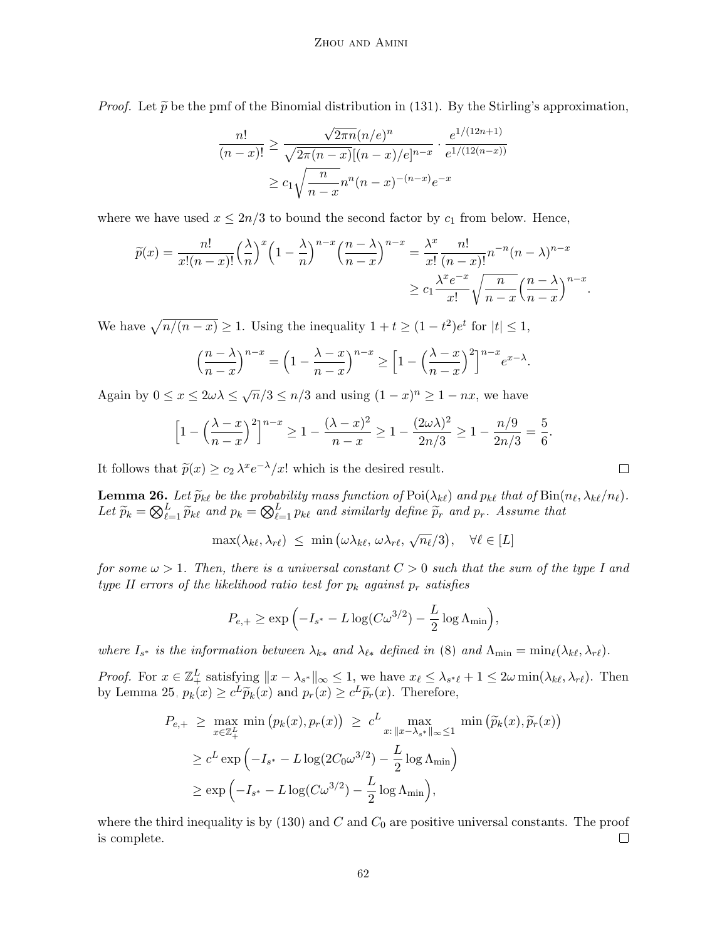*Proof.* Let  $\tilde{p}$  be the pmf of the Binomial distribution in [\(131\)](#page-60-1). By the Stirling's approximation,

$$
\frac{n!}{(n-x)!} \ge \frac{\sqrt{2\pi n}(n/e)^n}{\sqrt{2\pi(n-x)}[(n-x)/e]^{n-x}} \cdot \frac{e^{1/(12n+1)}}{e^{1/(12(n-x))}}
$$

$$
\ge c_1 \sqrt{\frac{n}{n-x}} n^n (n-x)^{-(n-x)} e^{-x}
$$

where we have used  $x \leq 2n/3$  to bound the second factor by  $c_1$  from below. Hence,

$$
\widetilde{p}(x) = \frac{n!}{x!(n-x)!} \left(\frac{\lambda}{n}\right)^x \left(1 - \frac{\lambda}{n}\right)^{n-x} \left(\frac{n-\lambda}{n-x}\right)^{n-x} = \frac{\lambda^x}{x!} \frac{n!}{(n-x)!} n^{-n} (n-\lambda)^{n-x}
$$

$$
\ge c_1 \frac{\lambda^x e^{-x}}{x!} \sqrt{\frac{n}{n-x}} \left(\frac{n-\lambda}{n-x}\right)^{n-x}.
$$

We have  $\sqrt{n/(n - x)} \ge 1$ . Using the inequality  $1 + t \ge (1 - t^2)e^t$  for  $|t| \le 1$ ,

$$
\left(\frac{n-\lambda}{n-x}\right)^{n-x} = \left(1 - \frac{\lambda - x}{n-x}\right)^{n-x} \ge \left[1 - \left(\frac{\lambda - x}{n-x}\right)^2\right]^{n-x} e^{x-\lambda}.
$$

Again by  $0 \le x \le 2\omega\lambda \le \sqrt{n}/3 \le n/3$  and using  $(1-x)^n \ge 1 - nx$ , we have

$$
\[1 - \left(\frac{\lambda - x}{n - x}\right)^2\]^{n - x} \ge 1 - \frac{(\lambda - x)^2}{n - x} \ge 1 - \frac{(2\omega\lambda)^2}{2n/3} \ge 1 - \frac{n/9}{2n/3} = \frac{5}{6}.
$$

It follows that  $\tilde{p}(x) \ge c_2 \lambda^x e^{-\lambda}/x!$  which is the desired result.

<span id="page-61-0"></span>**Lemma 26.** Let  $\widetilde{p}_{k\ell}$  be the probability mass function of  $\text{Poi}(\lambda_{k\ell})$  and  $p_{k\ell}$  that of  $\text{Bin}(n_\ell, \lambda_{k\ell}/n_\ell)$ . Let  $\widetilde{p}_k = \bigotimes_{\ell=1}^L \widetilde{p}_{k\ell}$  and  $p_k = \bigotimes_{\ell=1}^L p_{k\ell}$  and similarly define  $\widetilde{p}_r$  and  $p_r$ . Assume that

$$
\max(\lambda_{k\ell}, \lambda_{r\ell}) \leq \min(\omega \lambda_{k\ell}, \omega \lambda_{r\ell}, \sqrt{n_\ell}/3), \quad \forall \ell \in [L]
$$

for some  $\omega > 1$ . Then, there is a universal constant  $C > 0$  such that the sum of the type I and type II errors of the likelihood ratio test for  $p_k$  against  $p_r$  satisfies

$$
P_{e,+} \ge \exp\left(-I_{s^*} - L\log(C\omega^{3/2}) - \frac{L}{2}\log\Lambda_{\min}\right),\,
$$

where  $I_{s^*}$  is the information between  $\lambda_{k^*}$  and  $\lambda_{\ell^*}$  defined in [\(8\)](#page-6-1) and  $\Lambda_{\min} = \min_{\ell} (\lambda_{k\ell}, \lambda_{r\ell}).$ 

*Proof.* For  $x \in \mathbb{Z}_+^L$  satisfying  $||x - \lambda_{s^*}||_{\infty} \leq 1$ , we have  $x_\ell \leq \lambda_{s^*\ell} + 1 \leq 2\omega \min(\lambda_{k\ell}, \lambda_{r\ell})$ . Then by Lemma [25,](#page-60-2)  $p_k(x) \ge c^L \widetilde{p}_k(x)$  and  $p_r(x) \ge c^L \widetilde{p}_r(x)$ . Therefore,

$$
P_{e,+} \geq \max_{x \in \mathbb{Z}_+^L} \min \left( p_k(x), p_r(x) \right) \geq c^L \max_{x: \|x - \lambda_{s^*}\|_{\infty} \leq 1} \min \left( \widetilde{p}_k(x), \widetilde{p}_r(x) \right)
$$
  

$$
\geq c^L \exp \left( -I_{s^*} - L \log(2C_0 \omega^{3/2}) - \frac{L}{2} \log \Lambda_{\min} \right)
$$
  

$$
\geq \exp \left( -I_{s^*} - L \log(C \omega^{3/2}) - \frac{L}{2} \log \Lambda_{\min} \right),
$$

where the third inequality is by  $(130)$  and  $C$  and  $C_0$  are positive universal constants. The proof is complete.  $\Box$ 

 $\Box$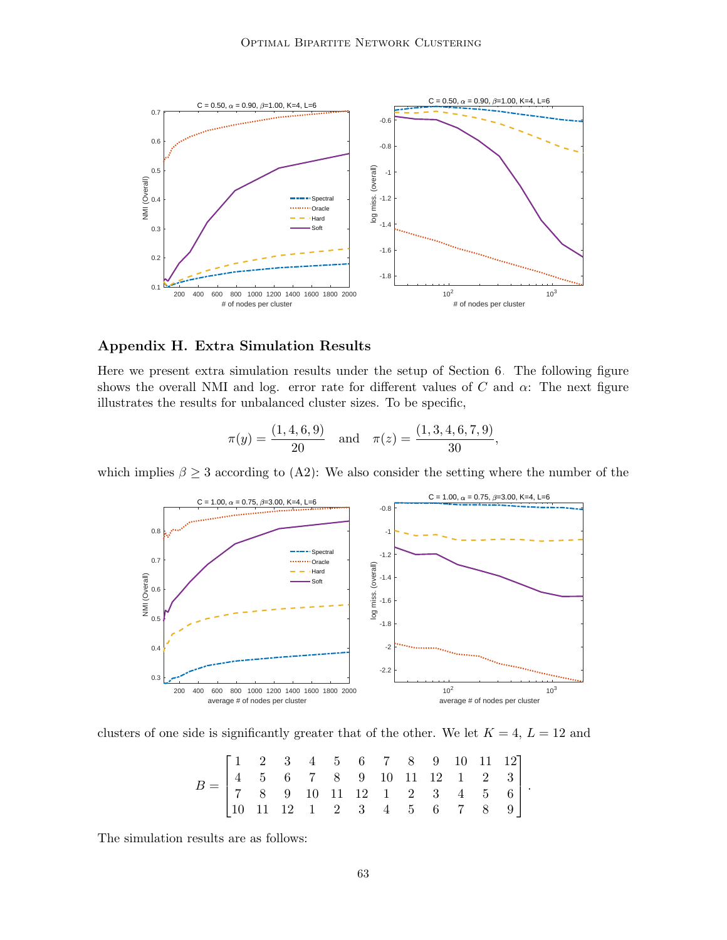

# <span id="page-62-0"></span>Appendix H. Extra Simulation Results

Here we present extra simulation results under the setup of Section [6.](#page-21-0) The following figure shows the overall NMI and log. error rate for different values of C and  $\alpha$ : The next figure illustrates the results for unbalanced cluster sizes. To be specific,

$$
\pi(y) = \frac{(1, 4, 6, 9)}{20}
$$
 and  $\pi(z) = \frac{(1, 3, 4, 6, 7, 9)}{30}$ ,

which implies  $\beta \geq 3$  according to [\(A2\)](#page-6-0): We also consider the setting where the number of the



clusters of one side is significantly greater that of the other. We let  $K = 4, L = 12$  and

| $B = \begin{bmatrix} 1 & 2 & 3 & 4 & 5 & 6 & 7 & 8 & 9 & 10 & 11 & 12 \\ 4 & 5 & 6 & 7 & 8 & 9 & 10 & 11 & 12 & 1 & 2 & 3 \\ 7 & 8 & 9 & 10 & 11 & 12 & 1 & 2 & 3 & 4 & 5 & 6 \\ 10 & 11 & 12 & 1 & 2 & 3 & 4 & 5 & 6 & 7 & 8 & 9 \end{bmatrix}$ |  |  |  |  |  |  |
|--------------------------------------------------------------------------------------------------------------------------------------------------------------------------------------------------------------------------------------------------|--|--|--|--|--|--|
|                                                                                                                                                                                                                                                  |  |  |  |  |  |  |
|                                                                                                                                                                                                                                                  |  |  |  |  |  |  |

.

The simulation results are as follows: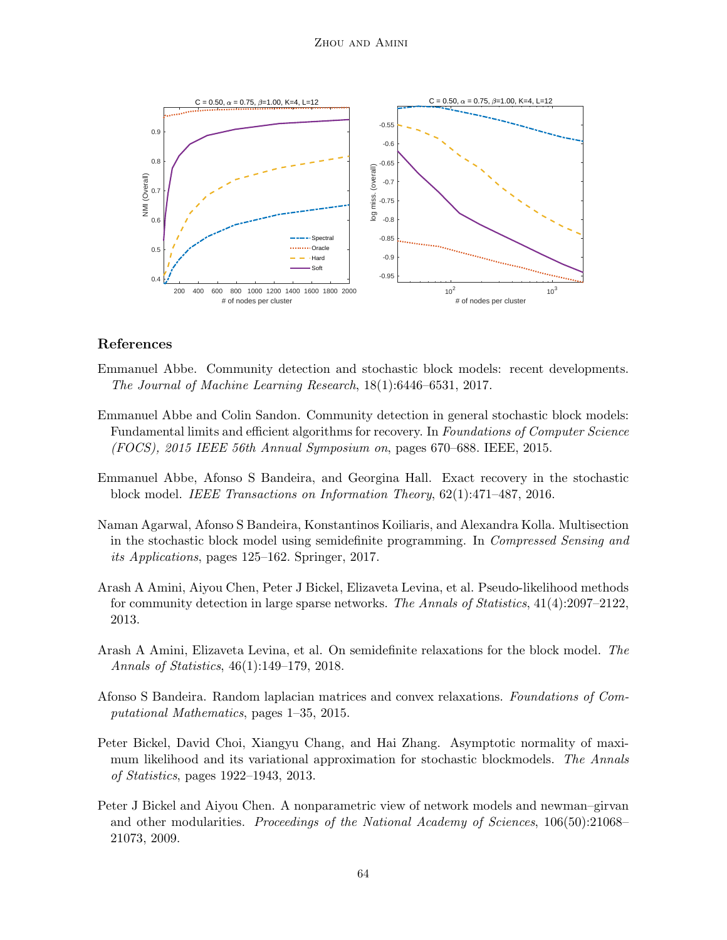

## References

- <span id="page-63-0"></span>Emmanuel Abbe. Community detection and stochastic block models: recent developments. The Journal of Machine Learning Research, 18(1):6446–6531, 2017.
- <span id="page-63-8"></span>Emmanuel Abbe and Colin Sandon. Community detection in general stochastic block models: Fundamental limits and efficient algorithms for recovery. In Foundations of Computer Science (FOCS), 2015 IEEE 56th Annual Symposium on, pages 670–688. IEEE, 2015.
- <span id="page-63-7"></span>Emmanuel Abbe, Afonso S Bandeira, and Georgina Hall. Exact recovery in the stochastic block model. IEEE Transactions on Information Theory, 62(1):471–487, 2016.
- <span id="page-63-3"></span>Naman Agarwal, Afonso S Bandeira, Konstantinos Koiliaris, and Alexandra Kolla. Multisection in the stochastic block model using semidefinite programming. In Compressed Sensing and its Applications, pages 125–162. Springer, 2017.
- <span id="page-63-6"></span>Arash A Amini, Aiyou Chen, Peter J Bickel, Elizaveta Levina, et al. Pseudo-likelihood methods for community detection in large sparse networks. The Annals of Statistics, 41(4):2097–2122, 2013.
- <span id="page-63-1"></span>Arash A Amini, Elizaveta Levina, et al. On semidefinite relaxations for the block model. The Annals of Statistics, 46(1):149–179, 2018.
- <span id="page-63-2"></span>Afonso S Bandeira. Random laplacian matrices and convex relaxations. Foundations of Computational Mathematics, pages 1–35, 2015.
- <span id="page-63-4"></span>Peter Bickel, David Choi, Xiangyu Chang, and Hai Zhang. Asymptotic normality of maximum likelihood and its variational approximation for stochastic blockmodels. The Annals of Statistics, pages 1922–1943, 2013.
- <span id="page-63-5"></span>Peter J Bickel and Aiyou Chen. A nonparametric view of network models and newman–girvan and other modularities. *Proceedings of the National Academy of Sciences*, 106(50):21068– 21073, 2009.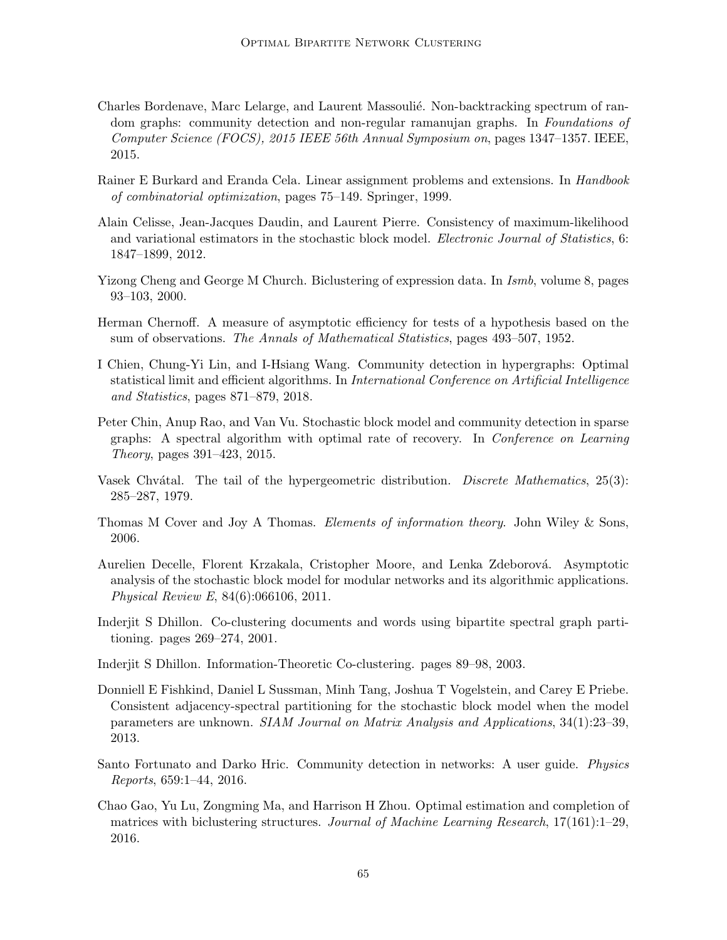- <span id="page-64-7"></span>Charles Bordenave, Marc Lelarge, and Laurent Massoulié. Non-backtracking spectrum of random graphs: community detection and non-regular ramanujan graphs. In Foundations of Computer Science (FOCS), 2015 IEEE 56th Annual Symposium on, pages 1347–1357. IEEE, 2015.
- <span id="page-64-12"></span>Rainer E Burkard and Eranda Cela. Linear assignment problems and extensions. In *Handbook* of combinatorial optimization, pages 75–149. Springer, 1999.
- <span id="page-64-9"></span>Alain Celisse, Jean-Jacques Daudin, and Laurent Pierre. Consistency of maximum-likelihood and variational estimators in the stochastic block model. *Electronic Journal of Statistics*, 6: 1847–1899, 2012.
- <span id="page-64-3"></span>Yizong Cheng and George M Church. Biclustering of expression data. In *Ismb*, volume 8, pages 93–103, 2000.
- <span id="page-64-11"></span>Herman Chernoff. A measure of asymptotic efficiency for tests of a hypothesis based on the sum of observations. The Annals of Mathematical Statistics, pages 493–507, 1952.
- <span id="page-64-10"></span>I Chien, Chung-Yi Lin, and I-Hsiang Wang. Community detection in hypergraphs: Optimal statistical limit and efficient algorithms. In International Conference on Artificial Intelligence and Statistics, pages 871–879, 2018.
- <span id="page-64-6"></span>Peter Chin, Anup Rao, and Van Vu. Stochastic block model and community detection in sparse graphs: A spectral algorithm with optimal rate of recovery. In Conference on Learning Theory, pages 391–423, 2015.
- <span id="page-64-14"></span>Vasek Chvátal. The tail of the hypergeometric distribution. Discrete Mathematics, 25(3): 285–287, 1979.
- <span id="page-64-13"></span>Thomas M Cover and Joy A Thomas. Elements of information theory. John Wiley & Sons, 2006.
- <span id="page-64-8"></span>Aurelien Decelle, Florent Krzakala, Cristopher Moore, and Lenka Zdeborová. Asymptotic analysis of the stochastic block model for modular networks and its algorithmic applications. Physical Review E, 84(6):066106, 2011.
- <span id="page-64-1"></span>Inderjit S Dhillon. Co-clustering documents and words using bipartite spectral graph partitioning. pages 269–274, 2001.
- <span id="page-64-2"></span>Inderjit S Dhillon. Information-Theoretic Co-clustering. pages 89–98, 2003.
- <span id="page-64-5"></span>Donniell E Fishkind, Daniel L Sussman, Minh Tang, Joshua T Vogelstein, and Carey E Priebe. Consistent adjacency-spectral partitioning for the stochastic block model when the model parameters are unknown. SIAM Journal on Matrix Analysis and Applications, 34(1):23–39, 2013.
- <span id="page-64-0"></span>Santo Fortunato and Darko Hric. Community detection in networks: A user guide. Physics Reports, 659:1–44, 2016.
- <span id="page-64-4"></span>Chao Gao, Yu Lu, Zongming Ma, and Harrison H Zhou. Optimal estimation and completion of matrices with biclustering structures. Journal of Machine Learning Research, 17(161):1–29, 2016.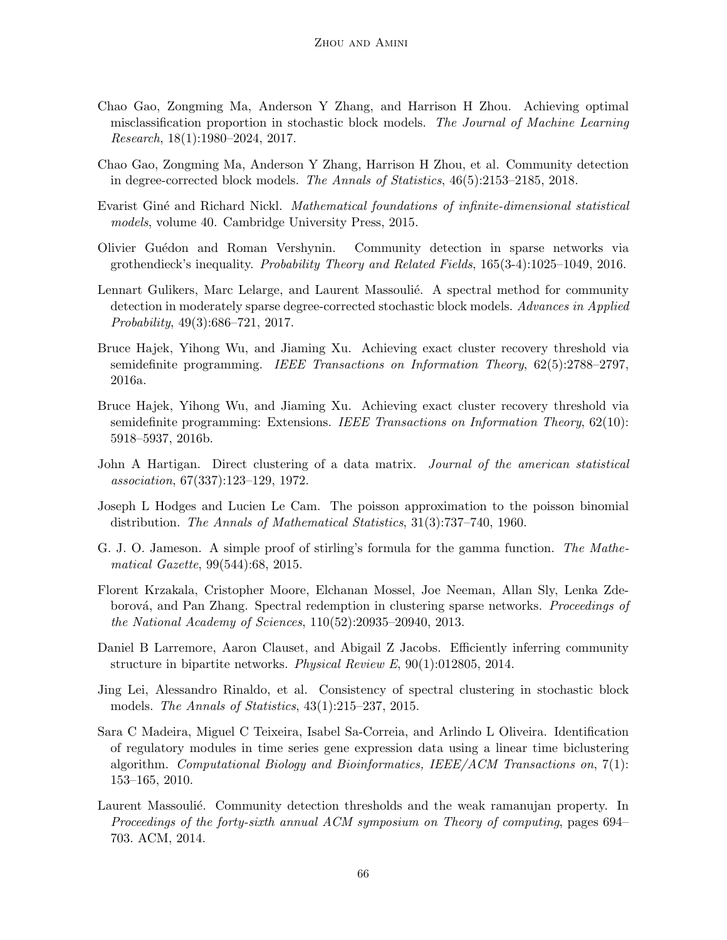- <span id="page-65-10"></span>Chao Gao, Zongming Ma, Anderson Y Zhang, and Harrison H Zhou. Achieving optimal misclassification proportion in stochastic block models. The Journal of Machine Learning Research, 18(1):1980–2024, 2017.
- <span id="page-65-11"></span>Chao Gao, Zongming Ma, Anderson Y Zhang, Harrison H Zhou, et al. Community detection in degree-corrected block models. The Annals of Statistics, 46(5):2153–2185, 2018.
- <span id="page-65-12"></span>Evarist Giné and Richard Nickl. *Mathematical foundations of infinite-dimensional statistical* models, volume 40. Cambridge University Press, 2015.
- <span id="page-65-8"></span>Olivier Gu´edon and Roman Vershynin. Community detection in sparse networks via grothendieck's inequality. Probability Theory and Related Fields, 165(3-4):1025–1049, 2016.
- <span id="page-65-6"></span>Lennart Gulikers, Marc Lelarge, and Laurent Massoulie. A spectral method for community detection in moderately sparse degree-corrected stochastic block models. Advances in Applied Probability, 49(3):686–721, 2017.
- <span id="page-65-7"></span>Bruce Hajek, Yihong Wu, and Jiaming Xu. Achieving exact cluster recovery threshold via semidefinite programming. IEEE Transactions on Information Theory, 62(5):2788–2797, 2016a.
- <span id="page-65-9"></span>Bruce Hajek, Yihong Wu, and Jiaming Xu. Achieving exact cluster recovery threshold via semidefinite programming: Extensions. IEEE Transactions on Information Theory, 62(10): 5918–5937, 2016b.
- <span id="page-65-2"></span>John A Hartigan. Direct clustering of a data matrix. Journal of the american statistical association, 67(337):123–129, 1972.
- <span id="page-65-13"></span>Joseph L Hodges and Lucien Le Cam. The poisson approximation to the poisson binomial distribution. The Annals of Mathematical Statistics, 31(3):737–740, 1960.
- <span id="page-65-14"></span>G. J. O. Jameson. A simple proof of stirling's formula for the gamma function. The Mathematical Gazette, 99(544):68, 2015.
- <span id="page-65-3"></span>Florent Krzakala, Cristopher Moore, Elchanan Mossel, Joe Neeman, Allan Sly, Lenka Zdeborová, and Pan Zhang. Spectral redemption in clustering sparse networks. Proceedings of the National Academy of Sciences, 110(52):20935–20940, 2013.
- <span id="page-65-0"></span>Daniel B Larremore, Aaron Clauset, and Abigail Z Jacobs. Efficiently inferring community structure in bipartite networks. Physical Review E, 90(1):012805, 2014.
- <span id="page-65-4"></span>Jing Lei, Alessandro Rinaldo, et al. Consistency of spectral clustering in stochastic block models. The Annals of Statistics, 43(1):215–237, 2015.
- <span id="page-65-1"></span>Sara C Madeira, Miguel C Teixeira, Isabel Sa-Correia, and Arlindo L Oliveira. Identification of regulatory modules in time series gene expression data using a linear time biclustering algorithm. Computational Biology and Bioinformatics, IEEE/ACM Transactions on,  $7(1)$ : 153–165, 2010.
- <span id="page-65-5"></span>Laurent Massoulié. Community detection thresholds and the weak ramanujan property. In Proceedings of the forty-sixth annual ACM symposium on Theory of computing, pages 694– 703. ACM, 2014.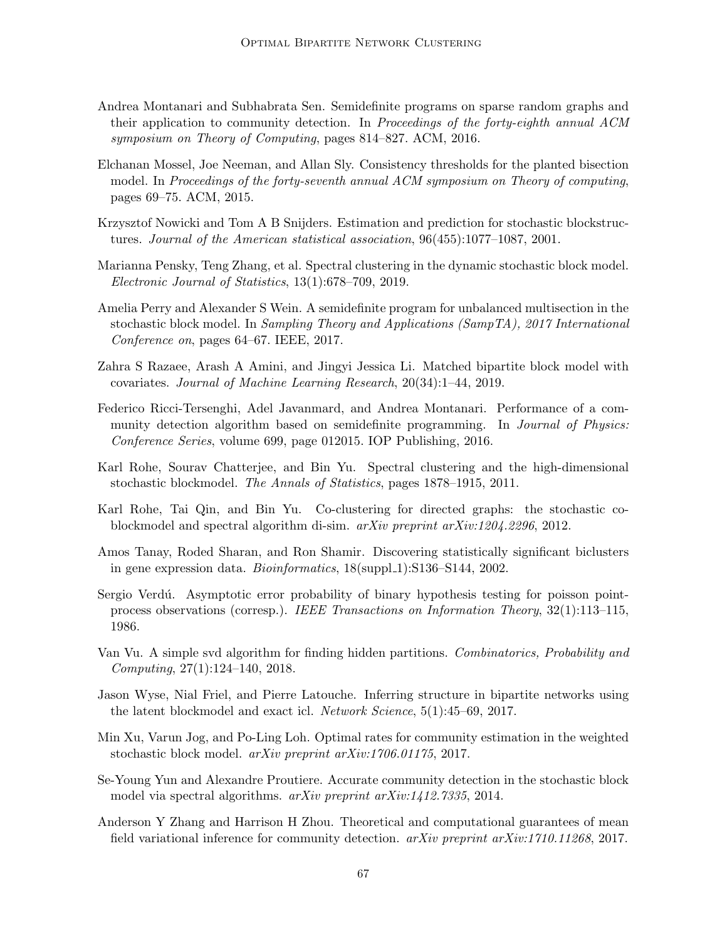- <span id="page-66-8"></span>Andrea Montanari and Subhabrata Sen. Semidefinite programs on sparse random graphs and their application to community detection. In *Proceedings of the forty-eighth annual ACM* symposium on Theory of Computing, pages 814–827. ACM, 2016.
- <span id="page-66-12"></span>Elchanan Mossel, Joe Neeman, and Allan Sly. Consistency thresholds for the planted bisection model. In Proceedings of the forty-seventh annual ACM symposium on Theory of computing, pages 69–75. ACM, 2015.
- <span id="page-66-11"></span>Krzysztof Nowicki and Tom A B Snijders. Estimation and prediction for stochastic blockstructures. Journal of the American statistical association, 96(455):1077–1087, 2001.
- <span id="page-66-7"></span>Marianna Pensky, Teng Zhang, et al. Spectral clustering in the dynamic stochastic block model. Electronic Journal of Statistics, 13(1):678–709, 2019.
- <span id="page-66-10"></span>Amelia Perry and Alexander S Wein. A semidefinite program for unbalanced multisection in the stochastic block model. In Sampling Theory and Applications (SampTA), 2017 International Conference on, pages 64–67. IEEE, 2017.
- <span id="page-66-2"></span>Zahra S Razaee, Arash A Amini, and Jingyi Jessica Li. Matched bipartite block model with covariates. Journal of Machine Learning Research, 20(34):1–44, 2019.
- <span id="page-66-9"></span>Federico Ricci-Tersenghi, Adel Javanmard, and Andrea Montanari. Performance of a community detection algorithm based on semidefinite programming. In *Journal of Physics:* Conference Series, volume 699, page 012015. IOP Publishing, 2016.
- <span id="page-66-4"></span>Karl Rohe, Sourav Chatterjee, and Bin Yu. Spectral clustering and the high-dimensional stochastic blockmodel. The Annals of Statistics, pages 1878–1915, 2011.
- <span id="page-66-1"></span>Karl Rohe, Tai Qin, and Bin Yu. Co-clustering for directed graphs: the stochastic coblockmodel and spectral algorithm di-sim. arXiv preprint arXiv:1204.2296, 2012.
- <span id="page-66-3"></span>Amos Tanay, Roded Sharan, and Ron Shamir. Discovering statistically significant biclusters in gene expression data. *Bioinformatics*,  $18(\text{supp1.1}):S136-S144, 2002$ .
- <span id="page-66-15"></span>Sergio Verdú. Asymptotic error probability of binary hypothesis testing for poisson pointprocess observations (corresp.). IEEE Transactions on Information Theory, 32(1):113–115, 1986.
- <span id="page-66-5"></span>Van Vu. A simple svd algorithm for finding hidden partitions. Combinatorics, Probability and Computing, 27(1):124–140, 2018.
- <span id="page-66-0"></span>Jason Wyse, Nial Friel, and Pierre Latouche. Inferring structure in bipartite networks using the latent blockmodel and exact icl. Network Science, 5(1):45–69, 2017.
- <span id="page-66-14"></span>Min Xu, Varun Jog, and Po-Ling Loh. Optimal rates for community estimation in the weighted stochastic block model. arXiv preprint arXiv:1706.01175, 2017.
- <span id="page-66-6"></span>Se-Young Yun and Alexandre Proutiere. Accurate community detection in the stochastic block model via spectral algorithms. *arXiv preprint arXiv:1412.7335*, 2014.
- <span id="page-66-13"></span>Anderson Y Zhang and Harrison H Zhou. Theoretical and computational guarantees of mean field variational inference for community detection.  $arXiv$  preprint  $arXiv:1710.11268$ , 2017.